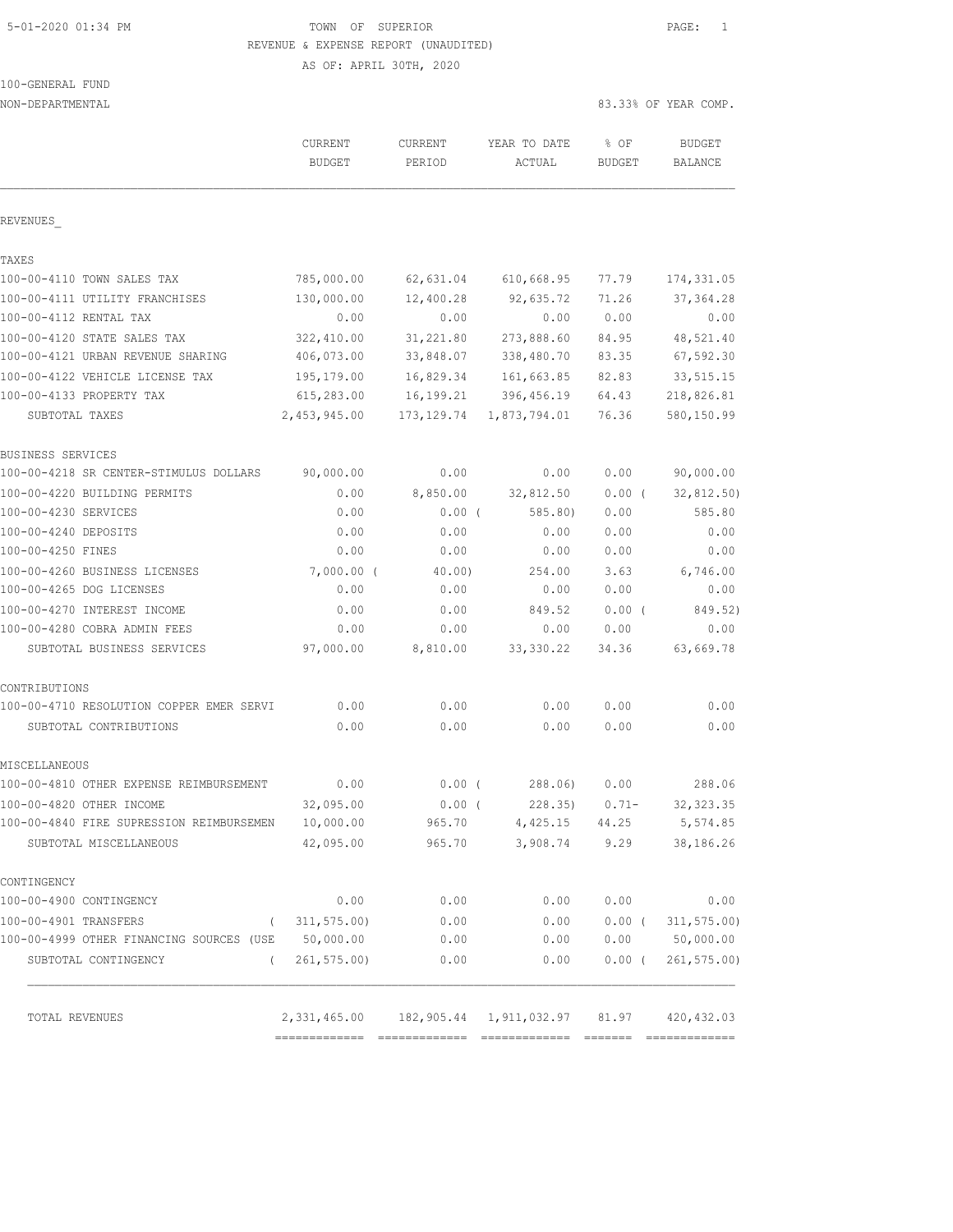# 5-01-2020 01:34 PM TOWN OF SUPERIOR PAGE: 1 REVENUE & EXPENSE REPORT (UNAUDITED)

AS OF: APRIL 30TH, 2020

|  | 100-GENERAL FUND |  |  |
|--|------------------|--|--|
|  |                  |  |  |

| NON-DEPARTMENTAL                                   |                          |                   |                                                                 |                       | 83.33% OF YEAR COMP.     |
|----------------------------------------------------|--------------------------|-------------------|-----------------------------------------------------------------|-----------------------|--------------------------|
|                                                    | CURRENT<br><b>BUDGET</b> | CURRENT<br>PERIOD | YEAR TO DATE<br>ACTUAL                                          | % OF<br><b>BUDGET</b> | <b>BUDGET</b><br>BALANCE |
| REVENUES                                           |                          |                   |                                                                 |                       |                          |
| TAXES                                              |                          |                   |                                                                 |                       |                          |
| 100-00-4110 TOWN SALES TAX                         | 785,000.00               | 62,631.04         | 610,668.95                                                      | 77.79                 | 174, 331.05              |
| 100-00-4111 UTILITY FRANCHISES                     | 130,000.00               | 12,400.28         | 92,635.72                                                       | 71.26                 | 37, 364.28               |
| 100-00-4112 RENTAL TAX                             | 0.00                     | 0.00              | 0.00                                                            | 0.00                  | 0.00                     |
| 100-00-4120 STATE SALES TAX                        | 322,410.00               | 31,221.80         | 273,888.60                                                      | 84.95                 | 48,521.40                |
| 100-00-4121 URBAN REVENUE SHARING                  | 406,073.00               | 33,848.07         | 338,480.70                                                      | 83.35                 | 67,592.30                |
| 100-00-4122 VEHICLE LICENSE TAX                    | 195,179.00               | 16,829.34         | 161,663.85                                                      | 82.83                 | 33, 515.15               |
| 100-00-4133 PROPERTY TAX                           | 615,283.00               | 16,199.21         | 396, 456.19                                                     | 64.43                 | 218,826.81               |
| SUBTOTAL TAXES                                     | 2,453,945.00             | 173, 129.74       | 1,873,794.01                                                    | 76.36                 | 580,150.99               |
| BUSINESS SERVICES                                  |                          |                   |                                                                 |                       |                          |
| 100-00-4218 SR CENTER-STIMULUS DOLLARS             | 90,000.00                | 0.00              | 0.00                                                            | 0.00                  | 90,000.00                |
| 100-00-4220 BUILDING PERMITS                       | 0.00                     | 8,850.00          | 32,812.50                                                       | 0.00(                 | 32,812.50)               |
| 100-00-4230 SERVICES                               | 0.00                     | $0.00$ (          | 585.80                                                          | 0.00                  | 585.80                   |
| 100-00-4240 DEPOSITS                               | 0.00                     | 0.00              | 0.00                                                            | 0.00                  | 0.00                     |
| 100-00-4250 FINES                                  | 0.00                     | 0.00              | 0.00                                                            | 0.00                  | 0.00                     |
| 100-00-4260 BUSINESS LICENSES                      | $7,000.00$ (             | 40.00             | 254.00                                                          | 3.63                  | 6,746.00                 |
| 100-00-4265 DOG LICENSES                           | 0.00                     | 0.00              | 0.00                                                            | 0.00                  | 0.00                     |
| 100-00-4270 INTEREST INCOME                        | 0.00                     | 0.00              | 849.52                                                          | $0.00$ (              | 849.52)                  |
| 100-00-4280 COBRA ADMIN FEES                       | 0.00                     | 0.00              | 0.00                                                            | 0.00                  | 0.00                     |
| SUBTOTAL BUSINESS SERVICES                         | 97,000.00                | 8,810.00          | 33, 330.22                                                      | 34.36                 | 63,669.78                |
| CONTRIBUTIONS                                      |                          |                   |                                                                 |                       |                          |
| 100-00-4710 RESOLUTION COPPER EMER SERVI           | 0.00                     | 0.00              | 0.00                                                            | 0.00                  | 0.00                     |
| SUBTOTAL CONTRIBUTIONS                             | 0.00                     | 0.00              | 0.00                                                            | 0.00                  | 0.00                     |
| MISCELLANEOUS                                      |                          |                   |                                                                 |                       |                          |
| 100-00-4810 OTHER EXPENSE REIMBURSEMENT            | 0.00                     | $0.00$ (          | 288.06)                                                         | 0.00                  | 288.06                   |
| 100-00-4820 OTHER INCOME                           | 32,095.00                | $0.00$ (          | 228.35)                                                         | $0.71 -$              | 32, 323.35               |
| 100-00-4840 FIRE SUPRESSION REIMBURSEMEN           | 10,000.00                | 965.70            | 4,425.15 44.25                                                  |                       | 5,574.85                 |
| SUBTOTAL MISCELLANEOUS                             | 42,095.00                | 965.70            | 3,908.74 9.29                                                   |                       | 38,186.26                |
| CONTINGENCY                                        |                          |                   |                                                                 |                       |                          |
| 100-00-4900 CONTINGENCY                            | 0.00                     | 0.00              | 0.00                                                            | 0.00                  | 0.00                     |
| 100-00-4901 TRANSFERS                              | (311, 575.00)            | 0.00              | 0.00                                                            |                       | $0.00$ ( $311,575.00$ )  |
| 100-00-4999 OTHER FINANCING SOURCES (USE 50,000.00 |                          | 0.00              | 0.00                                                            |                       | 0.00 50,000.00           |
| SUBTOTAL CONTINGENCY<br>$\left($                   | 261, 575.00              | 0.00              | 0.00                                                            | $0.00$ (              | 261, 575.00              |
| TOTAL REVENUES                                     |                          |                   | 2, 331, 465.00  182, 905.44  1, 911, 032.97  81.97  420, 432.03 |                       |                          |
|                                                    |                          |                   |                                                                 |                       |                          |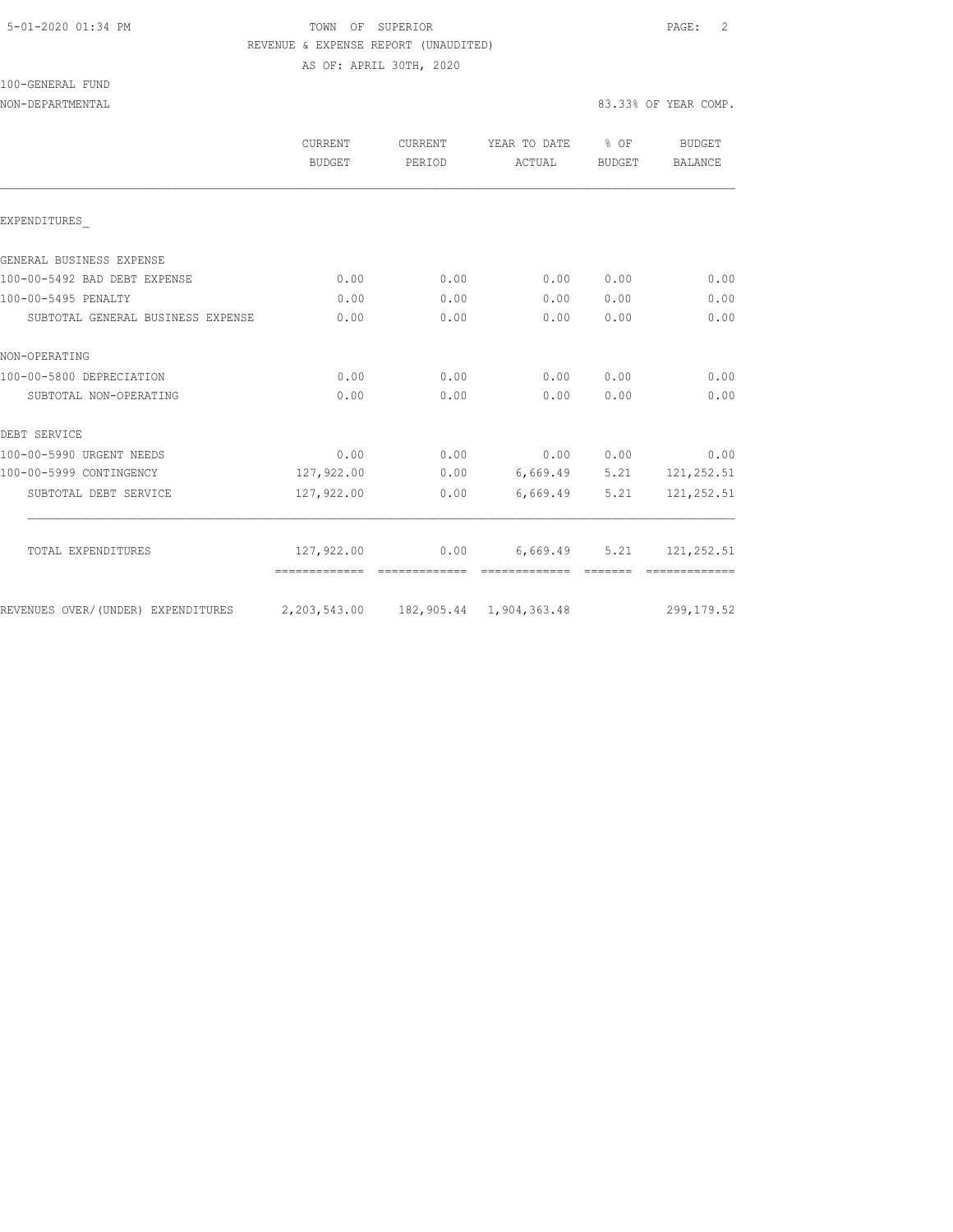### 5-01-2020 01:34 PM TOWN OF SUPERIOR PAGE: 2 REVENUE & EXPENSE REPORT (UNAUDITED) AS OF: APRIL 30TH, 2020

100-GENERAL FUND

#### NON-DEPARTMENTAL 83.33% OF YEAR COMP.

|                                    | <b>CURRENT</b><br><b>BUDGET</b> | CURRENT<br>PERIOD | YEAR TO DATE<br>ACTUAL     | % OF<br>BUDGET | <b>BUDGET</b><br>BALANCE |
|------------------------------------|---------------------------------|-------------------|----------------------------|----------------|--------------------------|
| EXPENDITURES                       |                                 |                   |                            |                |                          |
| GENERAL BUSINESS EXPENSE           |                                 |                   |                            |                |                          |
| 100-00-5492 BAD DEBT EXPENSE       | 0.00                            | 0.00              | 0.00                       | 0.00           | 0.00                     |
| 100-00-5495 PENALTY                | 0.00                            | 0.00              | 0.00                       | 0.00           | 0.00                     |
| SUBTOTAL GENERAL BUSINESS EXPENSE  | 0.00                            | 0.00              | 0.00                       | 0.00           | 0.00                     |
| NON-OPERATING                      |                                 |                   |                            |                |                          |
| 100-00-5800 DEPRECIATION           | 0.00                            | 0.00              | 0.00                       | 0.00           | 0.00                     |
| SUBTOTAL NON-OPERATING             | 0.00                            | 0.00              | 0.00                       | 0.00           | 0.00                     |
| DEBT SERVICE                       |                                 |                   |                            |                |                          |
| 100-00-5990 URGENT NEEDS           | 0.00                            | 0.00              | 0.00                       | 0.00           | 0.00                     |
| 100-00-5999 CONTINGENCY            | 127,922.00                      | 0.00              |                            | 6,669.49 5.21  | 121,252.51               |
| SUBTOTAL DEBT SERVICE              | 127,922.00                      | 0.00              | 6,669.49                   | 5.21           | 121, 252.51              |
| TOTAL EXPENDITURES                 | 127,922.00                      | 0.00              | 6,669.49                   | 5.21           | 121, 252.51              |
| REVENUES OVER/(UNDER) EXPENDITURES | 2,203,543.00                    |                   | 182, 905.44 1, 904, 363.48 |                | 299, 179.52              |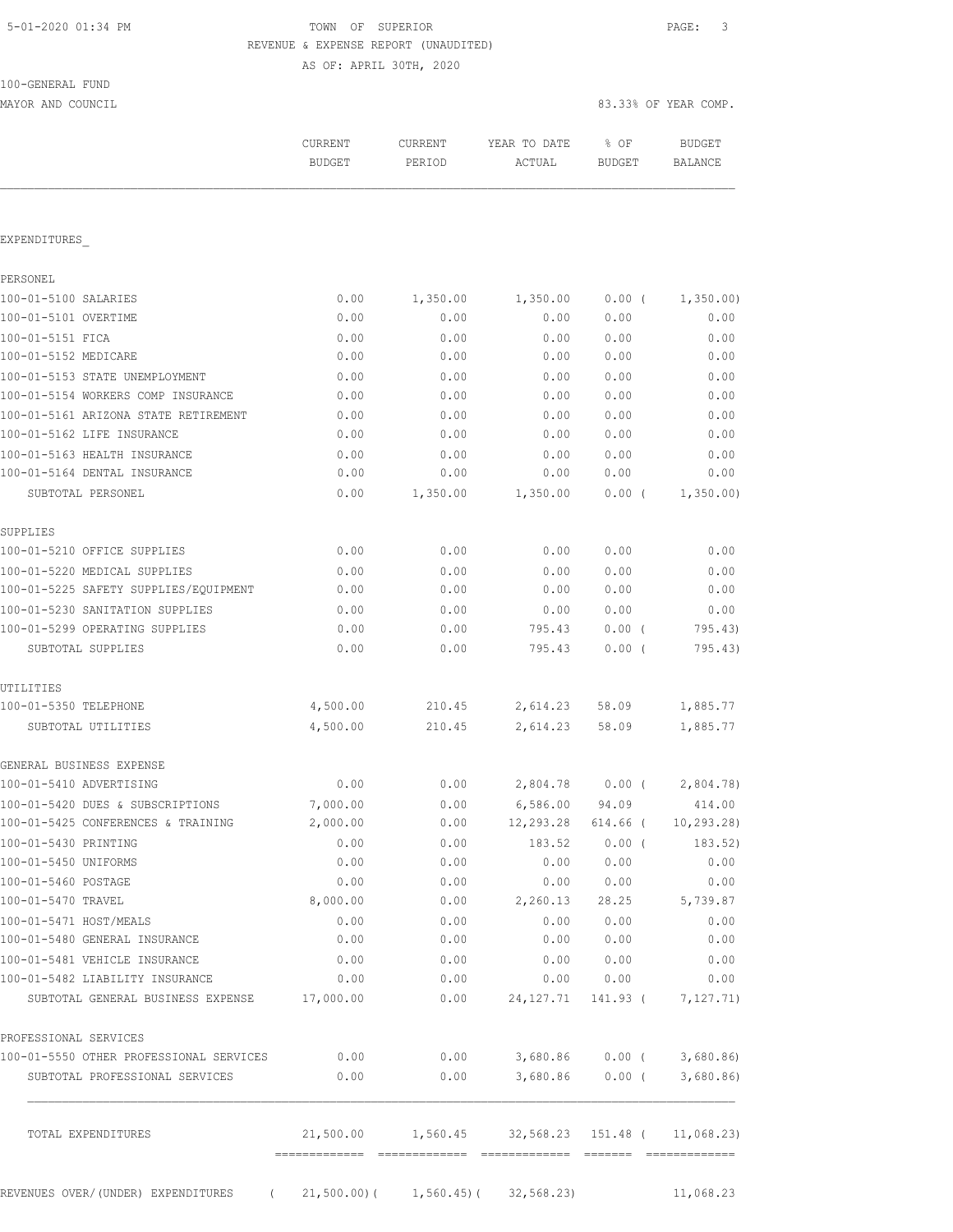# TOWN OF SUPERIOR **Example 2010** PAGE: 3 REVENUE & EXPENSE REPORT (UNAUDITED)

AS OF: APRIL 30TH, 2020

| 100-GENERAL FUND |  |
|------------------|--|
|                  |  |

MAYOR AND COUNCIL SERVICES AND COUNCIL SERVICES OF YEAR COMP.

| CURRENT<br><b>BUDGET</b> | CURRENT<br>PERIOD | YEAR TO DATE<br>ACTUAL | % OF<br><b>BUDGET</b> | <b>BUDGET</b><br>BALANCE                     |
|--------------------------|-------------------|------------------------|-----------------------|----------------------------------------------|
|                          |                   |                        |                       |                                              |
|                          |                   |                        |                       |                                              |
|                          |                   |                        |                       |                                              |
| 0.00                     | 1,350.00          | 1,350.00               | 0.00(                 | 1,350.00)                                    |
| 0.00                     | 0.00              | 0.00                   | 0.00                  | 0.00                                         |
| 0.00                     | 0.00              | 0.00                   | 0.00                  | 0.00                                         |
| 0.00                     | 0.00              | 0.00                   | 0.00                  | 0.00                                         |
| 0.00                     | 0.00              | 0.00                   | 0.00                  | 0.00                                         |
| 0.00                     | 0.00              | 0.00                   | 0.00                  | 0.00                                         |
| 0.00                     | 0.00              | 0.00                   | 0.00                  | 0.00                                         |
| 0.00                     | 0.00              | 0.00                   | 0.00                  | 0.00                                         |
| 0.00                     | 0.00              | 0.00                   | 0.00                  | 0.00                                         |
| 0.00                     | 0.00              | 0.00                   | 0.00                  | 0.00                                         |
| 0.00                     | 1,350.00          | 1,350.00               | 0.00(                 | 1,350.00                                     |
|                          |                   |                        |                       |                                              |
| 0.00                     | 0.00              | 0.00                   | 0.00                  | 0.00                                         |
| 0.00                     | 0.00              | 0.00                   | 0.00                  | 0.00                                         |
| 0.00                     | 0.00              | 0.00                   | 0.00                  | 0.00                                         |
| 0.00                     | 0.00              | 0.00                   | 0.00                  | 0.00                                         |
| 0.00                     | 0.00              | 795.43                 | 0.00(                 | 795.43)                                      |
| 0.00                     | 0.00              | 795.43                 | 0.00(                 | 795.43)                                      |
|                          |                   |                        |                       |                                              |
| 4,500.00                 | 210.45            | 2,614.23               | 58.09                 | 1,885.77                                     |
| 4,500.00                 | 210.45            | 2,614.23               | 58.09                 | 1,885.77                                     |
|                          |                   |                        |                       |                                              |
| 0.00                     | 0.00              | 2,804.78               | $0.00$ (              | 2,804.78)                                    |
| 7,000.00                 | 0.00              | 6,586.00               | 94.09                 | 414.00                                       |
| 2,000.00                 | 0.00              | 12,293.28              | 614.66 (              | 10, 293.28                                   |
| 0.00                     | 0.00              | 183.52                 | 0.00(                 | 183.52)                                      |
| 0.00                     | 0.00              | 0.00                   | 0.00                  | 0.00                                         |
| 0.00                     | 0.00              | 0.00                   | 0.00                  | 0.00                                         |
| 8,000.00                 | 0.00              | 2,260.13               | 28.25                 | 5,739.87                                     |
| 0.00                     | 0.00              | 0.00                   | 0.00                  | 0.00                                         |
| 0.00                     | 0.00              | 0.00                   | 0.00                  | 0.00                                         |
| 0.00                     | 0.00              | 0.00                   | 0.00                  | 0.00                                         |
| 0.00                     | 0.00              | 0.00                   | 0.00                  | 0.00                                         |
| 17,000.00                | 0.00              | 24, 127. 71            |                       | 7,127.71)                                    |
|                          |                   |                        |                       |                                              |
| 0.00                     | 0.00              |                        |                       | 3,680.86                                     |
| 0.00                     | 0.00              | 3,680.86               |                       | 3,680.86                                     |
|                          |                   |                        |                       |                                              |
|                          |                   |                        |                       | 141.93 (<br>3,680.86<br>$0.00$ (<br>$0.00$ ( |

REVENUES OVER/(UNDER) EXPENDITURES (21,500.00)( 1,560.45)( 32,568.23) 11,068.23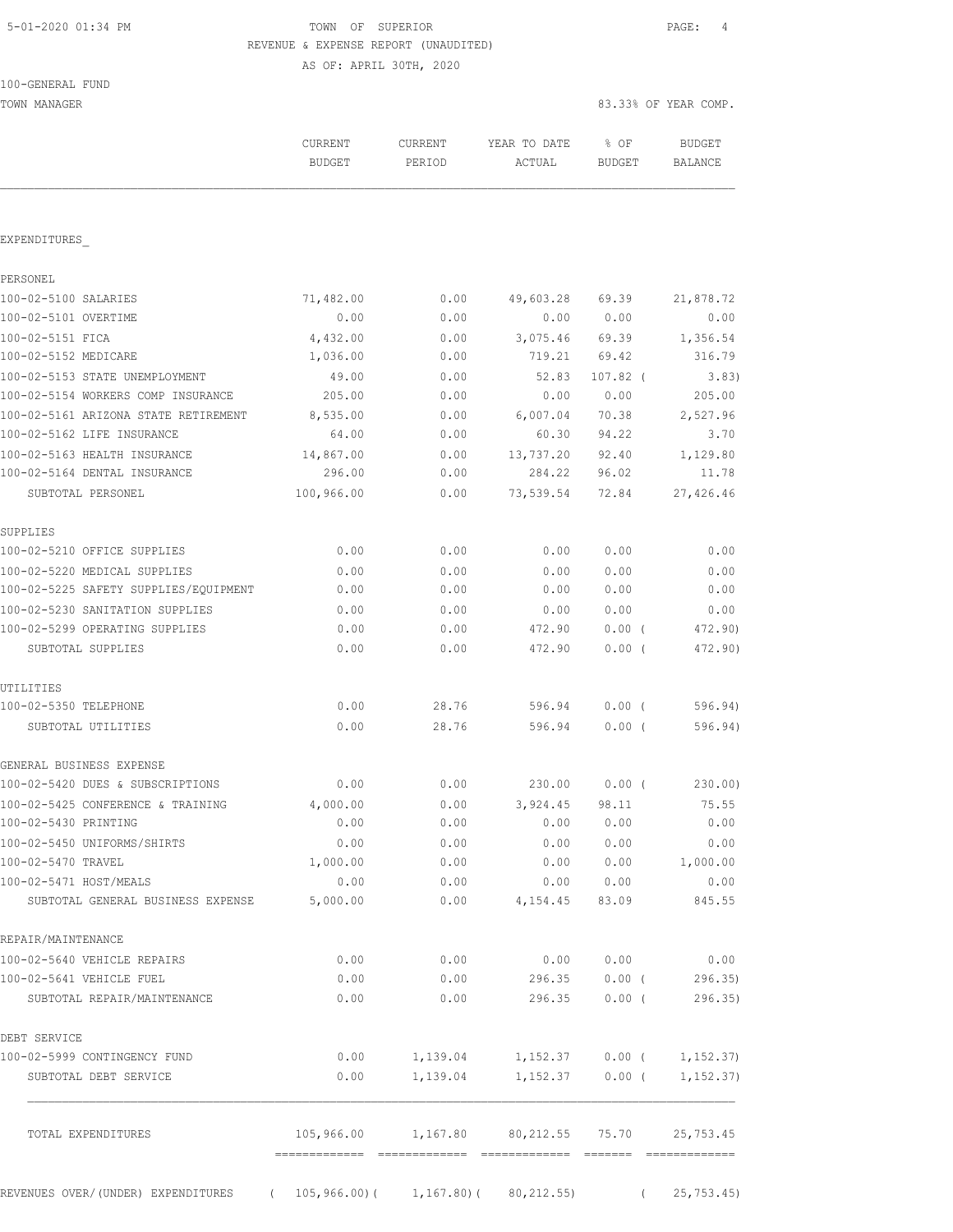100-GENERAL FUND

#### 5-01-2020 01:34 PM TOWN OF SUPERIOR PAGE: 4 REVENUE & EXPENSE REPORT (UNAUDITED) AS OF: APRIL 30TH, 2020

| TOWN MANAGER                                                         |                |                |                          |                | 83.33% OF YEAR COMP.        |
|----------------------------------------------------------------------|----------------|----------------|--------------------------|----------------|-----------------------------|
|                                                                      | <b>CURRENT</b> | <b>CURRENT</b> | YEAR TO DATE             | % OF           | <b>BUDGET</b>               |
|                                                                      | <b>BUDGET</b>  | PERIOD         | ACTUAL                   | BUDGET         | <b>BALANCE</b>              |
| EXPENDITURES                                                         |                |                |                          |                |                             |
| PERSONEL                                                             |                |                |                          |                |                             |
| 100-02-5100 SALARIES                                                 | 71,482.00      | 0.00           | 49,603.28                | 69.39          | 21,878.72                   |
| 100-02-5101 OVERTIME                                                 | 0.00           | 0.00           | 0.00                     | 0.00           | 0.00                        |
| 100-02-5151 FICA                                                     | 4,432.00       | 0.00           | 3,075.46                 | 69.39          | 1,356.54                    |
| 100-02-5152 MEDICARE                                                 | 1,036.00       | 0.00           | 719.21                   | 69.42          | 316.79                      |
| 100-02-5153 STATE UNEMPLOYMENT                                       | 49.00          | 0.00           | 52.83                    | $107.82$ (     | 3.83)                       |
| 100-02-5154 WORKERS COMP INSURANCE                                   | 205.00         | 0.00           | 0.00                     | 0.00           | 205.00                      |
| 100-02-5161 ARIZONA STATE RETIREMENT                                 | 8,535.00       | 0.00           | 6,007.04                 | 70.38          | 2,527.96                    |
| 100-02-5162 LIFE INSURANCE                                           | 64.00          | 0.00           | 60.30                    | 94.22          | 3.70                        |
| 100-02-5163 HEALTH INSURANCE                                         | 14,867.00      | 0.00           | 13,737.20                | 92.40          | 1,129.80                    |
| 100-02-5164 DENTAL INSURANCE                                         | 296.00         | 0.00           | 284.22                   | 96.02          | 11.78                       |
| SUBTOTAL PERSONEL                                                    | 100,966.00     | 0.00           | 73,539.54                | 72.84          | 27,426.46                   |
| SUPPLIES                                                             |                |                |                          |                |                             |
| 100-02-5210 OFFICE SUPPLIES                                          | 0.00           | 0.00           | 0.00                     | 0.00           | 0.00                        |
| 100-02-5220 MEDICAL SUPPLIES                                         | 0.00           | 0.00           | 0.00                     | 0.00           | 0.00                        |
| 100-02-5225 SAFETY SUPPLIES/EQUIPMENT                                | 0.00           | 0.00           | 0.00                     | 0.00           | 0.00                        |
| 100-02-5230 SANITATION SUPPLIES                                      | 0.00           | 0.00           | 0.00                     | 0.00           | 0.00                        |
| 100-02-5299 OPERATING SUPPLIES<br>SUBTOTAL SUPPLIES                  | 0.00<br>0.00   | 0.00<br>0.00   | 472.90<br>472.90         | 0.00(<br>0.00( | 472.90)<br>472.90)          |
| UTILITIES                                                            |                |                |                          |                |                             |
| 100-02-5350 TELEPHONE                                                | 0.00           | 28.76          | 596.94                   | $0.00$ (       | 596.94)                     |
| SUBTOTAL UTILITIES                                                   | 0.00           | 28.76          | 596.94                   | $0.00$ (       | 596.94)                     |
| GENERAL BUSINESS EXPENSE                                             |                |                |                          |                |                             |
| 100-02-5420 DUES & SUBSCRIPTIONS                                     | 0.00           | 0.00           | 230.00                   | 0.00(          | 230.00)                     |
| 100-02-5425 CONFERENCE & TRAINING                                    | 4,000.00       | 0.00           | 3,924.45                 | 98.11          | 75.55                       |
| 100-02-5430 PRINTING                                                 | 0.00           | 0.00           | 0.00                     | 0.00           | 0.00                        |
| 100-02-5450 UNIFORMS/SHIRTS                                          | 0.00           | 0.00           | 0.00                     | 0.00           | 0.00                        |
| 100-02-5470 TRAVEL                                                   | 1,000.00       | 0.00           | 0.00                     | 0.00           | 1,000.00                    |
| 100-02-5471 HOST/MEALS                                               | 0.00           | 0.00           | 0.00                     | 0.00           | 0.00                        |
| SUBTOTAL GENERAL BUSINESS EXPENSE                                    | 5,000.00       | 0.00           | 4,154.45                 | 83.09          | 845.55                      |
| REPAIR/MAINTENANCE                                                   |                |                |                          |                |                             |
| 100-02-5640 VEHICLE REPAIRS                                          | 0.00           | 0.00           | 0.00                     | 0.00           | 0.00                        |
| 100-02-5641 VEHICLE FUEL                                             | 0.00           | 0.00           | 296.35                   | $0.00$ (       | 296.35)                     |
| SUBTOTAL REPAIR/MAINTENANCE                                          | 0.00           | 0.00           | 296.35                   | $0.00$ (       | 296.35                      |
| DEBT SERVICE                                                         |                |                |                          |                |                             |
| 100-02-5999 CONTINGENCY FUND                                         | 0.00           | 1,139.04       |                          |                | $1,152.37$ 0.00 ( 1,152.37) |
| SUBTOTAL DEBT SERVICE                                                | 0.00           | 1,139.04       | 1,152.37                 | $0.00$ (       | 1,152.37)                   |
| TOTAL EXPENDITURES                                                   | 105,966.00     |                | 1,167.80 80,212.55 75.70 |                | 25,753.45                   |
|                                                                      |                |                |                          |                |                             |
| REVENUES OVER/(UNDER) EXPENDITURES (105,966.00)(1,167.80)(80,212.55) |                |                |                          |                | (25, 753.45)                |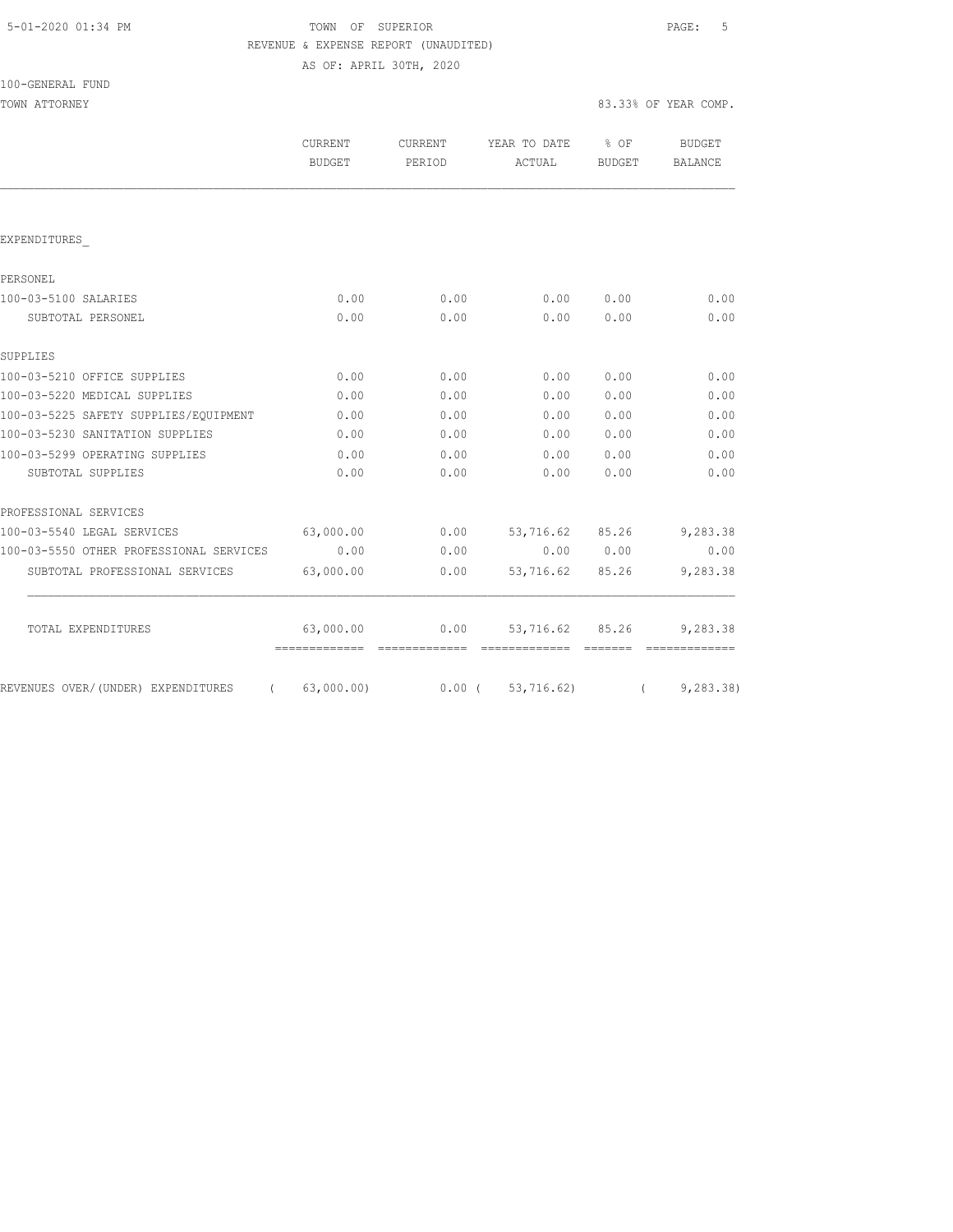|  | 5-01-2020 01:34 PM |  |
|--|--------------------|--|
|  |                    |  |

# TOWN OF SUPERIOR **PAGE:** 5 REVENUE & EXPENSE REPORT (UNAUDITED)

AS OF: APRIL 30TH, 2020

TOWN ATTORNEY 83.33% OF YEAR COMP.

|                                         | CURRENT<br><b>BUDGET</b>                  | <b>CURRENT</b><br>PERIOD | YEAR TO DATE<br>ACTUAL      | $8$ OF<br>BUDGET | <b>BUDGET</b><br><b>BALANCE</b> |
|-----------------------------------------|-------------------------------------------|--------------------------|-----------------------------|------------------|---------------------------------|
|                                         |                                           |                          |                             |                  |                                 |
| EXPENDITURES                            |                                           |                          |                             |                  |                                 |
| PERSONEL                                |                                           |                          |                             |                  |                                 |
| 100-03-5100 SALARIES                    | 0.00                                      | 0.00                     | 0.00                        | 0.00             | 0.00                            |
| SUBTOTAL PERSONEL                       | 0.00                                      | 0.00                     | 0.00                        | 0.00             | 0.00                            |
| SUPPLIES                                |                                           |                          |                             |                  |                                 |
| 100-03-5210 OFFICE SUPPLIES             | 0.00                                      | 0.00                     | 0.00                        | 0.00             | 0.00                            |
| 100-03-5220 MEDICAL SUPPLIES            | 0.00                                      | 0.00                     | 0.00                        | 0.00             | 0.00                            |
| 100-03-5225 SAFETY SUPPLIES/EQUIPMENT   | 0.00                                      | 0.00                     | 0.00                        | 0.00             | 0.00                            |
| 100-03-5230 SANITATION SUPPLIES         | 0.00                                      | 0.00                     | 0.00                        | 0.00             | 0.00                            |
| 100-03-5299 OPERATING SUPPLIES          | 0.00                                      | 0.00                     | 0.00                        | 0.00             | 0.00                            |
| SUBTOTAL SUPPLIES                       | 0.00                                      | 0.00                     | 0.00                        | 0.00             | 0.00                            |
| PROFESSIONAL SERVICES                   |                                           |                          |                             |                  |                                 |
| 100-03-5540 LEGAL SERVICES              | 63,000.00                                 | 0.00                     | 53,716.62 85.26             |                  | 9,283.38                        |
| 100-03-5550 OTHER PROFESSIONAL SERVICES | 0.00                                      | 0.00                     |                             | 0.00 0.00        | 0.00                            |
| SUBTOTAL PROFESSIONAL SERVICES          | 63,000.00                                 | 0.00                     | 53,716.62                   | 85.26            | 9,283.38                        |
| TOTAL EXPENDITURES                      | 63,000.00<br>============================ | 0.00                     | 53,716.62 85.26<br>======== |                  | 9,283.38<br>=============       |
| REVENUES OVER/(UNDER) EXPENDITURES      | (63,000.00)                               |                          | 0.00(53,716.62)             |                  | (9, 283.38)                     |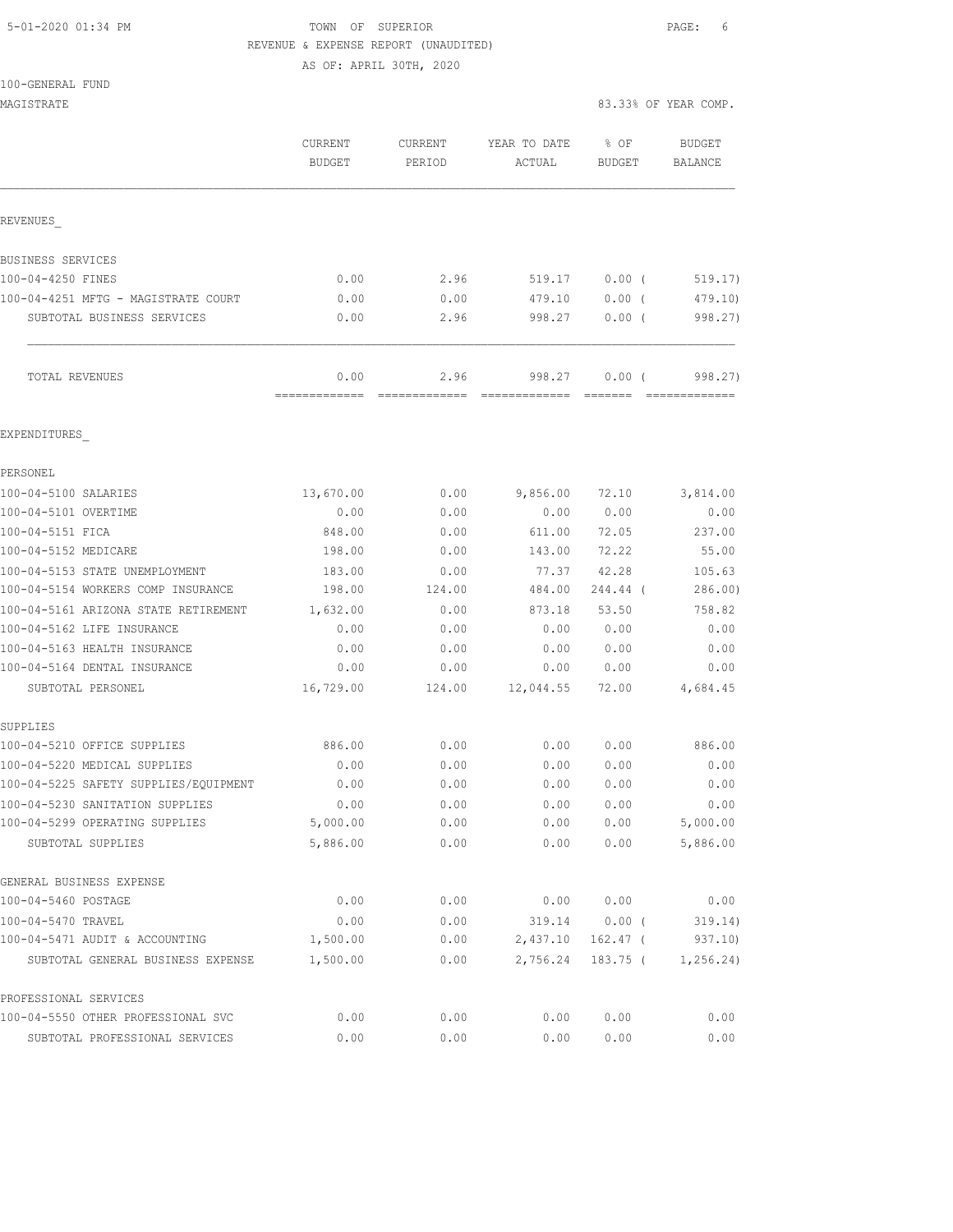# 5-01-2020 01:34 PM **TOWN** OF SUPERIOR **PAGE:** 6 REVENUE & EXPENSE REPORT (UNAUDITED)

|  | 100-GENERAL FUND |  |
|--|------------------|--|
|  |                  |  |

|                                      |                       | AS OF: APRIL 30TH, 2020                                                                                                                                                                                                                                                                                                                                                                                                                                                                                                                      |                                                                                                                                                                                                                                                                                                                                                                                                                                                                                                  |                   |                                                                                                                                                                                                                                                                                                                                                                                                                                                                                                   |
|--------------------------------------|-----------------------|----------------------------------------------------------------------------------------------------------------------------------------------------------------------------------------------------------------------------------------------------------------------------------------------------------------------------------------------------------------------------------------------------------------------------------------------------------------------------------------------------------------------------------------------|--------------------------------------------------------------------------------------------------------------------------------------------------------------------------------------------------------------------------------------------------------------------------------------------------------------------------------------------------------------------------------------------------------------------------------------------------------------------------------------------------|-------------------|---------------------------------------------------------------------------------------------------------------------------------------------------------------------------------------------------------------------------------------------------------------------------------------------------------------------------------------------------------------------------------------------------------------------------------------------------------------------------------------------------|
| 100-GENERAL FUND                     |                       |                                                                                                                                                                                                                                                                                                                                                                                                                                                                                                                                              |                                                                                                                                                                                                                                                                                                                                                                                                                                                                                                  |                   |                                                                                                                                                                                                                                                                                                                                                                                                                                                                                                   |
| MAGISTRATE                           |                       |                                                                                                                                                                                                                                                                                                                                                                                                                                                                                                                                              |                                                                                                                                                                                                                                                                                                                                                                                                                                                                                                  |                   | 83.33% OF YEAR COMP.                                                                                                                                                                                                                                                                                                                                                                                                                                                                              |
|                                      | CURRENT               | CURRENT                                                                                                                                                                                                                                                                                                                                                                                                                                                                                                                                      | YEAR TO DATE                                                                                                                                                                                                                                                                                                                                                                                                                                                                                     | % OF              | <b>BUDGET</b>                                                                                                                                                                                                                                                                                                                                                                                                                                                                                     |
|                                      | <b>BUDGET</b>         | PERIOD                                                                                                                                                                                                                                                                                                                                                                                                                                                                                                                                       | ACTUAL                                                                                                                                                                                                                                                                                                                                                                                                                                                                                           | <b>BUDGET</b>     | <b>BALANCE</b>                                                                                                                                                                                                                                                                                                                                                                                                                                                                                    |
| REVENUES                             |                       |                                                                                                                                                                                                                                                                                                                                                                                                                                                                                                                                              |                                                                                                                                                                                                                                                                                                                                                                                                                                                                                                  |                   |                                                                                                                                                                                                                                                                                                                                                                                                                                                                                                   |
| BUSINESS SERVICES                    |                       |                                                                                                                                                                                                                                                                                                                                                                                                                                                                                                                                              |                                                                                                                                                                                                                                                                                                                                                                                                                                                                                                  |                   |                                                                                                                                                                                                                                                                                                                                                                                                                                                                                                   |
| 100-04-4250 FINES                    | 0.00                  | 2.96                                                                                                                                                                                                                                                                                                                                                                                                                                                                                                                                         | 519.17                                                                                                                                                                                                                                                                                                                                                                                                                                                                                           | 0.00(             | 519.17)                                                                                                                                                                                                                                                                                                                                                                                                                                                                                           |
| 100-04-4251 MFTG - MAGISTRATE COURT  | 0.00                  | 0.00                                                                                                                                                                                                                                                                                                                                                                                                                                                                                                                                         | 479.10                                                                                                                                                                                                                                                                                                                                                                                                                                                                                           | $0.00$ (          | 479.10                                                                                                                                                                                                                                                                                                                                                                                                                                                                                            |
| SUBTOTAL BUSINESS SERVICES           | 0.00                  | 2.96                                                                                                                                                                                                                                                                                                                                                                                                                                                                                                                                         | 998.27                                                                                                                                                                                                                                                                                                                                                                                                                                                                                           | $0.00$ (          | 998.27)                                                                                                                                                                                                                                                                                                                                                                                                                                                                                           |
| TOTAL REVENUES                       | 0.00<br>------------- | 2.96<br>$\begin{minipage}{0.9\linewidth} \begin{tabular}{l} \multicolumn{2}{c}{\textbf{0.9\linewidth}} \end{tabular} \end{minipage} \begin{minipage}{0.9\linewidth} \begin{tabular}{l} \multicolumn{2}{c}{\textbf{0.9\linewidth}} \end{tabular} \end{minipage} \begin{minipage}{0.9\linewidth} \end{minipage} \begin{minipage}{0.9\linewidth} \end{minipage} \begin{minipage}{0.9\linewidth} \end{minipage} \begin{minipage}{0.9\linewidth} \end{minipage} \begin{minipage}{0.9\linewidth} \end{minipage} \begin{minipage}{0.9\linewidth} \$ | 998.27<br>$\begin{array}{cccccccccc} \multicolumn{2}{c}{} & \multicolumn{2}{c}{} & \multicolumn{2}{c}{} & \multicolumn{2}{c}{} & \multicolumn{2}{c}{} & \multicolumn{2}{c}{} & \multicolumn{2}{c}{} & \multicolumn{2}{c}{} & \multicolumn{2}{c}{} & \multicolumn{2}{c}{} & \multicolumn{2}{c}{} & \multicolumn{2}{c}{} & \multicolumn{2}{c}{} & \multicolumn{2}{c}{} & \multicolumn{2}{c}{} & \multicolumn{2}{c}{} & \multicolumn{2}{c}{} & \multicolumn{2}{c}{} & \multicolumn{2}{c}{} & \mult$ | 0.00(<br>-------- | 998.27)<br>$\begin{array}{cccccccccc} \multicolumn{2}{c}{} & \multicolumn{2}{c}{} & \multicolumn{2}{c}{} & \multicolumn{2}{c}{} & \multicolumn{2}{c}{} & \multicolumn{2}{c}{} & \multicolumn{2}{c}{} & \multicolumn{2}{c}{} & \multicolumn{2}{c}{} & \multicolumn{2}{c}{} & \multicolumn{2}{c}{} & \multicolumn{2}{c}{} & \multicolumn{2}{c}{} & \multicolumn{2}{c}{} & \multicolumn{2}{c}{} & \multicolumn{2}{c}{} & \multicolumn{2}{c}{} & \multicolumn{2}{c}{} & \multicolumn{2}{c}{} & \mult$ |
| EXPENDITURES                         |                       |                                                                                                                                                                                                                                                                                                                                                                                                                                                                                                                                              |                                                                                                                                                                                                                                                                                                                                                                                                                                                                                                  |                   |                                                                                                                                                                                                                                                                                                                                                                                                                                                                                                   |
| PERSONEL                             |                       |                                                                                                                                                                                                                                                                                                                                                                                                                                                                                                                                              |                                                                                                                                                                                                                                                                                                                                                                                                                                                                                                  |                   |                                                                                                                                                                                                                                                                                                                                                                                                                                                                                                   |
| 100-04-5100 SALARIES                 | 13,670.00             | 0.00                                                                                                                                                                                                                                                                                                                                                                                                                                                                                                                                         | 9,856.00                                                                                                                                                                                                                                                                                                                                                                                                                                                                                         | 72.10             | 3,814.00                                                                                                                                                                                                                                                                                                                                                                                                                                                                                          |
| 100-04-5101 OVERTIME                 | 0.00                  | 0.00                                                                                                                                                                                                                                                                                                                                                                                                                                                                                                                                         | 0.00                                                                                                                                                                                                                                                                                                                                                                                                                                                                                             | 0.00              | 0.00                                                                                                                                                                                                                                                                                                                                                                                                                                                                                              |
| 100-04-5151 FICA                     | 848.00                | 0.00                                                                                                                                                                                                                                                                                                                                                                                                                                                                                                                                         | 611.00                                                                                                                                                                                                                                                                                                                                                                                                                                                                                           | 72.05             | 237.00                                                                                                                                                                                                                                                                                                                                                                                                                                                                                            |
| 100-04-5152 MEDICARE                 | 198.00                | 0.00                                                                                                                                                                                                                                                                                                                                                                                                                                                                                                                                         | 143.00                                                                                                                                                                                                                                                                                                                                                                                                                                                                                           | 72.22             | 55.00                                                                                                                                                                                                                                                                                                                                                                                                                                                                                             |
| 100-04-5153 STATE UNEMPLOYMENT       | 183.00                | 0.00                                                                                                                                                                                                                                                                                                                                                                                                                                                                                                                                         | 77.37                                                                                                                                                                                                                                                                                                                                                                                                                                                                                            | 42.28             | 105.63                                                                                                                                                                                                                                                                                                                                                                                                                                                                                            |
| 100-04-5154 WORKERS COMP INSURANCE   | 198.00                | 124.00                                                                                                                                                                                                                                                                                                                                                                                                                                                                                                                                       | 484.00                                                                                                                                                                                                                                                                                                                                                                                                                                                                                           | 244.44 (          | 286.00                                                                                                                                                                                                                                                                                                                                                                                                                                                                                            |
| 100-04-5161 ARIZONA STATE RETIREMENT | 1,632.00              | 0.00                                                                                                                                                                                                                                                                                                                                                                                                                                                                                                                                         | 873.18                                                                                                                                                                                                                                                                                                                                                                                                                                                                                           | 53.50             | 758.82                                                                                                                                                                                                                                                                                                                                                                                                                                                                                            |
| 100-04-5162 LIFE INSURANCE           | 0.00                  | 0.00                                                                                                                                                                                                                                                                                                                                                                                                                                                                                                                                         | 0.00                                                                                                                                                                                                                                                                                                                                                                                                                                                                                             | 0.00              | 0.00                                                                                                                                                                                                                                                                                                                                                                                                                                                                                              |
| 100-04-5163 HEALTH INSURANCE         | 0.00                  | 0.00                                                                                                                                                                                                                                                                                                                                                                                                                                                                                                                                         | 0.00                                                                                                                                                                                                                                                                                                                                                                                                                                                                                             | 0.00              | 0.00                                                                                                                                                                                                                                                                                                                                                                                                                                                                                              |
| 100-04-5164 DENTAL INSURANCE         | 0.00                  | 0.00                                                                                                                                                                                                                                                                                                                                                                                                                                                                                                                                         | 0.00                                                                                                                                                                                                                                                                                                                                                                                                                                                                                             | 0.00              | 0.00                                                                                                                                                                                                                                                                                                                                                                                                                                                                                              |
| SUBTOTAL PERSONEL                    | 16,729.00             | 124.00                                                                                                                                                                                                                                                                                                                                                                                                                                                                                                                                       | 12,044.55                                                                                                                                                                                                                                                                                                                                                                                                                                                                                        | 72.00             | 4,684.45                                                                                                                                                                                                                                                                                                                                                                                                                                                                                          |
|                                      |                       |                                                                                                                                                                                                                                                                                                                                                                                                                                                                                                                                              |                                                                                                                                                                                                                                                                                                                                                                                                                                                                                                  |                   |                                                                                                                                                                                                                                                                                                                                                                                                                                                                                                   |

| SUPPLIES                              |          |      |          |            |            |
|---------------------------------------|----------|------|----------|------------|------------|
| 100-04-5210 OFFICE SUPPLIES           | 886.00   | 0.00 | 0.00     | 0.00       | 886.00     |
| 100-04-5220 MEDICAL SUPPLIES          | 0.00     | 0.00 | 0.00     | 0.00       | 0.00       |
| 100-04-5225 SAFETY SUPPLIES/EQUIPMENT | 0.00     | 0.00 | 0.00     | 0.00       | 0.00       |
| 100-04-5230 SANITATION SUPPLIES       | 0.00     | 0.00 | 0.00     | 0.00       | 0.00       |
| 100-04-5299 OPERATING SUPPLIES        | 5,000.00 | 0.00 | 0.00     | 0.00       | 5,000.00   |
| SUBTOTAL SUPPLIES                     | 5,886.00 | 0.00 | 0.00     | 0.00       | 5,886.00   |
| GENERAL BUSINESS EXPENSE              |          |      |          |            |            |
| 100-04-5460 POSTAGE                   | 0.00     | 0.00 | 0.00     | 0.00       | 0.00       |
| 100-04-5470 TRAVEL                    | 0.00     | 0.00 | 319.14   | 0.00(      | 319.14)    |
| 100-04-5471 AUDIT & ACCOUNTING        | 1,500.00 | 0.00 | 2,437.10 | $162.47$ ( | 937.10)    |
| SUBTOTAL GENERAL BUSINESS EXPENSE     | 1,500.00 | 0.00 | 2,756.24 | 183.75 (   | 1, 256.24) |
| PROFESSIONAL SERVICES                 |          |      |          |            |            |
|                                       |          |      |          |            |            |

| 100-04-5550 OTHER PROFESSIONAL SVC | 0.00 | 0.00 | 0.00000.00 |      | 0.00 |
|------------------------------------|------|------|------------|------|------|
| SUBTOTAL PROFESSIONAL SERVICES     | 0.00 | 0.00 | 0.00       | 0.00 | 0.00 |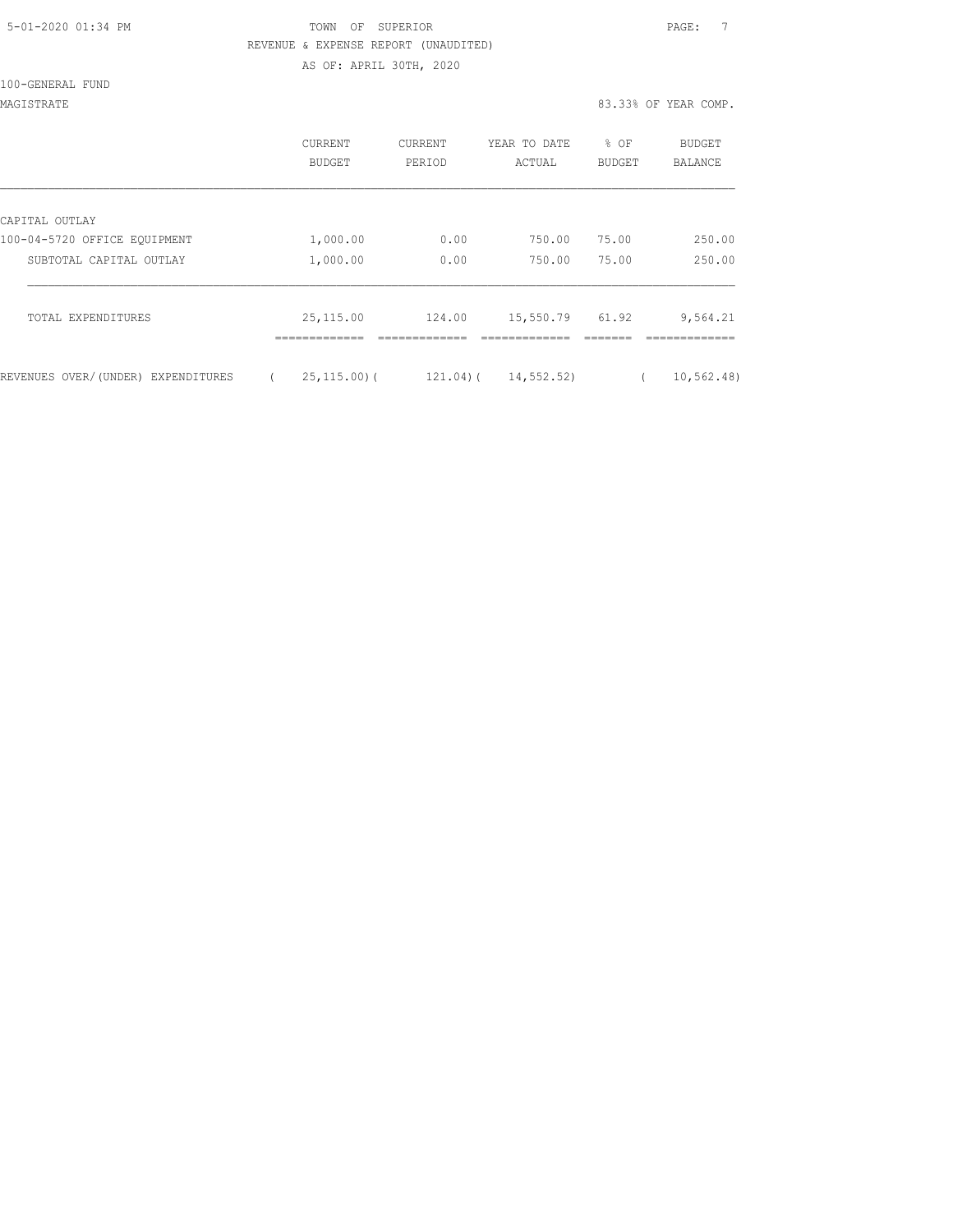| 5-01-2020 01:34 PM |  |
|--------------------|--|
|                    |  |

### TOWN OF SUPERIOR **Example 2010** PAGE: 7 REVENUE & EXPENSE REPORT (UNAUDITED) AS OF: APRIL 30TH, 2020

|  | 100-GENERAL FUND |  |
|--|------------------|--|
|  |                  |  |

#### MAGISTRATE 83.33% OF YEAR COMP.

|                                    | CURRENT<br>BUDGET | CURRENT<br>PERIOD | YEAR TO DATE<br>ACTUAL | % OF<br>BUDGET | <b>BUDGET</b><br><b>BALANCE</b> |
|------------------------------------|-------------------|-------------------|------------------------|----------------|---------------------------------|
| CAPITAL OUTLAY                     |                   |                   |                        |                |                                 |
| 100-04-5720 OFFICE EQUIPMENT       | 1,000.00          | 0.00              | 750.00                 | 75.00          | 250.00                          |
| SUBTOTAL CAPITAL OUTLAY            | 1,000.00          | 0.00              | 750.00                 | 75.00          | 250.00                          |
| TOTAL EXPENDITURES                 | 25,115.00         | 124.00            | 15,550.79 61.92        |                | 9,564.21                        |
| REVENUES OVER/(UNDER) EXPENDITURES | $25, 115, 00$ (   | 121.04)(          | 14,552.52)             |                | 10, 562.48                      |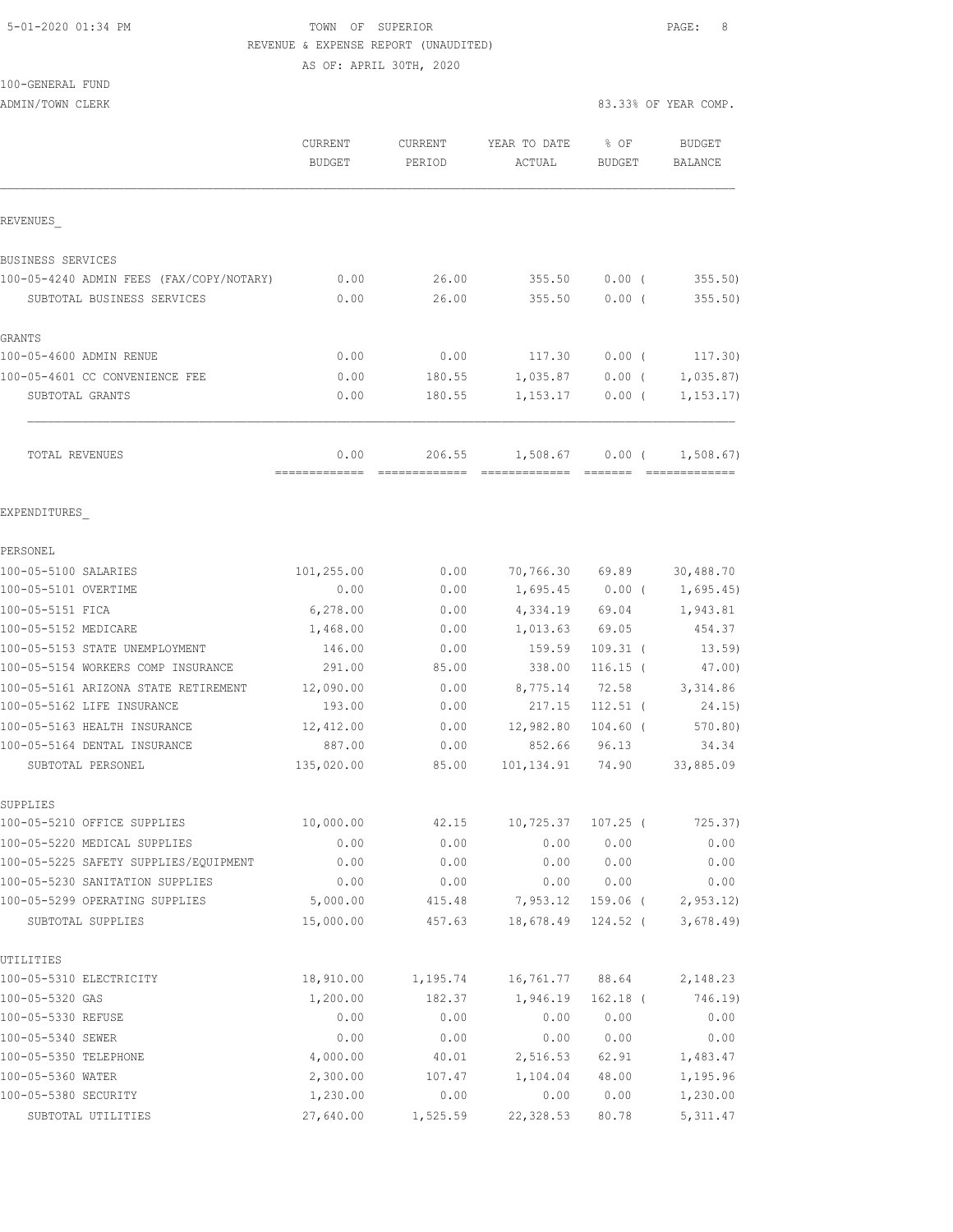#### 5-01-2020 01:34 PM TOWN OF SUPERIOR PAGE: 8 REVENUE & EXPENSE REPORT (UNAUDITED) AS OF: APRIL 30TH, 2020

100-GENERAL FUND

|                                          | <b>CURRENT</b><br><b>BUDGET</b> | <b>CURRENT</b><br>PERIOD | YEAR TO DATE<br>ACTUAL | % OF<br><b>BUDGET</b> | <b>BUDGET</b><br><b>BALANCE</b> |
|------------------------------------------|---------------------------------|--------------------------|------------------------|-----------------------|---------------------------------|
| REVENUES                                 |                                 |                          |                        |                       |                                 |
| BUSINESS SERVICES                        |                                 |                          |                        |                       |                                 |
| 100-05-4240 ADMIN FEES (FAX/COPY/NOTARY) | 0.00                            | 26.00                    | 355.50                 | $0.00$ (              | 355.50)                         |
| SUBTOTAL BUSINESS SERVICES               | 0.00                            | 26.00                    | 355.50                 | 0.00(                 | 355.50)                         |
| <b>GRANTS</b>                            |                                 |                          |                        |                       |                                 |
| 100-05-4600 ADMIN RENUE                  | 0.00                            | 0.00                     | 117.30                 | $0.00$ (              | 117.30)                         |
| 100-05-4601 CC CONVENIENCE FEE           | 0.00                            | 180.55                   | 1,035.87               | $0.00$ (              | 1,035.87                        |
| SUBTOTAL GRANTS                          | 0.00                            | 180.55                   | 1,153.17               | $0.00$ (              | 1, 153.17                       |
| TOTAL REVENUES                           | 0.00<br>-------------           | 206.55                   | 1,508.67               | 0.00(                 | 1,508.67)                       |
| EXPENDITURES                             |                                 |                          |                        |                       |                                 |
| PERSONEL                                 |                                 |                          |                        |                       |                                 |
| 100-05-5100 SALARIES                     | 101,255.00                      | 0.00                     |                        | 70,766.30 69.89       | 30,488.70                       |
| 100-05-5101 OVERTIME                     | 0.00                            | 0.00                     |                        |                       | $1,695.45$ 0.00 ( 1,695.45)     |
| 100-05-5151 FICA                         | 6,278.00                        | 0.00                     | 4,334.19 69.04         |                       | 1,943.81                        |
| 100-05-5152 MEDICARE                     | 1,468.00                        | 0.00                     | 1,013.63               | 69.05                 | 454.37                          |
| 100-05-5153 STATE UNEMPLOYMENT           | 146.00                          | 0.00                     | 159.59                 | $109.31$ (            | 13.59)                          |
| 100-05-5154 WORKERS COMP INSURANCE       | 291.00                          | 85.00                    | 338.00                 | $116.15$ (            | 47.00)                          |
| 100-05-5161 ARIZONA STATE RETIREMENT     | 12,090.00                       | 0.00                     | 8,775.14               | 72.58                 | 3,314.86                        |
| 100-05-5162 LIFE INSURANCE               | 193.00                          | 0.00                     | 217.15                 | $112.51$ (            | 24.15)                          |
| 100-05-5163 HEALTH INSURANCE             | 12,412.00                       | 0.00                     | 12,982.80              | $104.60$ (            | 570.80)                         |
| 100-05-5164 DENTAL INSURANCE             | 887.00                          | 0.00                     | 852.66                 | 96.13                 | 34.34                           |
| SUBTOTAL PERSONEL                        | 135,020.00                      | 85.00                    | 101, 134.91            | 74.90                 | 33,885.09                       |
| SUPPLIES                                 |                                 |                          |                        |                       |                                 |
| 100-05-5210 OFFICE SUPPLIES              | 10,000.00                       | 42.15                    | 10,725.37              | 107.25 (              | 725.37)                         |
| 100-05-5220 MEDICAL SUPPLIES             | 0.00                            | 0.00                     | 0.00                   | 0.00                  | 0.00                            |
| 100-05-5225 SAFETY SUPPLIES/EQUIPMENT    | 0.00                            | 0.00                     | 0.00                   | 0.00                  | 0.00                            |
| 100-05-5230 SANITATION SUPPLIES          | 0.00                            | 0.00                     | 0.00                   | 0.00                  | 0.00                            |
| 100-05-5299 OPERATING SUPPLIES           | 5,000.00                        | 415.48                   | 7,953.12               | 159.06 (              | 2, 953.12                       |
| SUBTOTAL SUPPLIES                        | 15,000.00                       | 457.63                   | 18,678.49              | $124.52$ (            | 3,678.49                        |
| UTILITIES                                |                                 |                          |                        |                       |                                 |
| 100-05-5310 ELECTRICITY                  | 18,910.00                       | 1,195.74                 | 16,761.77              | 88.64                 | 2,148.23                        |
| 100-05-5320 GAS                          | 1,200.00                        | 182.37                   | 1,946.19               | $162.18$ (            | 746.19)                         |
| 100-05-5330 REFUSE                       | 0.00                            | 0.00                     | 0.00                   | 0.00                  | 0.00                            |
| 100-05-5340 SEWER                        | 0.00                            | 0.00                     | 0.00                   | 0.00                  | 0.00                            |
| 100-05-5350 TELEPHONE                    | 4,000.00                        | 40.01                    | 2,516.53               | 62.91                 | 1,483.47                        |
| 100-05-5360 WATER                        | 2,300.00                        | 107.47                   | 1,104.04               | 48.00                 | 1,195.96                        |
| 100-05-5380 SECURITY                     | 1,230.00                        | 0.00                     | 0.00                   | 0.00                  | 1,230.00                        |
| SUBTOTAL UTILITIES                       | 27,640.00                       | 1,525.59                 | 22,328.53              | 80.78                 | 5, 311.47                       |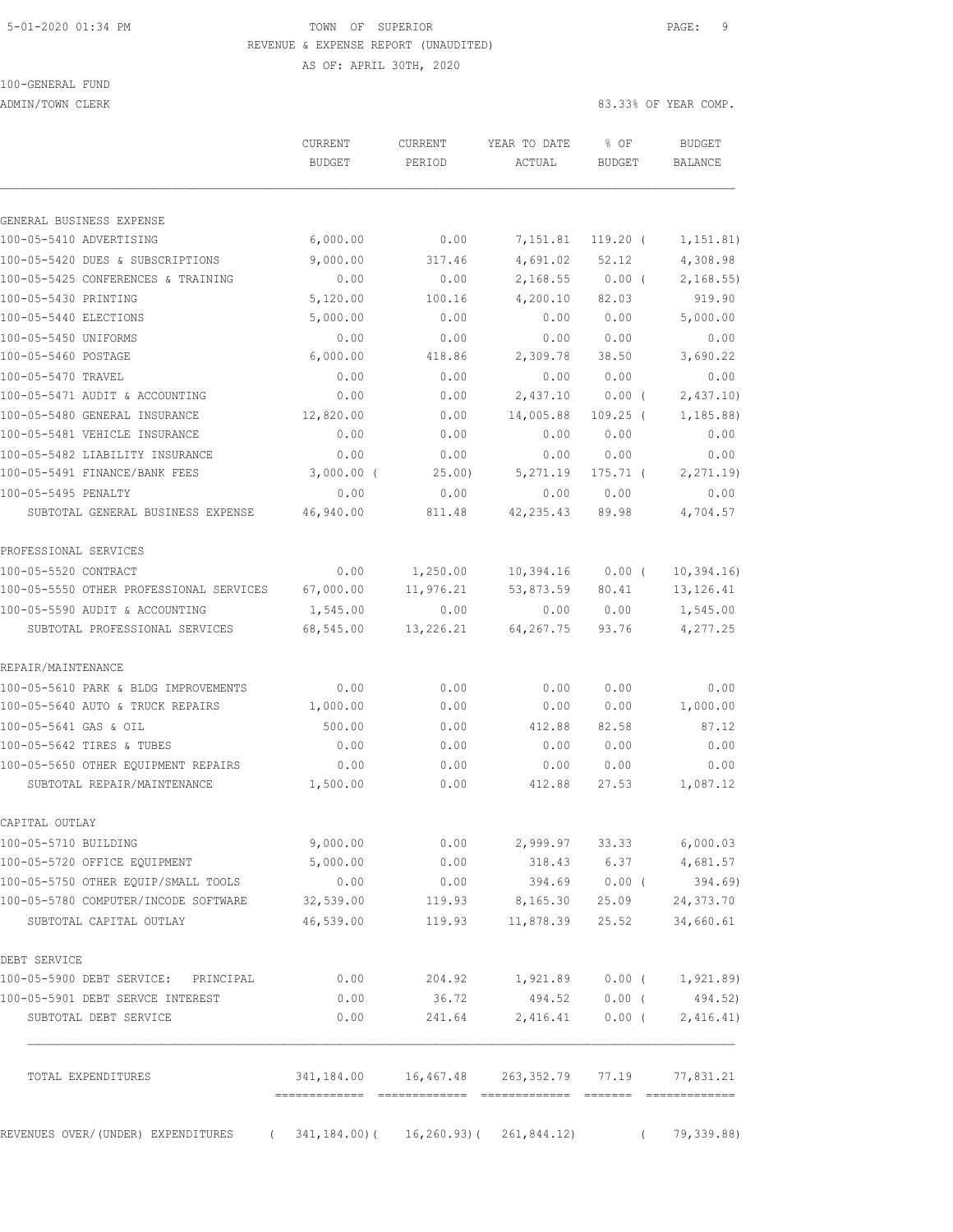### 5-01-2020 01:34 PM **TOWN** OF SUPERIOR **PAGE: 9**  REVENUE & EXPENSE REPORT (UNAUDITED) AS OF: APRIL 30TH, 2020

100-GENERAL FUND

ADMIN/TOWN CLERK 83.33% OF YEAR COMP.

|                                         | CURRENT<br><b>BUDGET</b>                   | CURRENT<br>PERIOD | YEAR TO DATE<br>ACTUAL                   | % OF<br><b>BUDGET</b> | <b>BUDGET</b><br><b>BALANCE</b> |
|-----------------------------------------|--------------------------------------------|-------------------|------------------------------------------|-----------------------|---------------------------------|
| GENERAL BUSINESS EXPENSE                |                                            |                   |                                          |                       |                                 |
| 100-05-5410 ADVERTISING                 | 6,000.00                                   | 0.00              | 7,151.81                                 | $119.20$ (            | 1,151.81)                       |
| 100-05-5420 DUES & SUBSCRIPTIONS        | 9,000.00                                   | 317.46            | 4,691.02                                 | 52.12                 | 4,308.98                        |
| 100-05-5425 CONFERENCES & TRAINING      | 0.00                                       | 0.00              | 2,168.55                                 | $0.00$ (              | 2,168.55                        |
| 100-05-5430 PRINTING                    | 5,120.00                                   | 100.16            | 4,200.10                                 | 82.03                 | 919.90                          |
| 100-05-5440 ELECTIONS                   | 5,000.00                                   | 0.00              | 0.00                                     | 0.00                  | 5,000.00                        |
| 100-05-5450 UNIFORMS                    | 0.00                                       | 0.00              | 0.00                                     | 0.00                  | 0.00                            |
| 100-05-5460 POSTAGE                     | 6,000.00                                   | 418.86            | 2,309.78                                 | 38.50                 | 3,690.22                        |
| 100-05-5470 TRAVEL                      | 0.00                                       | 0.00              | 0.00                                     | 0.00                  | 0.00                            |
| 100-05-5471 AUDIT & ACCOUNTING          | 0.00                                       | 0.00              | 2,437.10                                 | 0.00(                 | 2,437.10                        |
| 100-05-5480 GENERAL INSURANCE           | 12,820.00                                  | 0.00              | 14,005.88                                | $109.25$ (            | 1, 185.88                       |
| 100-05-5481 VEHICLE INSURANCE           | 0.00                                       | 0.00              | 0.00                                     | 0.00                  | 0.00                            |
| 100-05-5482 LIABILITY INSURANCE         | 0.00                                       | 0.00              | 0.00                                     | 0.00                  | 0.00                            |
| 100-05-5491 FINANCE/BANK FEES           | $3,000.00$ (                               | 25.00)            | 5,271.19                                 | $175.71$ (            | 2, 271.19                       |
| 100-05-5495 PENALTY                     | 0.00                                       | 0.00              | 0.00                                     | 0.00                  | 0.00                            |
| SUBTOTAL GENERAL BUSINESS EXPENSE       | 46,940.00                                  | 811.48            | 42, 235.43                               | 89.98                 | 4,704.57                        |
| PROFESSIONAL SERVICES                   |                                            |                   |                                          |                       |                                 |
| 100-05-5520 CONTRACT                    | 0.00                                       | 1,250.00          | 10,394.16                                | $0.00$ (              | 10, 394.16                      |
| 100-05-5550 OTHER PROFESSIONAL SERVICES | 67,000.00                                  | 11,976.21         | 53,873.59                                | 80.41                 | 13, 126.41                      |
| 100-05-5590 AUDIT & ACCOUNTING          | 1,545.00                                   | 0.00              | 0.00                                     | 0.00                  | 1,545.00                        |
| SUBTOTAL PROFESSIONAL SERVICES          | 68,545.00                                  | 13,226.21         | 64,267.75                                | 93.76                 | 4,277.25                        |
| REPAIR/MAINTENANCE                      |                                            |                   |                                          |                       |                                 |
| 100-05-5610 PARK & BLDG IMPROVEMENTS    | 0.00                                       | 0.00              | 0.00                                     | 0.00                  | 0.00                            |
| 100-05-5640 AUTO & TRUCK REPAIRS        | 1,000.00                                   | 0.00              | 0.00                                     | 0.00                  | 1,000.00                        |
| 100-05-5641 GAS & OIL                   | 500.00                                     | 0.00              | 412.88                                   | 82.58                 | 87.12                           |
| 100-05-5642 TIRES & TUBES               | 0.00                                       | 0.00              | 0.00                                     | 0.00                  | 0.00                            |
| 100-05-5650 OTHER EQUIPMENT REPAIRS     | 0.00                                       | 0.00              | 0.00                                     | 0.00                  | 0.00                            |
| SUBTOTAL REPAIR/MAINTENANCE             | 1,500.00                                   | 0.00              | 412.88                                   | 27.53                 | 1,087.12                        |
| CAPITAL OUTLAY                          |                                            |                   |                                          |                       |                                 |
| 100-05-5710 BUILDING                    | 9,000.00                                   | 0.00              | 2,999.97                                 | 33.33                 | 6,000.03                        |
| 100-05-5720 OFFICE EQUIPMENT            | 5,000.00                                   | 0.00              | 318.43                                   | 6.37                  | 4,681.57                        |
| 100-05-5750 OTHER EQUIP/SMALL TOOLS     | 0.00                                       | 0.00              | 394.69                                   | $0.00$ (              | 394.69)                         |
| 100-05-5780 COMPUTER/INCODE SOFTWARE    | 32,539.00                                  | 119.93            | 8,165.30                                 | 25.09                 | 24,373.70                       |
| SUBTOTAL CAPITAL OUTLAY                 | 46,539.00                                  | 119.93            | 11,878.39                                | 25.52                 | 34,660.61                       |
| DEBT SERVICE                            |                                            |                   |                                          |                       |                                 |
| 100-05-5900 DEBT SERVICE: PRINCIPAL     | 0.00                                       | 204.92            |                                          |                       | $1,921.89$ 0.00 ( 1,921.89)     |
| 100-05-5901 DEBT SERVCE INTEREST        | 0.00                                       | 36.72             | 494.52                                   | $0.00$ (              | 494.52)                         |
| SUBTOTAL DEBT SERVICE                   | 0.00                                       | 241.64            | 2,416.41                                 | $0.00$ (              | 2,416.41)                       |
| TOTAL EXPENDITURES                      |                                            |                   | 341,184.00  16,467.48  263,352.79  77.19 |                       | 77,831.21                       |
| REVENUES OVER/(UNDER) EXPENDITURES      | $(341, 184.00) (16, 260.93) (261, 844.12)$ |                   |                                          |                       | 79,339.88)                      |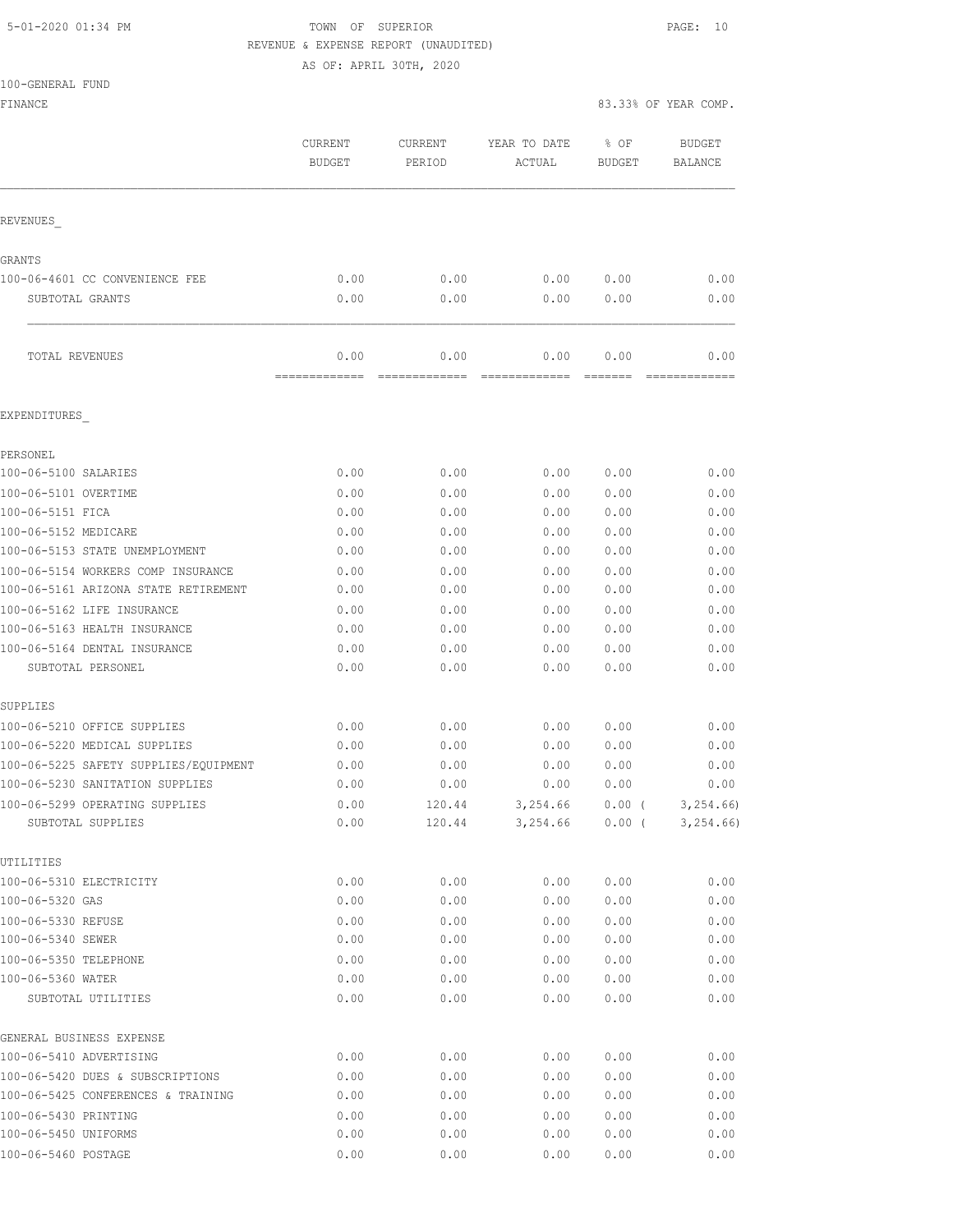### 5-01-2020 01:34 PM TOWN OF SUPERIOR PAGE: 10 REVENUE & EXPENSE REPORT (UNAUDITED)

AS OF: APRIL 30TH, 2020

| 100-GENERAL FUND |  |
|------------------|--|

| TAA AHIITTI TAMP<br>FINANCE                       |                          |                       |                                  |                 | 83.33% OF YEAR COMP.     |
|---------------------------------------------------|--------------------------|-----------------------|----------------------------------|-----------------|--------------------------|
|                                                   | CURRENT<br><b>BUDGET</b> | CURRENT<br>PERIOD     | YEAR TO DATE<br>ACTUAL           | % OF<br>BUDGET  | BUDGET<br><b>BALANCE</b> |
| REVENUES                                          |                          |                       |                                  |                 |                          |
| <b>GRANTS</b>                                     |                          |                       |                                  |                 |                          |
| 100-06-4601 CC CONVENIENCE FEE                    | 0.00                     | 0.00                  | 0.00                             | 0.00            | 0.00                     |
| SUBTOTAL GRANTS                                   | 0.00                     | 0.00                  | 0.00                             | 0.00            | 0.00                     |
| TOTAL REVENUES                                    | 0.00<br>=============    | 0.00<br>============= | 0.00<br>=============            | 0.00<br>======= | 0.00                     |
| EXPENDITURES                                      |                          |                       |                                  |                 |                          |
| PERSONEL                                          |                          |                       |                                  |                 |                          |
| 100-06-5100 SALARIES                              | 0.00                     | 0.00                  | 0.00                             | 0.00            | 0.00                     |
| 100-06-5101 OVERTIME                              | 0.00                     | 0.00                  | 0.00                             | 0.00            | 0.00                     |
| 100-06-5151 FICA                                  | 0.00                     | 0.00                  | 0.00                             | 0.00            | 0.00                     |
| 100-06-5152 MEDICARE                              | 0.00                     | 0.00                  | 0.00                             | 0.00            | 0.00                     |
| 100-06-5153 STATE UNEMPLOYMENT                    | 0.00                     | 0.00                  | 0.00                             | 0.00            | 0.00                     |
| 100-06-5154 WORKERS COMP INSURANCE                | 0.00                     | 0.00                  | 0.00                             | 0.00            | 0.00                     |
| 100-06-5161 ARIZONA STATE RETIREMENT              | 0.00                     | 0.00                  | 0.00                             | 0.00            | 0.00                     |
| 100-06-5162 LIFE INSURANCE                        | 0.00                     | 0.00                  | 0.00                             | 0.00            | 0.00                     |
| 100-06-5163 HEALTH INSURANCE                      | 0.00                     | 0.00                  | 0.00                             | 0.00            | 0.00                     |
| 100-06-5164 DENTAL INSURANCE<br>SUBTOTAL PERSONEL | 0.00<br>0.00             | 0.00<br>0.00          | 0.00<br>0.00                     | 0.00<br>0.00    | 0.00<br>0.00             |
| SUPPLIES                                          |                          |                       |                                  |                 |                          |
| 100-06-5210 OFFICE SUPPLIES                       | 0.00                     | 0.00                  | 0.00                             | 0.00            | 0.00                     |
| 100-06-5220 MEDICAL SUPPLIES                      | 0.00                     | 0.00                  | 0.00                             | 0.00            | 0.00                     |
| 100-06-5225 SAFETY SUPPLIES/EQUIPMENT             | 0.00                     | 0.00                  | 0.00                             | 0.00            | 0.00                     |
| 100-06-5230 SANITATION SUPPLIES                   | 0.00                     | 0.00                  | 0.00                             | 0.00            | 0.00                     |
| 100-06-5299 OPERATING SUPPLIES                    | 0.00                     |                       | 120.44 3,254.66 0.00 ( 3,254.66) |                 |                          |
| SUBTOTAL SUPPLIES                                 | 0.00                     |                       | $120.44$ $3,254.66$ $0.00$ (     |                 | 3, 254.66                |
| UTILITIES                                         |                          |                       |                                  |                 |                          |
| 100-06-5310 ELECTRICITY                           | 0.00                     | 0.00                  | 0.00                             | 0.00            | 0.00                     |
| 100-06-5320 GAS                                   | 0.00                     | 0.00                  | 0.00                             | 0.00            | 0.00                     |
| 100-06-5330 REFUSE                                | 0.00                     | 0.00                  | 0.00                             | 0.00            | 0.00                     |
| 100-06-5340 SEWER                                 | 0.00                     | 0.00                  | 0.00                             | 0.00            | 0.00                     |
| 100-06-5350 TELEPHONE                             | 0.00                     | 0.00                  | 0.00                             | 0.00            | 0.00                     |
| 100-06-5360 WATER<br>SUBTOTAL UTILITIES           | 0.00<br>0.00             | 0.00<br>0.00          | 0.00<br>0.00                     | 0.00<br>0.00    | 0.00<br>0.00             |
| GENERAL BUSINESS EXPENSE                          |                          |                       |                                  |                 |                          |
| 100-06-5410 ADVERTISING                           | 0.00                     | 0.00                  | 0.00                             | 0.00            | 0.00                     |
| 100-06-5420 DUES & SUBSCRIPTIONS                  | 0.00                     | 0.00                  | 0.00                             | 0.00            | 0.00                     |
| 100-06-5425 CONFERENCES & TRAINING                | 0.00                     | 0.00                  | 0.00                             | 0.00            | 0.00                     |
| 100-06-5430 PRINTING                              | 0.00                     | 0.00                  | 0.00                             | 0.00            | 0.00                     |
| 100-06-5450 UNIFORMS                              | 0.00                     | 0.00                  | 0.00                             | 0.00            | 0.00                     |
| 100-06-5460 POSTAGE                               | 0.00                     | 0.00                  | 0.00                             | 0.00            | 0.00                     |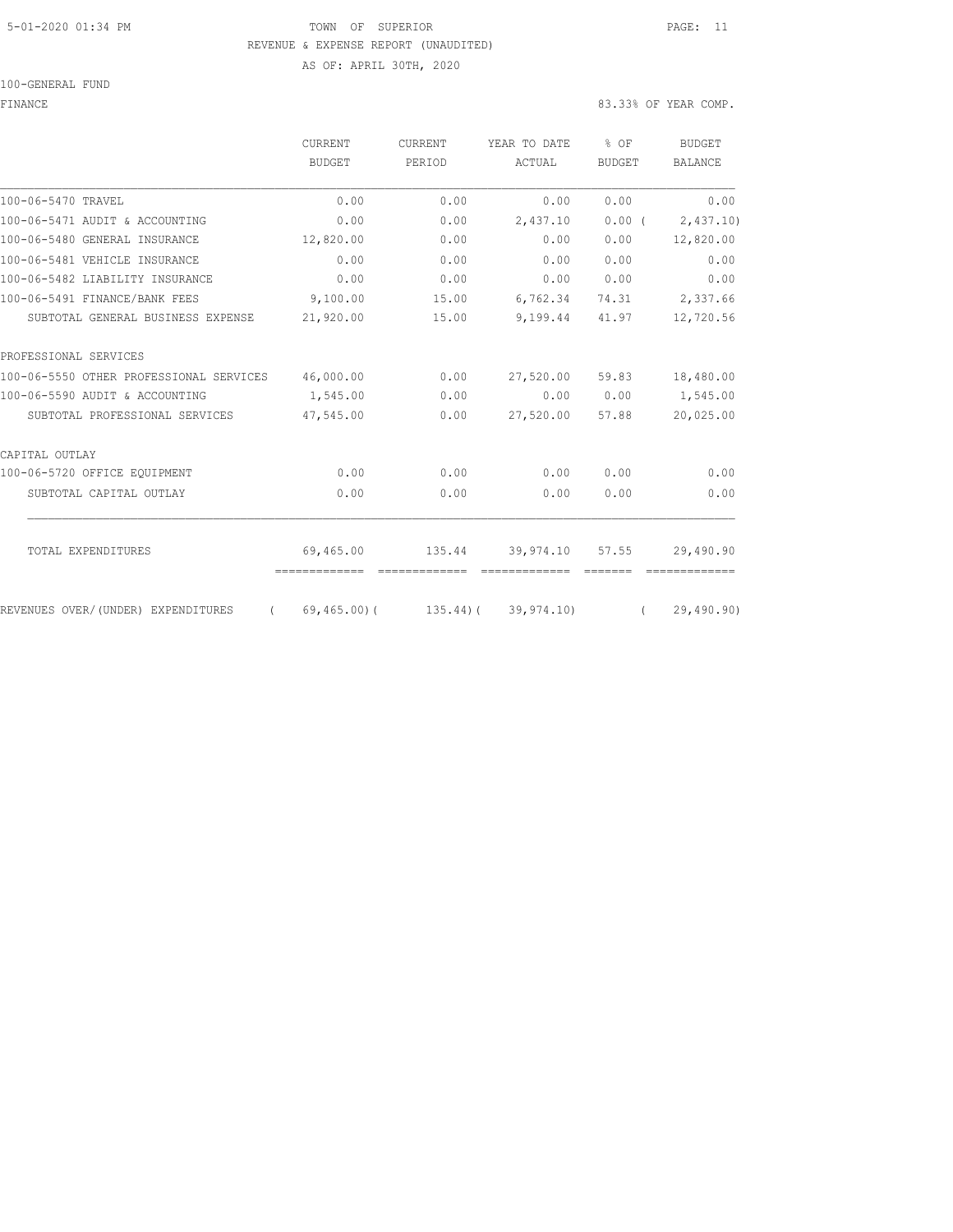#### 5-01-2020 01:34 PM TOWN OF SUPERIOR PAGE: 11 REVENUE & EXPENSE REPORT (UNAUDITED) AS OF: APRIL 30TH, 2020

100-GENERAL FUND

FINANCE 83.33% OF YEAR COMP.

|                                         | <b>CURRENT</b>                       | <b>CURRENT</b>          | YEAR TO DATE                     | % OF          | <b>BUDGET</b>  |
|-----------------------------------------|--------------------------------------|-------------------------|----------------------------------|---------------|----------------|
|                                         | <b>BUDGET</b>                        | PERIOD                  | ACTUAL                           | <b>BUDGET</b> | <b>BALANCE</b> |
| 100-06-5470 TRAVEL                      | 0.00                                 | 0.00                    | 0.00                             | 0.00          | 0.00           |
| 100-06-5471 AUDIT & ACCOUNTING          | 0.00                                 | 0.00                    | 2,437.10                         | $0.00$ (      | 2,437.10)      |
| 100-06-5480 GENERAL INSURANCE           | 12,820.00                            | 0.00                    | 0.00                             | 0.00          | 12,820.00      |
| 100-06-5481 VEHICLE INSURANCE           | 0.00                                 | 0.00                    | 0.00                             | 0.00          | 0.00           |
| 100-06-5482 LIABILITY INSURANCE         | 0.00                                 | 0.00                    | 0.00                             | 0.00          | 0.00           |
| 100-06-5491 FINANCE/BANK FEES           | 9,100.00                             | 15.00                   | 6,762.34                         | 74.31         | 2,337.66       |
| SUBTOTAL GENERAL BUSINESS EXPENSE       | 21,920.00                            | 15.00                   | 9,199.44                         | 41.97         | 12,720.56      |
| PROFESSIONAL SERVICES                   |                                      |                         |                                  |               |                |
| 100-06-5550 OTHER PROFESSIONAL SERVICES | 46,000.00                            | 0.00                    | 27,520.00                        | 59.83         | 18,480.00      |
| 100-06-5590 AUDIT & ACCOUNTING          | 1,545.00                             | 0.00                    | 0.00                             | 0.00          | 1,545.00       |
| SUBTOTAL PROFESSIONAL SERVICES          | 47,545.00                            | 0.00                    | 27,520.00                        | 57.88         | 20,025.00      |
| CAPITAL OUTLAY                          |                                      |                         |                                  |               |                |
| 100-06-5720 OFFICE EQUIPMENT            | 0.00                                 | 0.00                    | 0.00                             | 0.00          | 0.00           |
| SUBTOTAL CAPITAL OUTLAY                 | 0.00                                 | 0.00                    | 0.00                             | 0.00          | 0.00           |
|                                         |                                      |                         |                                  |               |                |
| TOTAL EXPENDITURES                      | 69,465.00<br>-------------           | 135.44<br>============= | 39,974.10 57.55<br>============= |               | 29,490.90      |
| REVENUES OVER/(UNDER) EXPENDITURES      | $(69, 465, 00)$ (135.44) (39,974.10) |                         |                                  | $\sqrt{2}$    | 29,490.90)     |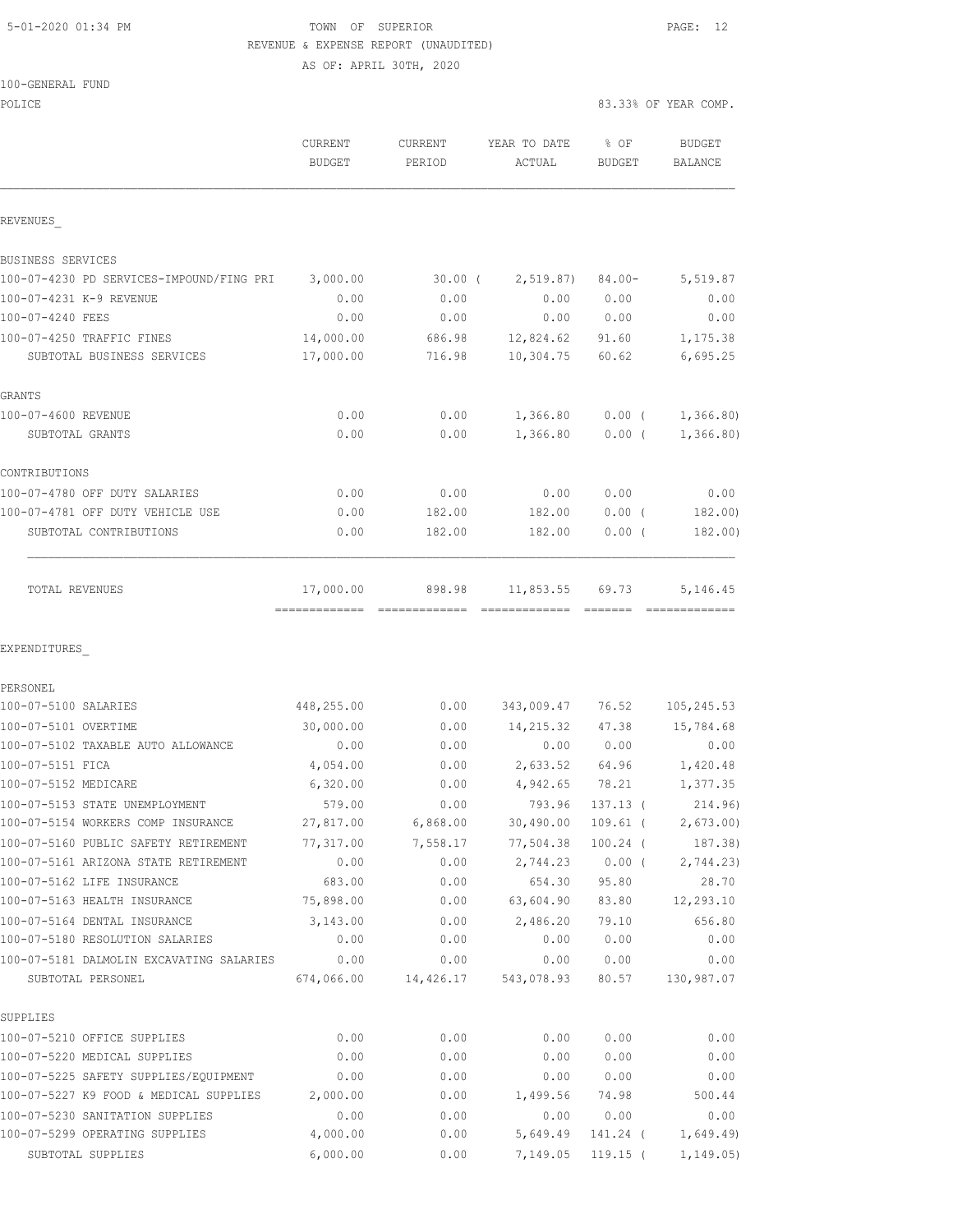|  | 5-01-2020 01:34 PM |  |
|--|--------------------|--|
|  |                    |  |

#### TOWN OF SUPERIOR **Example 2010** PAGE: 12 REVENUE & EXPENSE REPORT (UNAUDITED)

AS OF: APRIL 30TH, 2020

| 100-GENERAL FUND |  |
|------------------|--|
|                  |  |

| POLICE                                                          |                          |                          |                        |                       | 83.33% OF YEAR COMP.            |
|-----------------------------------------------------------------|--------------------------|--------------------------|------------------------|-----------------------|---------------------------------|
|                                                                 | CURRENT<br><b>BUDGET</b> | <b>CURRENT</b><br>PERIOD | YEAR TO DATE<br>ACTUAL | % OF<br><b>BUDGET</b> | <b>BUDGET</b><br><b>BALANCE</b> |
| REVENUES                                                        |                          |                          |                        |                       |                                 |
| BUSINESS SERVICES                                               |                          |                          |                        |                       |                                 |
| 100-07-4230 PD SERVICES-IMPOUND/FING PRI                        | 3,000.00                 | $30.00$ (                | 2, 519.87              | $84.00 -$             | 5,519.87                        |
| 100-07-4231 K-9 REVENUE                                         | 0.00                     | 0.00                     | 0.00                   | 0.00                  | 0.00                            |
| 100-07-4240 FEES                                                | 0.00                     | 0.00                     | 0.00                   | 0.00                  | 0.00                            |
| 100-07-4250 TRAFFIC FINES                                       | 14,000.00                | 686.98                   | 12,824.62              | 91.60                 | 1,175.38                        |
| SUBTOTAL BUSINESS SERVICES                                      | 17,000.00                | 716.98                   | 10,304.75              | 60.62                 | 6,695.25                        |
| GRANTS                                                          |                          |                          |                        |                       |                                 |
| 100-07-4600 REVENUE                                             | 0.00                     | 0.00                     | 1,366.80               | $0.00$ (              | 1,366.80)                       |
| SUBTOTAL GRANTS                                                 | 0.00                     | 0.00                     | 1,366.80               | $0.00$ (              | 1,366.80                        |
| CONTRIBUTIONS                                                   |                          |                          |                        |                       |                                 |
| 100-07-4780 OFF DUTY SALARIES                                   | 0.00                     | 0.00                     | 0.00                   | 0.00                  | 0.00                            |
| 100-07-4781 OFF DUTY VEHICLE USE                                | 0.00                     | 182.00                   | 182.00                 | $0.00$ (              | 182.00)                         |
| SUBTOTAL CONTRIBUTIONS                                          | 0.00                     | 182.00                   | 182.00                 | $0.00$ (              | 182.00)                         |
| TOTAL REVENUES                                                  | 17,000.00                | 898.98                   | 11,853.55              | 69.73                 | 5,146.45                        |
| EXPENDITURES                                                    |                          |                          |                        |                       |                                 |
| PERSONEL                                                        |                          |                          |                        |                       |                                 |
| 100-07-5100 SALARIES                                            | 448,255.00               | 0.00                     | 343,009.47             | 76.52                 | 105, 245.53                     |
| 100-07-5101 OVERTIME                                            | 30,000.00                | 0.00                     | 14,215.32              | 47.38                 | 15,784.68                       |
| 100-07-5102 TAXABLE AUTO ALLOWANCE                              | 0.00                     | 0.00                     | 0.00                   | 0.00                  | 0.00                            |
| 100-07-5151 FICA                                                | 4,054.00                 | 0.00                     | 2,633.52               | 64.96                 | 1,420.48                        |
| 100-07-5152 MEDICARE                                            | 6,320.00                 | 0.00                     | 4,942.65               | 78.21                 | 1,377.35                        |
| 100-07-5153 STATE UNEMPLOYMENT                                  | 579.00                   | 0.00                     | 793.96                 | $137.13$ (            | 214.96)                         |
| 100-07-5154 WORKERS COMP INSURANCE                              | 27,817.00                | 6,868.00                 | 30,490.00              | $109.61$ (            | 2,673.00                        |
| 100-07-5160 PUBLIC SAFETY RETIREMENT                            | 77,317.00                | 7,558.17                 | 77,504.38              | $100.24$ (            | 187.38)                         |
| 100-07-5161 ARIZONA STATE RETIREMENT                            | 0.00                     | 0.00                     | 2,744.23               | $0.00$ (              | 2,744.23                        |
| 100-07-5162 LIFE INSURANCE                                      | 683.00                   | 0.00                     | 654.30                 | 95.80                 | 28.70                           |
| 100-07-5163 HEALTH INSURANCE                                    | 75,898.00                | 0.00                     | 63,604.90              | 83.80                 | 12,293.10                       |
| 100-07-5164 DENTAL INSURANCE<br>100-07-5180 RESOLUTION SALARIES | 3,143.00                 | 0.00                     | 2,486.20               | 79.10                 | 656.80                          |
|                                                                 | 0.00                     | 0.00                     | 0.00                   | 0.00                  | 0.00                            |
| 100-07-5181 DALMOLIN EXCAVATING SALARIES<br>SUBTOTAL PERSONEL   | 0.00<br>674,066.00       | 0.00<br>14,426.17        | 0.00<br>543,078.93     | 0.00<br>80.57         | 0.00<br>130,987.07              |
| SUPPLIES                                                        |                          |                          |                        |                       |                                 |
| 100-07-5210 OFFICE SUPPLIES                                     | 0.00                     | 0.00                     | 0.00                   | 0.00                  | 0.00                            |
| 100-07-5220 MEDICAL SUPPLIES                                    | 0.00                     | 0.00                     | 0.00                   | 0.00                  | 0.00                            |
| 100-07-5225 SAFETY SUPPLIES/EQUIPMENT                           | 0.00                     | 0.00                     | 0.00                   | 0.00                  | 0.00                            |
| 100-07-5227 K9 FOOD & MEDICAL SUPPLIES                          | 2,000.00                 | 0.00                     | 1,499.56               | 74.98                 | 500.44                          |

100-07-5230 SANITATION SUPPLIES 0.00 0.00 0.00 0.00 0.00 100-07-5299 OPERATING SUPPLIES 4,000.00 0.00 5,649.49 141.24 ( 1,649.49) SUBTOTAL SUPPLIES 6,000.00 0.00 7,149.05 119.15 ( 1,149.05)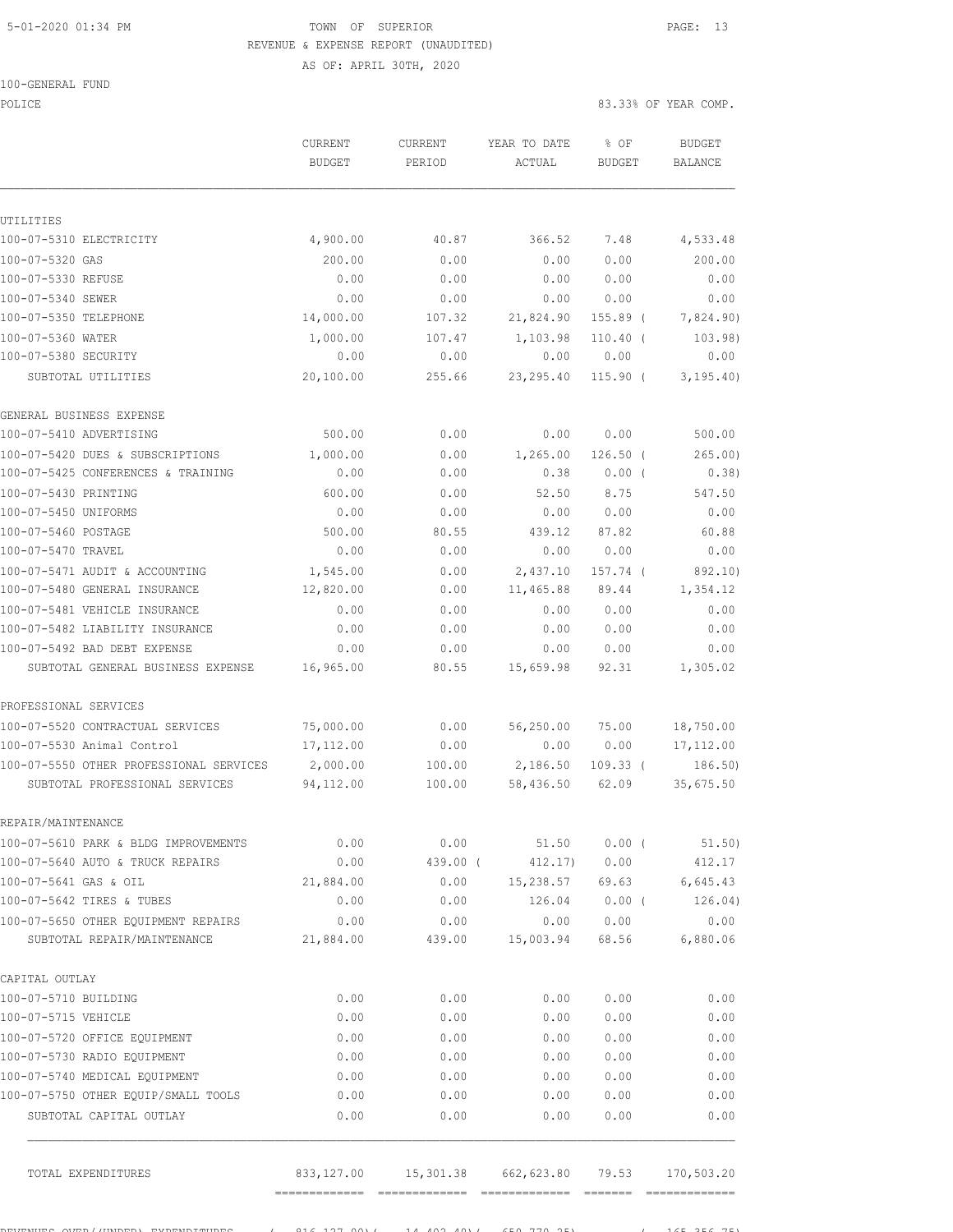### 5-01-2020 01:34 PM TOWN OF SUPERIOR PAGE: 13 REVENUE & EXPENSE REPORT (UNAUDITED)

AS OF: APRIL 30TH, 2020

|  | 100-GENERAL | FUND |
|--|-------------|------|
|  |             |      |

POLICE 83.33% OF YEAR COMP.

 CURRENT CURRENT YEAR TO DATE % OF BUDGET BUDGET PERIOD ACTUAL BUDGET BALANCE UTILITIES 100-07-5310 ELECTRICITY 4,900.00 40.87 366.52 7.48 4,533.48 100-07-5320 GAS 200.00 0.00 0.00 0.00 200.00 100-07-5330 REFUSE 0.00 0.00 0.00 0.00 0.00 100-07-5340 SEWER 0.00 0.00 0.00 0.00 0.00 100-07-5350 TELEPHONE 14,000.00 107.32 21,824.90 155.89 ( 7,824.90) 100-07-5360 WATER 1,000.00 107.47 1,103.98 110.40 ( 103.98) 100-07-5380 SECURITY 0.00 0.00 0.00 0.00 0.00 SUBTOTAL UTILITIES 20,100.00 255.66 23,295.40 115.90 ( 3,195.40) GENERAL BUSINESS EXPENSE 100-07-5410 ADVERTISING 500.00 0.00 0.00 0.00 500.00 100-07-5420 DUES & SUBSCRIPTIONS 1,000.00 0.00 1,265.00 126.50 ( 265.00) 100-07-5425 CONFERENCES & TRAINING 0.00 0.00 0.38 0.00 ( 0.38) 100-07-5430 PRINTING 600.00 0.00 52.50 8.75 547.50 100-07-5450 UNIFORMS 0.00 0.00 0.00 0.00 0.00 100-07-5460 POSTAGE 500.00 80.55 439.12 87.82 60.88 100-07-5470 TRAVEL 0.00 0.00 0.00 0.00 0.00 100-07-5471 AUDIT & ACCOUNTING 1,545.00 0.00 2,437.10 157.74 ( 892.10) 100-07-5480 GENERAL INSURANCE 12,820.00 0.00 11,465.88 89.44 1,354.12 100-07-5481 VEHICLE INSURANCE 0.00 0.00 0.00 0.00 0.00 100-07-5482 LIABILITY INSURANCE 0.00 0.00 0.00 0.00 0.00 100-07-5492 BAD DEBT EXPENSE 0.00 0.00 0.00 0.00 0.00 SUBTOTAL GENERAL BUSINESS EXPENSE 16,965.00 80.55 15,659.98 92.31 1,305.02 PROFESSIONAL SERVICES 100-07-5520 CONTRACTUAL SERVICES 75,000.00 0.00 56,250.00 75.00 18,750.00 100-07-5530 Animal Control 17,112.00 0.00 0.00 0.00 17,112.00<br>100-07-5550 OTHER PROFESSIONAL SERVICES 2,000.00 100.00 2,186.50 109.33 (186.50) 100-07-5550 OTHER PROFESSIONAL SERVICES SUBTOTAL PROFESSIONAL SERVICES 94,112.00 100.00 58,436.50 62.09 35,675.50 REPAIR/MAINTENANCE 100-07-5610 PARK & BLDG IMPROVEMENTS 0.00 0.00 51.50 0.00 ( 51.50) 100-07-5640 AUTO & TRUCK REPAIRS 0.00 439.00 ( 412.17) 0.00 412.17 100-07-5641 GAS & OIL 21,884.00 0.00 15,238.57 69.63 6,645.43 100-07-5642 TIRES & TUBES 0.00 0.00 126.04 0.00 ( 126.04) 100-07-5650 OTHER EQUIPMENT REPAIRS 0.00 0.00 0.00 0.00 0.00 SUBTOTAL REPAIR/MAINTENANCE 21,884.00 439.00 15,003.94 68.56 6,880.06 CAPITAL OUTLAY 100-07-5710 BUILDING 0.00 0.00 0.00 0.00 0.00 100-07-5715 VEHICLE 0.00 0.00 0.00 0.00 0.00 100-07-5720 OFFICE EQUIPMENT 0.00 0.00 0.00 0.00 0.00 100-07-5730 RADIO EQUIPMENT 0.00 0.00 0.00 0.00 0.00 100-07-5740 MEDICAL EQUIPMENT 0.00 0.00 0.00 0.00 0.00 100-07-5750 OTHER EQUIP/SMALL TOOLS 0.00 0.00 0.00 0.00 0.00 SUBTOTAL CAPITAL OUTLAY 0.00 0.00 0.00 0.00 0.00 TOTAL EXPENDITURES 833,127.00 15,301.38 662,623.80 79.53 170,503.20

REVENUES OVER/(UNDER) IMPORTATION OC 1990.00)( 14,402.40)( 650,770.25) ( 165 ) ( 165.256.75)

============= ============= ============= ======= =============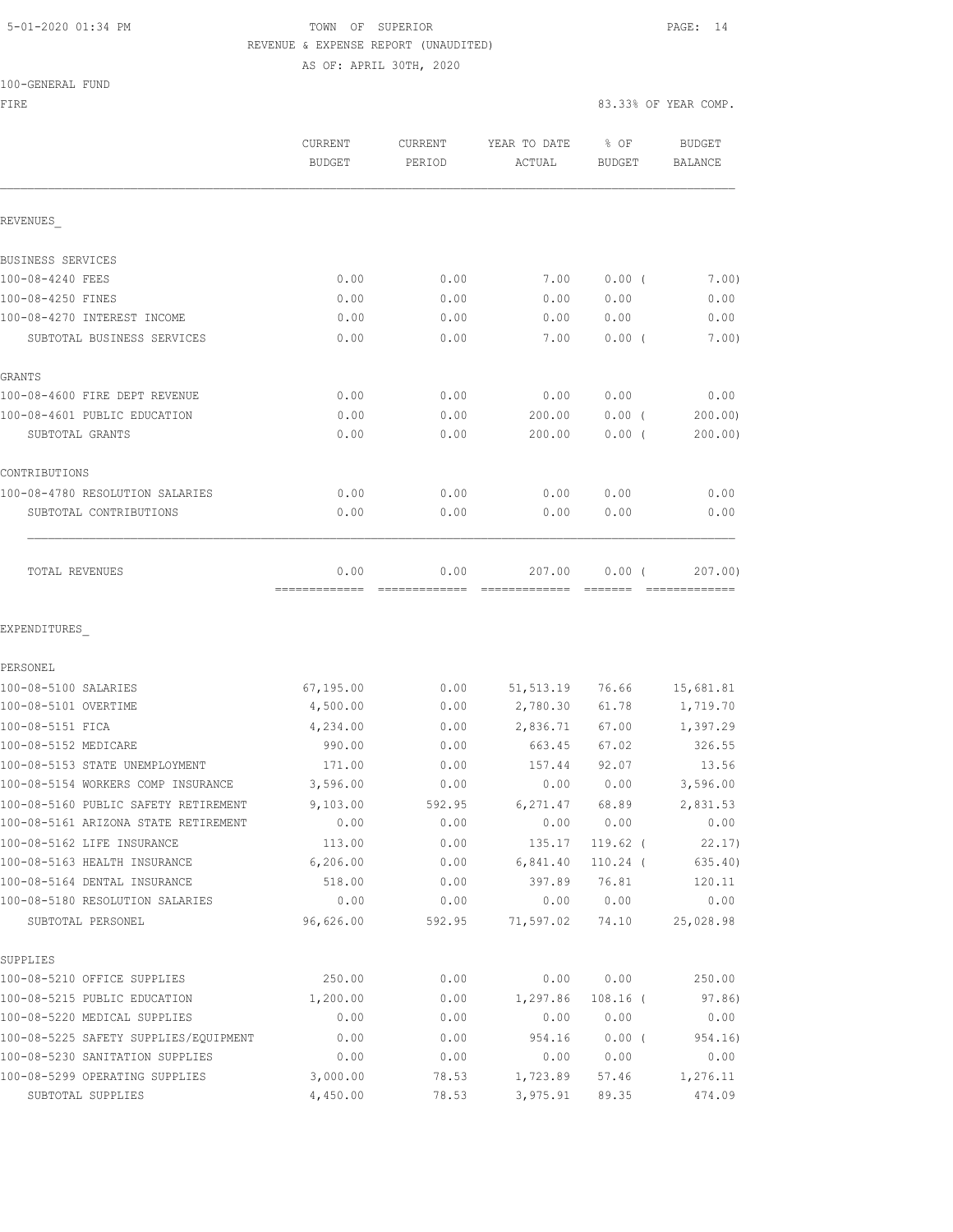### 5-01-2020 01:34 PM **TOWN** OF SUPERIOR **PAGE: 14**  REVENUE & EXPENSE REPORT (UNAUDITED) AS OF: APRIL 30TH, 2020

100-GENERAL FUND

| FIRE                                  |                                 |                          |                        | 83.33% OF YEAR COMP. |                                 |  |
|---------------------------------------|---------------------------------|--------------------------|------------------------|----------------------|---------------------------------|--|
|                                       | <b>CURRENT</b><br><b>BUDGET</b> | <b>CURRENT</b><br>PERIOD | YEAR TO DATE<br>ACTUAL | % OF<br>BUDGET       | <b>BUDGET</b><br><b>BALANCE</b> |  |
| REVENUES                              |                                 |                          |                        |                      |                                 |  |
| BUSINESS SERVICES                     |                                 |                          |                        |                      |                                 |  |
| 100-08-4240 FEES                      | 0.00                            | 0.00                     | 7.00                   | 0.00(                | 7.00)                           |  |
| 100-08-4250 FINES                     | 0.00                            | 0.00                     | 0.00                   | 0.00                 | 0.00                            |  |
| 100-08-4270 INTEREST INCOME           | 0.00                            | 0.00                     | 0.00                   | 0.00                 | 0.00                            |  |
| SUBTOTAL BUSINESS SERVICES            | 0.00                            | 0.00                     | 7.00                   | $0.00$ (             | 7.00)                           |  |
| GRANTS                                |                                 |                          |                        |                      |                                 |  |
| 100-08-4600 FIRE DEPT REVENUE         | 0.00                            | 0.00                     | 0.00                   | 0.00                 | 0.00                            |  |
| 100-08-4601 PUBLIC EDUCATION          | 0.00                            | 0.00                     | 200.00                 | $0.00$ (             | 200.00                          |  |
| SUBTOTAL GRANTS                       | 0.00                            | 0.00                     | 200.00                 | $0.00$ (             | 200.00)                         |  |
| CONTRIBUTIONS                         |                                 |                          |                        |                      |                                 |  |
| 100-08-4780 RESOLUTION SALARIES       | 0.00                            | 0.00                     | 0.00                   | 0.00                 | 0.00                            |  |
| SUBTOTAL CONTRIBUTIONS                | 0.00                            | 0.00                     | 0.00                   | 0.00                 | 0.00                            |  |
| TOTAL REVENUES                        | 0.00                            | 0.00                     | 207.00                 | 0.00(                | 207.00)                         |  |
| EXPENDITURES                          |                                 |                          |                        |                      |                                 |  |
| PERSONEL                              |                                 |                          |                        |                      |                                 |  |
| 100-08-5100 SALARIES                  | 67,195.00                       | 0.00                     | 51, 513.19             | 76.66                | 15,681.81                       |  |
| 100-08-5101 OVERTIME                  | 4,500.00                        | 0.00                     | 2,780.30               | 61.78                | 1,719.70                        |  |
| 100-08-5151 FICA                      | 4,234.00                        | 0.00                     | 2,836.71               | 67.00                | 1,397.29                        |  |
| 100-08-5152 MEDICARE                  | 990.00                          | 0.00                     | 663.45                 | 67.02                | 326.55                          |  |
| 100-08-5153 STATE UNEMPLOYMENT        | 171.00                          | 0.00                     | 157.44                 | 92.07                | 13.56                           |  |
| 100-08-5154 WORKERS COMP INSURANCE    | 3,596.00                        | 0.00                     | 0.00                   | 0.00                 | 3,596.00                        |  |
| 100-08-5160 PUBLIC SAFETY RETIREMENT  | 9,103.00                        | 592.95                   | 6,271.47               | 68.89                | 2,831.53                        |  |
| 100-08-5161 ARIZONA STATE RETIREMENT  | 0.00                            | 0.00                     | 0.00                   | 0.00                 | 0.00                            |  |
| 100-08-5162 LIFE INSURANCE            | 113.00                          | 0.00                     | 135.17                 | $119.62$ (           | 22.17                           |  |
| 100-08-5163 HEALTH INSURANCE          | 6,206.00                        | 0.00                     | 6,841.40               | $110.24$ (           | 635.40)                         |  |
| 100-08-5164 DENTAL INSURANCE          | 518.00                          | 0.00                     | 397.89                 | 76.81                | 120.11                          |  |
| 100-08-5180 RESOLUTION SALARIES       | 0.00                            | 0.00                     | 0.00                   | 0.00                 | 0.00                            |  |
| SUBTOTAL PERSONEL                     | 96,626.00                       | 592.95                   | 71,597.02              | 74.10                | 25,028.98                       |  |
| SUPPLIES                              |                                 |                          |                        |                      |                                 |  |
| 100-08-5210 OFFICE SUPPLIES           | 250.00                          | 0.00                     | 0.00                   | 0.00                 | 250.00                          |  |
| 100-08-5215 PUBLIC EDUCATION          | 1,200.00                        | 0.00                     | 1,297.86               | $108.16$ (           | 97.86)                          |  |
| 100-08-5220 MEDICAL SUPPLIES          | 0.00                            | 0.00                     | 0.00                   | 0.00                 | 0.00                            |  |
| 100-08-5225 SAFETY SUPPLIES/EQUIPMENT | 0.00                            | 0.00                     | 954.16                 | 0.00(                | 954.16)                         |  |
| 100-08-5230 SANITATION SUPPLIES       | 0.00                            | 0.00                     | 0.00                   | 0.00                 | 0.00                            |  |
| 100-08-5299 OPERATING SUPPLIES        | 3,000.00                        | 78.53                    | 1,723.89               | 57.46                | 1,276.11                        |  |
| SUBTOTAL SUPPLIES                     | 4,450.00                        | 78.53                    | 3,975.91               | 89.35                | 474.09                          |  |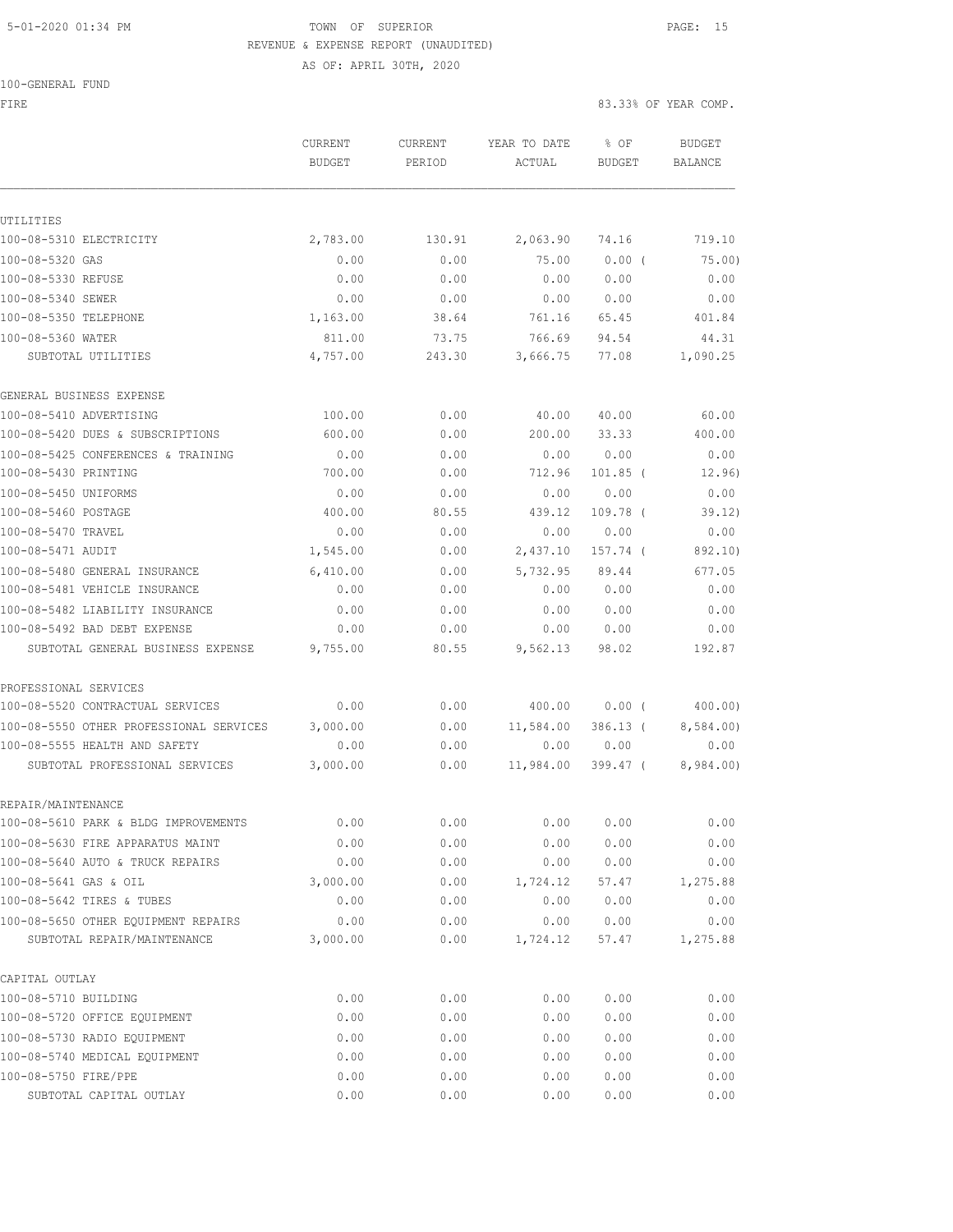## 5-01-2020 01:34 PM TOWN OF SUPERIOR PAGE: 15 REVENUE & EXPENSE REPORT (UNAUDITED)

AS OF: APRIL 30TH, 2020

FIRE 83.33% OF YEAR COMP.

|                                         | CURRENT       | <b>CURRENT</b> | YEAR TO DATE | % OF          | <b>BUDGET</b>  |
|-----------------------------------------|---------------|----------------|--------------|---------------|----------------|
|                                         | <b>BUDGET</b> | PERIOD         | ACTUAL       | <b>BUDGET</b> | <b>BALANCE</b> |
|                                         |               |                |              |               |                |
| UTILITIES                               |               |                |              |               |                |
| 100-08-5310 ELECTRICITY                 | 2,783.00      | 130.91         | 2,063.90     | 74.16         | 719.10         |
| 100-08-5320 GAS                         | 0.00          | 0.00           | 75.00        | $0.00$ (      | 75.00)         |
| 100-08-5330 REFUSE                      | 0.00          | 0.00           | 0.00         | 0.00          | 0.00           |
| 100-08-5340 SEWER                       | 0.00          | 0.00           | 0.00         | 0.00          | 0.00           |
| 100-08-5350 TELEPHONE                   | 1,163.00      | 38.64          | 761.16       | 65.45         | 401.84         |
| 100-08-5360 WATER                       | 811.00        | 73.75          | 766.69       | 94.54         | 44.31          |
| SUBTOTAL UTILITIES                      | 4,757.00      | 243.30         | 3,666.75     | 77.08         | 1,090.25       |
| GENERAL BUSINESS EXPENSE                |               |                |              |               |                |
| 100-08-5410 ADVERTISING                 | 100.00        | 0.00           | 40.00        | 40.00         | 60.00          |
| 100-08-5420 DUES & SUBSCRIPTIONS        | 600.00        | 0.00           | 200.00       | 33.33         | 400.00         |
| 100-08-5425 CONFERENCES & TRAINING      | 0.00          | 0.00           | 0.00         | 0.00          | 0.00           |
| 100-08-5430 PRINTING                    | 700.00        | 0.00           | 712.96       | $101.85$ (    | 12.96)         |
| 100-08-5450 UNIFORMS                    | 0.00          | 0.00           | 0.00         | 0.00          | 0.00           |
| 100-08-5460 POSTAGE                     | 400.00        | 80.55          | 439.12       | 109.78 (      | 39.12)         |
| 100-08-5470 TRAVEL                      | 0.00          | 0.00           | 0.00         | 0.00          | 0.00           |
| 100-08-5471 AUDIT                       | 1,545.00      | 0.00           | 2,437.10     | 157.74 (      | 892.10)        |
| 100-08-5480 GENERAL INSURANCE           | 6,410.00      | 0.00           | 5,732.95     | 89.44         | 677.05         |
| 100-08-5481 VEHICLE INSURANCE           | 0.00          | 0.00           | 0.00         | 0.00          | 0.00           |
| 100-08-5482 LIABILITY INSURANCE         | 0.00          | 0.00           | 0.00         | 0.00          | 0.00           |
| 100-08-5492 BAD DEBT EXPENSE            | 0.00          | 0.00           | 0.00         | 0.00          | 0.00           |
| SUBTOTAL GENERAL BUSINESS EXPENSE       | 9,755.00      | 80.55          | 9,562.13     | 98.02         | 192.87         |
| PROFESSIONAL SERVICES                   |               |                |              |               |                |
| 100-08-5520 CONTRACTUAL SERVICES        | 0.00          | 0.00           | 400.00       | $0.00$ (      | 400.00)        |
| 100-08-5550 OTHER PROFESSIONAL SERVICES | 3,000.00      | 0.00           | 11,584.00    | $386.13$ (    | 8,584.00)      |
| 100-08-5555 HEALTH AND SAFETY           | 0.00          | 0.00           | 0.00         | 0.00          | 0.00           |
| SUBTOTAL PROFESSIONAL SERVICES          | 3,000.00      | 0.00           | 11,984.00    | 399.47 (      | 8,984.00)      |
| REPAIR/MAINTENANCE                      |               |                |              |               |                |
| 100-08-5610 PARK & BLDG IMPROVEMENTS    | 0.00          | 0.00           | 0.00         | 0.00          | 0.00           |
| 100-08-5630 FIRE APPARATUS MAINT        | 0.00          | 0.00           | 0.00         | 0.00          | 0.00           |
| 100-08-5640 AUTO & TRUCK REPAIRS        | 0.00          | 0.00           | 0.00         | 0.00          | 0.00           |
| 100-08-5641 GAS & OIL                   | 3,000.00      | 0.00           | 1,724.12     | 57.47         | 1,275.88       |
| 100-08-5642 TIRES & TUBES               | 0.00          | 0.00           | 0.00         | 0.00          | 0.00           |
| 100-08-5650 OTHER EQUIPMENT REPAIRS     | 0.00          | 0.00           | 0.00         | 0.00          | 0.00           |
| SUBTOTAL REPAIR/MAINTENANCE             | 3,000.00      | 0.00           | 1,724.12     | 57.47         | 1,275.88       |
| CAPITAL OUTLAY                          |               |                |              |               |                |
| 100-08-5710 BUILDING                    | 0.00          | 0.00           | 0.00         | 0.00          | 0.00           |
| 100-08-5720 OFFICE EQUIPMENT            | 0.00          | 0.00           | 0.00         | 0.00          | 0.00           |
| 100-08-5730 RADIO EQUIPMENT             | 0.00          | 0.00           | 0.00         | 0.00          | 0.00           |
| 100-08-5740 MEDICAL EQUIPMENT           | 0.00          | 0.00           | 0.00         | 0.00          | 0.00           |
| 100-08-5750 FIRE/PPE                    | 0.00          | 0.00           | 0.00         | 0.00          | 0.00           |

SUBTOTAL CAPITAL OUTLAY 0.00 0.00 0.00 0.00 0.00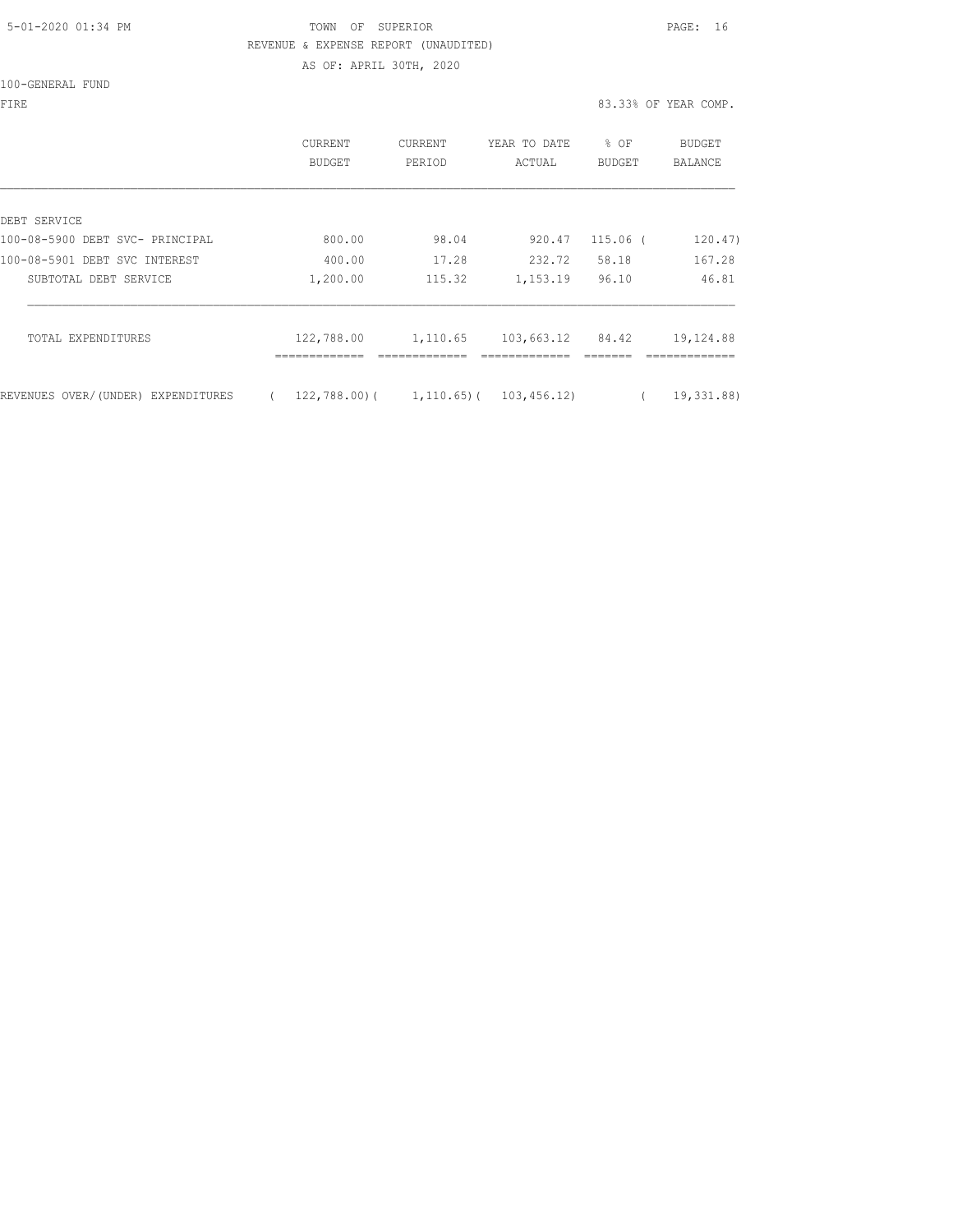### 5-01-2020 01:34 PM TOWN OF SUPERIOR PAGE: 16 REVENUE & EXPENSE REPORT (UNAUDITED) AS OF: APRIL 30TH, 2020

100-GENERAL FUND

|                                                 | CURRENT<br>BUDGET          | CURRENT<br>PERIOD         | YEAR TO DATE<br>ACTUAL     | % OF<br>BUDGET | <b>BUDGET</b><br>BALANCE |
|-------------------------------------------------|----------------------------|---------------------------|----------------------------|----------------|--------------------------|
|                                                 |                            |                           |                            |                |                          |
| DEBT SERVICE<br>100-08-5900 DEBT SVC- PRINCIPAL | 800.00                     | 98.04                     | 920.47                     | $115.06$ (     | 120.47)                  |
| 100-08-5901 DEBT SVC INTEREST                   | 400.00                     | 17.28                     | 232.72                     | 58.18          | 167.28                   |
|                                                 |                            |                           |                            |                |                          |
| SUBTOTAL DEBT SERVICE                           | 1,200.00                   | 115.32                    | 1,153.19                   | 96.10          | 46.81                    |
| TOTAL EXPENDITURES                              | 122,788.00<br>------------ | 1,110.65<br>------------- | 103,663.12<br>------------ | 84.42          | 19,124.88                |
| REVENUES OVER/(UNDER) EXPENDITURES              |                            | $122,788.00$ ( 1,110.65)( | 103,456.12)                |                | 19,331.88)               |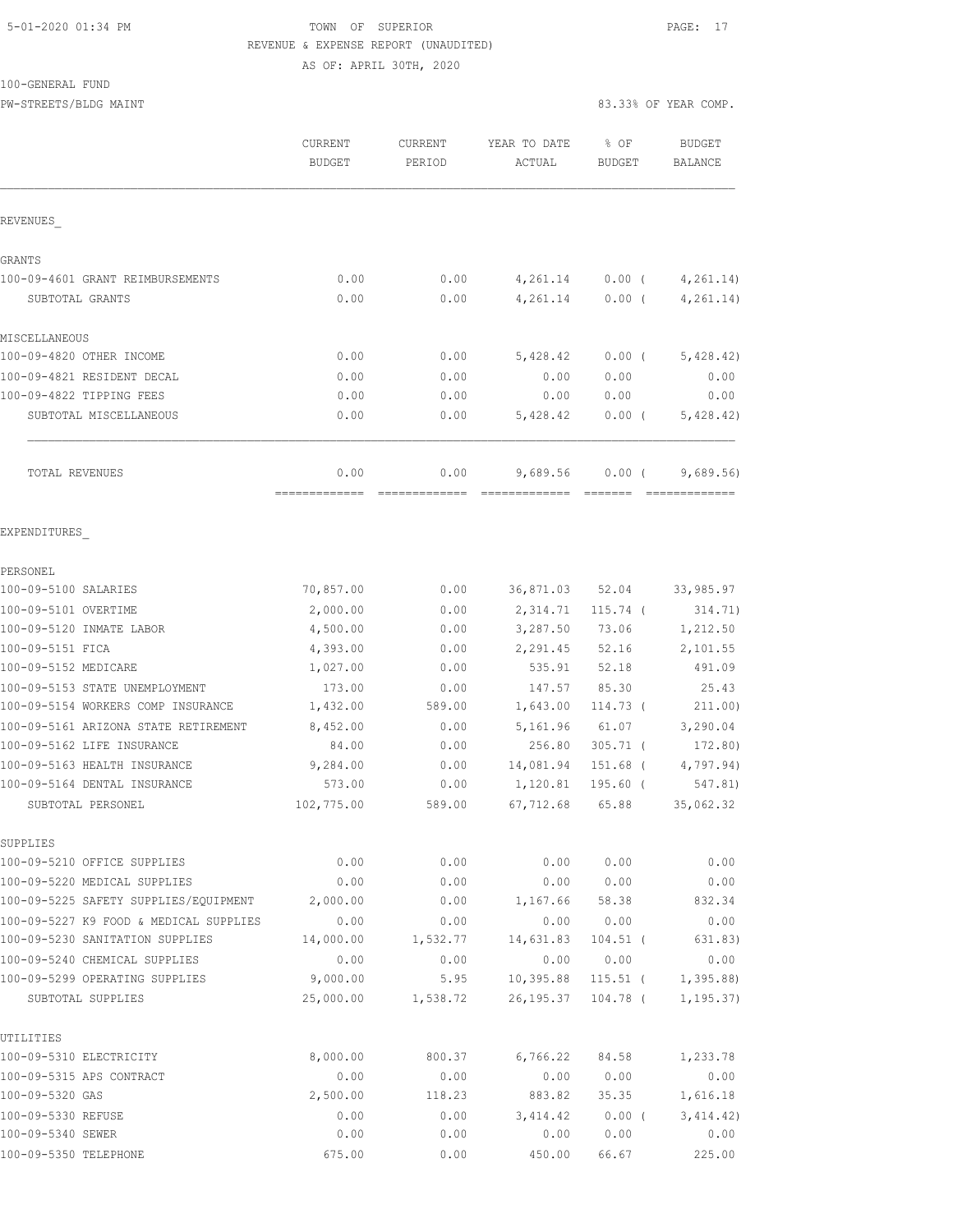#### 5-01-2020 01:34 PM TOWN OF SUPERIOR PAGE: 17 REVENUE & EXPENSE REPORT (UNAUDITED) AS OF: APRIL 30TH, 2020

100-GENERAL FUND

PW-STREETS/BLDG MAINT 83.33% OF YEAR COMP.

|                                                     | CURRENT<br><b>BUDGET</b> | <b>CURRENT</b><br>PERIOD | YEAR TO DATE<br>ACTUAL  | % OF<br><b>BUDGET</b>    | <b>BUDGET</b><br><b>BALANCE</b> |
|-----------------------------------------------------|--------------------------|--------------------------|-------------------------|--------------------------|---------------------------------|
| REVENUES                                            |                          |                          |                         |                          |                                 |
| GRANTS                                              |                          |                          |                         |                          |                                 |
| 100-09-4601 GRANT REIMBURSEMENTS                    | 0.00                     | 0.00                     | 4,261.14                | $0.00$ (                 | 4,261.14)                       |
| SUBTOTAL GRANTS                                     | 0.00                     | 0.00                     | 4,261.14                | $0.00$ (                 | 4, 261.14)                      |
| MISCELLANEOUS                                       |                          |                          |                         |                          |                                 |
| 100-09-4820 OTHER INCOME                            | 0.00                     | 0.00                     | 5,428.42                | $0.00$ (                 | 5,428.42)                       |
| 100-09-4821 RESIDENT DECAL                          | 0.00                     | 0.00                     | 0.00                    | 0.00                     | 0.00                            |
| 100-09-4822 TIPPING FEES                            | 0.00                     | 0.00                     | 0.00                    | 0.00                     | 0.00                            |
| SUBTOTAL MISCELLANEOUS                              | 0.00                     | 0.00                     | 5,428.42                | $0.00$ (                 | 5,428.42)                       |
| <b>TOTAL REVENUES</b>                               | 0.00                     | 0.00                     | 9,689.56                | $0.00$ (                 | 9,689.56                        |
| EXPENDITURES                                        |                          |                          |                         |                          |                                 |
| PERSONEL                                            |                          |                          |                         |                          |                                 |
| 100-09-5100 SALARIES                                | 70,857.00                | 0.00                     | 36,871.03               | 52.04                    | 33,985.97                       |
| 100-09-5101 OVERTIME                                | 2,000.00                 | 0.00                     | 2,314.71                | $115.74$ (               | 314.71)                         |
| 100-09-5120 INMATE LABOR                            | 4,500.00                 | 0.00                     | 3,287.50                | 73.06                    | 1,212.50                        |
| 100-09-5151 FICA                                    | 4,393.00                 | 0.00                     | 2,291.45                | 52.16                    | 2,101.55                        |
| 100-09-5152 MEDICARE                                | 1,027.00                 | 0.00                     | 535.91                  | 52.18                    | 491.09                          |
| 100-09-5153 STATE UNEMPLOYMENT                      | 173.00                   | 0.00                     | 147.57                  | 85.30                    | 25.43                           |
| 100-09-5154 WORKERS COMP INSURANCE                  | 1,432.00                 | 589.00                   | 1,643.00                | 114.73 (                 | 211.00)                         |
| 100-09-5161 ARIZONA STATE RETIREMENT                | 8,452.00                 | 0.00                     | 5,161.96                | 61.07                    | 3,290.04                        |
| 100-09-5162 LIFE INSURANCE                          | 84.00                    | 0.00                     | 256.80                  | $305.71$ (               | 172.80)                         |
| 100-09-5163 HEALTH INSURANCE                        | 9,284.00                 | 0.00                     | 14,081.94               | $151.68$ (               | 4,797.94)                       |
| 100-09-5164 DENTAL INSURANCE                        | 573.00                   | 0.00                     | 1,120.81                | 195.60 (                 | 547.81)                         |
| SUBTOTAL PERSONEL                                   | 102,775.00               | 589.00                   | 67,712.68               | 65.88                    | 35,062.32                       |
| SUPPLIES                                            |                          |                          |                         |                          |                                 |
| 100-09-5210 OFFICE SUPPLIES                         | 0.00                     | 0.00                     | 0.00                    | 0.00                     | 0.00                            |
| 100-09-5220 MEDICAL SUPPLIES                        | 0.00                     | 0.00                     | 0.00                    | 0.00                     | 0.00                            |
| 100-09-5225 SAFETY SUPPLIES/EQUIPMENT               | 2,000.00                 | 0.00                     | 1,167.66                | 58.38                    | 832.34                          |
| 100-09-5227 K9 FOOD & MEDICAL SUPPLIES              | 0.00                     | 0.00                     | 0.00                    | 0.00                     | 0.00                            |
| 100-09-5230 SANITATION SUPPLIES                     | 14,000.00                | 1,532.77                 | 14,631.83               | $104.51$ (               | 631.83)                         |
| 100-09-5240 CHEMICAL SUPPLIES                       | 0.00                     | 0.00                     | 0.00                    | 0.00                     | 0.00                            |
| 100-09-5299 OPERATING SUPPLIES<br>SUBTOTAL SUPPLIES | 9,000.00<br>25,000.00    | 5.95<br>1,538.72         | 10,395.88<br>26, 195.37 | $115.51$ (<br>$104.78$ ( | 1,395.88<br>1, 195.37)          |
| UTILITIES                                           |                          |                          |                         |                          |                                 |
| 100-09-5310 ELECTRICITY                             | 8,000.00                 | 800.37                   | 6,766.22                | 84.58                    | 1,233.78                        |
| 100-09-5315 APS CONTRACT                            | 0.00                     | 0.00                     | 0.00                    | 0.00                     | 0.00                            |
| 100-09-5320 GAS                                     | 2,500.00                 | 118.23                   | 883.82                  | 35.35                    | 1,616.18                        |
| 100-09-5330 REFUSE                                  | 0.00                     | 0.00                     | 3, 414.42               | $0.00$ (                 | 3,414.42)                       |
| 100-09-5340 SEWER                                   | 0.00                     | 0.00                     | 0.00                    | 0.00                     | 0.00                            |

100-09-5350 TELEPHONE 675.00 0.00 450.00 66.67 225.00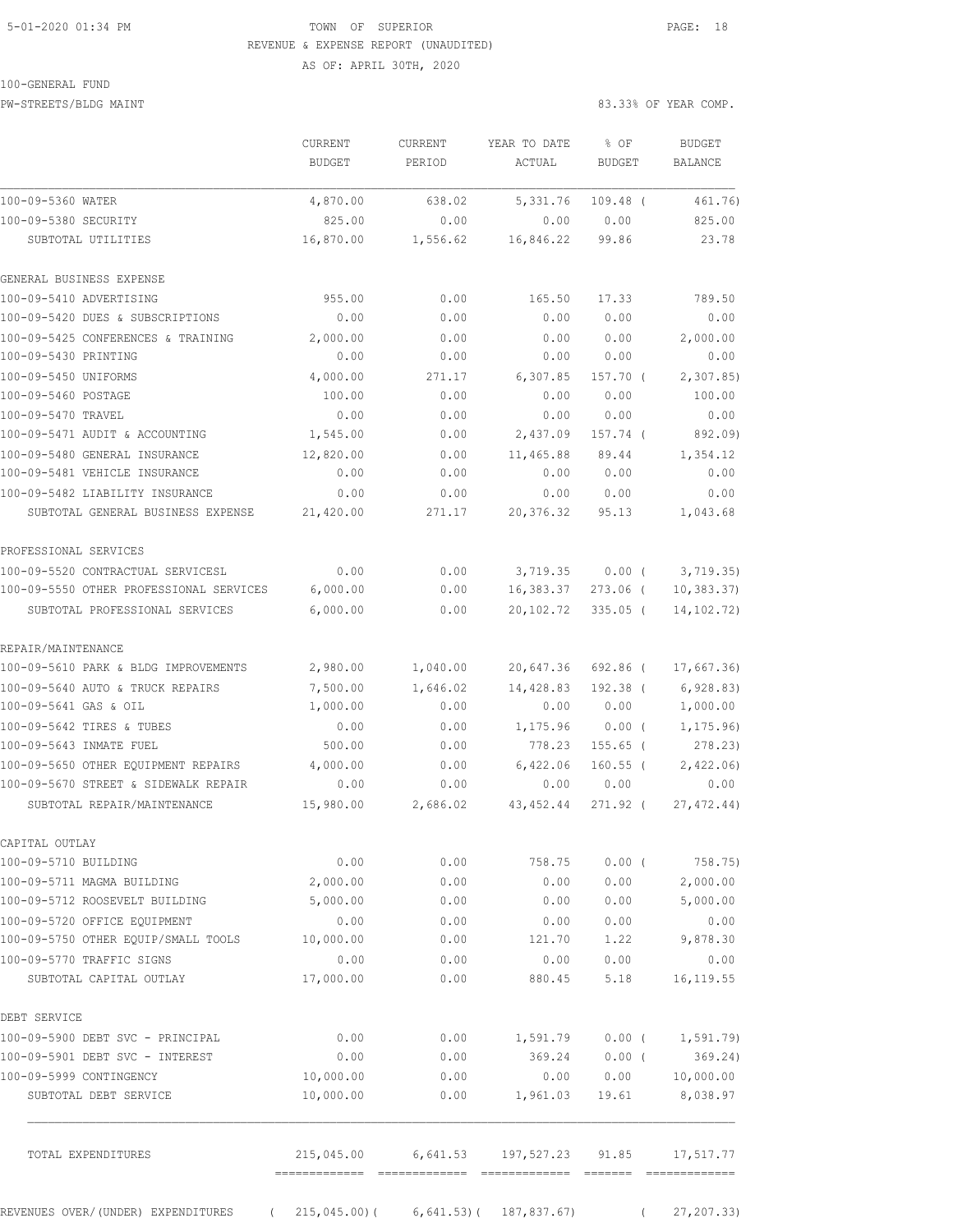### 5-01-2020 01:34 PM TOWN OF SUPERIOR PAGE: 18 REVENUE & EXPENSE REPORT (UNAUDITED) AS OF: APRIL 30TH, 2020

#### 100-GENERAL FUND

PW-STREETS/BLDG MAINT 83.33% OF YEAR COMP.

|                                                                         | CURRENT<br>BUDGET     | <b>CURRENT</b><br>PERIOD | YEAR TO DATE<br>ACTUAL               | % OF<br><b>BUDGET</b> | <b>BUDGET</b><br><b>BALANCE</b> |
|-------------------------------------------------------------------------|-----------------------|--------------------------|--------------------------------------|-----------------------|---------------------------------|
| 100-09-5360 WATER                                                       | 4,870.00              | 638.02                   | 5,331.76                             | $109.48$ (            | 461.76)                         |
| 100-09-5380 SECURITY                                                    | 825.00                | 0.00                     | 0.00                                 | 0.00                  | 825.00                          |
| SUBTOTAL UTILITIES                                                      | 16,870.00             | 1,556.62                 | 16,846.22                            | 99.86                 | 23.78                           |
| GENERAL BUSINESS EXPENSE                                                |                       |                          |                                      |                       |                                 |
| 100-09-5410 ADVERTISING                                                 | 955.00                | 0.00                     | 165.50                               | 17.33                 | 789.50                          |
| 100-09-5420 DUES & SUBSCRIPTIONS                                        | 0.00                  | 0.00                     | 0.00                                 | 0.00                  | 0.00                            |
| 100-09-5425 CONFERENCES & TRAINING                                      | 2,000.00              | 0.00                     | 0.00                                 | 0.00                  | 2,000.00                        |
| 100-09-5430 PRINTING                                                    | 0.00                  | 0.00                     | 0.00                                 | 0.00                  | 0.00                            |
| 100-09-5450 UNIFORMS                                                    | 4,000.00              | 271.17                   | 6,307.85                             | 157.70 (              | 2, 307.85                       |
| 100-09-5460 POSTAGE                                                     | 100.00                | 0.00                     | 0.00                                 | 0.00                  | 100.00                          |
| 100-09-5470 TRAVEL                                                      | 0.00                  | 0.00                     | 0.00                                 | 0.00                  | 0.00                            |
| 100-09-5471 AUDIT & ACCOUNTING                                          | 1,545.00              | 0.00                     | 2,437.09                             | 157.74 (              | 892.09)                         |
| 100-09-5480 GENERAL INSURANCE                                           | 12,820.00             | 0.00                     | 11,465.88                            | 89.44                 | 1,354.12                        |
| 100-09-5481 VEHICLE INSURANCE                                           | 0.00                  | 0.00                     | 0.00                                 | 0.00                  | 0.00                            |
| 100-09-5482 LIABILITY INSURANCE                                         | 0.00                  | 0.00                     | 0.00                                 | 0.00                  | 0.00                            |
| SUBTOTAL GENERAL BUSINESS EXPENSE                                       | 21,420.00             | 271.17                   | 20,376.32                            | 95.13                 | 1,043.68                        |
| PROFESSIONAL SERVICES                                                   |                       |                          |                                      |                       |                                 |
| 100-09-5520 CONTRACTUAL SERVICESL                                       | 0.00                  | 0.00                     | 3,719.35                             | $0.00$ (              | 3,719.35)                       |
| 100-09-5550 OTHER PROFESSIONAL SERVICES                                 | 6,000.00              | 0.00                     | 16,383.37                            | 273.06 (              | 10, 383.37                      |
| SUBTOTAL PROFESSIONAL SERVICES                                          | 6,000.00              | 0.00                     | 20,102.72                            | $335.05$ (            | 14, 102. 72)                    |
| REPAIR/MAINTENANCE                                                      |                       |                          |                                      |                       |                                 |
| 100-09-5610 PARK & BLDG IMPROVEMENTS                                    | 2,980.00              | 1,040.00                 | 20,647.36                            | 692.86 (              | 17,667.36                       |
| 100-09-5640 AUTO & TRUCK REPAIRS                                        | 7,500.00              | 1,646.02                 | 14,428.83                            | 192.38 (              | 6,928.83)                       |
| 100-09-5641 GAS & OIL                                                   | 1,000.00              | 0.00                     | 0.00                                 | 0.00                  | 1,000.00                        |
| 100-09-5642 TIRES & TUBES                                               | 0.00                  | 0.00                     | 1,175.96                             | $0.00$ (              | 1, 175.96)                      |
| 100-09-5643 INMATE FUEL                                                 | 500.00                | 0.00                     | 778.23                               | $155.65$ (            | 278.23)                         |
| 100-09-5650 OTHER EQUIPMENT REPAIRS                                     | 4,000.00              | 0.00                     | 6,422.06                             | $160.55$ (            | 2,422.06                        |
| 100-09-5670 STREET & SIDEWALK REPAIR                                    | 0.00                  | 0.00                     | 0.00                                 | 0.00                  | 0.00                            |
| SUBTOTAL REPAIR/MAINTENANCE                                             | 15,980.00             | 2,686.02                 | 43, 452.44                           | 271.92 (              | 27, 472.44)                     |
| CAPITAL OUTLAY                                                          |                       |                          |                                      |                       |                                 |
| 100-09-5710 BUILDING                                                    | 0.00                  | 0.00                     | 758.75                               | $0.00$ (              | 758.75)                         |
| 100-09-5711 MAGMA BUILDING                                              | 2,000.00              | 0.00                     | 0.00                                 | 0.00                  | 2,000.00                        |
| 100-09-5712 ROOSEVELT BUILDING                                          | 5,000.00              | 0.00                     | 0.00                                 | 0.00                  | 5,000.00                        |
| 100-09-5720 OFFICE EQUIPMENT                                            | 0.00                  | 0.00                     | 0.00                                 | 0.00                  | 0.00                            |
| 100-09-5750 OTHER EQUIP/SMALL TOOLS                                     | 10,000.00             | 0.00                     | 121.70                               |                       | 1.22 9,878.30                   |
| 100-09-5770 TRAFFIC SIGNS                                               | 0.00                  | 0.00                     | 0.00                                 | 0.00                  | 0.00                            |
| SUBTOTAL CAPITAL OUTLAY                                                 | 17,000.00             | 0.00                     | 880.45                               | 5.18                  | 16, 119.55                      |
| DEBT SERVICE                                                            |                       |                          |                                      |                       |                                 |
| 100-09-5900 DEBT SVC - PRINCIPAL                                        | 0.00                  | 0.00                     | 1,591.79                             |                       | $0.00$ ( $1,591.79$ )           |
| 100-09-5901 DEBT SVC - INTEREST                                         | 0.00                  | 0.00                     | 369.24                               | $0.00$ (              | 369.24)                         |
| 100-09-5999 CONTINGENCY                                                 | 10,000.00             | 0.00                     | 0.00                                 | 0.00                  | 10,000.00                       |
| SUBTOTAL DEBT SERVICE                                                   | 10,000.00             | 0.00                     | 1,961.03                             | 19.61                 | 8,038.97                        |
| TOTAL EXPENDITURES                                                      | -------------- ------ |                          | 215,045.00 6,641.53 197,527.23 91.85 |                       | 17,517.77                       |
| REVENUES OVER/(UNDER) EXPENDITURES (215,045.00) (6,641.53) (187,837.67) |                       |                          |                                      |                       | 27, 207.33)                     |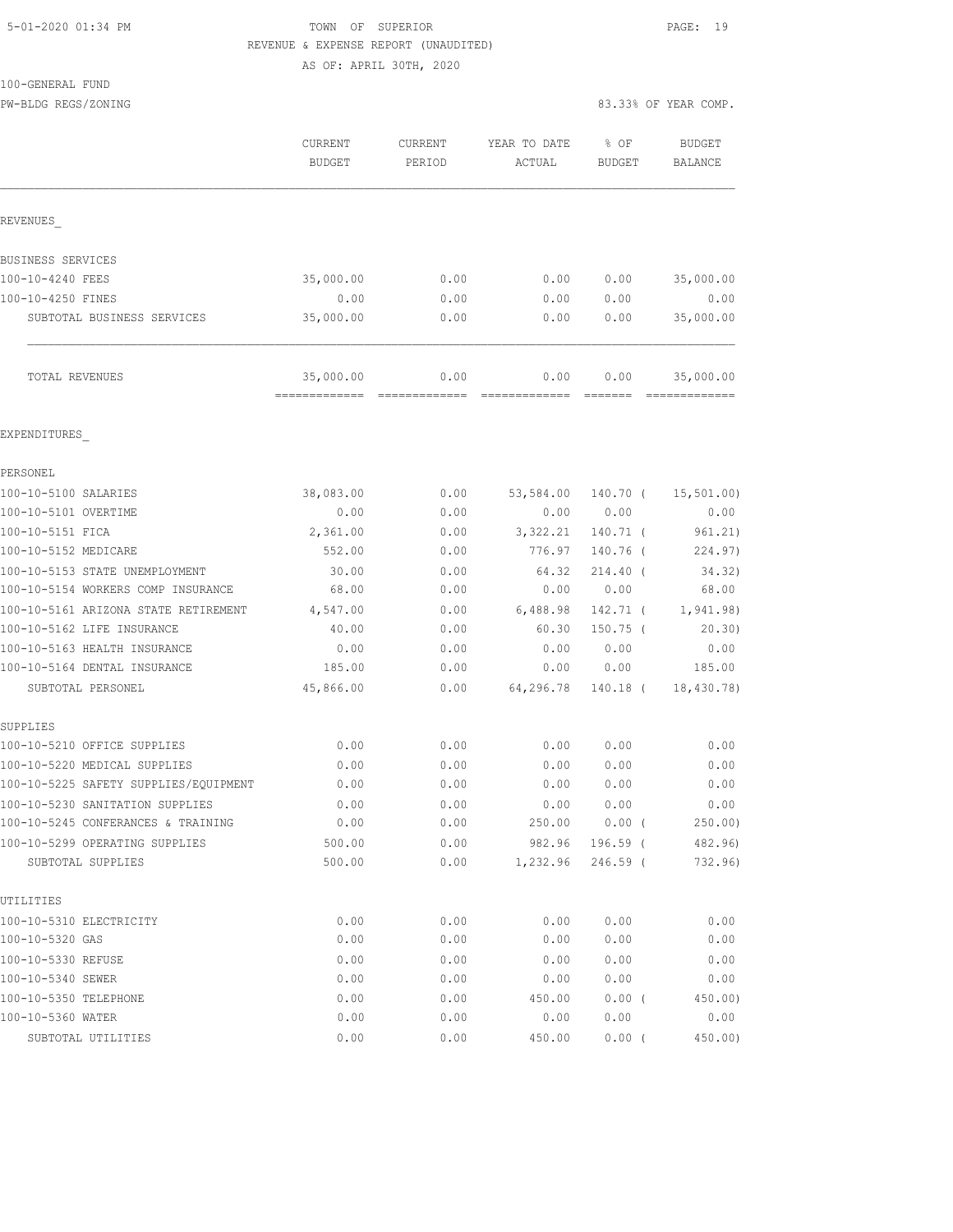#### 5-01-2020 01:34 PM TOWN OF SUPERIOR PAGE: 19 REVENUE & EXPENSE REPORT (UNAUDITED) AS OF: APRIL 30TH, 2020

 $100 - GEN$ 

| IOO-GENERAL FUND                      |                             |                                                                                                                                                                                                                                                                                                                                                                                                                                                                                                |                        |                  |                                 |
|---------------------------------------|-----------------------------|------------------------------------------------------------------------------------------------------------------------------------------------------------------------------------------------------------------------------------------------------------------------------------------------------------------------------------------------------------------------------------------------------------------------------------------------------------------------------------------------|------------------------|------------------|---------------------------------|
| PW-BLDG REGS/ZONING                   |                             |                                                                                                                                                                                                                                                                                                                                                                                                                                                                                                |                        |                  | 83.33% OF YEAR COMP.            |
|                                       | CURRENT<br><b>BUDGET</b>    | CURRENT<br>PERIOD                                                                                                                                                                                                                                                                                                                                                                                                                                                                              | YEAR TO DATE<br>ACTUAL | $8$ OF<br>BUDGET | <b>BUDGET</b><br><b>BALANCE</b> |
| REVENUES                              |                             |                                                                                                                                                                                                                                                                                                                                                                                                                                                                                                |                        |                  |                                 |
| BUSINESS SERVICES                     |                             |                                                                                                                                                                                                                                                                                                                                                                                                                                                                                                |                        |                  |                                 |
| 100-10-4240 FEES                      | 35,000.00                   | 0.00                                                                                                                                                                                                                                                                                                                                                                                                                                                                                           | 0.00                   | 0.00             | 35,000.00                       |
| 100-10-4250 FINES                     | 0.00                        | 0.00                                                                                                                                                                                                                                                                                                                                                                                                                                                                                           | 0.00                   | 0.00             | 0.00                            |
| SUBTOTAL BUSINESS SERVICES            | 35,000.00                   | 0.00                                                                                                                                                                                                                                                                                                                                                                                                                                                                                           | 0.00                   | 0.00             | 35,000.00                       |
| TOTAL REVENUES                        | 35,000.00<br>-------------- | 0.00<br>$\begin{array}{cccccccccc} \multicolumn{2}{c}{} & \multicolumn{2}{c}{} & \multicolumn{2}{c}{} & \multicolumn{2}{c}{} & \multicolumn{2}{c}{} & \multicolumn{2}{c}{} & \multicolumn{2}{c}{} & \multicolumn{2}{c}{} & \multicolumn{2}{c}{} & \multicolumn{2}{c}{} & \multicolumn{2}{c}{} & \multicolumn{2}{c}{} & \multicolumn{2}{c}{} & \multicolumn{2}{c}{} & \multicolumn{2}{c}{} & \multicolumn{2}{c}{} & \multicolumn{2}{c}{} & \multicolumn{2}{c}{} & \multicolumn{2}{c}{} & \mult$ | 0.00                   | 0.00<br>-------- | 35,000.00<br>--------------     |
| EXPENDITURES                          |                             |                                                                                                                                                                                                                                                                                                                                                                                                                                                                                                |                        |                  |                                 |
| PERSONEL                              |                             |                                                                                                                                                                                                                                                                                                                                                                                                                                                                                                |                        |                  |                                 |
| 100-10-5100 SALARIES                  | 38,083.00                   | 0.00                                                                                                                                                                                                                                                                                                                                                                                                                                                                                           | 53,584.00              | 140.70 (         | 15,501.00)                      |
| 100-10-5101 OVERTIME                  | 0.00                        | 0.00                                                                                                                                                                                                                                                                                                                                                                                                                                                                                           | 0.00                   | 0.00             | 0.00                            |
| 100-10-5151 FICA                      | 2,361.00                    | 0.00                                                                                                                                                                                                                                                                                                                                                                                                                                                                                           | 3,322.21               | $140.71$ (       | 961.21)                         |
| 100-10-5152 MEDICARE                  | 552.00                      | 0.00                                                                                                                                                                                                                                                                                                                                                                                                                                                                                           | 776.97                 | 140.76 (         | 224.97)                         |
| 100-10-5153 STATE UNEMPLOYMENT        | 30.00                       | 0.00                                                                                                                                                                                                                                                                                                                                                                                                                                                                                           | 64.32                  | $214.40$ (       | 34.32)                          |
| 100-10-5154 WORKERS COMP INSURANCE    | 68.00                       | 0.00                                                                                                                                                                                                                                                                                                                                                                                                                                                                                           | 0.00                   | 0.00             | 68.00                           |
| 100-10-5161 ARIZONA STATE RETIREMENT  | 4,547.00                    | 0.00                                                                                                                                                                                                                                                                                                                                                                                                                                                                                           | 6,488.98               | 142.71 (         | 1, 941.98)                      |
| 100-10-5162 LIFE INSURANCE            | 40.00                       | 0.00                                                                                                                                                                                                                                                                                                                                                                                                                                                                                           | 60.30                  | $150.75$ (       | 20.30)                          |
| 100-10-5163 HEALTH INSURANCE          | 0.00                        | 0.00                                                                                                                                                                                                                                                                                                                                                                                                                                                                                           | 0.00                   | 0.00             | 0.00                            |
| 100-10-5164 DENTAL INSURANCE          | 185.00                      | 0.00                                                                                                                                                                                                                                                                                                                                                                                                                                                                                           | 0.00                   | 0.00             | 185.00                          |
| SUBTOTAL PERSONEL                     | 45,866.00                   | 0.00                                                                                                                                                                                                                                                                                                                                                                                                                                                                                           | 64,296.78              | 140.18 (         | 18,430.78)                      |
| SUPPLIES                              |                             |                                                                                                                                                                                                                                                                                                                                                                                                                                                                                                |                        |                  |                                 |
| 100-10-5210 OFFICE SUPPLIES           | 0.00                        | 0.00                                                                                                                                                                                                                                                                                                                                                                                                                                                                                           | 0.00                   | 0.00             | 0.00                            |
| 100-10-5220 MEDICAL SUPPLIES          | 0.00                        | 0.00                                                                                                                                                                                                                                                                                                                                                                                                                                                                                           | 0.00                   | 0.00             | 0.00                            |
| 100-10-5225 SAFETY SUPPLIES/EQUIPMENT | 0.00                        | 0.00                                                                                                                                                                                                                                                                                                                                                                                                                                                                                           | ${\bf 0}$ . ${\bf 00}$ | 0.00             | 0.00                            |
| 100-10-5230 SANITATION SUPPLIES       | 0.00                        | 0.00                                                                                                                                                                                                                                                                                                                                                                                                                                                                                           | 0.00                   | 0.00             | 0.00                            |
| 100-10-5245 CONFERANCES & TRAINING    | 0.00                        | 0.00                                                                                                                                                                                                                                                                                                                                                                                                                                                                                           | 250.00                 | 0.00(            | 250.00)                         |
| 100-10-5299 OPERATING SUPPLIES        | 500.00                      | 0.00                                                                                                                                                                                                                                                                                                                                                                                                                                                                                           | 982.96                 | $196.59$ (       | 482.96)                         |
| SUBTOTAL SUPPLIES                     | 500.00                      | 0.00                                                                                                                                                                                                                                                                                                                                                                                                                                                                                           | 1,232.96               | $246.59$ (       | 732.96)                         |
| UTILITIES                             |                             |                                                                                                                                                                                                                                                                                                                                                                                                                                                                                                |                        |                  |                                 |
| 100-10-5310 ELECTRICITY               | 0.00                        | 0.00                                                                                                                                                                                                                                                                                                                                                                                                                                                                                           | 0.00                   | 0.00             | 0.00                            |
| 100-10-5320 GAS                       | 0.00                        | 0.00                                                                                                                                                                                                                                                                                                                                                                                                                                                                                           | 0.00                   | 0.00             | 0.00                            |
| 100-10-5330 REFUSE                    | 0.00                        | 0.00                                                                                                                                                                                                                                                                                                                                                                                                                                                                                           | 0.00                   | 0.00             | 0.00                            |

100-10-5340 SEWER 0.00 0.00 0.00 0.00 0.00 100-10-5350 TELEPHONE 0.00 0.00 450.00 0.00 ( 450.00) 100-10-5360 WATER 0.00 0.00 0.00 0.00 0.00 SUBTOTAL UTILITIES 0.00 0.00 450.00 0.00 ( 450.00)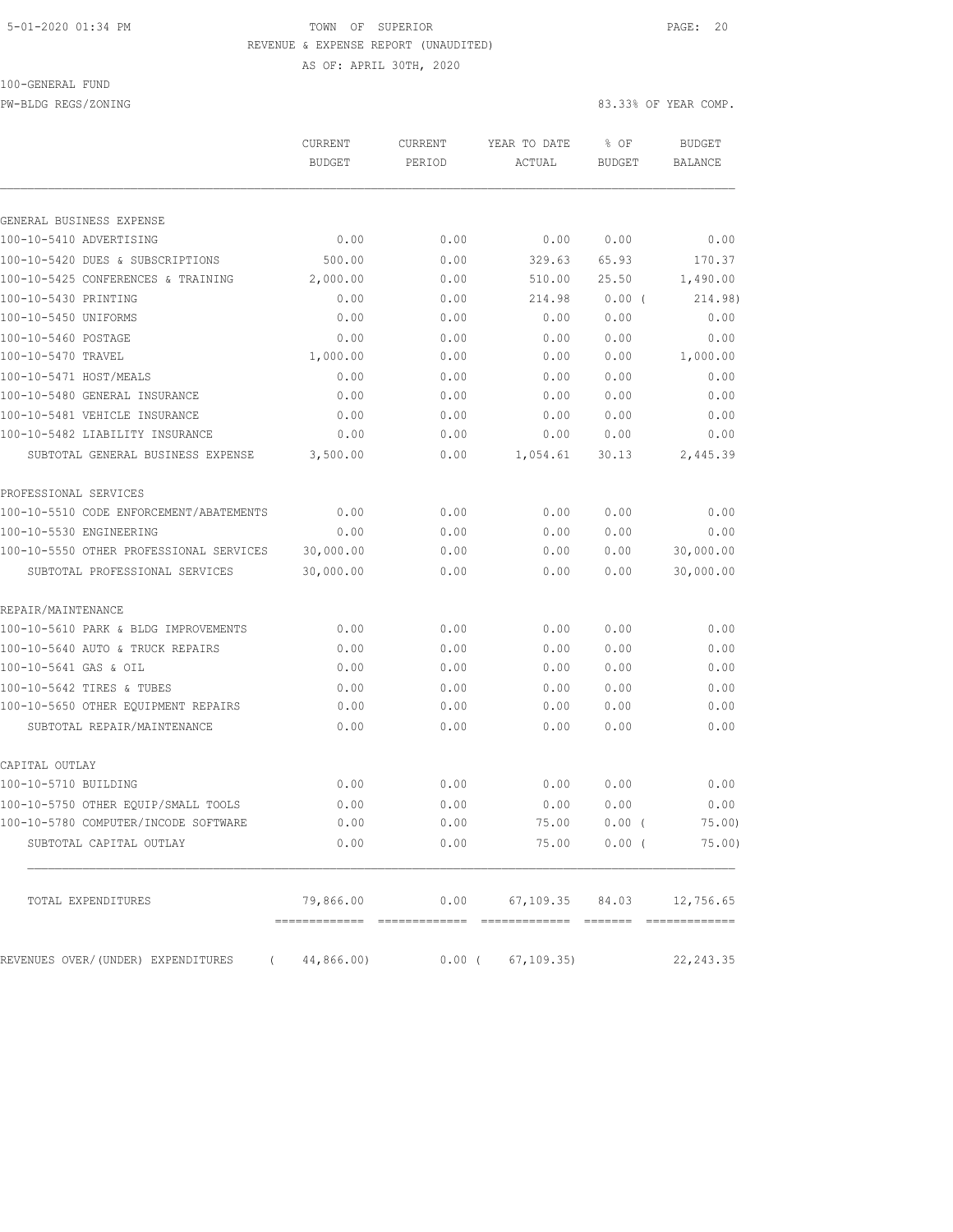### 5-01-2020 01:34 PM **TOWN** OF SUPERIOR **PAGE: 20** REVENUE & EXPENSE REPORT (UNAUDITED)

AS OF: APRIL 30TH, 2020

100-GENERAL FUND

PW-BLDG REGS/ZONING 83.33% OF YEAR COMP.

|                                         | <b>CURRENT</b><br><b>BUDGET</b> | <b>CURRENT</b><br>PERIOD | YEAR TO DATE<br>ACTUAL | $8$ OF<br><b>BUDGET</b> | <b>BUDGET</b><br><b>BALANCE</b> |
|-----------------------------------------|---------------------------------|--------------------------|------------------------|-------------------------|---------------------------------|
| GENERAL BUSINESS EXPENSE                |                                 |                          |                        |                         |                                 |
| 100-10-5410 ADVERTISING                 | 0.00                            | 0.00                     | 0.00                   | 0.00                    | 0.00                            |
| 100-10-5420 DUES & SUBSCRIPTIONS        | 500.00                          | 0.00                     | 329.63                 | 65.93                   | 170.37                          |
| 100-10-5425 CONFERENCES & TRAINING      | 2,000.00                        | 0.00                     | 510.00                 | 25.50                   | 1,490.00                        |
| 100-10-5430 PRINTING                    | 0.00                            | 0.00                     | 214.98                 | 0.00(                   | 214.98)                         |
| 100-10-5450 UNIFORMS                    | 0.00                            | 0.00                     | 0.00                   | 0.00                    | 0.00                            |
| 100-10-5460 POSTAGE                     | 0.00                            | 0.00                     | 0.00                   | 0.00                    | 0.00                            |
| 100-10-5470 TRAVEL                      | 1,000.00                        | 0.00                     | 0.00                   | 0.00                    | 1,000.00                        |
| 100-10-5471 HOST/MEALS                  | 0.00                            | 0.00                     | 0.00                   | 0.00                    | 0.00                            |
| 100-10-5480 GENERAL INSURANCE           | 0.00                            | 0.00                     | 0.00                   | 0.00                    | 0.00                            |
| 100-10-5481 VEHICLE INSURANCE           | 0.00                            | 0.00                     | 0.00                   | 0.00                    | 0.00                            |
| 100-10-5482 LIABILITY INSURANCE         | 0.00                            | 0.00                     | 0.00                   | 0.00                    | 0.00                            |
| SUBTOTAL GENERAL BUSINESS EXPENSE       | 3,500.00                        | 0.00                     | 1,054.61               | 30.13                   | 2,445.39                        |
|                                         |                                 |                          |                        |                         |                                 |
| PROFESSIONAL SERVICES                   |                                 |                          |                        |                         |                                 |
| 100-10-5510 CODE ENFORCEMENT/ABATEMENTS | 0.00                            | 0.00                     | 0.00                   | 0.00                    | 0.00                            |
| 100-10-5530 ENGINEERING                 | 0.00                            | 0.00                     | 0.00                   | 0.00                    | 0.00                            |
| 100-10-5550 OTHER PROFESSIONAL SERVICES | 30,000.00                       | 0.00                     | 0.00                   | 0.00                    | 30,000.00                       |
| SUBTOTAL PROFESSIONAL SERVICES          | 30,000.00                       | 0.00                     | 0.00                   | 0.00                    | 30,000.00                       |
| REPAIR/MAINTENANCE                      |                                 |                          |                        |                         |                                 |
| 100-10-5610 PARK & BLDG IMPROVEMENTS    | 0.00                            | 0.00                     | 0.00                   | 0.00                    | 0.00                            |
| 100-10-5640 AUTO & TRUCK REPAIRS        | 0.00                            | 0.00                     | 0.00                   | 0.00                    | 0.00                            |
| 100-10-5641 GAS & OIL                   | 0.00                            | 0.00                     | 0.00                   | 0.00                    | 0.00                            |
| 100-10-5642 TIRES & TUBES               | 0.00                            | 0.00                     | 0.00                   | 0.00                    | 0.00                            |
| 100-10-5650 OTHER EQUIPMENT REPAIRS     | 0.00                            | 0.00                     | 0.00                   | 0.00                    | 0.00                            |
| SUBTOTAL REPAIR/MAINTENANCE             | 0.00                            | 0.00                     | 0.00                   | 0.00                    | 0.00                            |
| CAPITAL OUTLAY                          |                                 |                          |                        |                         |                                 |
| 100-10-5710 BUILDING                    | 0.00                            | 0.00                     | 0.00                   | 0.00                    | 0.00                            |
| 100-10-5750 OTHER EQUIP/SMALL TOOLS     | 0.00                            | 0.00                     | 0.00                   | 0.00                    | 0.00                            |
| 100-10-5780 COMPUTER/INCODE SOFTWARE    | 0.00                            | 0.00                     | 75.00                  | $0.00$ (                | 75.00)                          |
| SUBTOTAL CAPITAL OUTLAY                 | 0.00                            | 0.00                     | 75.00                  | $0.00$ (                | 75.00)                          |
|                                         |                                 |                          |                        |                         |                                 |
| TOTAL EXPENDITURES                      | 79,866.00                       | 0.00                     | 67, 109.35             | 84.03                   | 12,756.65                       |

REVENUES OVER/(UNDER) EXPENDITURES (44,866.00) 0.00 (67,109.35) 22,243.35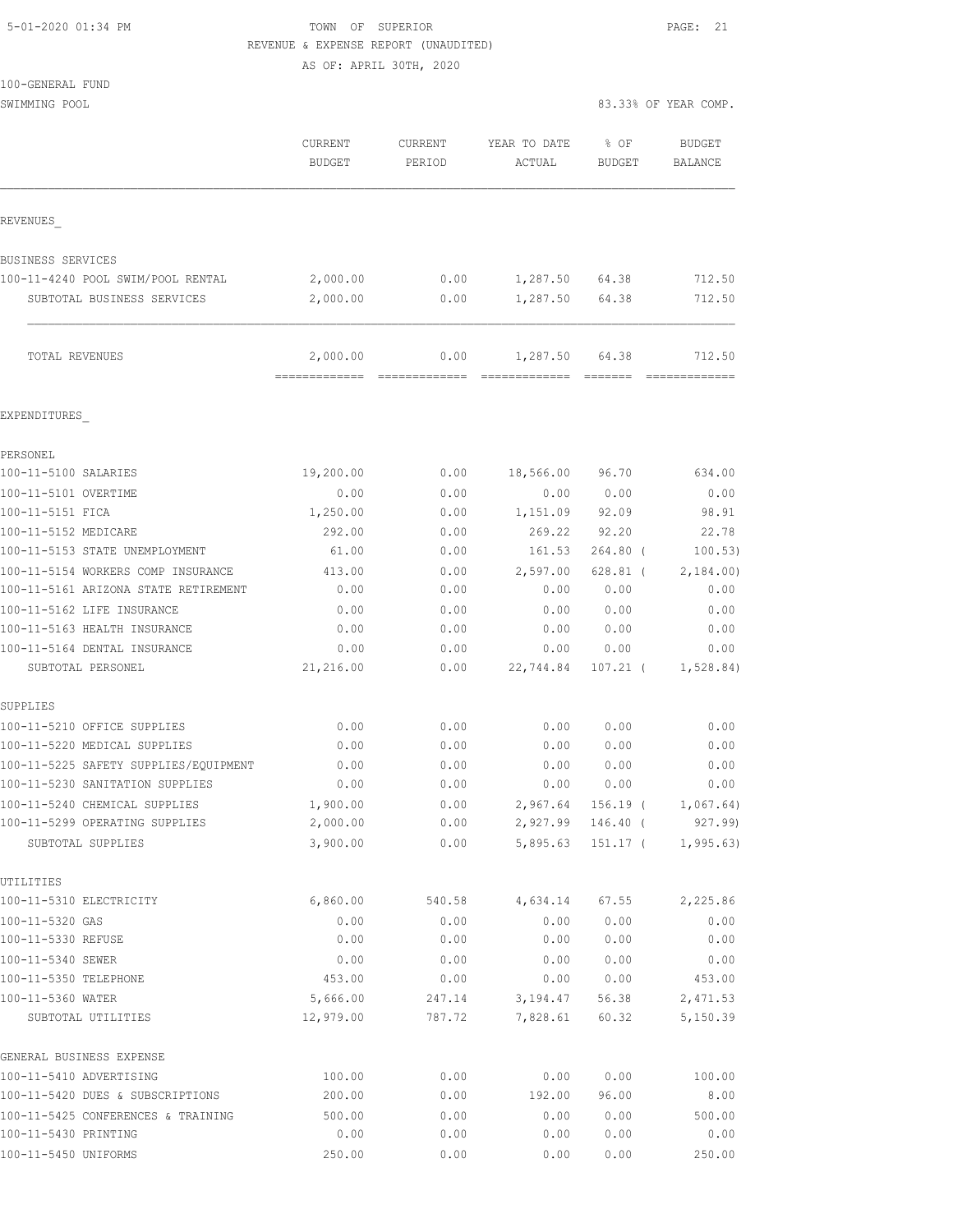| 5-01-2020 01:34 PM |  |
|--------------------|--|
|                    |  |

TOWN OF SUPERIOR **PAGE: 21** REVENUE & EXPENSE REPORT (UNAUDITED)

AS OF: APRIL 30TH, 2020

| 100-GENERAL FUND                                  |                          |                   |                        |                       |                          |
|---------------------------------------------------|--------------------------|-------------------|------------------------|-----------------------|--------------------------|
| SWIMMING POOL                                     |                          |                   |                        |                       | 83.33% OF YEAR COMP.     |
|                                                   | CURRENT<br><b>BUDGET</b> | CURRENT<br>PERIOD | YEAR TO DATE<br>ACTUAL | % OF<br><b>BUDGET</b> | <b>BUDGET</b><br>BALANCE |
| REVENUES                                          |                          |                   |                        |                       |                          |
| <b>BUSINESS SERVICES</b>                          |                          |                   |                        |                       |                          |
| 100-11-4240 POOL SWIM/POOL RENTAL                 | 2,000.00                 | 0.00              | 1,287.50 64.38         |                       | 712.50                   |
| SUBTOTAL BUSINESS SERVICES                        | 2,000.00                 | 0.00              | 1,287.50 64.38         |                       | 712.50                   |
| TOTAL REVENUES                                    | 2,000.00                 | 0.00              | 1,287.50 64.38         |                       | 712.50                   |
| EXPENDITURES                                      |                          |                   |                        |                       |                          |
| PERSONEL                                          |                          |                   |                        |                       |                          |
| 100-11-5100 SALARIES                              | 19,200.00                | 0.00              | 18,566.00              | 96.70                 | 634.00                   |
| 100-11-5101 OVERTIME                              | 0.00                     | 0.00              | 0.00                   | 0.00                  | 0.00                     |
| 100-11-5151 FICA                                  | 1,250.00                 | 0.00              | 1,151.09               | 92.09                 | 98.91                    |
| 100-11-5152 MEDICARE                              | 292.00                   | 0.00              | 269.22                 | 92.20                 | 22.78                    |
| 100-11-5153 STATE UNEMPLOYMENT                    | 61.00                    | 0.00              | 161.53                 | $264.80$ (            | 100.53)                  |
| 100-11-5154 WORKERS COMP INSURANCE                | 413.00                   | 0.00              | 2,597.00               | $628.81$ (            | 2,184.00                 |
| 100-11-5161 ARIZONA STATE RETIREMENT              | 0.00                     | 0.00              | 0.00                   | 0.00                  | 0.00                     |
| 100-11-5162 LIFE INSURANCE                        | 0.00                     | 0.00              | 0.00                   | 0.00                  | 0.00                     |
| 100-11-5163 HEALTH INSURANCE                      | 0.00                     | 0.00              | 0.00                   | 0.00                  | 0.00                     |
| 100-11-5164 DENTAL INSURANCE<br>SUBTOTAL PERSONEL | 0.00<br>21,216.00        | 0.00<br>0.00      | 0.00<br>22,744.84      | 0.00<br>$107.21$ (    | 0.00<br>1,528.84)        |
| SUPPLIES                                          |                          |                   |                        |                       |                          |
| 100-11-5210 OFFICE SUPPLIES                       | 0.00                     | 0.00              | 0.00                   | 0.00                  | 0.00                     |
| 100-11-5220 MEDICAL SUPPLIES                      | 0.00                     | 0.00              | 0.00                   | 0.00                  | 0.00                     |
| 100-11-5225 SAFETY SUPPLIES/EQUIPMENT             | 0.00                     | 0.00              | 0.00                   | 0.00                  | 0.00                     |
| 100-11-5230 SANITATION SUPPLIES                   | 0.00                     | 0.00              | 0.00                   | 0.00                  | 0.00                     |
| 100-11-5240 CHEMICAL SUPPLIES                     | 1,900.00                 | 0.00              | 2,967.64               | $156.19$ (            | 1,067.64)                |
| 100-11-5299 OPERATING SUPPLIES                    | 2,000.00                 | 0.00              | 2,927.99               | $146.40$ (            | 927.99)                  |
| SUBTOTAL SUPPLIES                                 | 3,900.00                 | 0.00              | 5,895.63               | 151.17 (              | 1, 995.63)               |
| UTILITIES                                         |                          |                   |                        |                       |                          |
| 100-11-5310 ELECTRICITY                           | 6,860.00                 | 540.58            | 4,634.14               | 67.55                 | 2,225.86                 |
| 100-11-5320 GAS                                   | 0.00                     | 0.00              | 0.00                   | 0.00                  | 0.00                     |
| 100-11-5330 REFUSE                                | 0.00                     | 0.00              | 0.00                   | 0.00                  | 0.00                     |
| 100-11-5340 SEWER                                 | 0.00                     | 0.00              | 0.00                   | 0.00                  | 0.00                     |
| 100-11-5350 TELEPHONE                             | 453.00                   | 0.00              | 0.00                   | 0.00                  | 453.00                   |
| 100-11-5360 WATER<br>SUBTOTAL UTILITIES           | 5,666.00<br>12,979.00    | 247.14<br>787.72  | 3,194.47<br>7,828.61   | 56.38<br>60.32        | 2,471.53<br>5,150.39     |
| GENERAL BUSINESS EXPENSE                          |                          |                   |                        |                       |                          |
| 100-11-5410 ADVERTISING                           | 100.00                   | 0.00              | 0.00                   | 0.00                  | 100.00                   |
| 100-11-5420 DUES & SUBSCRIPTIONS                  | 200.00                   | 0.00              | 192.00                 | 96.00                 | 8.00                     |
| 100-11-5425 CONFERENCES & TRAINING                | 500.00                   | 0.00              | 0.00                   | 0.00                  | 500.00                   |

100-11-5425 CONFERENCES & TRAINING  $\begin{array}{cccc} 500.00 & 0.00 & 0.00 & 0.00 & 500.00 \\ 0.00 & 0.00 & 0.00 & 0.00 & 0.00 & 0.00 \end{array}$ 100-11-5430 PRINTING 0.00 0.00 0.00 0.00 0.00 100-11-5450 UNIFORMS 250.00 0.00 0.00 0.00 250.00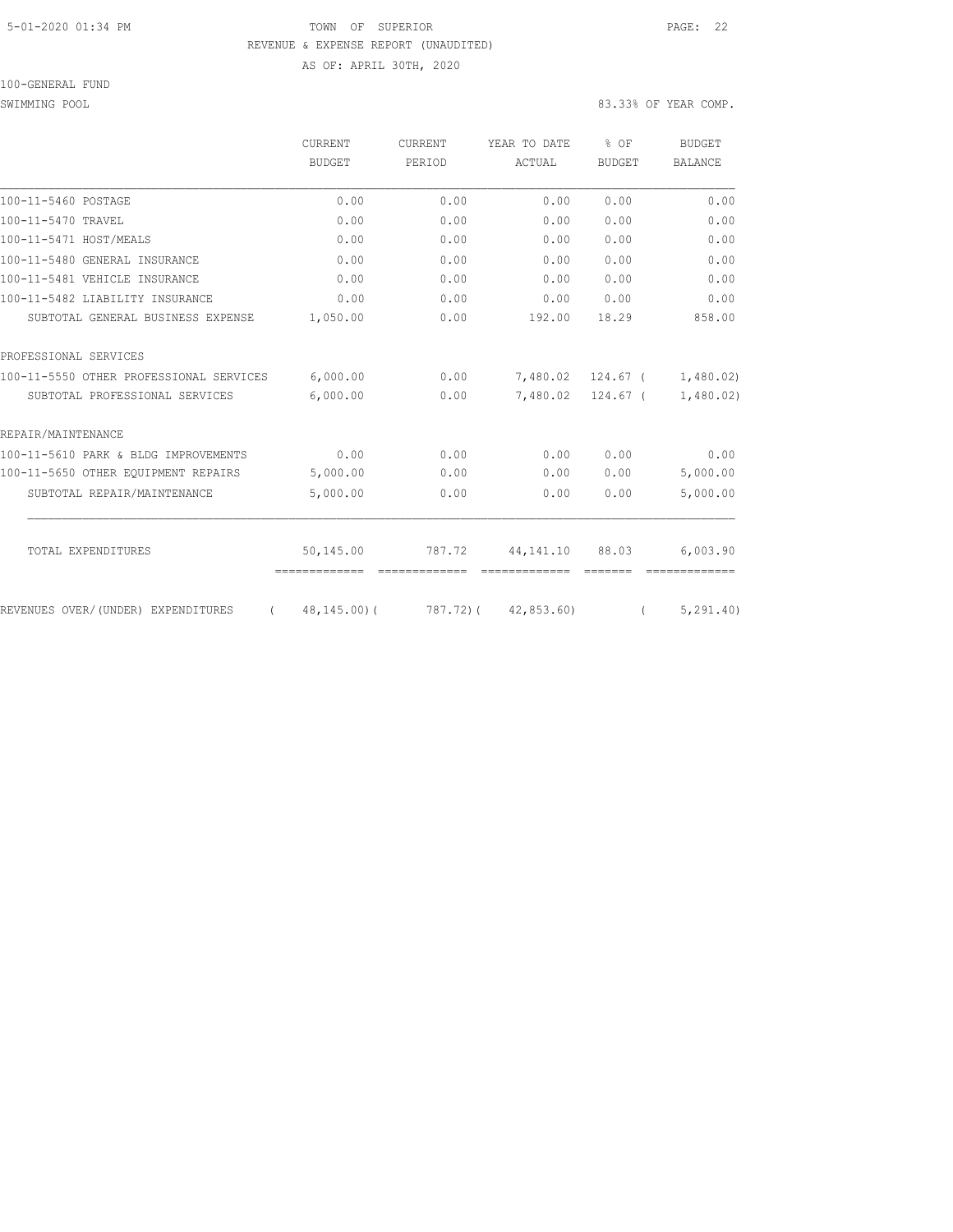#### 5-01-2020 01:34 PM TOWN OF SUPERIOR PAGE: 22 REVENUE & EXPENSE REPORT (UNAUDITED) AS OF: APRIL 30TH, 2020

100-GENERAL FUND

SWIMMING POOL SOLUTION COMPLETE STATES AND RELEASE ON A STRUCTURE OF STRUCTURE STATES OF YEAR COMP.

|                                                | CURRENT                            | <b>CURRENT</b> | YEAR TO DATE        | % OF              | <b>BUDGET</b><br><b>BALANCE</b> |
|------------------------------------------------|------------------------------------|----------------|---------------------|-------------------|---------------------------------|
|                                                | BUDGET                             | PERIOD         | ACTUAL              | <b>BUDGET</b>     |                                 |
| 100-11-5460 POSTAGE                            | 0.00                               | 0.00           | 0.00                | 0.00              | 0.00                            |
| 100-11-5470 TRAVEL                             | 0.00                               | 0.00           | 0.00                | 0.00              | 0.00                            |
| 100-11-5471 HOST/MEALS                         | 0.00                               | 0.00           | 0.00                | 0.00              | 0.00                            |
| 100-11-5480 GENERAL INSURANCE                  | 0.00                               | 0.00           | 0.00                | 0.00              | 0.00                            |
| 100-11-5481 VEHICLE INSURANCE                  | 0.00                               | 0.00           | 0.00                | 0.00              | 0.00                            |
| 100-11-5482 LIABILITY INSURANCE                | 0.00                               | 0.00           | 0.00                | 0.00              | 0.00                            |
| SUBTOTAL GENERAL BUSINESS EXPENSE              | 1,050.00                           | 0.00           | 192.00              | 18.29             | 858.00                          |
| PROFESSIONAL SERVICES                          |                                    |                |                     |                   |                                 |
| 100-11-5550 OTHER PROFESSIONAL SERVICES        | 6,000.00                           | 0.00           |                     | 7,480.02 124.67 ( | 1,480.02)                       |
| SUBTOTAL PROFESSIONAL SERVICES                 | 6,000.00                           | 0.00           |                     | 7,480.02 124.67 ( | 1,480.02)                       |
| REPAIR/MAINTENANCE                             |                                    |                |                     |                   |                                 |
| 100-11-5610 PARK & BLDG IMPROVEMENTS           | 0.00                               | 0.00           | 0.00                | 0.00              | 0.00                            |
| 100-11-5650 OTHER EQUIPMENT REPAIRS            | 5,000.00                           | 0.00           | 0.00                | 0.00              | 5,000.00                        |
| SUBTOTAL REPAIR/MAINTENANCE                    | 5,000.00                           | 0.00           | 0.00                | 0.00              | 5,000.00                        |
| TOTAL EXPENDITURES                             | 50,145.00                          | 787.72         | 44,141.10           | 88.03             | 6,003.90                        |
| REVENUES OVER/(UNDER) EXPENDITURES<br>$\left($ | =============<br>$48, 145, 00$ ) ( |                | 787.72) (42,853.60) |                   | 5, 291, 40                      |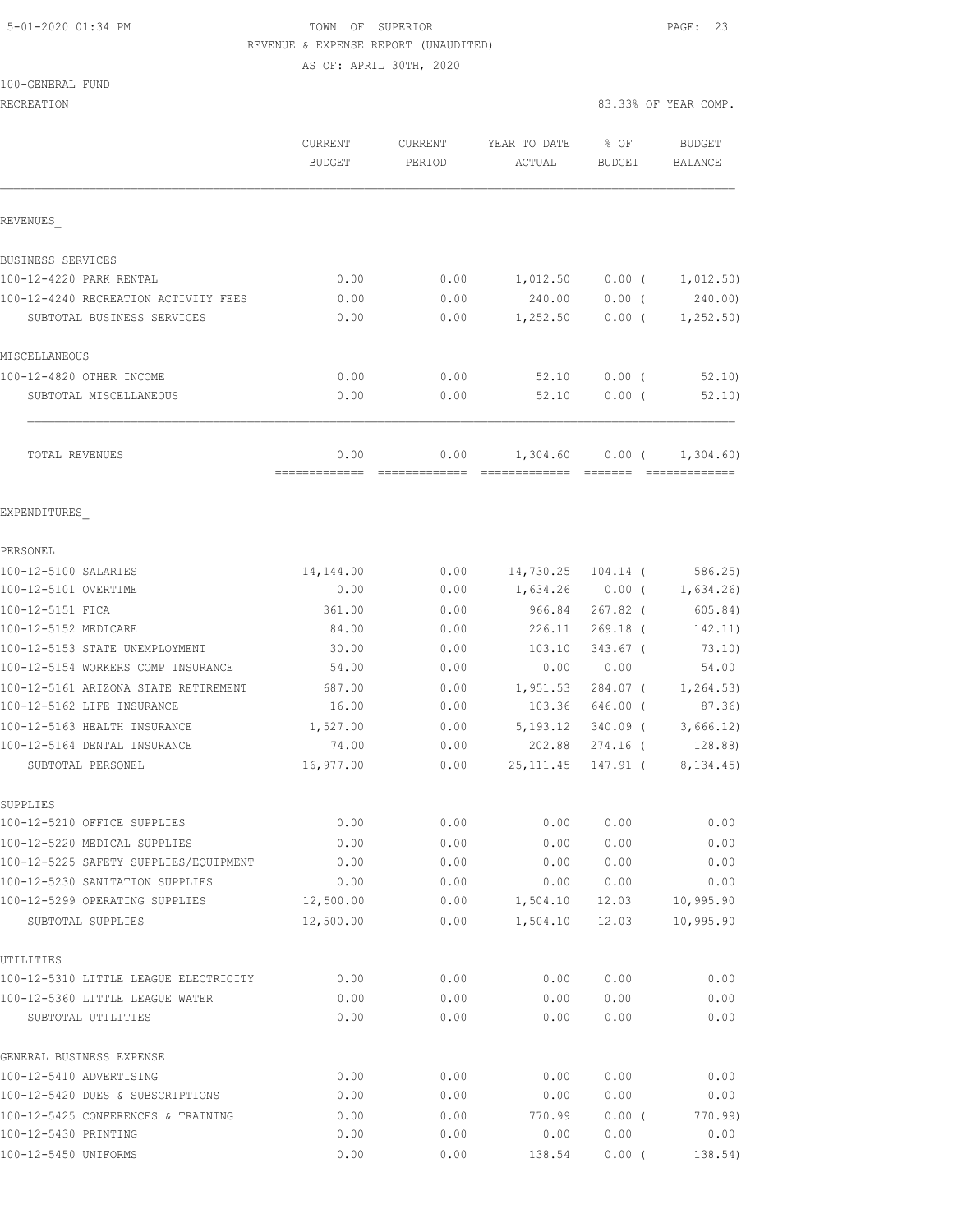### 5-01-2020 01:34 PM TOWN OF SUPERIOR PAGE: 23 REVENUE & EXPENSE REPORT (UNAUDITED) AS OF: APRIL 30TH, 2020

100-GENERAL FUND

| RECREATION                                            |                                 |                   | 83.33% OF YEAR COMP.      |                      |                             |
|-------------------------------------------------------|---------------------------------|-------------------|---------------------------|----------------------|-----------------------------|
|                                                       | <b>CURRENT</b><br><b>BUDGET</b> | CURRENT<br>PERIOD | YEAR TO DATE<br>ACTUAL    | % OF<br>BUDGET       | BUDGET<br>BALANCE           |
| REVENUES                                              |                                 |                   |                           |                      |                             |
| BUSINESS SERVICES                                     |                                 |                   |                           |                      |                             |
| 100-12-4220 PARK RENTAL                               | 0.00                            | 0.00              | 1,012.50                  | $0.00$ (             | 1,012.50)                   |
| 100-12-4240 RECREATION ACTIVITY FEES                  | 0.00                            | 0.00              | 240.00                    | $0.00$ (             | 240.00)                     |
| SUBTOTAL BUSINESS SERVICES                            | 0.00                            | 0.00              | 1,252.50                  | $0.00$ (             | 1, 252.50)                  |
| MISCELLANEOUS                                         |                                 |                   |                           |                      |                             |
| 100-12-4820 OTHER INCOME                              | 0.00                            | 0.00              | 52.10                     | $0.00$ (             | 52.10                       |
| SUBTOTAL MISCELLANEOUS                                | 0.00                            | 0.00              | 52.10                     | $0.00$ (             | 52.10                       |
| TOTAL REVENUES                                        | 0.00<br>=============           | 0.00              | 1,304.60<br>------------- | $0.00$ (<br>-------- | 1,304.60)<br>-------------- |
| EXPENDITURES                                          |                                 |                   |                           |                      |                             |
| PERSONEL                                              |                                 |                   |                           |                      |                             |
| 100-12-5100 SALARIES                                  | 14,144.00                       | 0.00              | 14,730.25                 | $104.14$ (           | 586.25                      |
| 100-12-5101 OVERTIME                                  | 0.00                            | 0.00              | 1,634.26                  | $0.00$ (             | 1,634.26                    |
| 100-12-5151 FICA                                      | 361.00                          | 0.00              | 966.84                    | $267.82$ (           | 605.84)                     |
| 100-12-5152 MEDICARE                                  | 84.00                           | 0.00              | 226.11                    | $269.18$ (           | 142.11)                     |
| 100-12-5153 STATE UNEMPLOYMENT                        | 30.00                           | 0.00              | 103.10                    | $343.67$ (           | 73.10)                      |
| 100-12-5154 WORKERS COMP INSURANCE                    | 54.00                           | 0.00              | 0.00                      | 0.00                 | 54.00                       |
| 100-12-5161 ARIZONA STATE RETIREMENT                  | 687.00                          | 0.00              | 1,951.53                  | 284.07 (             | 1, 264.53)                  |
| 100-12-5162 LIFE INSURANCE                            | 16.00                           | 0.00              | 103.36                    | 646.00 (             | 87.36)                      |
| 100-12-5163 HEALTH INSURANCE                          | 1,527.00                        | 0.00              | 5, 193. 12                | $340.09$ (           | 3,666.12)                   |
| 100-12-5164 DENTAL INSURANCE                          | 74.00                           | 0.00              | 202.88                    | $274.16$ (           | 128.88)                     |
| SUBTOTAL PERSONEL                                     | 16,977.00                       | 0.00              | 25, 111.45                | 147.91 (             | 8, 134.45)                  |
| SUPPLIES                                              |                                 |                   |                           |                      |                             |
| 100-12-5210 OFFICE SUPPLIES                           | 0.00                            | 0.00              | 0.00                      | 0.00                 | 0.00                        |
| 100-12-5220 MEDICAL SUPPLIES                          | 0.00                            | 0.00              | 0.00                      | 0.00                 | 0.00                        |
| 100-12-5225 SAFETY SUPPLIES/EOUIPMENT                 | 0.00                            | 0.00              | 0.00                      | 0.00                 | 0.00                        |
| 100-12-5230 SANITATION SUPPLIES                       | 0.00                            | 0.00              | 0.00                      | 0.00                 | 0.00                        |
| 100-12-5299 OPERATING SUPPLIES                        | 12,500.00                       | 0.00              | 1,504.10                  | 12.03                | 10,995.90                   |
| SUBTOTAL SUPPLIES                                     | 12,500.00                       | 0.00              | 1,504.10                  | 12.03                | 10,995.90                   |
| UTILITIES                                             |                                 |                   |                           |                      |                             |
| 100-12-5310 LITTLE LEAGUE ELECTRICITY                 | 0.00                            | 0.00              | 0.00                      | 0.00                 | 0.00                        |
| 100-12-5360 LITTLE LEAGUE WATER<br>SUBTOTAL UTILITIES | 0.00<br>0.00                    | 0.00<br>0.00      | 0.00<br>0.00              | 0.00<br>0.00         | 0.00<br>0.00                |
| GENERAL BUSINESS EXPENSE                              |                                 |                   |                           |                      |                             |
| 100-12-5410 ADVERTISING                               | 0.00                            | 0.00              | 0.00                      | 0.00                 | 0.00                        |
| 100-12-5420 DUES & SUBSCRIPTIONS                      | 0.00                            | 0.00              | 0.00                      | 0.00                 | 0.00                        |
| 100-12-5425 CONFERENCES & TRAINING                    | 0.00                            | 0.00              | 770.99                    | $0.00$ (             | 770.99)                     |
| 100-12-5430 PRINTING                                  | 0.00                            | 0.00              | 0.00                      | 0.00                 | 0.00                        |
| 100-12-5450 UNIFORMS                                  | 0.00                            | 0.00              | 138.54                    | $0.00$ (             | 138.54)                     |
|                                                       |                                 |                   |                           |                      |                             |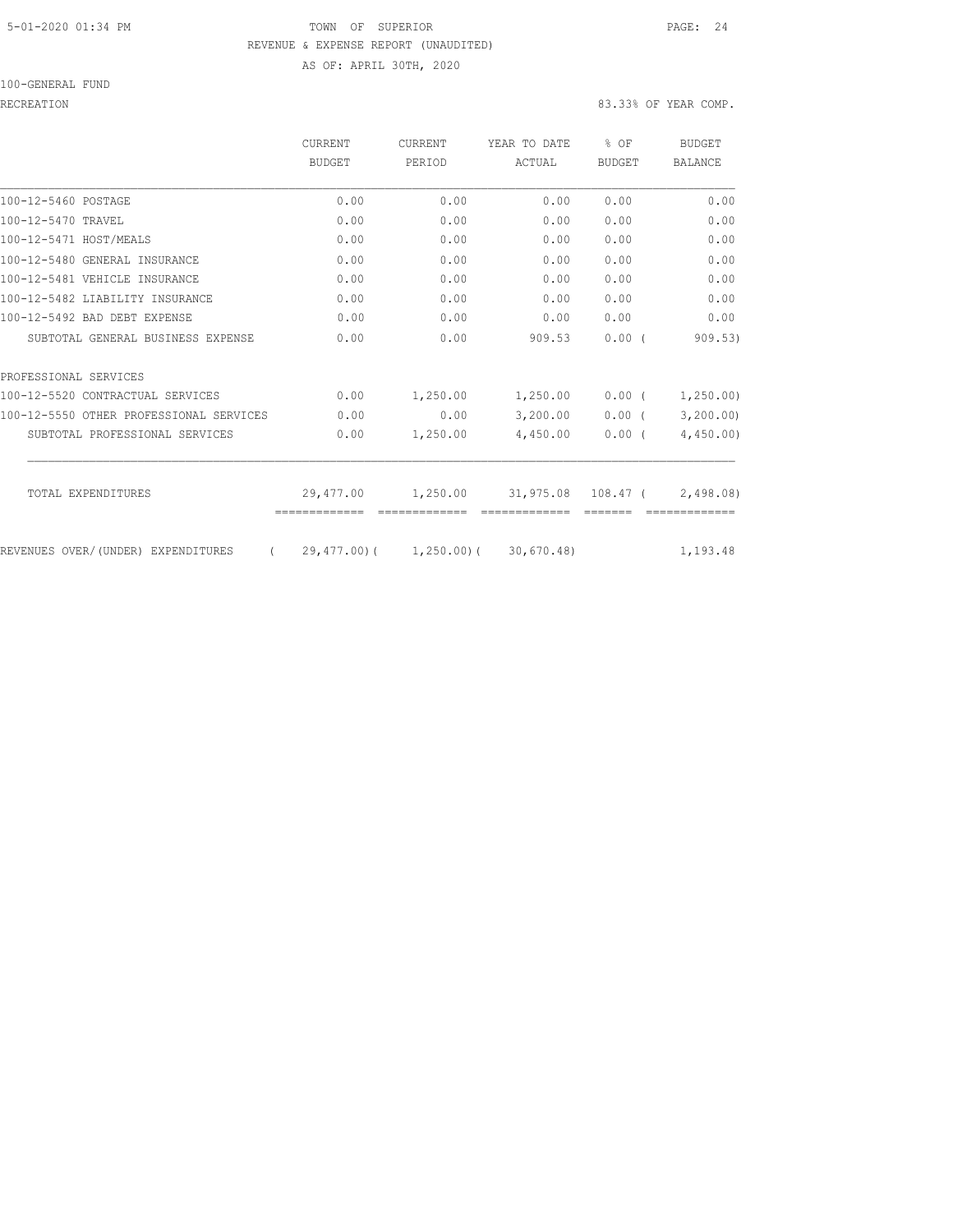#### 5-01-2020 01:34 PM TOWN OF SUPERIOR PAGE: 24 REVENUE & EXPENSE REPORT (UNAUDITED) AS OF: APRIL 30TH, 2020

100-GENERAL FUND

|                                                  | CURRENT<br><b>BUDGET</b> | <b>CURRENT</b><br>PERIOD            | YEAR TO DATE<br>ACTUAL | % OF<br><b>BUDGET</b> | <b>BUDGET</b><br><b>BALANCE</b> |
|--------------------------------------------------|--------------------------|-------------------------------------|------------------------|-----------------------|---------------------------------|
| 100-12-5460 POSTAGE                              | 0.00                     | 0.00                                | 0.00                   | 0.00                  | 0.00                            |
| 100-12-5470 TRAVEL                               | 0.00                     | 0.00                                | 0.00                   | 0.00                  | 0.00                            |
| 100-12-5471 HOST/MEALS                           | 0.00                     | 0.00                                | 0.00                   | 0.00                  | 0.00                            |
| 100-12-5480 GENERAL INSURANCE                    | 0.00                     | 0.00                                | 0.00                   | 0.00                  | 0.00                            |
| 100-12-5481 VEHICLE INSURANCE                    | 0.00                     | 0.00                                | 0.00                   | 0.00                  | 0.00                            |
| 100-12-5482 LIABILITY INSURANCE                  | 0.00                     | 0.00                                | 0.00                   | 0.00                  | 0.00                            |
| 100-12-5492 BAD DEBT EXPENSE                     | 0.00                     | 0.00                                | 0.00                   | 0.00                  | 0.00                            |
| SUBTOTAL GENERAL BUSINESS EXPENSE                | 0.00                     | 0.00                                | 909.53                 | 0.00(                 | 909.53)                         |
| PROFESSIONAL SERVICES                            |                          |                                     |                        |                       |                                 |
| 100-12-5520 CONTRACTUAL SERVICES                 | 0.00                     | 1,250.00                            | 1,250.00               | $0.00$ (              | 1, 250.00                       |
| 100-12-5550 OTHER PROFESSIONAL SERVICES          | 0.00                     | 0.00                                | 3,200.00               | $0.00$ (              | 3,200.00                        |
| SUBTOTAL PROFESSIONAL SERVICES                   | 0.00                     | 1,250.00                            | 4,450.00               | 0.00(                 | 4,450.00                        |
| TOTAL EXPENDITURES                               | 29,477.00                | 1,250.00                            | 31,975.08              | $108.47$ (            | 2,498,08                        |
|                                                  |                          |                                     |                        |                       |                                 |
| REVENUES OVER/(UNDER) EXPENDITURES<br>$\sqrt{2}$ |                          | 29,477.00) ( 1,250.00) ( 30,670.48) |                        |                       | 1,193.48                        |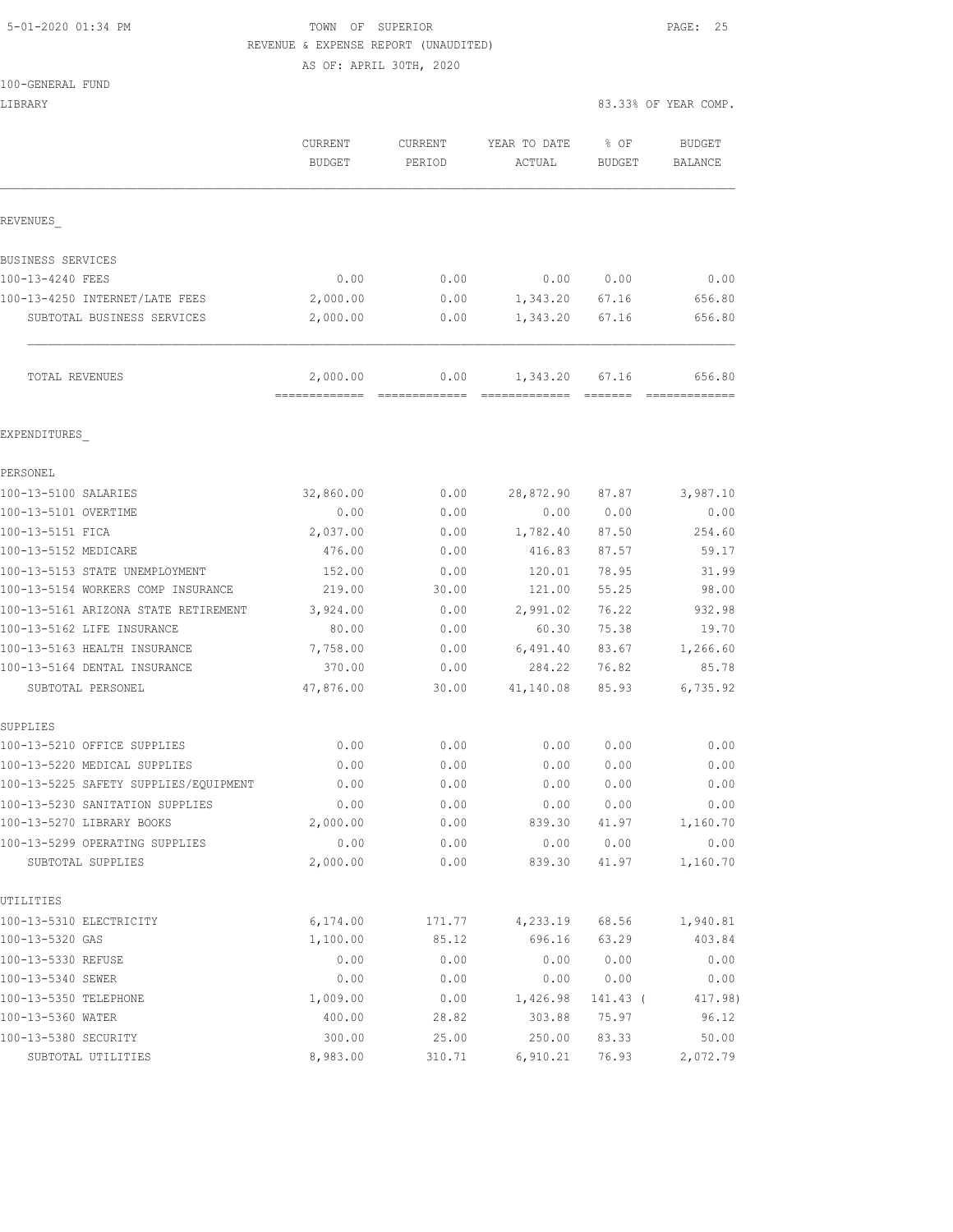## 5-01-2020 01:34 PM **TOWN** OF SUPERIOR **PAGE: 25** REVENUE & EXPENSE REPORT (UNAUDITED)

AS OF: APRIL 30TH, 2020

LIBRARY 83.33% OF YEAR COMP.

|                                                   | <b>CURRENT</b><br><b>BUDGET</b> | <b>CURRENT</b><br>PERIOD | YEAR TO DATE<br>ACTUAL | % OF<br>BUDGET | <b>BUDGET</b><br>BALANCE |
|---------------------------------------------------|---------------------------------|--------------------------|------------------------|----------------|--------------------------|
| REVENUES                                          |                                 |                          |                        |                |                          |
| BUSINESS SERVICES                                 |                                 |                          |                        |                |                          |
| 100-13-4240 FEES                                  | 0.00                            | 0.00                     | 0.00                   | 0.00           | 0.00                     |
| 100-13-4250 INTERNET/LATE FEES                    | 2,000.00                        | 0.00                     | 1,343.20               | 67.16          | 656.80                   |
| SUBTOTAL BUSINESS SERVICES                        | 2,000.00                        | 0.00                     | 1,343.20               | 67.16          | 656.80                   |
| TOTAL REVENUES                                    | 2,000.00                        | 0.00                     | 1,343.20               | 67.16          | 656.80                   |
| EXPENDITURES                                      |                                 |                          |                        |                |                          |
| PERSONEL                                          |                                 |                          |                        |                |                          |
| 100-13-5100 SALARIES                              | 32,860.00                       | 0.00                     | 28,872.90              | 87.87          | 3,987.10                 |
| 100-13-5101 OVERTIME                              | 0.00                            | 0.00                     | 0.00                   | 0.00           | 0.00                     |
| 100-13-5151 FICA                                  | 2,037.00                        | 0.00                     | 1,782.40               | 87.50          | 254.60                   |
| 100-13-5152 MEDICARE                              | 476.00                          | 0.00                     | 416.83                 | 87.57          | 59.17                    |
| 100-13-5153 STATE UNEMPLOYMENT                    | 152.00                          | 0.00                     | 120.01                 | 78.95          | 31.99                    |
| 100-13-5154 WORKERS COMP INSURANCE                | 219.00                          | 30.00                    | 121.00                 | 55.25          | 98.00                    |
| 100-13-5161 ARIZONA STATE RETIREMENT              | 3,924.00                        | 0.00                     | 2,991.02               | 76.22          | 932.98                   |
| 100-13-5162 LIFE INSURANCE                        | 80.00                           | 0.00                     | 60.30                  | 75.38          | 19.70                    |
| 100-13-5163 HEALTH INSURANCE                      | 7,758.00                        | 0.00                     | 6,491.40               | 83.67          | 1,266.60                 |
| 100-13-5164 DENTAL INSURANCE<br>SUBTOTAL PERSONEL | 370.00<br>47,876.00             | 0.00<br>30.00            | 284.22<br>41,140.08    | 76.82<br>85.93 | 85.78<br>6,735.92        |
| SUPPLIES                                          |                                 |                          |                        |                |                          |
| 100-13-5210 OFFICE SUPPLIES                       | 0.00                            | 0.00                     | 0.00                   | 0.00           | 0.00                     |
| 100-13-5220 MEDICAL SUPPLIES                      | 0.00                            | 0.00                     | 0.00                   | 0.00           | 0.00                     |
| 100-13-5225 SAFETY SUPPLIES/EQUIPMENT             | 0.00                            | 0.00                     | 0.00                   | 0.00           | 0.00                     |
| 100-13-5230 SANITATION SUPPLIES                   | 0.00                            | 0.00                     | 0.00                   | 0.00           | 0.00                     |
| 100-13-5270 LIBRARY BOOKS                         | 2,000.00                        | 0.00                     | 839.30                 | 41.97          | 1,160.70                 |
| 100-13-5299 OPERATING SUPPLIES                    | 0.00                            | 0.00                     | 0.00                   | 0.00           | 0.00                     |
| SUBTOTAL SUPPLIES                                 | 2,000.00                        | 0.00                     | 839.30                 | 41.97          | 1,160.70                 |
| UTILITIES                                         |                                 |                          |                        |                |                          |
| 100-13-5310 ELECTRICITY                           | 6,174.00                        | 171.77                   | 4,233.19               | 68.56          | 1,940.81                 |
| 100-13-5320 GAS                                   | 1,100.00                        | 85.12                    | 696.16                 | 63.29          | 403.84                   |
| 100-13-5330 REFUSE<br>100-13-5340 SEWER           | 0.00<br>0.00                    | 0.00<br>0.00             | 0.00<br>0.00           | 0.00<br>0.00   | 0.00<br>0.00             |
| 100-13-5350 TELEPHONE                             | 1,009.00                        | 0.00                     | 1,426.98               | 141.43 (       | 417.98)                  |
| 100-13-5360 WATER                                 | 400.00                          | 28.82                    | 303.88                 | 75.97          | 96.12                    |
| 100-13-5380 SECURITY                              | 300.00                          | 25.00                    | 250.00                 | 83.33          | 50.00                    |
| SUBTOTAL UTILITIES                                | 8,983.00                        | 310.71                   | 6,910.21               | 76.93          | 2,072.79                 |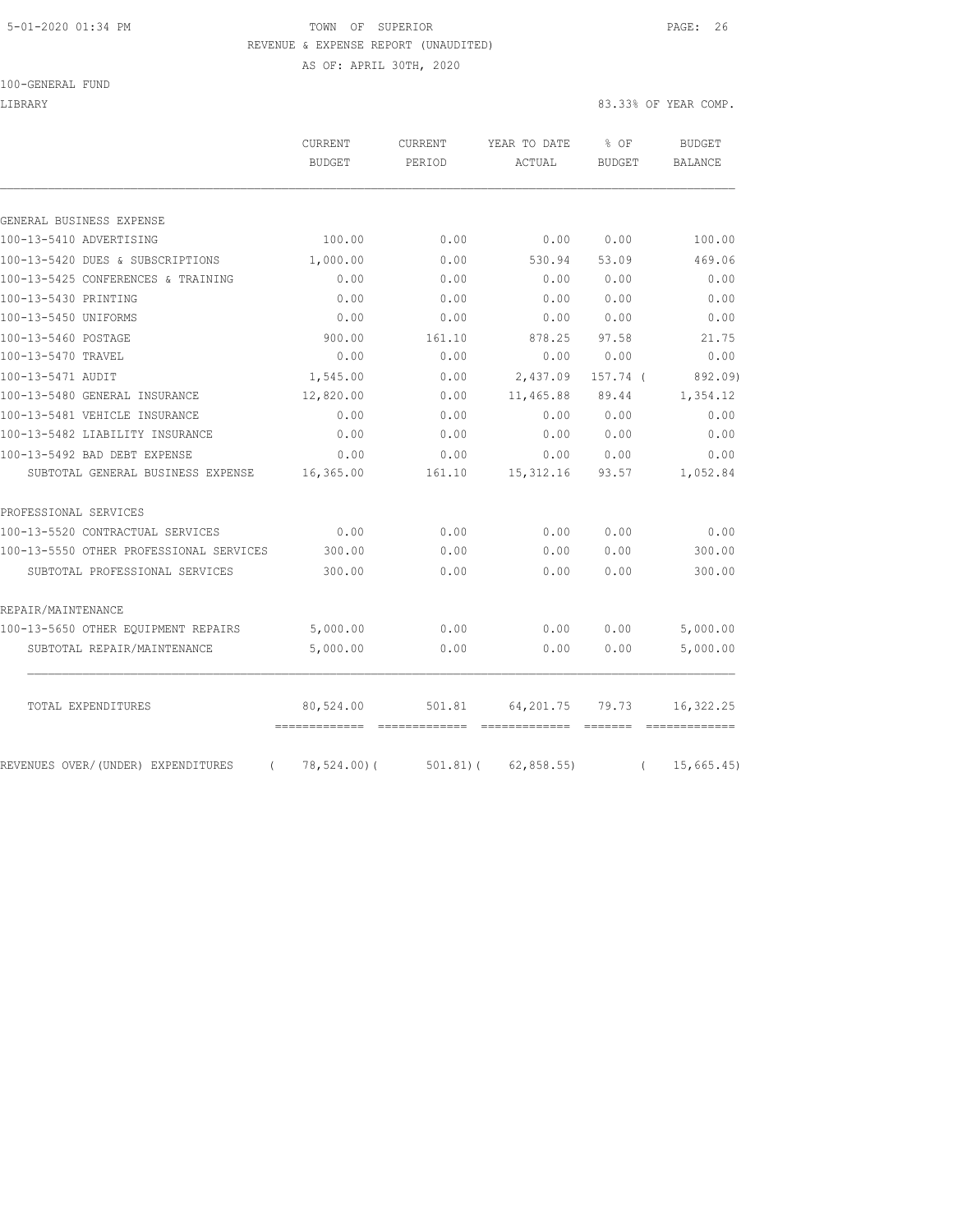### 5-01-2020 01:34 PM TOWN OF SUPERIOR PAGE: 26 REVENUE & EXPENSE REPORT (UNAUDITED)

AS OF: APRIL 30TH, 2020

100-GENERAL FUND

LIBRARY 83.33% OF YEAR COMP.

| GENERAL BUSINESS EXPENSE                                                                                               | 100.00<br>1,000.00<br>0.00<br>0.00<br>0.00<br>900.00<br>0.00 | 0.00<br>0.00<br>0.00<br>0.00<br>0.00<br>161.10 | 0.00<br>530.94<br>0.00<br>0.00<br>0.00 | 0.00<br>53.09<br>0.00<br>0.00 | 100.00<br>469.06<br>0.00<br>0.00 |
|------------------------------------------------------------------------------------------------------------------------|--------------------------------------------------------------|------------------------------------------------|----------------------------------------|-------------------------------|----------------------------------|
|                                                                                                                        |                                                              |                                                |                                        |                               |                                  |
| 100-13-5410 ADVERTISING                                                                                                |                                                              |                                                |                                        |                               |                                  |
| 100-13-5420 DUES & SUBSCRIPTIONS<br>100-13-5425 CONFERENCES & TRAINING<br>100-13-5430 PRINTING<br>100-13-5450 UNIFORMS |                                                              |                                                |                                        |                               |                                  |
|                                                                                                                        |                                                              |                                                |                                        |                               |                                  |
|                                                                                                                        |                                                              |                                                |                                        |                               |                                  |
|                                                                                                                        |                                                              |                                                |                                        |                               |                                  |
|                                                                                                                        |                                                              |                                                |                                        | 0.00                          | 0.00                             |
| 100-13-5460 POSTAGE                                                                                                    |                                                              |                                                | 878.25                                 | 97.58                         | 21.75                            |
| 100-13-5470 TRAVEL                                                                                                     |                                                              | 0.00                                           | 0.00                                   | 0.00                          | 0.00                             |
| 100-13-5471 AUDIT                                                                                                      | 1,545.00                                                     | 0.00                                           | 2,437.09                               | 157.74 (                      | 892.09)                          |
| 100-13-5480 GENERAL INSURANCE                                                                                          | 12,820.00                                                    | 0.00                                           | 11,465.88                              | 89.44                         | 1,354.12                         |
| 100-13-5481 VEHICLE INSURANCE                                                                                          | 0.00                                                         | 0.00                                           | 0.00                                   | 0.00                          | 0.00                             |
| 100-13-5482 LIABILITY INSURANCE                                                                                        | 0.00                                                         | 0.00                                           | 0.00                                   | 0.00                          | 0.00                             |
| 100-13-5492 BAD DEBT EXPENSE                                                                                           | 0.00                                                         | 0.00                                           | 0.00                                   | 0.00                          | 0.00                             |
| SUBTOTAL GENERAL BUSINESS EXPENSE                                                                                      | 16,365.00                                                    | 161.10                                         | 15, 312.16                             | 93.57                         | 1,052.84                         |
| PROFESSIONAL SERVICES                                                                                                  |                                                              |                                                |                                        |                               |                                  |
| 100-13-5520 CONTRACTUAL SERVICES                                                                                       | 0.00                                                         | 0.00                                           | 0.00                                   | 0.00                          | 0.00                             |
| 100-13-5550 OTHER PROFESSIONAL SERVICES                                                                                | 300.00                                                       | 0.00                                           | 0.00                                   | 0.00                          | 300.00                           |
| SUBTOTAL PROFESSIONAL SERVICES                                                                                         | 300.00                                                       | 0.00                                           | 0.00                                   | 0.00                          | 300.00                           |
| REPAIR/MAINTENANCE                                                                                                     |                                                              |                                                |                                        |                               |                                  |
| 100-13-5650 OTHER EQUIPMENT REPAIRS                                                                                    | 5,000.00                                                     | 0.00                                           | 0.00                                   | 0.00                          | 5,000.00                         |
| SUBTOTAL REPAIR/MAINTENANCE                                                                                            | 5,000.00                                                     | 0.00                                           | 0.00                                   | 0.00                          | 5,000.00                         |
| TOTAL EXPENDITURES                                                                                                     | 80,524.00                                                    | 501.81                                         | 64,201.75                              | 79.73                         | 16, 322.25                       |
| REVENUES OVER/(UNDER) EXPENDITURES                                                                                     | $(78, 524.00)$ (                                             |                                                | $501.81$ ( 62,858.55)                  |                               | 15,665.45<br>$\left($            |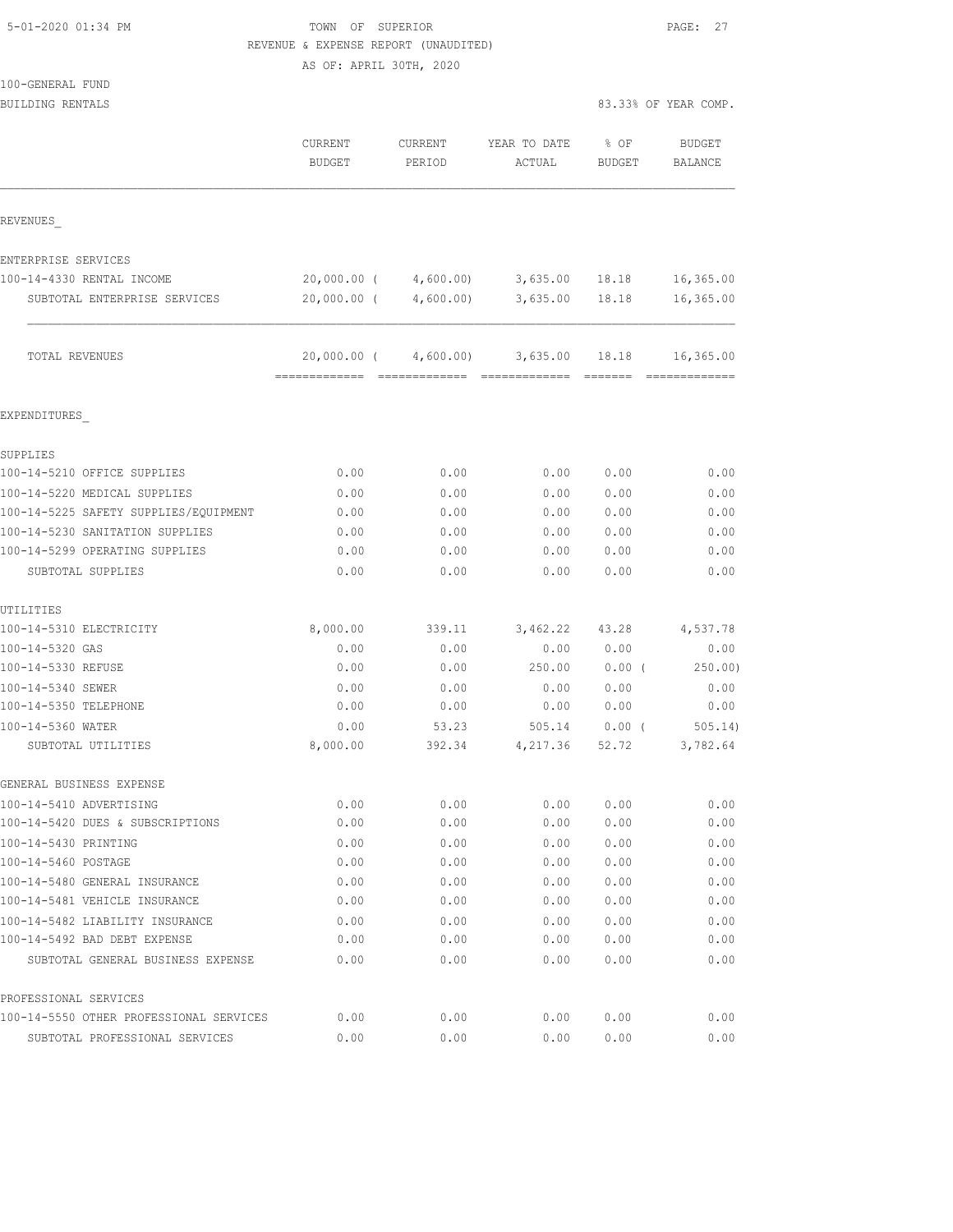| 5-01-2020 01:34 PM |  |
|--------------------|--|
|                    |  |

## TOWN OF SUPERIOR **Example 2014** PAGE: 27 REVENUE & EXPENSE REPORT (UNAUDITED)

AS OF: APRIL 30TH, 2020

| 100-GENERAL FUND                           |                          |                   |                        |                       |                          |
|--------------------------------------------|--------------------------|-------------------|------------------------|-----------------------|--------------------------|
| <b>BUILDING RENTALS</b>                    |                          |                   |                        |                       | 83.33% OF YEAR COMP.     |
|                                            | CURRENT<br><b>BUDGET</b> | CURRENT<br>PERIOD | YEAR TO DATE<br>ACTUAL | % OF<br><b>BUDGET</b> | <b>BUDGET</b><br>BALANCE |
| REVENUES                                   |                          |                   |                        |                       |                          |
| ENTERPRISE SERVICES                        |                          |                   |                        |                       |                          |
| 100-14-4330 RENTAL INCOME                  | 20,000.00 (              | 4,600.00)         | 3,635.00 18.18         |                       | 16,365.00                |
| SUBTOTAL ENTERPRISE SERVICES               | $20,000.00$ (            | 4,600.00)         | 3,635.00               | 18.18                 | 16,365.00                |
| TOTAL REVENUES                             | 20,000.00 (              | 4,600.00)         | 3,635.00 18.18         |                       | 16,365.00                |
| EXPENDITURES                               |                          |                   |                        |                       |                          |
| SUPPLIES                                   |                          |                   |                        |                       |                          |
| 100-14-5210 OFFICE SUPPLIES                | 0.00                     | 0.00              | 0.00                   | 0.00                  | 0.00                     |
| 100-14-5220 MEDICAL SUPPLIES               | 0.00                     | 0.00              | 0.00                   | 0.00                  | 0.00                     |
| 100-14-5225 SAFETY SUPPLIES/EOUIPMENT      | 0.00                     | 0.00              | 0.00                   | 0.00                  | 0.00                     |
| 100-14-5230 SANITATION SUPPLIES            | 0.00                     | 0.00              | 0.00                   | 0.00                  | 0.00                     |
| 100-14-5299 OPERATING SUPPLIES             | 0.00                     | 0.00              | 0.00                   | 0.00                  | 0.00                     |
| SUBTOTAL SUPPLIES                          | 0.00                     | 0.00              | 0.00                   | 0.00                  | 0.00                     |
| UTILITIES                                  |                          |                   |                        |                       |                          |
| 100-14-5310 ELECTRICITY                    | 8,000.00                 | 339.11            | 3,462.22               | 43.28                 | 4,537.78                 |
| 100-14-5320 GAS                            | 0.00                     | 0.00              | 0.00                   | 0.00                  | 0.00                     |
| 100-14-5330 REFUSE                         | 0.00                     | 0.00              | 250.00                 | $0.00$ (              | 250.00)                  |
| 100-14-5340 SEWER<br>100-14-5350 TELEPHONE | 0.00<br>0.00             | 0.00<br>0.00      | 0.00<br>0.00           | 0.00<br>0.00          | 0.00<br>0.00             |
| 100-14-5360 WATER                          | 0.00                     | 53.23             | 505.14                 | $0.00$ (              | 505.14)                  |
| SUBTOTAL UTILITIES                         | 8,000.00                 | 392.34            | 4,217.36               | 52.72                 | 3,782.64                 |
| GENERAL BUSINESS EXPENSE                   |                          |                   |                        |                       |                          |
| 100-14-5410 ADVERTISING                    | 0.00                     | 0.00              | 0.00                   | 0.00                  | 0.00                     |
| 100-14-5420 DUES & SUBSCRIPTIONS           | 0.00                     | 0.00              | 0.00                   | 0.00                  | 0.00                     |
| 100-14-5430 PRINTING                       | 0.00                     | 0.00              | 0.00                   | 0.00                  | 0.00                     |
| 100-14-5460 POSTAGE                        | 0.00                     | 0.00              | 0.00                   | 0.00                  | 0.00                     |
| 100-14-5480 GENERAL INSURANCE              | 0.00                     | 0.00              | 0.00                   | 0.00                  | 0.00                     |
| 100-14-5481 VEHICLE INSURANCE              | 0.00                     | 0.00              | 0.00                   | 0.00                  | 0.00                     |
| 100-14-5482 LIABILITY INSURANCE            | 0.00                     | 0.00              | 0.00                   | 0.00                  | 0.00                     |
| 100-14-5492 BAD DEBT EXPENSE               | 0.00                     | 0.00              | 0.00                   | 0.00                  | 0.00                     |
| SUBTOTAL GENERAL BUSINESS EXPENSE          | 0.00                     | 0.00              | 0.00                   | 0.00                  | 0.00                     |
| PROFESSIONAL SERVICES                      |                          |                   |                        |                       |                          |
| 100-14-5550 OTHER PROFESSIONAL SERVICES    | 0.00                     | 0.00              | 0.00                   | 0.00                  | 0.00                     |

SUBTOTAL PROFESSIONAL SERVICES 0.00 0.00 0.00 0.00 0.00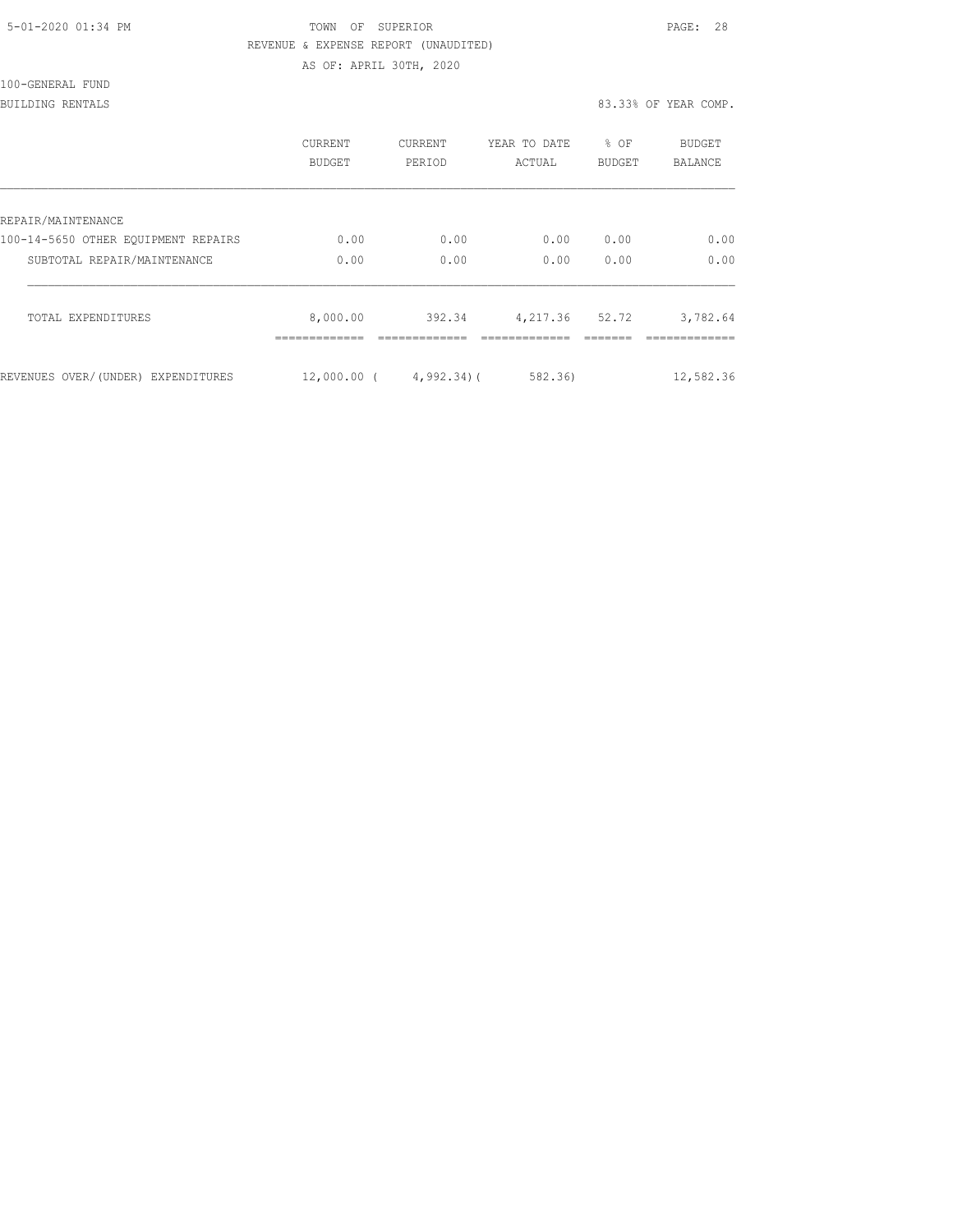| 5-01-2020 01:34 PM |  |
|--------------------|--|
|                    |  |

### TOWN OF SUPERIOR **Example 2010** PAGE: 28 REVENUE & EXPENSE REPORT (UNAUDITED) AS OF: APRIL 30TH, 2020

100-GENERAL FUND

#### BUILDING RENTALS 83.33% OF YEAR COMP.

|                                     | <b>CURRENT</b><br>BUDGET | CURRENT<br>PERIOD          | YEAR TO DATE<br>ACTUAL | % OF<br>BUDGET | <b>BUDGET</b><br><b>BALANCE</b> |
|-------------------------------------|--------------------------|----------------------------|------------------------|----------------|---------------------------------|
| REPAIR/MAINTENANCE                  |                          |                            |                        |                |                                 |
| 100-14-5650 OTHER EOUIPMENT REPAIRS | 0.00                     | 0.00                       | 0.00                   | 0.00           | 0.00                            |
| SUBTOTAL REPAIR/MAINTENANCE         | 0.00                     | 0.00                       | 0.00                   | 0.00           | 0.00                            |
| TOTAL EXPENDITURES                  | 8,000.00                 | 392.34                     | 4, 217.36 52.72        |                | 3,782.64                        |
| REVENUES OVER/(UNDER) EXPENDITURES  |                          | $12,000.00$ ( $4,992.34$ ) | 582.36                 |                | 12,582.36                       |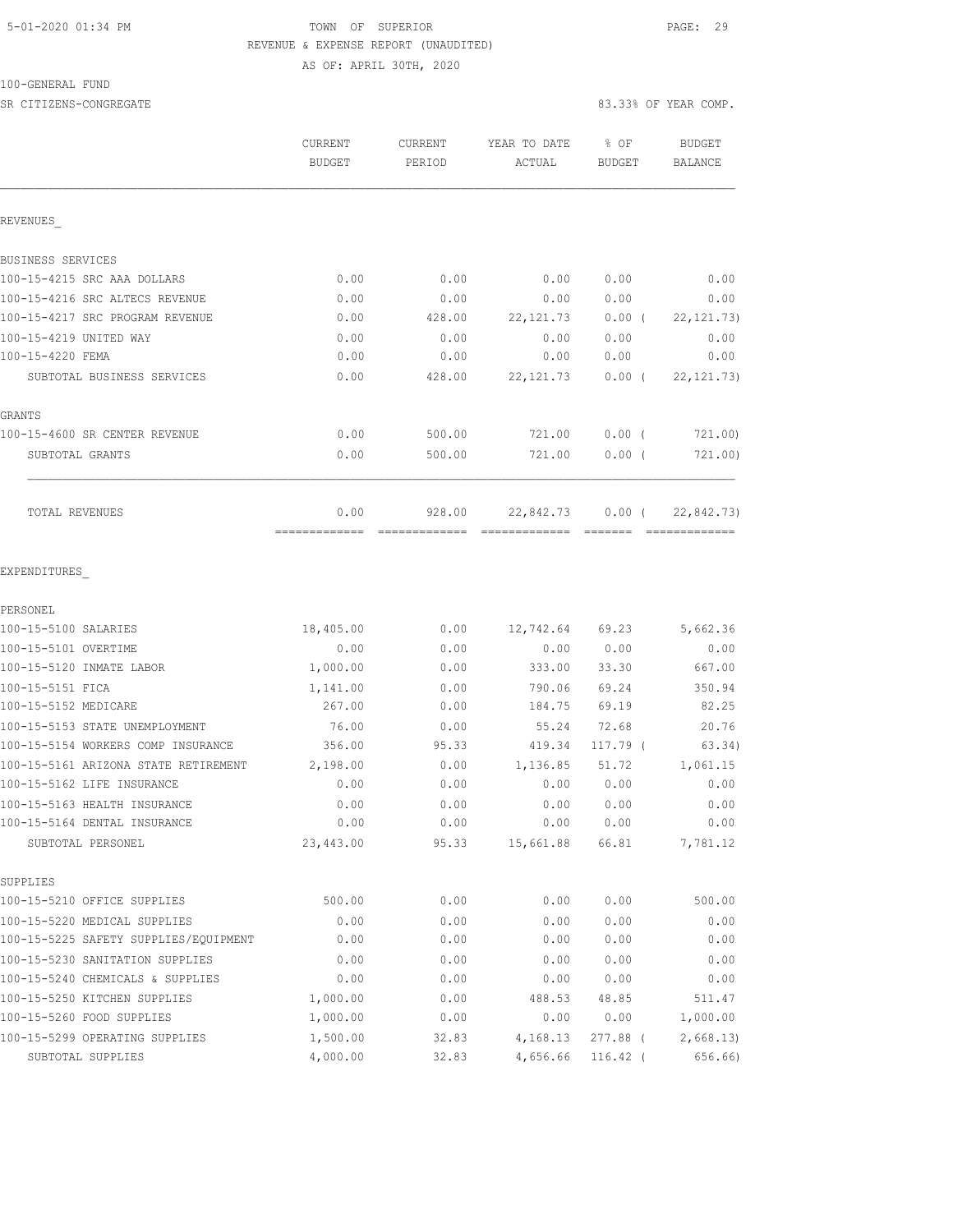#### 5-01-2020 01:34 PM TOWN OF SUPERIOR PAGE: 29 REVENUE & EXPENSE REPORT (UNAUDITED) AS OF: APRIL 30TH, 2020

100-GENERAL FUND

| SR CITIZENS-CONGREGATE                |                          |                          |                                                                                                                                                                                                                                                                                                                                                                                                                                               | 83.33% OF YEAR COMP.  |                                  |
|---------------------------------------|--------------------------|--------------------------|-----------------------------------------------------------------------------------------------------------------------------------------------------------------------------------------------------------------------------------------------------------------------------------------------------------------------------------------------------------------------------------------------------------------------------------------------|-----------------------|----------------------------------|
|                                       | CURRENT<br><b>BUDGET</b> | CURRENT<br>PERIOD        | YEAR TO DATE<br>ACTUAL                                                                                                                                                                                                                                                                                                                                                                                                                        | % OF<br><b>BUDGET</b> | BUDGET<br><b>BALANCE</b>         |
| REVENUES                              |                          |                          |                                                                                                                                                                                                                                                                                                                                                                                                                                               |                       |                                  |
| BUSINESS SERVICES                     |                          |                          |                                                                                                                                                                                                                                                                                                                                                                                                                                               |                       |                                  |
| 100-15-4215 SRC AAA DOLLARS           | 0.00                     | 0.00                     | 0.00                                                                                                                                                                                                                                                                                                                                                                                                                                          | 0.00                  | 0.00                             |
| 100-15-4216 SRC ALTECS REVENUE        | 0.00                     | 0.00                     | 0.00                                                                                                                                                                                                                                                                                                                                                                                                                                          | 0.00                  | 0.00                             |
| 100-15-4217 SRC PROGRAM REVENUE       | 0.00                     | 428.00                   | 22, 121.73                                                                                                                                                                                                                                                                                                                                                                                                                                    | $0.00$ (              | 22, 121.73)                      |
| 100-15-4219 UNITED WAY                | 0.00                     | 0.00                     | 0.00                                                                                                                                                                                                                                                                                                                                                                                                                                          | 0.00                  | 0.00                             |
| 100-15-4220 FEMA                      | 0.00                     | 0.00                     | 0.00                                                                                                                                                                                                                                                                                                                                                                                                                                          | 0.00                  | 0.00                             |
| SUBTOTAL BUSINESS SERVICES            | 0.00                     | 428.00                   | 22, 121.73                                                                                                                                                                                                                                                                                                                                                                                                                                    | $0.00$ (              | 22, 121, 73)                     |
| GRANTS                                |                          |                          |                                                                                                                                                                                                                                                                                                                                                                                                                                               |                       |                                  |
| 100-15-4600 SR CENTER REVENUE         | 0.00                     | 500.00                   | 721.00                                                                                                                                                                                                                                                                                                                                                                                                                                        | $0.00$ (              | 721.00)                          |
| SUBTOTAL GRANTS                       | 0.00                     | 500.00                   | 721.00                                                                                                                                                                                                                                                                                                                                                                                                                                        | $0.00$ (              | 721.00)                          |
| TOTAL REVENUES                        | 0.00<br>-------------    | 928.00<br>-------------- | 22,842.73<br>$\begin{array}{c} \texttt{m} = \texttt{m} = \texttt{m} = \texttt{m} = \texttt{m} = \texttt{m} = \texttt{m} = \texttt{m} = \texttt{m} = \texttt{m} = \texttt{m} = \texttt{m} = \texttt{m} = \texttt{m} = \texttt{m} = \texttt{m} = \texttt{m} = \texttt{m} = \texttt{m} = \texttt{m} = \texttt{m} = \texttt{m} = \texttt{m} = \texttt{m} = \texttt{m} = \texttt{m} = \texttt{m} = \texttt{m} = \texttt{m} = \texttt{m} = \texttt$ | $0.00$ (<br>--------  | 22,842.73)<br><b>CONSECTIONS</b> |
| EXPENDITURES                          |                          |                          |                                                                                                                                                                                                                                                                                                                                                                                                                                               |                       |                                  |
| PERSONEL                              |                          |                          |                                                                                                                                                                                                                                                                                                                                                                                                                                               |                       |                                  |
| 100-15-5100 SALARIES                  | 18,405.00                | 0.00                     | 12,742.64 69.23                                                                                                                                                                                                                                                                                                                                                                                                                               |                       | 5,662.36                         |
| 100-15-5101 OVERTIME                  | 0.00                     | 0.00                     | 0.00                                                                                                                                                                                                                                                                                                                                                                                                                                          | 0.00                  | 0.00                             |
| 100-15-5120 INMATE LABOR              | 1,000.00                 | 0.00                     | 333.00                                                                                                                                                                                                                                                                                                                                                                                                                                        | 33.30                 | 667.00                           |
| 100-15-5151 FICA                      | 1,141.00                 | 0.00                     | 790.06                                                                                                                                                                                                                                                                                                                                                                                                                                        | 69.24                 | 350.94                           |
| 100-15-5152 MEDICARE                  | 267.00                   | 0.00                     | 184.75                                                                                                                                                                                                                                                                                                                                                                                                                                        | 69.19                 | 82.25                            |
| 100-15-5153 STATE UNEMPLOYMENT        | 76.00                    | 0.00                     | 55.24                                                                                                                                                                                                                                                                                                                                                                                                                                         | 72.68                 | 20.76                            |
| 100-15-5154 WORKERS COMP INSURANCE    | 356.00                   | 95.33                    | 419.34                                                                                                                                                                                                                                                                                                                                                                                                                                        | $117.79$ (            | 63.34)                           |
| 100-15-5161 ARIZONA STATE RETIREMENT  | 2,198.00                 | 0.00                     | 1,136.85                                                                                                                                                                                                                                                                                                                                                                                                                                      | 51.72                 | 1,061.15                         |
| 100-15-5162 LIFE INSURANCE            | 0.00                     | 0.00                     | 0.00                                                                                                                                                                                                                                                                                                                                                                                                                                          | 0.00                  | 0.00                             |
| 100-15-5163 HEALTH INSURANCE          | 0.00                     | 0.00                     | 0.00                                                                                                                                                                                                                                                                                                                                                                                                                                          | 0.00                  | 0.00                             |
| 100-15-5164 DENTAL INSURANCE          | 0.00                     | 0.00                     | 0.00                                                                                                                                                                                                                                                                                                                                                                                                                                          | 0.00                  | 0.00                             |
| SUBTOTAL PERSONEL                     | 23,443.00                | 95.33                    | 15,661.88                                                                                                                                                                                                                                                                                                                                                                                                                                     | 66.81                 | 7,781.12                         |
| SUPPLIES                              |                          |                          |                                                                                                                                                                                                                                                                                                                                                                                                                                               |                       |                                  |
| 100-15-5210 OFFICE SUPPLIES           | 500.00                   | 0.00                     | 0.00                                                                                                                                                                                                                                                                                                                                                                                                                                          | 0.00                  | 500.00                           |
| 100-15-5220 MEDICAL SUPPLIES          | 0.00                     | 0.00                     | 0.00                                                                                                                                                                                                                                                                                                                                                                                                                                          | 0.00                  | 0.00                             |
| 100-15-5225 SAFETY SUPPLIES/EQUIPMENT | 0.00                     | 0.00                     | 0.00                                                                                                                                                                                                                                                                                                                                                                                                                                          | 0.00                  | 0.00                             |
| 100-15-5230 SANITATION SUPPLIES       | 0.00                     | 0.00                     | 0.00                                                                                                                                                                                                                                                                                                                                                                                                                                          | 0.00                  | 0.00                             |
| 100-15-5240 CHEMICALS & SUPPLIES      | 0.00                     | 0.00                     | 0.00                                                                                                                                                                                                                                                                                                                                                                                                                                          | 0.00                  | 0.00                             |

100-15-5250 KITCHEN SUPPLIES 1,000.00 0.00 488.53 48.85 511.47 100-15-5260 FOOD SUPPLIES 1,000.00 0.00 0.00 0.00 1,000.00 100-15-5299 OPERATING SUPPLIES 1,500.00 32.83 4,168.13 277.88 ( 2,668.13) SUBTOTAL SUPPLIES 4,000.00 32.83 4,656.66 116.42 ( 656.66)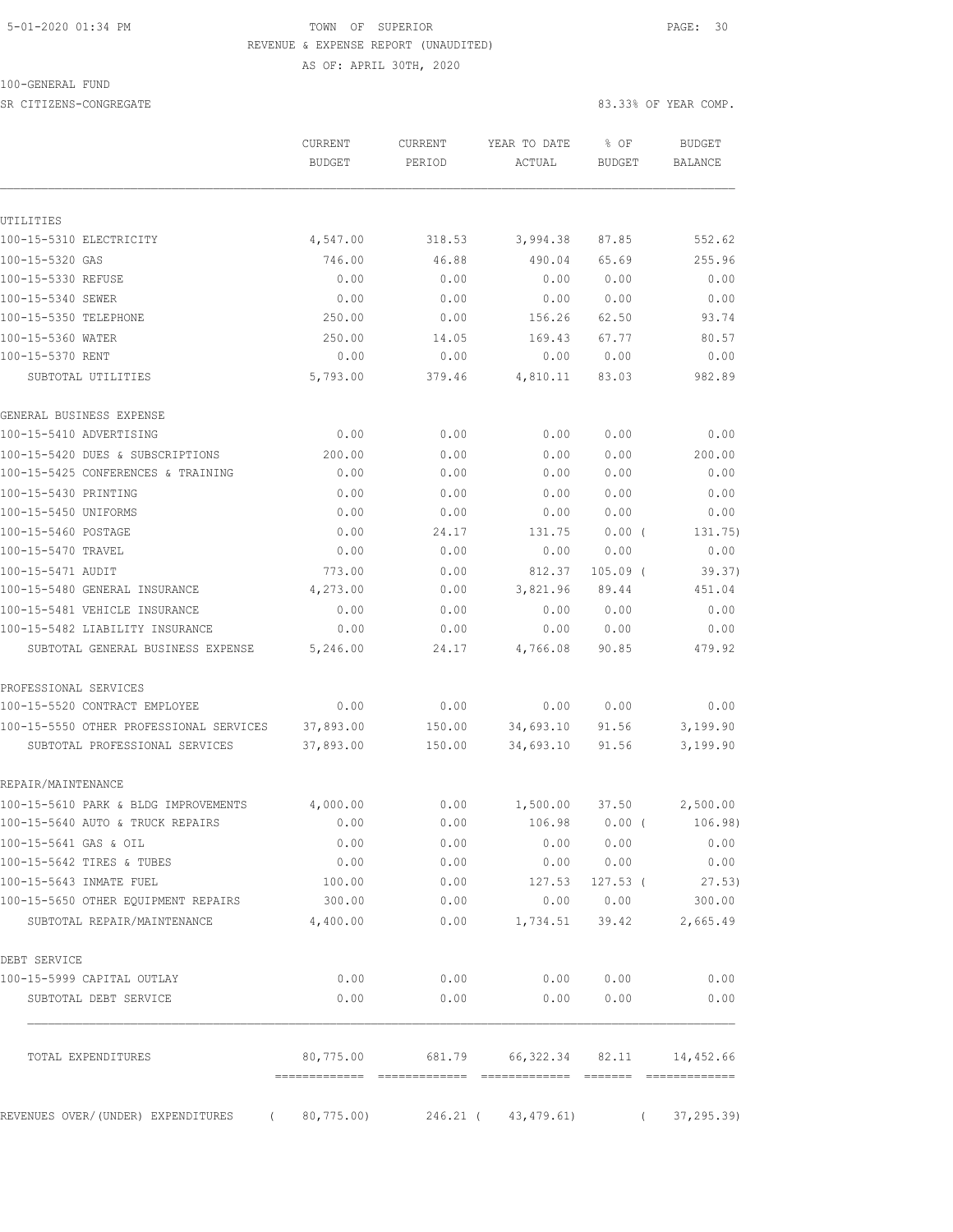### 5-01-2020 01:34 PM **TOWN** OF SUPERIOR **PAGE: 30**  REVENUE & EXPENSE REPORT (UNAUDITED) AS OF: APRIL 30TH, 2020

100-GENERAL FUND

SR CITIZENS-CONGREGATE 83.33% OF YEAR COMP.

|                                                                           | CURRENT<br><b>BUDGET</b>                  | CURRENT<br>PERIOD | YEAR TO DATE<br>ACTUAL | % OF<br>BUDGET | BUDGET<br>BALANCE           |
|---------------------------------------------------------------------------|-------------------------------------------|-------------------|------------------------|----------------|-----------------------------|
| UTILITIES                                                                 |                                           |                   |                        |                |                             |
| 100-15-5310 ELECTRICITY                                                   | 4,547.00                                  | 318.53            | 3,994.38               | 87.85          | 552.62                      |
| 100-15-5320 GAS                                                           | 746.00                                    | 46.88             | 490.04                 | 65.69          | 255.96                      |
| 100-15-5330 REFUSE                                                        | 0.00                                      | 0.00              | 0.00                   | 0.00           | 0.00                        |
| 100-15-5340 SEWER                                                         | 0.00                                      | 0.00              | 0.00                   | 0.00           | 0.00                        |
| 100-15-5350 TELEPHONE                                                     | 250.00                                    | 0.00              | 156.26                 | 62.50          | 93.74                       |
| 100-15-5360 WATER                                                         | 250.00                                    | 14.05             | 169.43                 | 67.77          | 80.57                       |
| 100-15-5370 RENT                                                          | 0.00                                      | 0.00              | 0.00                   | 0.00           | 0.00                        |
| SUBTOTAL UTILITIES                                                        | 5,793.00                                  | 379.46            | 4,810.11               | 83.03          | 982.89                      |
| GENERAL BUSINESS EXPENSE                                                  |                                           |                   |                        |                |                             |
| 100-15-5410 ADVERTISING                                                   | 0.00                                      | 0.00              | 0.00                   | 0.00           | 0.00                        |
| 100-15-5420 DUES & SUBSCRIPTIONS                                          | 200.00                                    | 0.00              | 0.00                   | 0.00           | 200.00                      |
| 100-15-5425 CONFERENCES & TRAINING                                        | 0.00                                      | 0.00              | 0.00                   | 0.00           | 0.00                        |
| 100-15-5430 PRINTING                                                      | 0.00                                      | 0.00              | 0.00                   | 0.00           | 0.00                        |
| 100-15-5450 UNIFORMS                                                      | 0.00                                      | 0.00              | 0.00                   | 0.00           | 0.00                        |
| 100-15-5460 POSTAGE                                                       | 0.00                                      | 24.17             | 131.75                 | $0.00$ (       | 131.75)                     |
| 100-15-5470 TRAVEL                                                        | 0.00                                      | 0.00              | 0.00                   | 0.00           | 0.00                        |
| 100-15-5471 AUDIT                                                         | 773.00                                    | 0.00              | 812.37                 | $105.09$ (     | 39.37)                      |
| 100-15-5480 GENERAL INSURANCE                                             | 4,273.00                                  | 0.00              | 3,821.96               | 89.44          | 451.04                      |
| 100-15-5481 VEHICLE INSURANCE                                             | 0.00                                      | 0.00              | 0.00                   | 0.00           | 0.00                        |
| 100-15-5482 LIABILITY INSURANCE<br>SUBTOTAL GENERAL BUSINESS EXPENSE      | 0.00<br>5,246.00                          | 0.00<br>24.17     | 0.00<br>4,766.08       | 0.00<br>90.85  | 0.00<br>479.92              |
|                                                                           |                                           |                   |                        |                |                             |
| PROFESSIONAL SERVICES                                                     |                                           |                   |                        |                |                             |
| 100-15-5520 CONTRACT EMPLOYEE                                             | 0.00                                      | 0.00              | 0.00                   | 0.00           | 0.00                        |
| 100-15-5550 OTHER PROFESSIONAL SERVICES<br>SUBTOTAL PROFESSIONAL SERVICES | 37,893.00<br>37,893.00                    | 150.00<br>150.00  | 34,693.10<br>34,693.10 | 91.56<br>91.56 | 3,199.90<br>3,199.90        |
| REPAIR/MAINTENANCE                                                        |                                           |                   |                        |                |                             |
| 100-15-5610 PARK & BLDG IMPROVEMENTS                                      | 4,000.00                                  | 0.00              | 1,500.00               | 37.50          | 2,500.00                    |
| 100-15-5640 AUTO & TRUCK REPAIRS                                          | 0.00                                      | 0.00              | 106.98                 | $0.00$ (       | 106.98)                     |
| 100-15-5641 GAS & OIL                                                     | 0.00                                      | 0.00              | 0.00                   | 0.00           | 0.00                        |
| 100-15-5642 TIRES & TUBES                                                 | 0.00                                      | 0.00              | 0.00                   | 0.00           | 0.00                        |
| 100-15-5643 INMATE FUEL                                                   | 100.00                                    | 0.00              | 127.53                 | $127.53$ (     | 27.53)                      |
| 100-15-5650 OTHER EQUIPMENT REPAIRS                                       | 300.00                                    | 0.00              | 0.00                   | 0.00           | 300.00                      |
| SUBTOTAL REPAIR/MAINTENANCE                                               | 4,400.00                                  | 0.00              | 1,734.51               | 39.42          | 2,665.49                    |
| DEBT SERVICE                                                              |                                           |                   |                        |                |                             |
| 100-15-5999 CAPITAL OUTLAY                                                | 0.00                                      | 0.00              | 0.00                   | 0.00           | 0.00                        |
| SUBTOTAL DEBT SERVICE                                                     | 0.00                                      | 0.00              | 0.00                   | 0.00           | 0.00                        |
| TOTAL EXPENDITURES                                                        | 80,775.00<br>-------------- ------------- | 681.79            | 66,322.34              | 82.11          | 14,452.66<br>-------------- |
| REVENUES OVER/(UNDER) EXPENDITURES<br>$\left($                            | 80,775.00)                                | 246.21 (          | 43, 479.61)            | $\left($       | 37, 295.39                  |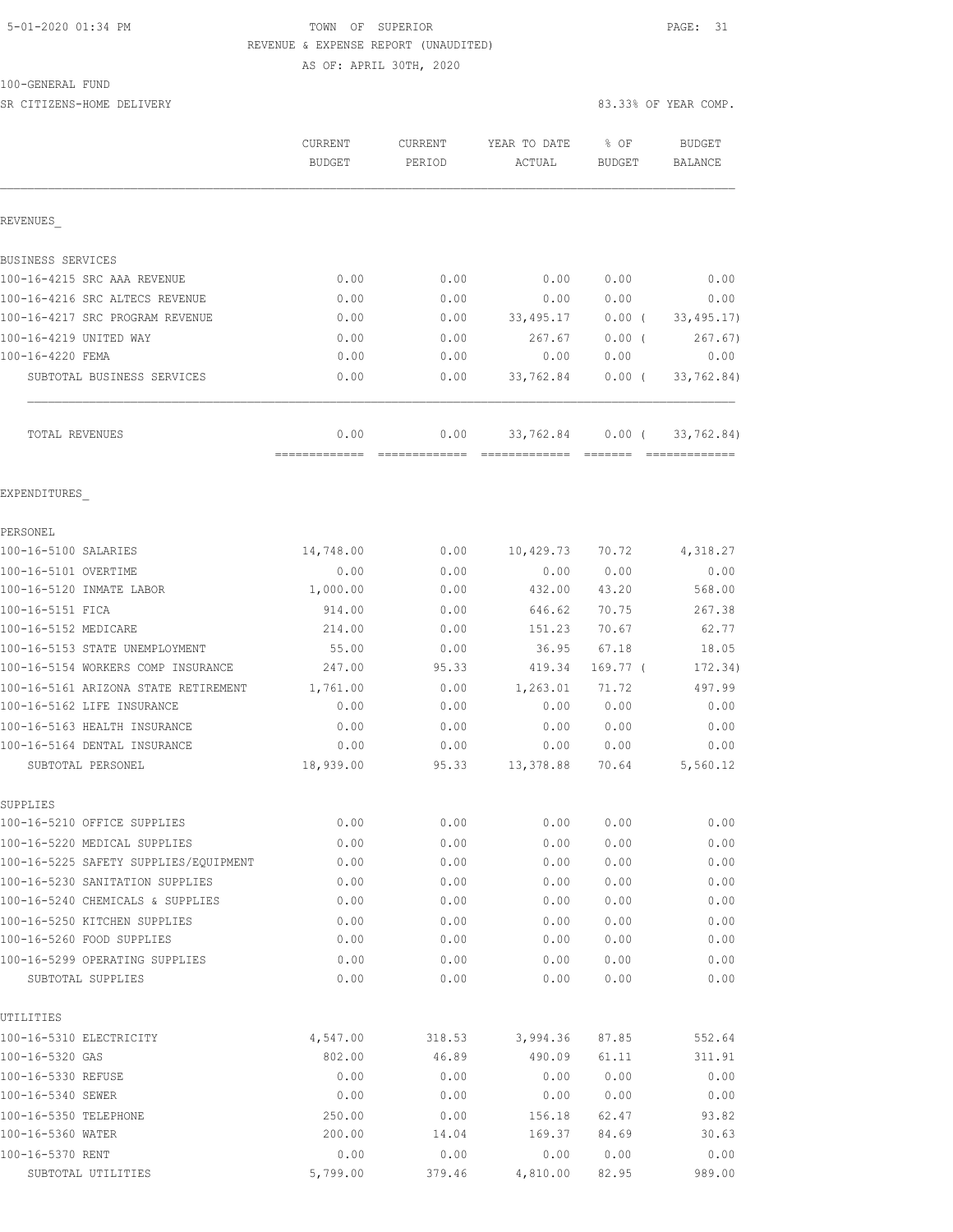# 5-01-2020 01:34 PM **TOWN** OF SUPERIOR **PAGE: 31** REVENUE & EXPENSE REPORT (UNAUDITED)

AS OF: APRIL 30TH, 2020

| 100-GENERAL FUND |  |
|------------------|--|
|------------------|--|

SR CITIZENS-HOME DELIVERY 83.33% OF YEAR COMP.

|                                                                       | <b>CURRENT</b><br>BUDGET | <b>CURRENT</b><br>PERIOD | YEAR TO DATE<br>ACTUAL | % OF<br>BUDGET | <b>BUDGET</b><br>BALANCE |
|-----------------------------------------------------------------------|--------------------------|--------------------------|------------------------|----------------|--------------------------|
| REVENUES                                                              |                          |                          |                        |                |                          |
| BUSINESS SERVICES                                                     |                          |                          |                        |                |                          |
| 100-16-4215 SRC AAA REVENUE                                           | 0.00                     | 0.00                     | 0.00                   | 0.00           | 0.00                     |
| 100-16-4216 SRC ALTECS REVENUE                                        | 0.00                     | 0.00                     | 0.00                   | 0.00           | 0.00                     |
| 100-16-4217 SRC PROGRAM REVENUE                                       | 0.00                     | 0.00                     | 33,495.17              | $0.00$ (       | 33, 495.17)              |
| 100-16-4219 UNITED WAY                                                | 0.00                     | 0.00                     | 267.67                 | 0.00(          | 267.67)                  |
| 100-16-4220 FEMA                                                      | 0.00                     | 0.00                     | 0.00                   | 0.00           | 0.00                     |
| SUBTOTAL BUSINESS SERVICES                                            | 0.00                     | 0.00                     | 33,762.84              | $0.00$ (       | 33,762.84)               |
| TOTAL REVENUES                                                        | 0.00                     | 0.00                     | 33,762.84              | $0.00$ (       | 33,762.84)               |
| EXPENDITURES                                                          |                          |                          |                        |                |                          |
| PERSONEL                                                              |                          |                          |                        |                |                          |
| 100-16-5100 SALARIES                                                  | 14,748.00                | 0.00                     | 10,429.73              | 70.72          | 4,318.27                 |
| 100-16-5101 OVERTIME                                                  | 0.00                     | 0.00                     | 0.00                   | 0.00           | 0.00                     |
| 100-16-5120 INMATE LABOR                                              | 1,000.00                 | 0.00                     | 432.00                 | 43.20          | 568.00                   |
| 100-16-5151 FICA                                                      | 914.00                   | 0.00                     | 646.62                 | 70.75          | 267.38                   |
| 100-16-5152 MEDICARE                                                  | 214.00                   | 0.00                     | 151.23                 | 70.67          | 62.77                    |
| 100-16-5153 STATE UNEMPLOYMENT                                        | 55.00                    | 0.00                     | 36.95                  | 67.18          | 18.05                    |
| 100-16-5154 WORKERS COMP INSURANCE                                    | 247.00                   | 95.33                    | 419.34                 | 169.77 (       | 172.34)                  |
| 100-16-5161 ARIZONA STATE RETIREMENT                                  | 1,761.00                 | 0.00                     | 1,263.01               | 71.72          | 497.99                   |
| 100-16-5162 LIFE INSURANCE                                            | 0.00                     | 0.00                     | 0.00                   | 0.00           | 0.00                     |
| 100-16-5163 HEALTH INSURANCE                                          | 0.00                     | 0.00                     | 0.00                   | 0.00           | 0.00                     |
| 100-16-5164 DENTAL INSURANCE                                          | 0.00                     | 0.00                     | 0.00                   | 0.00           | 0.00                     |
| SUBTOTAL PERSONEL                                                     | 18,939.00                | 95.33                    | 13,378.88              | 70.64          | 5,560.12                 |
| SUPPLIES                                                              |                          |                          |                        |                |                          |
| 100-16-5210 OFFICE SUPPLIES                                           | 0.00                     | 0.00                     | 0.00                   | 0.00           | 0.00                     |
| 100-16-5220 MEDICAL SUPPLIES<br>100-16-5225 SAFETY SUPPLIES/EQUIPMENT | 0.00<br>0.00             | 0.00<br>0.00             | 0.00<br>0.00           | 0.00<br>0.00   | 0.00<br>0.00             |
| 100-16-5230 SANITATION SUPPLIES                                       | 0.00                     | 0.00                     | 0.00                   | 0.00           | 0.00                     |
| 100-16-5240 CHEMICALS & SUPPLIES                                      | 0.00                     | 0.00                     | 0.00                   | 0.00           | 0.00                     |
| 100-16-5250 KITCHEN SUPPLIES                                          | 0.00                     | 0.00                     | 0.00                   | 0.00           | 0.00                     |
| 100-16-5260 FOOD SUPPLIES                                             | 0.00                     | 0.00                     | 0.00                   | 0.00           | 0.00                     |
| 100-16-5299 OPERATING SUPPLIES                                        | 0.00                     | 0.00                     | 0.00                   | 0.00           | 0.00                     |
| SUBTOTAL SUPPLIES                                                     | 0.00                     | 0.00                     | 0.00                   | 0.00           | 0.00                     |
| UTILITIES                                                             |                          |                          |                        |                |                          |
| 100-16-5310 ELECTRICITY                                               | 4,547.00                 | 318.53                   | 3,994.36               | 87.85          | 552.64                   |
| 100-16-5320 GAS                                                       | 802.00                   | 46.89                    | 490.09                 | 61.11          | 311.91                   |
| 100-16-5330 REFUSE                                                    | 0.00                     | 0.00                     | 0.00                   | 0.00           | 0.00                     |
| 100-16-5340 SEWER                                                     | 0.00                     | 0.00                     | 0.00                   | 0.00           | 0.00                     |
| 100-16-5350 TELEPHONE                                                 | 250.00                   | 0.00                     | 156.18                 | 62.47          | 93.82                    |
| 100-16-5360 WATER                                                     | 200.00                   | 14.04                    | 169.37                 | 84.69          | 30.63                    |

100-16-5370 RENT 0.00 0.00 0.00 0.00 0.00 SUBTOTAL UTILITIES 5,799.00 379.46 4,810.00 82.95 989.00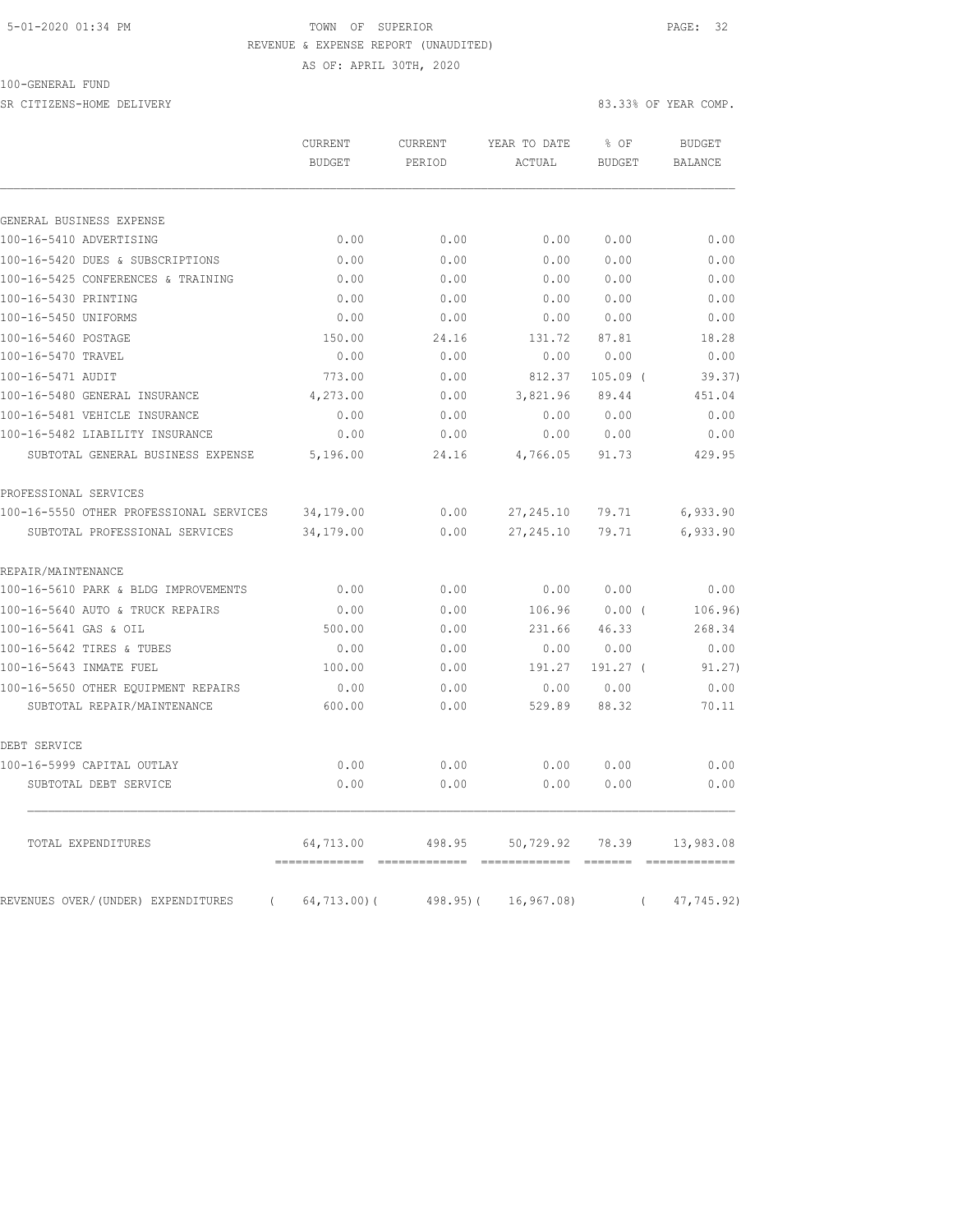#### 5-01-2020 01:34 PM TOWN OF SUPERIOR PAGE: 32 REVENUE & EXPENSE REPORT (UNAUDITED) AS OF: APRIL 30TH, 2020

100-GENERAL FUND

SR CITIZENS-HOME DELIVERY 83.33% OF YEAR COMP.

|                                                | CURRENT<br>BUDGET | <b>CURRENT</b><br>PERIOD | YEAR TO DATE<br>ACTUAL | % OF<br><b>BUDGET</b> |          | <b>BUDGET</b><br><b>BALANCE</b> |
|------------------------------------------------|-------------------|--------------------------|------------------------|-----------------------|----------|---------------------------------|
|                                                |                   |                          |                        |                       |          |                                 |
| GENERAL BUSINESS EXPENSE                       |                   |                          |                        |                       |          |                                 |
| 100-16-5410 ADVERTISING                        | 0.00              | 0.00                     | 0.00                   | 0.00                  |          | 0.00                            |
| 100-16-5420 DUES & SUBSCRIPTIONS               | 0.00              | 0.00                     | 0.00                   | 0.00                  |          | 0.00                            |
| 100-16-5425 CONFERENCES & TRAINING             | 0.00              | 0.00                     | 0.00                   | 0.00                  |          | 0.00                            |
| 100-16-5430 PRINTING                           | 0.00              | 0.00                     | 0.00                   | 0.00                  |          | 0.00                            |
| 100-16-5450 UNIFORMS                           | 0.00              | 0.00                     | 0.00                   | 0.00                  |          | 0.00                            |
| 100-16-5460 POSTAGE                            | 150.00            | 24.16                    | 131.72                 | 87.81                 |          | 18.28                           |
| 100-16-5470 TRAVEL                             | 0.00              | 0.00                     | 0.00                   | 0.00                  |          | 0.00                            |
| 100-16-5471 AUDIT                              | 773.00            | 0.00                     | 812.37                 | $105.09$ (            |          | 39.37)                          |
| 100-16-5480 GENERAL INSURANCE                  | 4,273.00          | 0.00                     | 3,821.96               | 89.44                 |          | 451.04                          |
| 100-16-5481 VEHICLE INSURANCE                  | 0.00              | 0.00                     | 0.00                   | 0.00                  |          | 0.00                            |
| 100-16-5482 LIABILITY INSURANCE                | 0.00              | 0.00                     | 0.00                   | 0.00                  |          | 0.00                            |
| SUBTOTAL GENERAL BUSINESS EXPENSE              | 5,196.00          | 24.16                    | 4,766.05               | 91.73                 |          | 429.95                          |
| PROFESSIONAL SERVICES                          |                   |                          |                        |                       |          |                                 |
| 100-16-5550 OTHER PROFESSIONAL SERVICES        | 34,179.00         | 0.00                     | 27, 245.10             | 79.71                 |          | 6,933.90                        |
| SUBTOTAL PROFESSIONAL SERVICES                 | 34,179.00         | 0.00                     | 27,245.10              | 79.71                 |          | 6,933.90                        |
| REPAIR/MAINTENANCE                             |                   |                          |                        |                       |          |                                 |
| 100-16-5610 PARK & BLDG IMPROVEMENTS           | 0.00              | 0.00                     | 0.00                   | 0.00                  |          | 0.00                            |
| 100-16-5640 AUTO & TRUCK REPAIRS               | 0.00              | 0.00                     | 106.96                 | $0.00$ (              |          | 106.96)                         |
| 100-16-5641 GAS & OIL                          | 500.00            | 0.00                     | 231.66                 | 46.33                 |          | 268.34                          |
| 100-16-5642 TIRES & TUBES                      | 0.00              | 0.00                     | 0.00                   | 0.00                  |          | 0.00                            |
| 100-16-5643 INMATE FUEL                        | 100.00            | 0.00                     | 191.27                 | 191.27 (              |          | 91.27)                          |
| 100-16-5650 OTHER EOUIPMENT REPAIRS            | 0.00              | 0.00                     | 0.00                   | 0.00                  |          | 0.00                            |
| SUBTOTAL REPAIR/MAINTENANCE                    | 600.00            | 0.00                     | 529.89                 | 88.32                 |          | 70.11                           |
| DEBT SERVICE                                   |                   |                          |                        |                       |          |                                 |
| 100-16-5999 CAPITAL OUTLAY                     | 0.00              | 0.00                     | 0.00                   | 0.00                  |          | 0.00                            |
| SUBTOTAL DEBT SERVICE                          | 0.00              | 0.00                     | 0.00                   | 0.00                  |          | 0.00                            |
| TOTAL EXPENDITURES                             | 64,713.00         | 498.95                   | 50,729.92              | 78.39<br>--------     |          | 13,983.08                       |
| REVENUES OVER/(UNDER) EXPENDITURES<br>$\left($ | $64, 713.00$ (    | $498.95$ ) (             | 16, 967.08             |                       | $\left($ | 47,745.92)                      |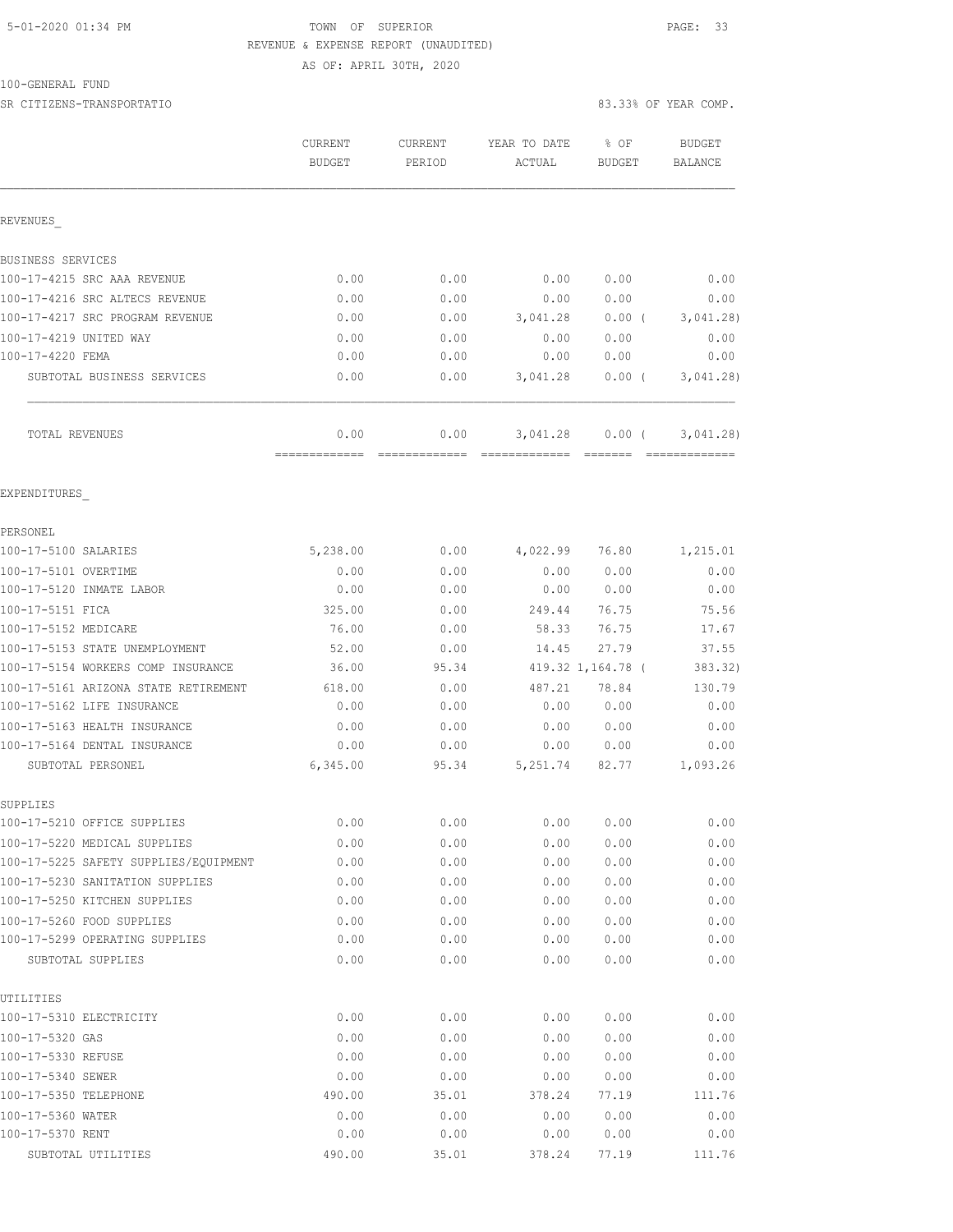### 5-01-2020 01:34 PM **TOWN** OF SUPERIOR **PAGE: 33**  REVENUE & EXPENSE REPORT (UNAUDITED) AS OF: APRIL 30TH, 2020

100-GENERAL FUND

SR CITIZENS-TRANSPORTATIO 83.33% OF YEAR COMP.

|                                       | CURRENT<br><b>BUDGET</b> | <b>CURRENT</b><br>PERIOD | YEAR TO DATE<br>ACTUAL | % OF<br>BUDGET    | <b>BUDGET</b><br><b>BALANCE</b> |
|---------------------------------------|--------------------------|--------------------------|------------------------|-------------------|---------------------------------|
| REVENUES                              |                          |                          |                        |                   |                                 |
| BUSINESS SERVICES                     |                          |                          |                        |                   |                                 |
| 100-17-4215 SRC AAA REVENUE           | 0.00                     | 0.00                     | 0.00                   | 0.00              | 0.00                            |
| 100-17-4216 SRC ALTECS REVENUE        | 0.00                     | 0.00                     | 0.00                   | 0.00              | 0.00                            |
| 100-17-4217 SRC PROGRAM REVENUE       | 0.00                     | 0.00                     | 3,041.28               | $0.00$ (          | 3,041.28                        |
| 100-17-4219 UNITED WAY                | 0.00                     | 0.00                     | 0.00                   | 0.00              | 0.00                            |
| 100-17-4220 FEMA                      | 0.00                     | 0.00                     | 0.00                   | 0.00              | 0.00                            |
| SUBTOTAL BUSINESS SERVICES            | 0.00                     | 0.00                     | 3,041.28               | $0.00$ (          | 3,041.28                        |
| TOTAL REVENUES                        | 0.00                     | 0.00                     | 3,041.28               | $0.00$ (          | 3,041.28)                       |
| EXPENDITURES                          |                          |                          |                        |                   |                                 |
| PERSONEL                              |                          |                          |                        |                   |                                 |
| 100-17-5100 SALARIES                  | 5,238.00                 | 0.00                     | 4,022.99               | 76.80             | 1,215.01                        |
| 100-17-5101 OVERTIME                  | 0.00                     | 0.00                     | 0.00                   | 0.00              | 0.00                            |
| 100-17-5120 INMATE LABOR              | 0.00                     | 0.00                     | 0.00                   | 0.00              | 0.00                            |
| 100-17-5151 FICA                      | 325.00                   | 0.00                     | 249.44                 | 76.75             | 75.56                           |
| 100-17-5152 MEDICARE                  | 76.00                    | 0.00                     | 58.33                  | 76.75             | 17.67                           |
| 100-17-5153 STATE UNEMPLOYMENT        | 52.00                    | 0.00                     | 14.45                  | 27.79             | 37.55                           |
| 100-17-5154 WORKERS COMP INSURANCE    | 36.00                    | 95.34                    |                        | 419.32 1,164.78 ( | 383.32)                         |
| 100-17-5161 ARIZONA STATE RETIREMENT  | 618.00                   | 0.00                     | 487.21                 | 78.84             | 130.79                          |
| 100-17-5162 LIFE INSURANCE            | 0.00                     | 0.00                     | 0.00                   | 0.00              | 0.00                            |
| 100-17-5163 HEALTH INSURANCE          | 0.00                     | 0.00                     | 0.00                   | 0.00              | 0.00                            |
| 100-17-5164 DENTAL INSURANCE          | 0.00                     | 0.00                     | 0.00                   | 0.00              | 0.00                            |
| SUBTOTAL PERSONEL                     | 6,345.00                 | 95.34                    | 5,251.74               | 82.77             | 1,093.26                        |
| SUPPLIES                              |                          |                          |                        |                   |                                 |
| 100-17-5210 OFFICE SUPPLIES           | 0.00                     | 0.00                     | 0.00                   | 0.00              | 0.00                            |
| 100-17-5220 MEDICAL SUPPLIES          | 0.00                     | 0.00                     | 0.00                   | 0.00              | 0.00                            |
| 100-17-5225 SAFETY SUPPLIES/EQUIPMENT | 0.00                     | 0.00                     | 0.00                   | 0.00              | 0.00                            |
| 100-17-5230 SANITATION SUPPLIES       | 0.00                     | 0.00                     | 0.00                   | 0.00              | 0.00                            |
| 100-17-5250 KITCHEN SUPPLIES          | 0.00                     | 0.00                     | 0.00                   | 0.00              | 0.00                            |
| 100-17-5260 FOOD SUPPLIES             | 0.00                     | 0.00                     | 0.00                   | 0.00              | 0.00                            |
| 100-17-5299 OPERATING SUPPLIES        | 0.00                     | 0.00                     | 0.00                   | 0.00              | 0.00                            |
| SUBTOTAL SUPPLIES                     | 0.00                     | 0.00                     | 0.00                   | 0.00              | 0.00                            |
| UTILITIES                             |                          |                          |                        |                   |                                 |
| 100-17-5310 ELECTRICITY               | 0.00                     | 0.00                     | 0.00                   | 0.00              | 0.00                            |
| 100-17-5320 GAS                       | 0.00                     | 0.00                     | 0.00                   | 0.00              | 0.00                            |
| 100-17-5330 REFUSE                    | 0.00                     | 0.00                     | 0.00                   | 0.00              | 0.00                            |
| 100-17-5340 SEWER                     | 0.00                     | 0.00                     | 0.00                   | 0.00              | 0.00                            |
| 100-17-5350 TELEPHONE                 | 490.00                   | 35.01                    | 378.24                 | 77.19             | 111.76                          |
| 100-17-5360 WATER                     | 0.00                     | 0.00                     | 0.00                   | 0.00              | 0.00                            |
| 100-17-5370 RENT                      | 0.00                     | 0.00                     | 0.00                   | 0.00              | 0.00                            |
| SUBTOTAL UTILITIES                    | 490.00                   | 35.01                    | 378.24                 | 77.19             | 111.76                          |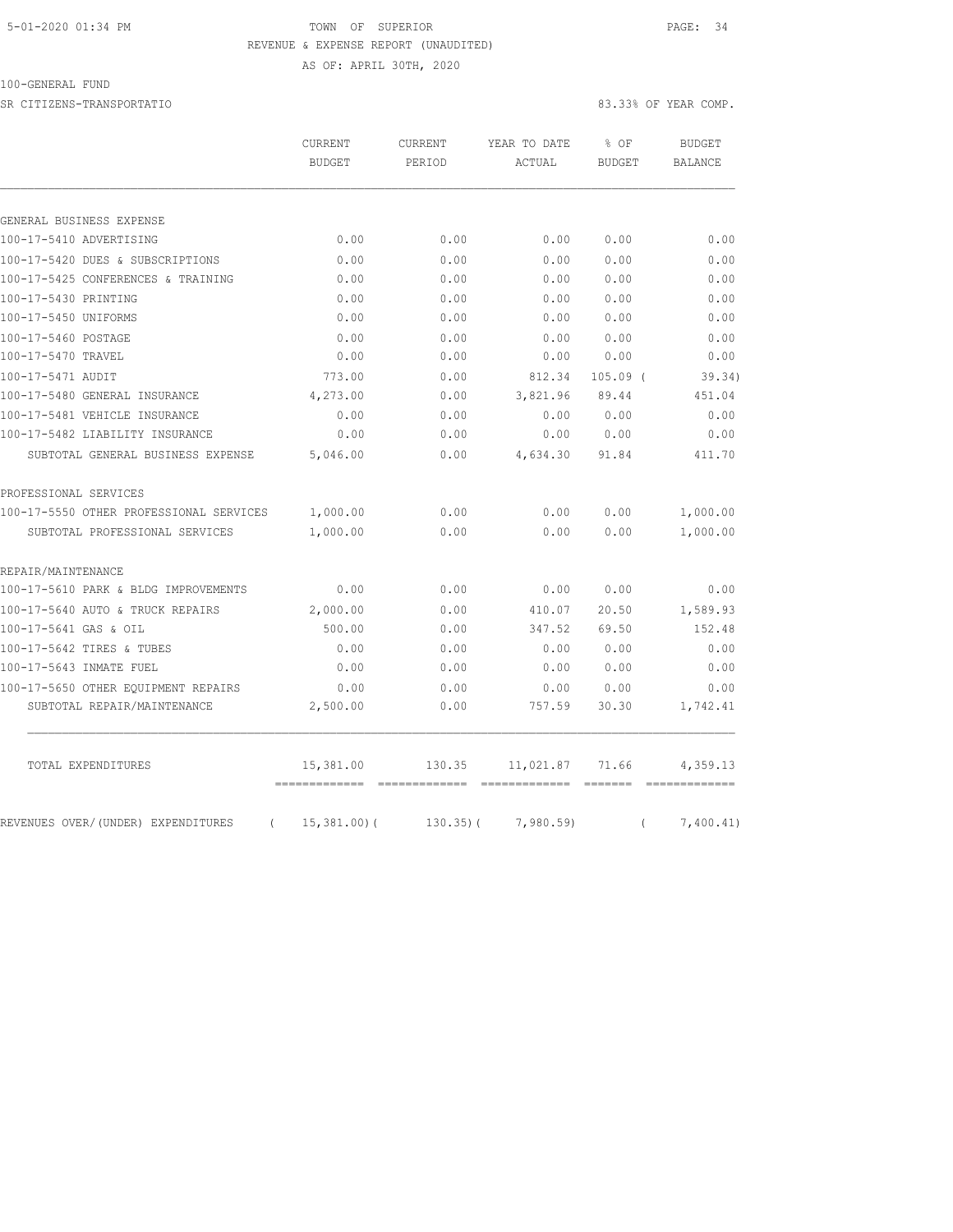#### 5-01-2020 01:34 PM TOWN OF SUPERIOR PAGE: 34 REVENUE & EXPENSE REPORT (UNAUDITED) AS OF: APRIL 30TH, 2020

100-GENERAL FUND

SR CITIZENS-TRANSPORTATIO 83.33% OF YEAR COMP.

|                                                | CURRENT       | CURRENT      | YEAR TO DATE | % OF          | <b>BUDGET</b>  |
|------------------------------------------------|---------------|--------------|--------------|---------------|----------------|
|                                                | <b>BUDGET</b> | PERIOD       | ACTUAL       | <b>BUDGET</b> | <b>BALANCE</b> |
| GENERAL BUSINESS EXPENSE                       |               |              |              |               |                |
| 100-17-5410 ADVERTISING                        | 0.00          | 0.00         | 0.00         | 0.00          | 0.00           |
| 100-17-5420 DUES & SUBSCRIPTIONS               | 0.00          | 0.00         | 0.00         | 0.00          | 0.00           |
| 100-17-5425 CONFERENCES & TRAINING             | 0.00          | 0.00         | 0.00         | 0.00          | 0.00           |
| 100-17-5430 PRINTING                           | 0.00          | 0.00         | 0.00         | 0.00          | 0.00           |
| 100-17-5450 UNIFORMS                           | 0.00          | 0.00         | 0.00         | 0.00          | 0.00           |
| 100-17-5460 POSTAGE                            | 0.00          | 0.00         | 0.00         | 0.00          | 0.00           |
| 100-17-5470 TRAVEL                             | 0.00          | 0.00         | 0.00         | 0.00          | 0.00           |
| 100-17-5471 AUDIT                              | 773.00        | 0.00         | 812.34       | $105.09$ (    | 39.34)         |
| 100-17-5480 GENERAL INSURANCE                  | 4,273.00      | 0.00         | 3,821.96     | 89.44         | 451.04         |
| 100-17-5481 VEHICLE INSURANCE                  | 0.00          | 0.00         | 0.00         | 0.00          | 0.00           |
| 100-17-5482 LIABILITY INSURANCE                | 0.00          | 0.00         | 0.00         | 0.00          | 0.00           |
| SUBTOTAL GENERAL BUSINESS EXPENSE              | 5,046.00      | 0.00         | 4,634.30     | 91.84         | 411.70         |
| PROFESSIONAL SERVICES                          |               |              |              |               |                |
| 100-17-5550 OTHER PROFESSIONAL SERVICES        | 1,000.00      | 0.00         | 0.00         | 0.00          | 1,000.00       |
| SUBTOTAL PROFESSIONAL SERVICES                 | 1,000.00      | 0.00         | 0.00         | 0.00          | 1,000.00       |
| REPAIR/MAINTENANCE                             |               |              |              |               |                |
| 100-17-5610 PARK & BLDG IMPROVEMENTS           | 0.00          | 0.00         | 0.00         | 0.00          | 0.00           |
| 100-17-5640 AUTO & TRUCK REPAIRS               | 2,000.00      | 0.00         | 410.07       | 20.50         | 1,589.93       |
| 100-17-5641 GAS & OIL                          | 500.00        | 0.00         | 347.52       | 69.50         | 152.48         |
| 100-17-5642 TIRES & TUBES                      | 0.00          | 0.00         | 0.00         | 0.00          | 0.00           |
| 100-17-5643 INMATE FUEL                        | 0.00          | 0.00         | 0.00         | 0.00          | 0.00           |
| 100-17-5650 OTHER EQUIPMENT REPAIRS            | 0.00          | 0.00         | 0.00         | 0.00          | 0.00           |
| SUBTOTAL REPAIR/MAINTENANCE                    | 2,500.00      | 0.00         | 757.59       | 30.30         | 1,742.41       |
| TOTAL EXPENDITURES                             | 15,381.00     | 130.35       | 11,021.87    | 71.66         | 4,359.13       |
| REVENUES OVER/(UNDER) EXPENDITURES<br>$\left($ | 15,381.00(    | $130.35$ ) ( | 7,980.59)    | $\left($      | 7,400.41)      |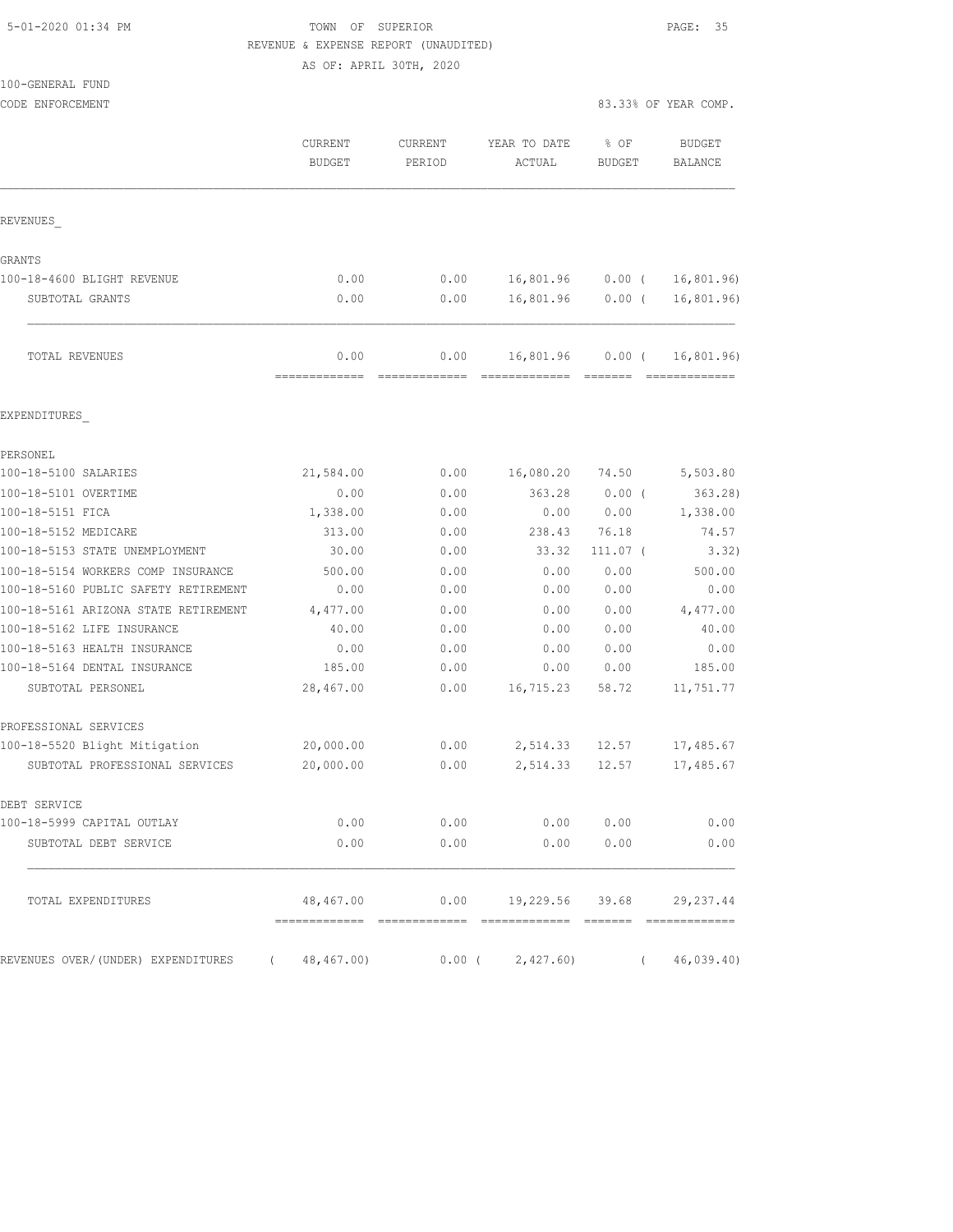### 5-01-2020 01:34 PM TOWN OF SUPERIOR PAGE: 35 REVENUE & EXPENSE REPORT (UNAUDITED)

AS OF: APRIL 30TH, 2020

| 100-GENERAL FUND                     |                          |                   |                                  |                       |                                 |
|--------------------------------------|--------------------------|-------------------|----------------------------------|-----------------------|---------------------------------|
| CODE ENFORCEMENT                     |                          |                   |                                  |                       | 83.33% OF YEAR COMP.            |
|                                      | CURRENT<br><b>BUDGET</b> | CURRENT<br>PERIOD | YEAR TO DATE<br>ACTUAL           | % OF<br><b>BUDGET</b> | <b>BUDGET</b><br><b>BALANCE</b> |
| REVENUES                             |                          |                   |                                  |                       |                                 |
| GRANTS                               |                          |                   |                                  |                       |                                 |
| 100-18-4600 BLIGHT REVENUE           | 0.00                     | 0.00              | 16,801.96                        | $0.00$ (              | 16,801.96)                      |
| SUBTOTAL GRANTS                      | 0.00                     | 0.00              | 16,801.96                        | $0.00$ (              | 16,801.96)                      |
| TOTAL REVENUES                       | 0.00<br>=============    | 0.00              | 16,801.96                        | $0.00$ (<br>=======   | 16,801.96)<br>=============     |
| EXPENDITURES                         |                          |                   |                                  |                       |                                 |
| PERSONEL.                            |                          |                   |                                  |                       |                                 |
| 100-18-5100 SALARIES                 | 21,584.00                | 0.00              | 16,080.20                        | 74.50                 | 5,503.80                        |
| 100-18-5101 OVERTIME                 | 0.00                     | 0.00              | 363.28                           | 0.00(                 | 363.28)                         |
| 100-18-5151 FICA                     | 1,338.00                 | 0.00              | 0.00                             | 0.00                  | 1,338.00                        |
| 100-18-5152 MEDICARE                 | 313.00                   | 0.00              | 238.43                           | 76.18                 | 74.57                           |
| 100-18-5153 STATE UNEMPLOYMENT       | 30.00                    | 0.00              | 33.32                            | $111.07$ (            | 3.32)                           |
| 100-18-5154 WORKERS COMP INSURANCE   | 500.00                   | 0.00              | 0.00                             | 0.00                  | 500.00                          |
| 100-18-5160 PUBLIC SAFETY RETIREMENT | 0.00                     | 0.00              | 0.00                             | 0.00                  | 0.00                            |
| 100-18-5161 ARIZONA STATE RETIREMENT | 4,477.00                 | 0.00              | 0.00                             | 0.00                  | 4,477.00                        |
| 100-18-5162 LIFE INSURANCE           | 40.00                    | 0.00              | 0.00                             | 0.00                  | 40.00                           |
| 100-18-5163 HEALTH INSURANCE         | 0.00                     | 0.00              | 0.00                             | 0.00                  | 0.00                            |
| 100-18-5164 DENTAL INSURANCE         | 185.00                   | 0.00              | 0.00                             | 0.00                  | 185.00                          |
| SUBTOTAL PERSONEL                    | 28,467.00                | 0.00              | 16,715.23                        | 58.72                 | 11,751.77                       |
| PROFESSIONAL SERVICES                |                          |                   |                                  |                       |                                 |
| 100-18-5520 Blight Mitigation        | 20,000.00                | 0.00              | 2,514.33                         | 12.57                 | 17,485.67                       |
| SUBTOTAL PROFESSIONAL SERVICES       | 20,000.00                | 0.00              | 2,514.33                         | 12.57                 | 17,485.67                       |
| DEBT SERVICE                         |                          |                   |                                  |                       |                                 |
| 100-18-5999 CAPITAL OUTLAY           | 0.00                     | 0.00              | 0.00                             | 0.00                  | 0.00                            |
| SUBTOTAL DEBT SERVICE                | 0.00                     | 0.00              | 0.00                             | 0.00                  | 0.00                            |
| TOTAL EXPENDITURES                   | 48,467.00                |                   | $0.00$ 19,229.56 39.68 29,237.44 |                       |                                 |
| REVENUES OVER/(UNDER) EXPENDITURES   | (48, 467, 00)            | $0.00$ (          | 2,427.60                         | $\left($              | 46,039.40                       |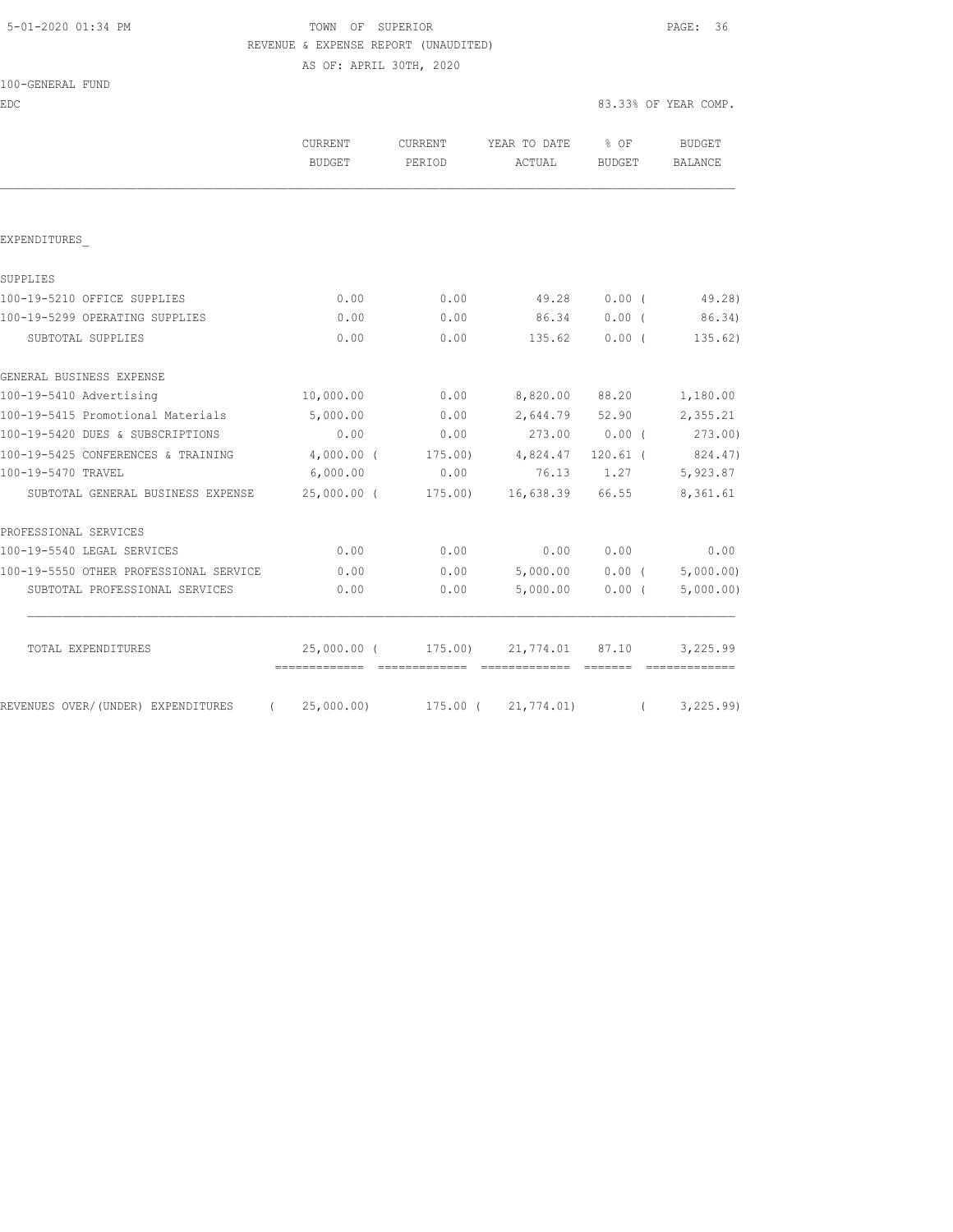# 5-01-2020 01:34 PM TOWN OF SUPERIOR PAGE: 36 REVENUE & EXPENSE REPORT (UNAUDITED)

AS OF: APRIL 30TH, 2020

| 100-GENERAL FUND |  |
|------------------|--|
|------------------|--|

EDC 83.33% OF YEAR COMP.

|                                                                   | <b>CURRENT</b><br><b>BUDGET</b> | <b>CURRENT</b><br>PERIOD | YEAR TO DATE<br>ACTUAL             | $8$ OF<br><b>BUDGET</b> | <b>BUDGET</b><br>BALANCE       |         |
|-------------------------------------------------------------------|---------------------------------|--------------------------|------------------------------------|-------------------------|--------------------------------|---------|
|                                                                   |                                 |                          |                                    |                         |                                |         |
| EXPENDITURES                                                      |                                 |                          |                                    |                         |                                |         |
| SUPPLIES                                                          |                                 |                          |                                    |                         |                                |         |
| 100-19-5210 OFFICE SUPPLIES                                       | 0.00                            | 0.00                     | 49.28                              | 0.00(                   |                                | 49.28)  |
| 100-19-5299 OPERATING SUPPLIES                                    | 0.00                            | 0.00                     | 86.34                              | 0.00(                   |                                | 86.34)  |
| SUBTOTAL SUPPLIES                                                 | 0.00                            | 0.00                     | 135.62                             | 0.00(                   |                                | 135.62) |
| GENERAL BUSINESS EXPENSE                                          |                                 |                          |                                    |                         |                                |         |
| 100-19-5410 Advertising                                           | 10,000.00                       | 0.00                     | 8,820.00                           | 88.20                   | 1,180.00                       |         |
| 100-19-5415 Promotional Materials                                 | 5,000.00                        | 0.00                     | 2,644.79                           | 52.90                   | 2,355.21                       |         |
| 100-19-5420 DUES & SUBSCRIPTIONS                                  | 0.00                            | 0.00                     | 273.00 0.00 (273.00)               |                         |                                |         |
| 100-19-5425 CONFERENCES & TRAINING                                | $4,000.00$ (                    |                          | 175.00) 4,824.47                   | 120.61 (                | 824.47)                        |         |
| 100-19-5470 TRAVEL                                                | 6,000.00                        | 0.00                     | 76.13                              | 1.27                    | 5,923.87                       |         |
| SUBTOTAL GENERAL BUSINESS EXPENSE                                 |                                 | 25,000.00 (175.00)       | 16,638.39 66.55                    |                         | 8,361.61                       |         |
| PROFESSIONAL SERVICES                                             |                                 |                          |                                    |                         |                                |         |
| 100-19-5540 LEGAL SERVICES                                        | 0.00                            | 0.00                     | 0.00                               | 0.00                    |                                | 0.00    |
| 100-19-5550 OTHER PROFESSIONAL SERVICE                            | 0.00                            | 0.00                     |                                    |                         | $5,000.00$ 0.00 ( $5,000.00$ ) |         |
| SUBTOTAL PROFESSIONAL SERVICES                                    | 0.00                            | 0.00                     | 5,000.00                           | 0.00(                   | 5,000.00)                      |         |
| TOTAL EXPENDITURES                                                | -------------- --------------   |                          | 25,000.00 (175.00) 21,774.01 87.10 |                         | 3,225.99                       |         |
| REVENUES OVER/(UNDER) EXPENDITURES (25,000.00) 175.00 (21,774.01) |                                 |                          |                                    |                         | (3, 225.99)                    |         |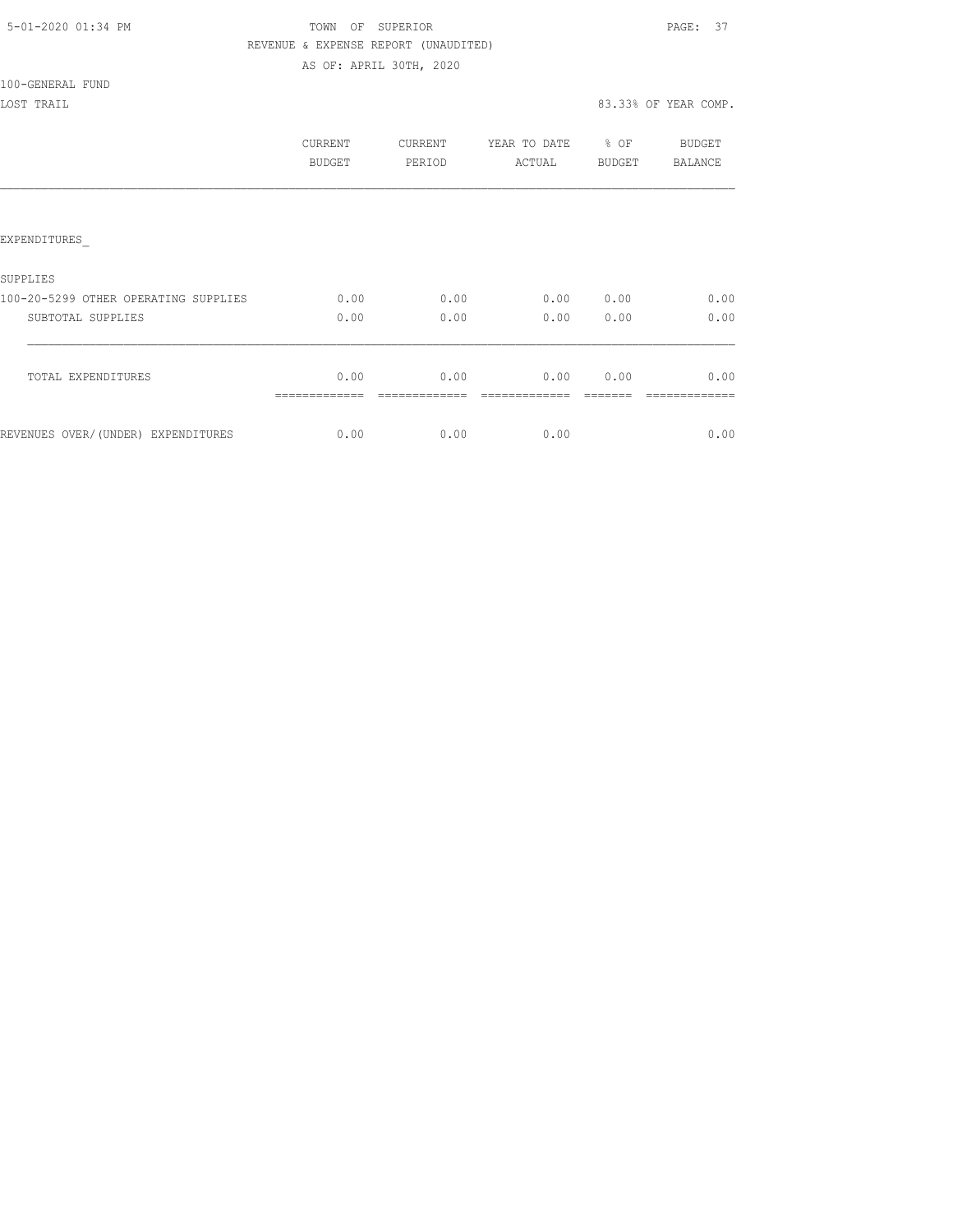# TOWN OF SUPERIOR **Example 2010** PAGE: 37 REVENUE & EXPENSE REPORT (UNAUDITED)

AS OF: APRIL 30TH, 2020

100-GENERAL FUND

|                                      | <b>CURRENT</b><br>BUDGET | <b>CURRENT</b><br>PERIOD | YEAR TO DATE<br>ACTUAL | % OF<br>BUDGET | BUDGET<br><b>BALANCE</b> |
|--------------------------------------|--------------------------|--------------------------|------------------------|----------------|--------------------------|
|                                      |                          |                          |                        |                |                          |
| EXPENDITURES                         |                          |                          |                        |                |                          |
| SUPPLIES                             |                          |                          |                        |                |                          |
| 100-20-5299 OTHER OPERATING SUPPLIES | 0.00                     | 0.00                     | 0.00                   | 0.00           | 0.00                     |
| SUBTOTAL SUPPLIES                    | 0.00                     | 0.00                     | 0.00                   | 0.00           | 0.00                     |
| TOTAL EXPENDITURES                   | 0.00                     | 0.00                     | 0.00                   | 0.00           | 0.00                     |
| REVENUES OVER/(UNDER) EXPENDITURES   | 0.00                     | 0.00                     | 0.00                   |                | 0.00                     |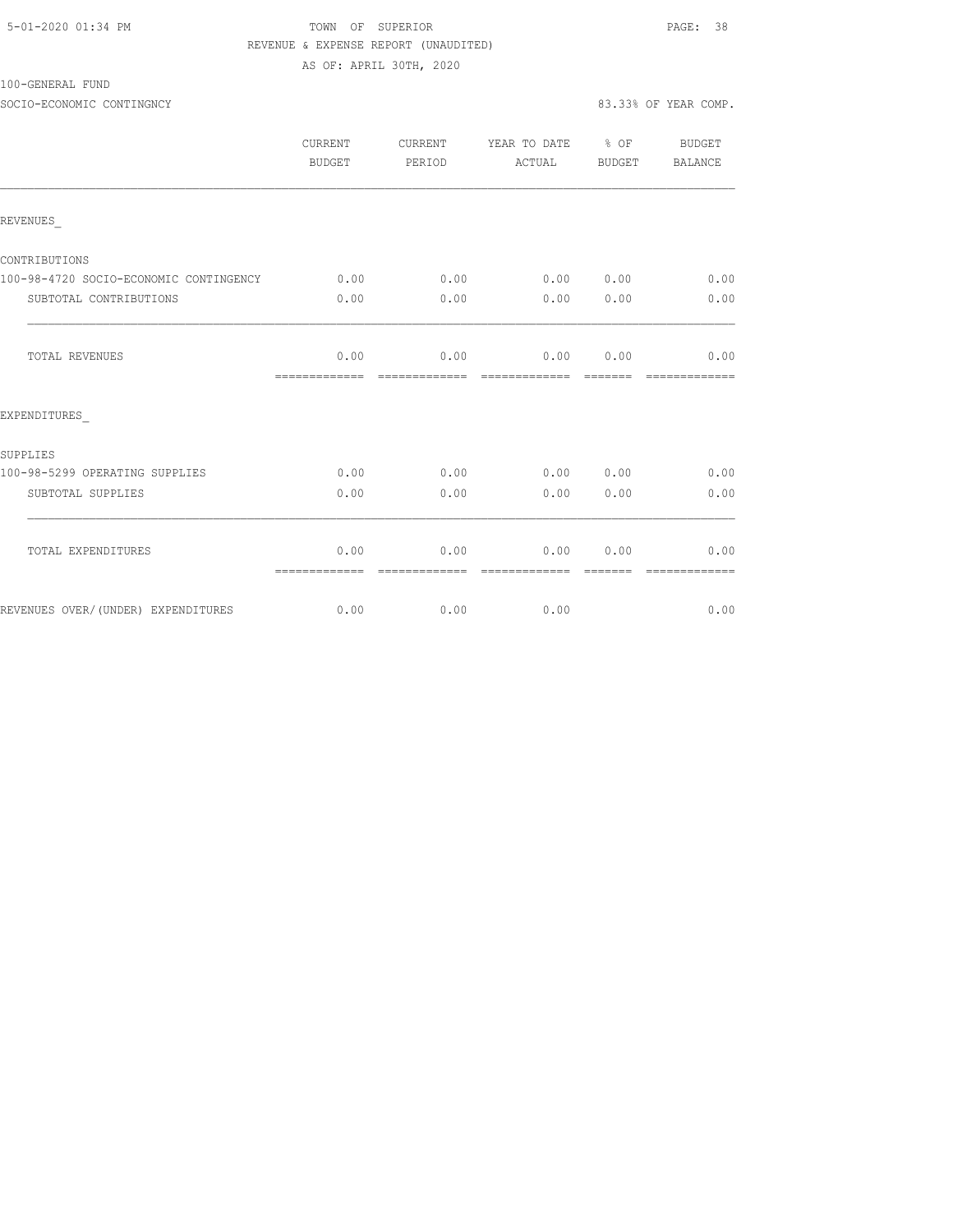| 5-01-2020 01:34 PM |  |
|--------------------|--|
|--------------------|--|

# TOWN OF SUPERIOR **Example 2010** PAGE: 38 REVENUE & EXPENSE REPORT (UNAUDITED) AS OF: APRIL 30TH, 2020

100-GENERAL FUND

SOCIO-ECONOMIC CONTINGNCY 83.33% OF YEAR COMP.

|                                        | CURRENT<br>BUDGET     | CURRENT<br>PERIOD      | YEAR TO DATE % OF<br>ACTUAL | BUDGET                                                                                                                                                                                                                                                                                                                                                                                                                                                                                         | BUDGET<br><b>BALANCE</b> |
|----------------------------------------|-----------------------|------------------------|-----------------------------|------------------------------------------------------------------------------------------------------------------------------------------------------------------------------------------------------------------------------------------------------------------------------------------------------------------------------------------------------------------------------------------------------------------------------------------------------------------------------------------------|--------------------------|
| REVENUES                               |                       |                        |                             |                                                                                                                                                                                                                                                                                                                                                                                                                                                                                                |                          |
| CONTRIBUTIONS                          |                       |                        |                             |                                                                                                                                                                                                                                                                                                                                                                                                                                                                                                |                          |
| 100-98-4720 SOCIO-ECONOMIC CONTINGENCY | 0.00                  | 0.00                   | 0.00 0.00                   |                                                                                                                                                                                                                                                                                                                                                                                                                                                                                                | 0.00                     |
| SUBTOTAL CONTRIBUTIONS                 | 0.00                  | 0.00                   | 0.00                        | 0.00                                                                                                                                                                                                                                                                                                                                                                                                                                                                                           | 0.00                     |
| TOTAL REVENUES                         | 0.00<br>============= | 0.00<br>=============  | 0.00<br>-------------       | 0.00<br>$\begin{array}{cccccccccc} \multicolumn{2}{c}{} & \multicolumn{2}{c}{} & \multicolumn{2}{c}{} & \multicolumn{2}{c}{} & \multicolumn{2}{c}{} & \multicolumn{2}{c}{} & \multicolumn{2}{c}{} & \multicolumn{2}{c}{} & \multicolumn{2}{c}{} & \multicolumn{2}{c}{} & \multicolumn{2}{c}{} & \multicolumn{2}{c}{} & \multicolumn{2}{c}{} & \multicolumn{2}{c}{} & \multicolumn{2}{c}{} & \multicolumn{2}{c}{} & \multicolumn{2}{c}{} & \multicolumn{2}{c}{} & \multicolumn{2}{c}{} & \mult$ | 0.00<br>=============    |
| EXPENDITURES                           |                       |                        |                             |                                                                                                                                                                                                                                                                                                                                                                                                                                                                                                |                          |
| <b>SUPPLIES</b>                        |                       |                        |                             |                                                                                                                                                                                                                                                                                                                                                                                                                                                                                                |                          |
| 100-98-5299 OPERATING SUPPLIES         | 0.00                  | 0.00                   | $0.00$ $0.00$               |                                                                                                                                                                                                                                                                                                                                                                                                                                                                                                | 0.00                     |
| SUBTOTAL SUPPLIES                      | 0.00                  | 0.00                   | 0.00                        | 0.00                                                                                                                                                                                                                                                                                                                                                                                                                                                                                           | 0.00                     |
| TOTAL EXPENDITURES                     | 0.00                  | 0.00<br>-------------- | 0.00<br>=============       | 0.00<br>--------                                                                                                                                                                                                                                                                                                                                                                                                                                                                               | 0.00<br>--------------   |
| REVENUES OVER/(UNDER) EXPENDITURES     | 0.00                  | 0.00                   | 0.00                        |                                                                                                                                                                                                                                                                                                                                                                                                                                                                                                | 0.00                     |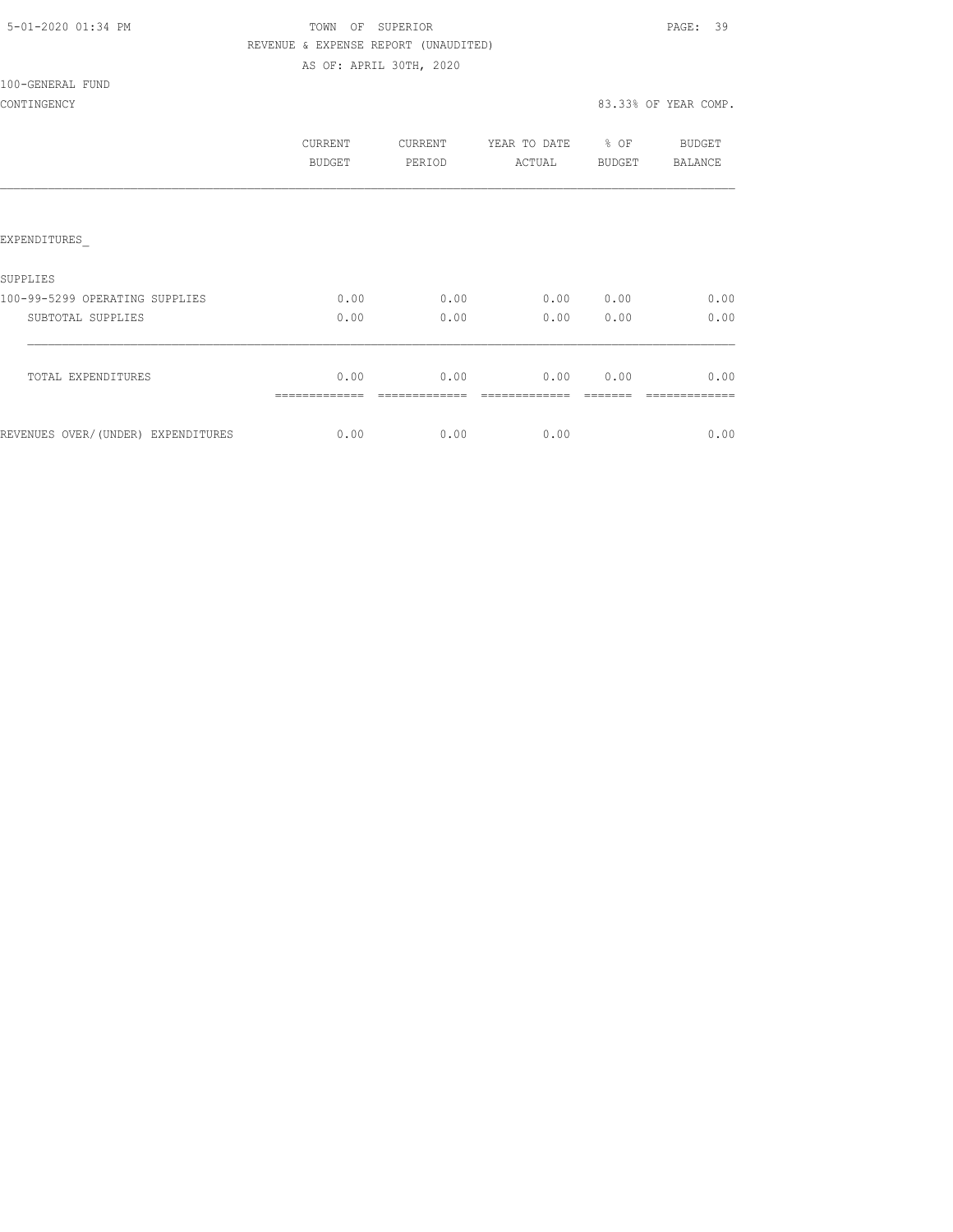# TOWN OF SUPERIOR **Example 2010** PAGE: 39 REVENUE & EXPENSE REPORT (UNAUDITED) AS OF: APRIL 30TH, 2020

100-GENERAL FUND

# CONTINGENCY 83.33% OF YEAR COMP.

|                                                     | CURRENT<br>BUDGET | CURRENT<br>PERIOD | YEAR TO DATE<br>ACTUAL | % OF<br><b>BUDGET</b> | <b>BUDGET</b><br><b>BALANCE</b> |
|-----------------------------------------------------|-------------------|-------------------|------------------------|-----------------------|---------------------------------|
| EXPENDITURES                                        |                   |                   |                        |                       |                                 |
| SUPPLIES                                            |                   |                   |                        |                       |                                 |
| 100-99-5299 OPERATING SUPPLIES<br>SUBTOTAL SUPPLIES | 0.00<br>0.00      | 0.00<br>0.00      | 0.00<br>0.00           | 0.00<br>0.00          | 0.00<br>0.00                    |
| TOTAL EXPENDITURES                                  | 0.00              | 0.00              | 0.00                   | 0.00                  | 0.00                            |
| REVENUES OVER/(UNDER) EXPENDITURES                  | 0.00              | 0.00              | 0.00                   |                       | 0.00                            |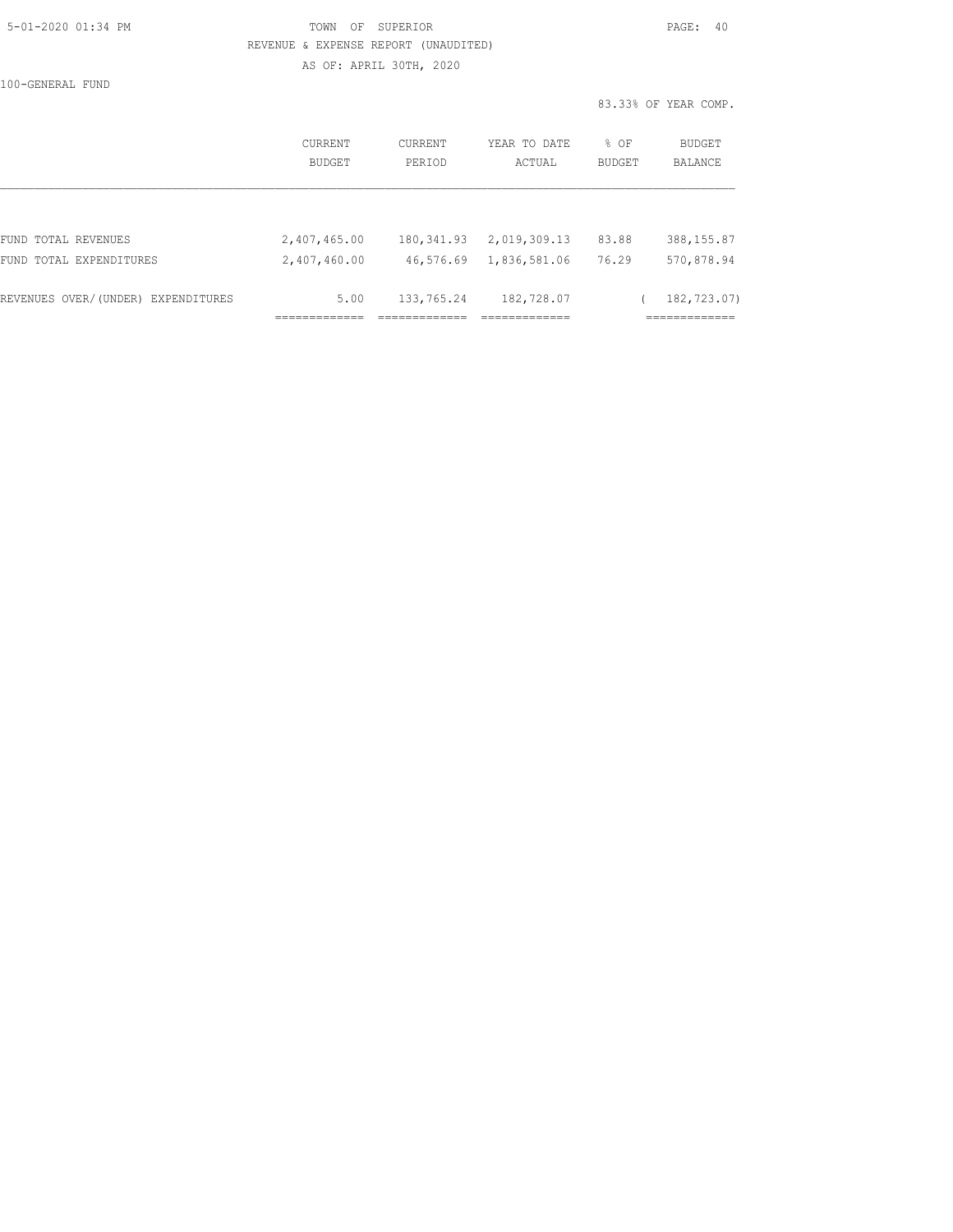|  | 5-01-2020 01:34 PM |  |
|--|--------------------|--|
|  |                    |  |

# TOWN OF SUPERIOR **Example 2010** PAGE: 40 REVENUE & EXPENSE REPORT (UNAUDITED) AS OF: APRIL 30TH, 2020

100-GENERAL FUND

|                                    | CURRENT<br>BUDGET | <b>CURRENT</b><br>PERIOD | YEAR TO DATE<br>ACTUAL | $8$ OF<br><b>BUDGET</b> | BUDGET<br><b>BALANCE</b> |
|------------------------------------|-------------------|--------------------------|------------------------|-------------------------|--------------------------|
|                                    |                   |                          |                        |                         |                          |
| FUND TOTAL REVENUES                | 2,407,465.00      | 180,341.93               | 2,019,309.13           | 83.88                   | 388, 155.87              |
| FUND TOTAL EXPENDITURES            | 2,407,460.00      | 46,576.69                | 1,836,581.06           | 76.29                   | 570,878.94               |
| REVENUES OVER/(UNDER) EXPENDITURES | 5.00              | 133,765.24               | 182,728.07             |                         | 182,723.07)              |
|                                    |                   |                          |                        |                         |                          |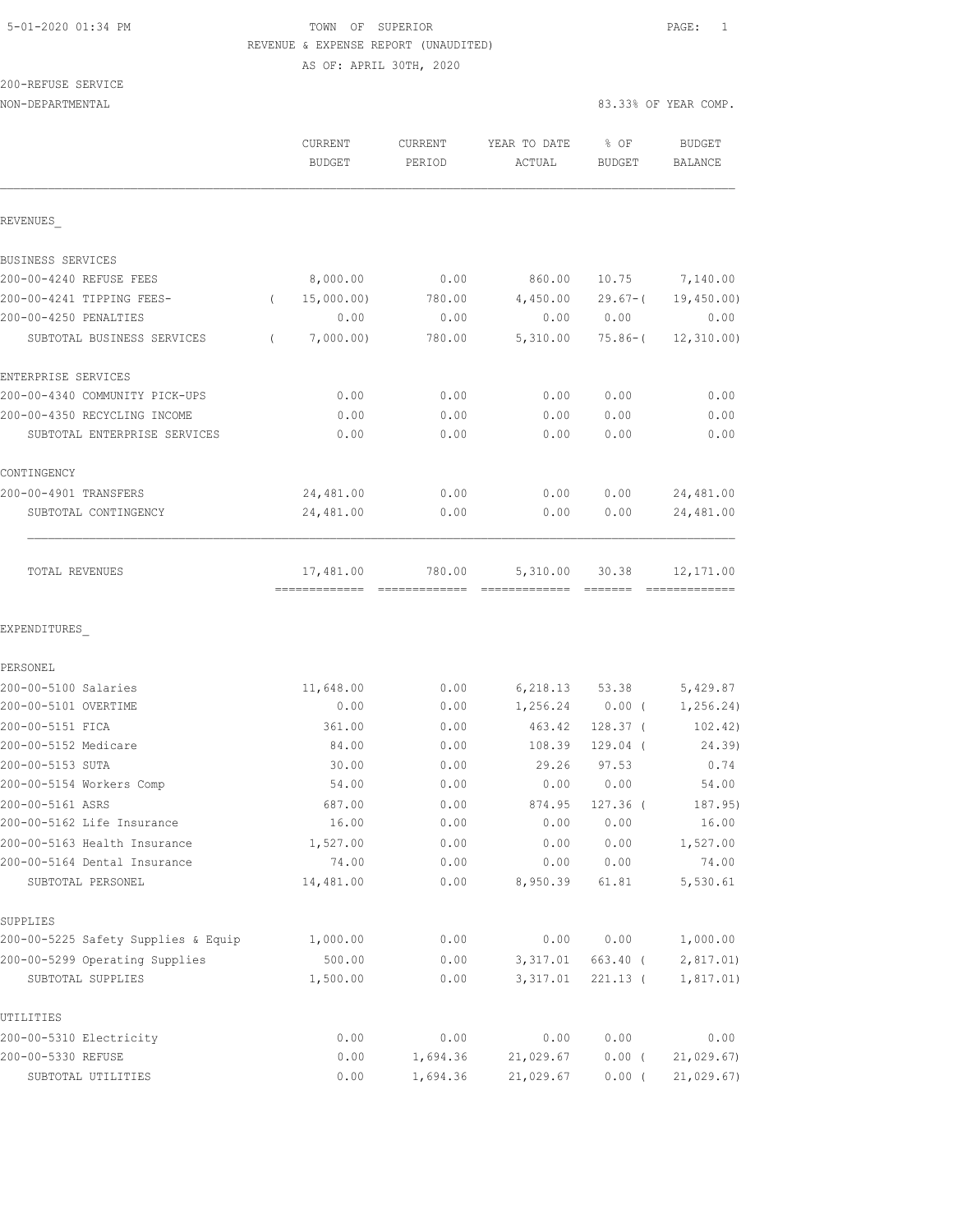# 5-01-2020 01:34 PM TOWN OF SUPERIOR PAGE: 1 REVENUE & EXPENSE REPORT (UNAUDITED)

AS OF: APRIL 30TH, 2020

|       | 200-REFUSE SERVICE |  |  |
|-------|--------------------|--|--|
| ----- |                    |  |  |

| NON-DEPARTMENTAL | 83.33% OF YEAR COMP. |
|------------------|----------------------|
|                  |                      |

|                                     | CURRENT<br><b>BUDGET</b> | CURRENT<br>PERIOD               | YEAR TO DATE<br>ACTUAL | % OF<br><b>BUDGET</b> | <b>BUDGET</b><br>BALANCE |
|-------------------------------------|--------------------------|---------------------------------|------------------------|-----------------------|--------------------------|
| REVENUES                            |                          |                                 |                        |                       |                          |
| BUSINESS SERVICES                   |                          |                                 |                        |                       |                          |
| 200-00-4240 REFUSE FEES             | 8,000.00                 | 0.00                            | 860.00                 | 10.75                 | 7,140.00                 |
| 200-00-4241 TIPPING FEES-           | 15,000.00)<br>$\left($   | 780.00                          | 4,450.00               | $29.67 - ($           | 19,450.00                |
| 200-00-4250 PENALTIES               | 0.00                     | 0.00                            | 0.00                   | 0.00                  | 0.00                     |
| SUBTOTAL BUSINESS SERVICES          | 7,000.00)<br>$\left($    | 780.00                          | 5,310.00               | $75.86 - ($           | 12, 310, 00)             |
| ENTERPRISE SERVICES                 |                          |                                 |                        |                       |                          |
| 200-00-4340 COMMUNITY PICK-UPS      | 0.00                     | 0.00                            | 0.00                   | 0.00                  | 0.00                     |
| 200-00-4350 RECYCLING INCOME        | 0.00                     | 0.00                            | 0.00                   | 0.00                  | 0.00                     |
| SUBTOTAL ENTERPRISE SERVICES        | 0.00                     | 0.00                            | 0.00                   | 0.00                  | 0.00                     |
| CONTINGENCY                         |                          |                                 |                        |                       |                          |
| 200-00-4901 TRANSFERS               | 24,481.00                | 0.00                            | 0.00                   | 0.00                  | 24,481.00                |
| SUBTOTAL CONTINGENCY                | 24,481.00                | 0.00                            | 0.00                   | 0.00                  | 24,481.00                |
| TOTAL REVENUES                      | 17,481.00                | 780.00                          | 5,310.00               | 30.38                 | 12,171.00                |
| EXPENDITURES                        |                          |                                 |                        |                       |                          |
| PERSONEL                            |                          |                                 |                        |                       |                          |
| 200-00-5100 Salaries                | 11,648.00                | 0.00                            | 6,218.13               | 53.38                 | 5,429.87                 |
| 200-00-5101 OVERTIME                | 0.00                     | 0.00                            | 1,256.24               | $0.00$ (              | 1, 256.24                |
| 200-00-5151 FICA                    | 361.00                   | 0.00                            | 463.42                 | $128.37$ (            | 102.42)                  |
| 200-00-5152 Medicare                | 84.00                    | 0.00                            | 108.39                 | $129.04$ (            | 24.39)                   |
| 200-00-5153 SUTA                    | 30.00                    | 0.00                            | 29.26                  | 97.53                 | 0.74                     |
| 200-00-5154 Workers Comp            | 54.00                    | 0.00                            | 0.00                   | 0.00                  | 54.00                    |
| 200-00-5161 ASRS                    | 687.00                   | 0.00                            | 874.95                 | $127.36$ (            | 187.95)                  |
| 200-00-5162 Life Insurance          | 16.00                    | ${\bf 0}$ . ${\bf 0}$ ${\bf 0}$ | 0.00                   | 0.00                  | 16.00                    |
| 200-00-5163 Health Insurance        | 1,527.00                 | 0.00                            | 0.00                   | 0.00                  | 1,527.00                 |
| 200-00-5164 Dental Insurance        | 74.00                    | 0.00                            | 0.00                   | 0.00                  | 74.00                    |
| SUBTOTAL PERSONEL                   | 14,481.00                | 0.00                            | 8,950.39               | 61.81                 | 5,530.61                 |
| SUPPLIES                            |                          |                                 |                        |                       |                          |
| 200-00-5225 Safety Supplies & Equip | 1,000.00                 | 0.00                            | 0.00                   | 0.00                  | 1,000.00                 |
| 200-00-5299 Operating Supplies      | 500.00                   | 0.00                            | 3,317.01               | 663.40 (              | 2,817.01                 |
| SUBTOTAL SUPPLIES                   | 1,500.00                 | 0.00                            | 3,317.01               | $221.13$ (            | 1, 817.01)               |
| UTILITIES                           |                          |                                 |                        |                       |                          |
| 200-00-5310 Electricity             | 0.00                     | 0.00                            | 0.00                   | 0.00                  | 0.00                     |
| 200-00-5330 REFUSE                  | 0.00                     | 1,694.36                        | 21,029.67              | $0.00$ (              | 21,029.67                |
| SUBTOTAL UTILITIES                  | 0.00                     | 1,694.36                        | 21,029.67              | $0.00$ (              | 21,029.67)               |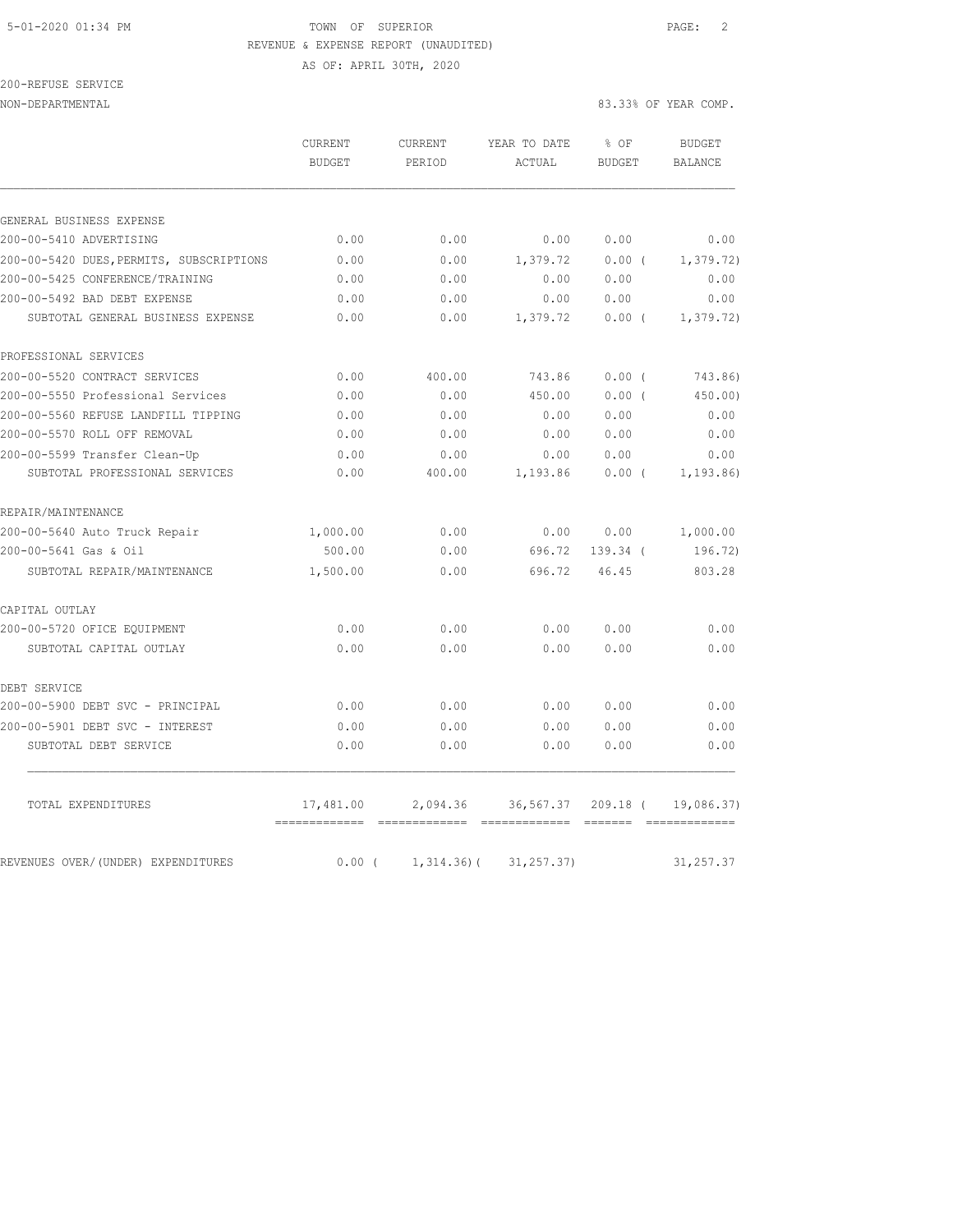# 5-01-2020 01:34 PM TOWN OF SUPERIOR PAGE: 2 REVENUE & EXPENSE REPORT (UNAUDITED)

# AS OF: APRIL 30TH, 2020

| 200-REFUSE SERVICE            |  |
|-------------------------------|--|
| ד גרחו גרח ארח מריחרו זו ∩ו א |  |

|                                                        | CURRENT  | YEAR TO DATE<br><b>CURRENT</b> |               | % OF          | BUDGET         |
|--------------------------------------------------------|----------|--------------------------------|---------------|---------------|----------------|
|                                                        | BUDGET   | PERIOD                         | ACTUAL        | <b>BUDGET</b> | <b>BALANCE</b> |
|                                                        |          |                                |               |               |                |
| GENERAL BUSINESS EXPENSE                               |          |                                |               |               |                |
| 200-00-5410 ADVERTISING                                | 0.00     | 0.00                           | 0.00          | 0.00          | 0.00           |
| 200-00-5420 DUES, PERMITS, SUBSCRIPTIONS               | 0.00     | 0.00                           | 1,379.72      | $0.00$ (      | 1,379.72)      |
| 200-00-5425 CONFERENCE/TRAINING                        | 0.00     | 0.00                           | 0.00          | 0.00          | 0.00           |
| 200-00-5492 BAD DEBT EXPENSE                           | 0.00     | 0.00                           | 0.00          | 0.00          | 0.00           |
| SUBTOTAL GENERAL BUSINESS EXPENSE                      | 0.00     | 0.00                           | 1,379.72      | $0.00$ (      | 1,379.72)      |
| PROFESSIONAL SERVICES                                  |          |                                |               |               |                |
| 200-00-5520 CONTRACT SERVICES                          | 0.00     | 400.00                         | 743.86        | 0.00(         | 743.86)        |
| 200-00-5550 Professional Services                      | 0.00     | 0.00                           | 450.00        | $0.00$ (      | 450.00)        |
| 200-00-5560 REFUSE LANDFILL TIPPING                    | 0.00     | 0.00                           | 0.00          | 0.00          | 0.00           |
| 200-00-5570 ROLL OFF REMOVAL                           | 0.00     | 0.00                           | 0.00          | 0.00          | 0.00           |
| 200-00-5599 Transfer Clean-Up                          | 0.00     | 0.00                           | 0.00          | 0.00          | 0.00           |
| SUBTOTAL PROFESSIONAL SERVICES                         | 0.00     | 400.00                         | 1,193.86      | $0.00$ (      | 1,193.86)      |
| REPAIR/MAINTENANCE                                     |          |                                |               |               |                |
| $2000, 000$ FC40 $\overline{2}$ members $\overline{1}$ | 1.000.00 | 0.00                           | $\cap$ $\cap$ | $\cap$ $\cap$ | 1.000.00       |

| 0.00     | 0.00 | 0.00   | 0.00     | 0.00                |
|----------|------|--------|----------|---------------------|
|          |      |        |          |                     |
| 0.00     | 0.00 | 0.00   | 0.00     | 0.00                |
| 0.00     | 0.00 | 0.00   | 0.00     | 0.00                |
|          |      |        |          |                     |
| 0.00     | 0.00 | 0.00   | 0.00     | 0.00                |
| 0.00     | 0.00 | 0.00   | 0.00     | 0.00                |
|          |      |        |          |                     |
| 1,500.00 | 0.00 | 696.72 | 46.45    | 803.28              |
| 500.00   | 0.00 |        | 139.34 ( | 196.72)             |
| 1,000.00 | 0.00 |        |          | 1,000.00            |
|          |      |        |          |                     |
|          |      |        |          | 0.00 0.00<br>696.72 |

REVENUES OVER/(UNDER) EXPENDITURES 0.00 ( 1,314.36) ( 31,257.37) 31,257.37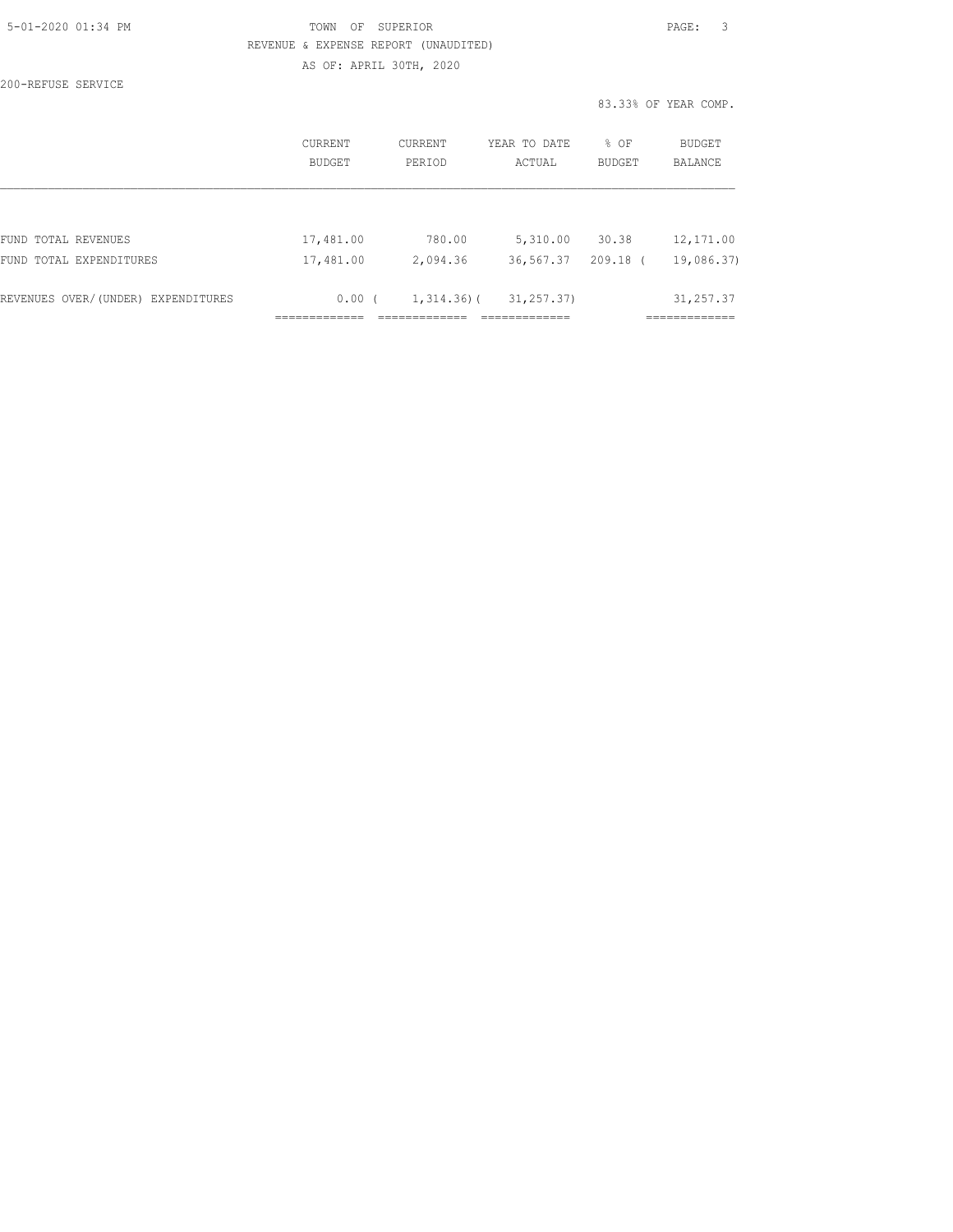| 5-01-2020 01:34 PM |  |
|--------------------|--|
|                    |  |

# TOWN OF SUPERIOR **Example 2010** PAGE: 3 REVENUE & EXPENSE REPORT (UNAUDITED) AS OF: APRIL 30TH, 2020

200-REFUSE SERVICE

|                                    | CURRENT<br>BUDGET | CURRENT<br>PERIOD | YEAR TO DATE<br>ACTUAL | % OF<br><b>BUDGET</b> | BUDGET<br>BALANCE |
|------------------------------------|-------------------|-------------------|------------------------|-----------------------|-------------------|
|                                    |                   |                   |                        |                       |                   |
| FUND TOTAL REVENUES                | 17,481.00         | 780.00            | 5,310.00               | 30.38                 | 12, 171.00        |
| FUND TOTAL EXPENDITURES            | 17,481.00         | 2,094.36          | 36,567.37              | $209.18$ (            | 19,086.37)        |
| REVENUES OVER/(UNDER) EXPENDITURES | 0.00(             | $1,314.36$ ) (    | 31, 257, 37)           |                       | 31, 257.37        |
|                                    |                   |                   |                        |                       |                   |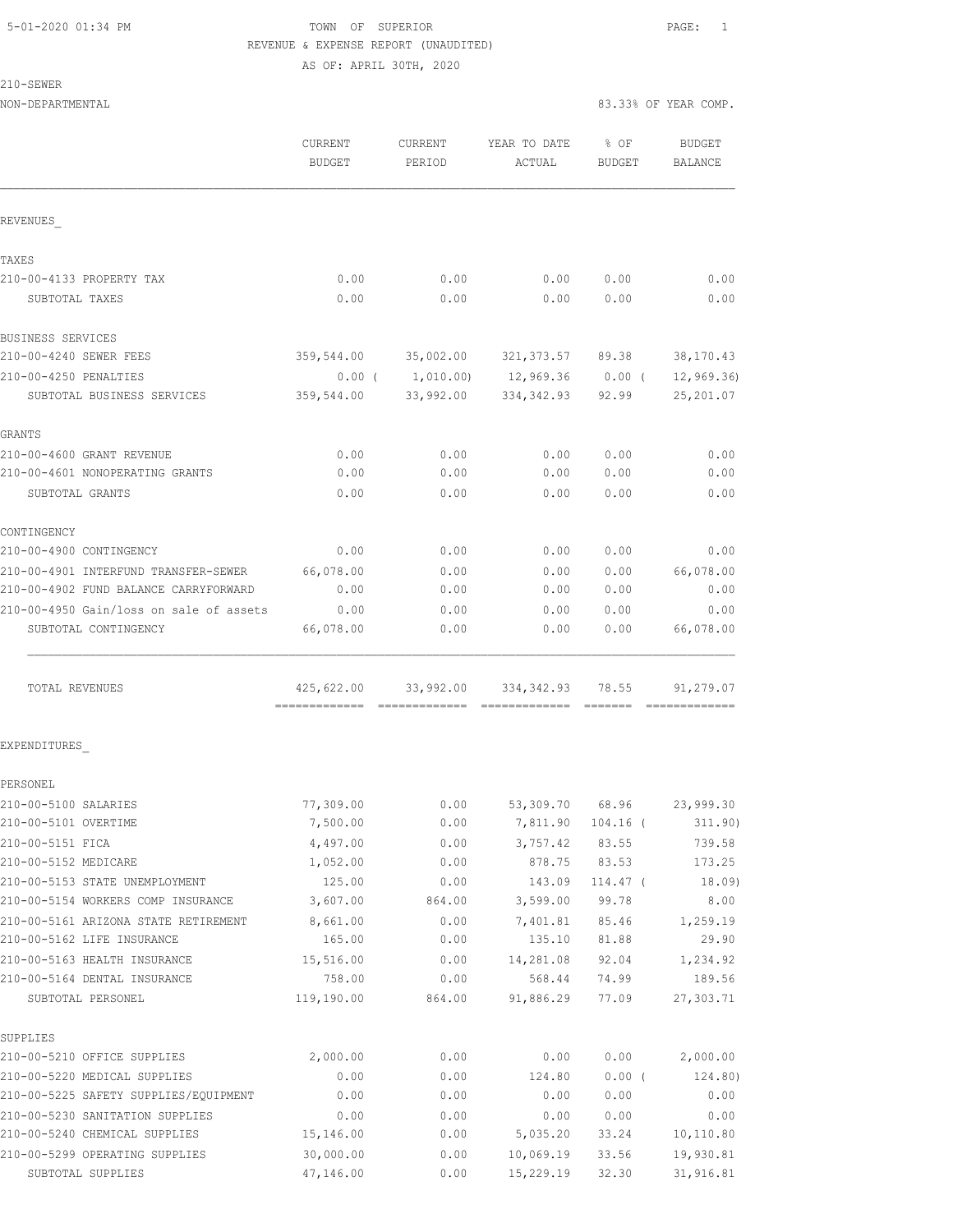# 5-01-2020 01:34 PM TOWN OF SUPERIOR PAGE: 1 REVENUE & EXPENSE REPORT (UNAUDITED)

AS OF: APRIL 30TH, 2020

| iH:WH: |  |
|--------|--|
|--------|--|

| NON-DEPARTMENTAL                                    |                          |                          |                                               |                       | 83.33% OF YEAR COMP.            |  |  |
|-----------------------------------------------------|--------------------------|--------------------------|-----------------------------------------------|-----------------------|---------------------------------|--|--|
|                                                     | CURRENT<br><b>BUDGET</b> | <b>CURRENT</b><br>PERIOD | YEAR TO DATE<br>ACTUAL                        | % OF<br><b>BUDGET</b> | <b>BUDGET</b><br><b>BALANCE</b> |  |  |
| REVENUES                                            |                          |                          |                                               |                       |                                 |  |  |
| TAXES                                               |                          |                          |                                               |                       |                                 |  |  |
| 210-00-4133 PROPERTY TAX                            | 0.00                     | 0.00                     | 0.00                                          | 0.00                  | 0.00                            |  |  |
| SUBTOTAL TAXES                                      | 0.00                     | 0.00                     | 0.00                                          | 0.00                  | 0.00                            |  |  |
| BUSINESS SERVICES                                   |                          |                          |                                               |                       |                                 |  |  |
| 210-00-4240 SEWER FEES                              | 359,544.00               |                          | 35,002.00 321,373.57 89.38                    |                       | 38, 170.43                      |  |  |
| 210-00-4250 PENALTIES<br>SUBTOTAL BUSINESS SERVICES | 359,544.00               | 33,992.00                | $0.00$ ( $1,010.00$ ) 12,969.36<br>334,342.93 | $0.00$ (<br>92.99     | 12, 969.36<br>25, 201.07        |  |  |
| GRANTS                                              |                          |                          |                                               |                       |                                 |  |  |
| 210-00-4600 GRANT REVENUE                           | 0.00                     | 0.00                     | 0.00                                          | 0.00                  | 0.00                            |  |  |
| 210-00-4601 NONOPERATING GRANTS                     | 0.00                     | 0.00                     | 0.00                                          | 0.00                  | 0.00                            |  |  |
| SUBTOTAL GRANTS                                     | 0.00                     | 0.00                     | 0.00                                          | 0.00                  | 0.00                            |  |  |
| CONTINGENCY                                         |                          |                          |                                               |                       |                                 |  |  |
| 210-00-4900 CONTINGENCY                             | 0.00                     | 0.00                     | 0.00                                          | 0.00                  | 0.00                            |  |  |
| 210-00-4901 INTERFUND TRANSFER-SEWER                | 66,078.00                | 0.00                     | 0.00                                          | 0.00                  | 66,078.00                       |  |  |
| 210-00-4902 FUND BALANCE CARRYFORWARD               | 0.00                     | 0.00                     | 0.00                                          | 0.00                  | 0.00                            |  |  |
| 210-00-4950 Gain/loss on sale of assets             | 0.00                     | 0.00                     | 0.00                                          | 0.00                  | 0.00                            |  |  |
| SUBTOTAL CONTINGENCY                                | 66,078.00                | 0.00                     | 0.00                                          | 0.00                  | 66,078.00                       |  |  |
| TOTAL REVENUES                                      | 425,622.00               | 33,992.00                | 334,342.93                                    | 78.55                 | 91,279.07                       |  |  |
| EXPENDITURES                                        |                          |                          |                                               |                       |                                 |  |  |
| PERSONEL                                            |                          |                          |                                               |                       |                                 |  |  |
| 210-00-5100 SALARIES                                | 77,309.00                | 0.00                     | 53,309.70                                     | 68.96                 | 23,999.30                       |  |  |
| 210-00-5101 OVERTIME                                | 7,500.00                 | 0.00                     | 7,811.90                                      | $104.16$ (            | 311.90)                         |  |  |
| 210-00-5151 FICA                                    | 4,497.00                 | 0.00                     | 3,757.42                                      | 83.55                 | 739.58                          |  |  |
| 210-00-5152 MEDICARE                                | 1,052.00                 | 0.00                     | 878.75                                        | 83.53                 | 173.25                          |  |  |
| 210-00-5153 STATE UNEMPLOYMENT                      | 125.00                   | 0.00                     | 143.09                                        | $114.47$ (            | 18.09)                          |  |  |
| 210-00-5154 WORKERS COMP INSURANCE                  | 3,607.00                 | 864.00                   | 3,599.00                                      | 99.78                 | 8.00                            |  |  |
| 210-00-5161 ARIZONA STATE RETIREMENT                | 8,661.00                 | 0.00                     | 7,401.81                                      | 85.46                 | 1,259.19                        |  |  |
| 210-00-5162 LIFE INSURANCE                          | 165.00                   | 0.00                     | 135.10                                        | 81.88                 | 29.90                           |  |  |
| 210-00-5163 HEALTH INSURANCE                        | 15,516.00                | 0.00                     | 14,281.08                                     | 92.04                 | 1,234.92                        |  |  |
| 210-00-5164 DENTAL INSURANCE                        | 758.00                   | 0.00                     | 568.44                                        | 74.99                 | 189.56                          |  |  |
| SUBTOTAL PERSONEL                                   | 119,190.00               | 864.00                   | 91,886.29                                     | 77.09                 | 27,303.71                       |  |  |
| SUPPLIES<br>210-00-5210 OFFICE SUPPLIES             | 2,000.00                 | 0.00                     | 0.00                                          |                       | 2,000.00                        |  |  |
| 210-00-5220 MEDICAL SUPPLIES                        | 0.00                     | 0.00                     | 124.80                                        | 0.00<br>0.00(         | 124.80)                         |  |  |
| 210-00-5225 SAFETY SUPPLIES/EQUIPMENT               | 0.00                     | 0.00                     | 0.00                                          | 0.00                  | 0.00                            |  |  |
| 210-00-5230 SANITATION SUPPLIES                     | 0.00                     | 0.00                     | 0.00                                          | 0.00                  | 0.00                            |  |  |
| 210-00-5240 CHEMICAL SUPPLIES                       | 15,146.00                | 0.00                     | 5,035.20                                      | 33.24                 | 10,110.80                       |  |  |
|                                                     |                          |                          |                                               |                       |                                 |  |  |

210-00-5299 OPERATING SUPPLIES 30,000.00 0.00 10,069.19 33.56 19,930.81 SUBTOTAL SUPPLIES 47,146.00 0.00 15,229.19 32.30 31,916.81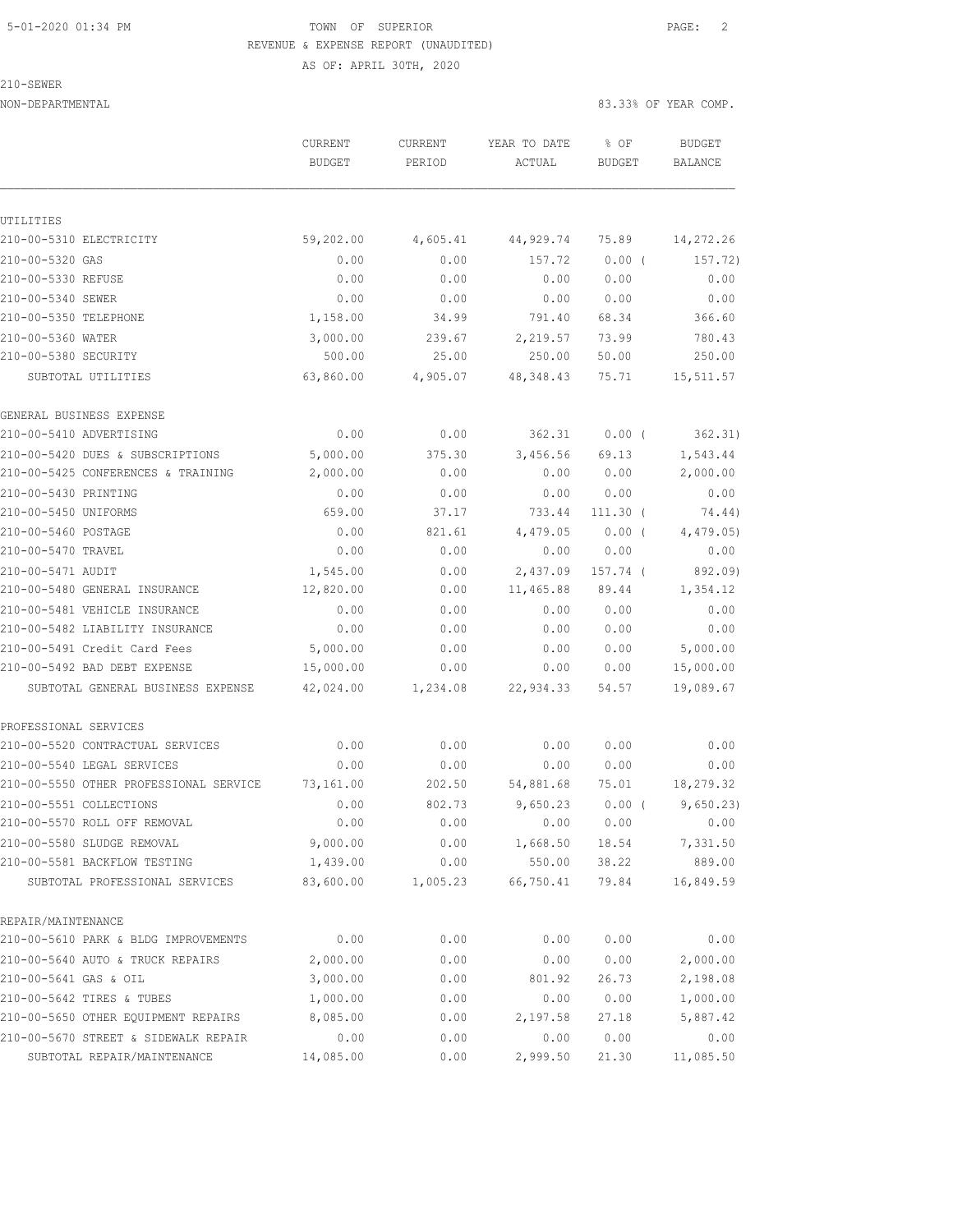# 5-01-2020 01:34 PM TOWN OF SUPERIOR PAGE: 2 REVENUE & EXPENSE REPORT (UNAUDITED) AS OF: APRIL 30TH, 2020

210-SEWER

|                                        | CURRENT       | CURRENT  | YEAR TO DATE | % OF          | <b>BUDGET</b>  |
|----------------------------------------|---------------|----------|--------------|---------------|----------------|
|                                        | <b>BUDGET</b> | PERIOD   | ACTUAL       | <b>BUDGET</b> | <b>BALANCE</b> |
|                                        |               |          |              |               |                |
| UTILITIES                              |               |          |              |               |                |
| 210-00-5310 ELECTRICITY                | 59,202.00     | 4,605.41 | 44,929.74    | 75.89         | 14,272.26      |
| 210-00-5320 GAS                        | 0.00          | 0.00     | 157.72       | 0.00(         | 157.72)        |
| 210-00-5330 REFUSE                     | 0.00          | 0.00     | 0.00         | 0.00          | 0.00           |
| 210-00-5340 SEWER                      | 0.00          | 0.00     | 0.00         | 0.00          | 0.00           |
| 210-00-5350 TELEPHONE                  | 1,158.00      | 34.99    | 791.40       | 68.34         | 366.60         |
| 210-00-5360 WATER                      | 3,000.00      | 239.67   | 2,219.57     | 73.99         | 780.43         |
| 210-00-5380 SECURITY                   | 500.00        | 25.00    | 250.00       | 50.00         | 250.00         |
| SUBTOTAL UTILITIES                     | 63,860.00     | 4,905.07 | 48, 348.43   | 75.71         | 15,511.57      |
| GENERAL BUSINESS EXPENSE               |               |          |              |               |                |
| 210-00-5410 ADVERTISING                | 0.00          | 0.00     | 362.31       | 0.00(         | 362.31)        |
| 210-00-5420 DUES & SUBSCRIPTIONS       | 5,000.00      | 375.30   | 3,456.56     | 69.13         | 1,543.44       |
| 210-00-5425 CONFERENCES & TRAINING     | 2,000.00      | 0.00     | 0.00         | 0.00          | 2,000.00       |
| 210-00-5430 PRINTING                   | 0.00          | 0.00     | 0.00         | 0.00          | 0.00           |
| 210-00-5450 UNIFORMS                   | 659.00        | 37.17    | 733.44       | $111.30$ (    | 74.44)         |
| 210-00-5460 POSTAGE                    | 0.00          | 821.61   | 4,479.05     | 0.00(         | 4,479.05       |
| 210-00-5470 TRAVEL                     | 0.00          | 0.00     | 0.00         | 0.00          | 0.00           |
| 210-00-5471 AUDIT                      | 1,545.00      | 0.00     | 2,437.09     | 157.74 (      | 892.09)        |
| 210-00-5480 GENERAL INSURANCE          | 12,820.00     | 0.00     | 11,465.88    | 89.44         | 1,354.12       |
| 210-00-5481 VEHICLE INSURANCE          | 0.00          | 0.00     | 0.00         | 0.00          | 0.00           |
| 210-00-5482 LIABILITY INSURANCE        | 0.00          | 0.00     | 0.00         | 0.00          | 0.00           |
| 210-00-5491 Credit Card Fees           | 5,000.00      | 0.00     | 0.00         | 0.00          | 5,000.00       |
| 210-00-5492 BAD DEBT EXPENSE           | 15,000.00     | 0.00     | 0.00         | 0.00          | 15,000.00      |
| SUBTOTAL GENERAL BUSINESS EXPENSE      | 42,024.00     | 1,234.08 | 22,934.33    | 54.57         | 19,089.67      |
| PROFESSIONAL SERVICES                  |               |          |              |               |                |
| 210-00-5520 CONTRACTUAL SERVICES       | 0.00          | 0.00     | 0.00         | 0.00          | 0.00           |
| 210-00-5540 LEGAL SERVICES             | 0.00          | 0.00     | 0.00         | 0.00          | 0.00           |
| 210-00-5550 OTHER PROFESSIONAL SERVICE | 73,161.00     | 202.50   | 54,881.68    | 75.01         | 18,279.32      |
| 210-00-5551 COLLECTIONS                | 0.00          | 802.73   | 9,650.23     | $0.00$ (      | 9,650.23)      |
| 210-00-5570 ROLL OFF REMOVAL           | 0.00          | 0.00     | 0.00         | 0.00          | 0.00           |
| 210-00-5580 SLUDGE REMOVAL             | 9,000.00      | 0.00     | 1,668.50     | 18.54         | 7,331.50       |
| 210-00-5581 BACKFLOW TESTING           | 1,439.00      | 0.00     | 550.00       | 38.22         | 889.00         |
| SUBTOTAL PROFESSIONAL SERVICES         | 83,600.00     | 1,005.23 | 66,750.41    | 79.84         | 16,849.59      |
| REPAIR/MAINTENANCE                     |               |          |              |               |                |
| 210-00-5610 PARK & BLDG IMPROVEMENTS   | 0.00          | 0.00     | 0.00         | 0.00          | 0.00           |
| 210-00-5640 AUTO & TRUCK REPAIRS       | 2,000.00      | 0.00     | 0.00         | 0.00          | 2,000.00       |
| 210-00-5641 GAS & OIL                  | 3,000.00      | 0.00     | 801.92       | 26.73         | 2,198.08       |
| 210-00-5642 TIRES & TUBES              | 1,000.00      | 0.00     | 0.00         | 0.00          | 1,000.00       |
| 210-00-5650 OTHER EQUIPMENT REPAIRS    | 8,085.00      | 0.00     | 2,197.58     | 27.18         | 5,887.42       |
| 210-00-5670 STREET & SIDEWALK REPAIR   | 0.00          | 0.00     | 0.00         | 0.00          | 0.00           |
| SUBTOTAL REPAIR/MAINTENANCE            | 14,085.00     | 0.00     | 2,999.50     | 21.30         | 11,085.50      |
|                                        |               |          |              |               |                |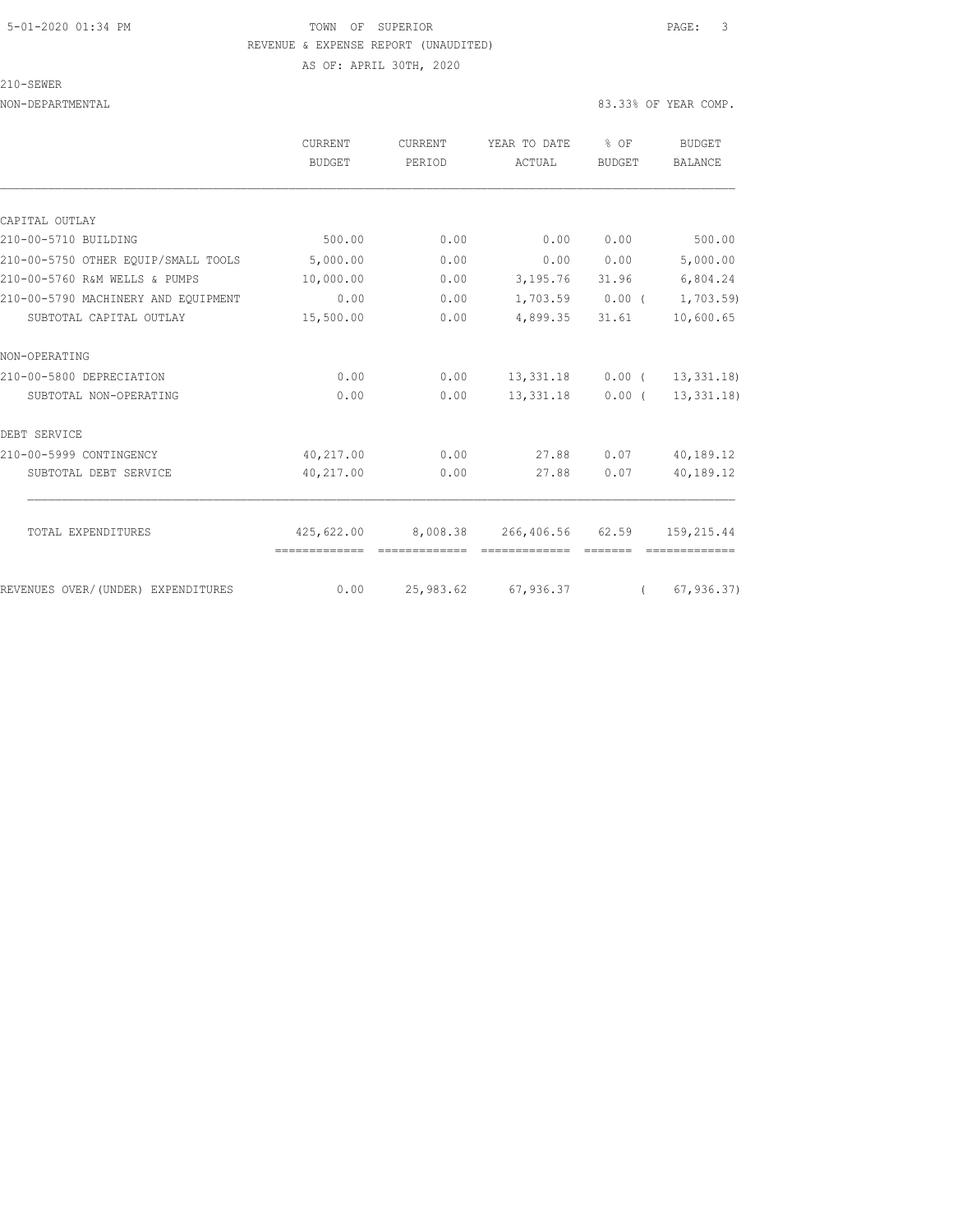# 5-01-2020 01:34 PM TOWN OF SUPERIOR PAGE: 3 REVENUE & EXPENSE REPORT (UNAUDITED) AS OF: APRIL 30TH, 2020

#### 210-SEWER

|                                     | <b>CURRENT</b><br>BUDGET | CURRENT<br>PERIOD | YEAR TO DATE<br>ACTUAL                          | % OF<br>BUDGET | BUDGET<br>BALANCE      |
|-------------------------------------|--------------------------|-------------------|-------------------------------------------------|----------------|------------------------|
|                                     |                          |                   |                                                 |                |                        |
| CAPITAL OUTLAY                      |                          |                   |                                                 |                |                        |
| 210-00-5710 BUILDING                | 500.00                   | 0.00              | 0.00                                            | 0.00           | 500.00                 |
| 210-00-5750 OTHER EOUIP/SMALL TOOLS | 5,000.00                 | 0.00              | 0.00                                            | 0.00           | 5,000.00               |
| 210-00-5760 R&M WELLS & PUMPS       | 10,000.00                | 0.00              | 3,195.76 31.96                                  |                | 6,804.24               |
| 210-00-5790 MACHINERY AND EQUIPMENT | 0.00                     | 0.00              | $1,703.59$ 0.00 (                               |                | 1,703.59)              |
| SUBTOTAL CAPITAL OUTLAY             | 15,500.00                | 0.00              | 4,899.35                                        | 31.61          | 10,600.65              |
| NON-OPERATING                       |                          |                   |                                                 |                |                        |
| 210-00-5800 DEPRECIATION            | 0.00                     | 0.00              | 13,331.18                                       |                | $0.00$ ( $13,331.18$ ) |
| SUBTOTAL NON-OPERATING              | 0.00                     | 0.00              | 13,331.18                                       | $0.00$ (       | 13,331.18              |
| DEBT SERVICE                        |                          |                   |                                                 |                |                        |
| 210-00-5999 CONTINGENCY             | 40,217.00                | 0.00              | 27.88                                           | 0.07           | 40,189.12              |
| SUBTOTAL DEBT SERVICE               | 40,217.00                | 0.00              | 27.88                                           | 0.07           | 40,189.12              |
| TOTAL EXPENDITURES                  |                          |                   | 425,622.00 8,008.38 266,406.56 62.59 159,215.44 |                |                        |
|                                     |                          |                   |                                                 |                |                        |
| REVENUES OVER/(UNDER) EXPENDITURES  | 0.00                     |                   | 25,983.62 67,936.37                             | $\sqrt{2}$     | 67, 936.37             |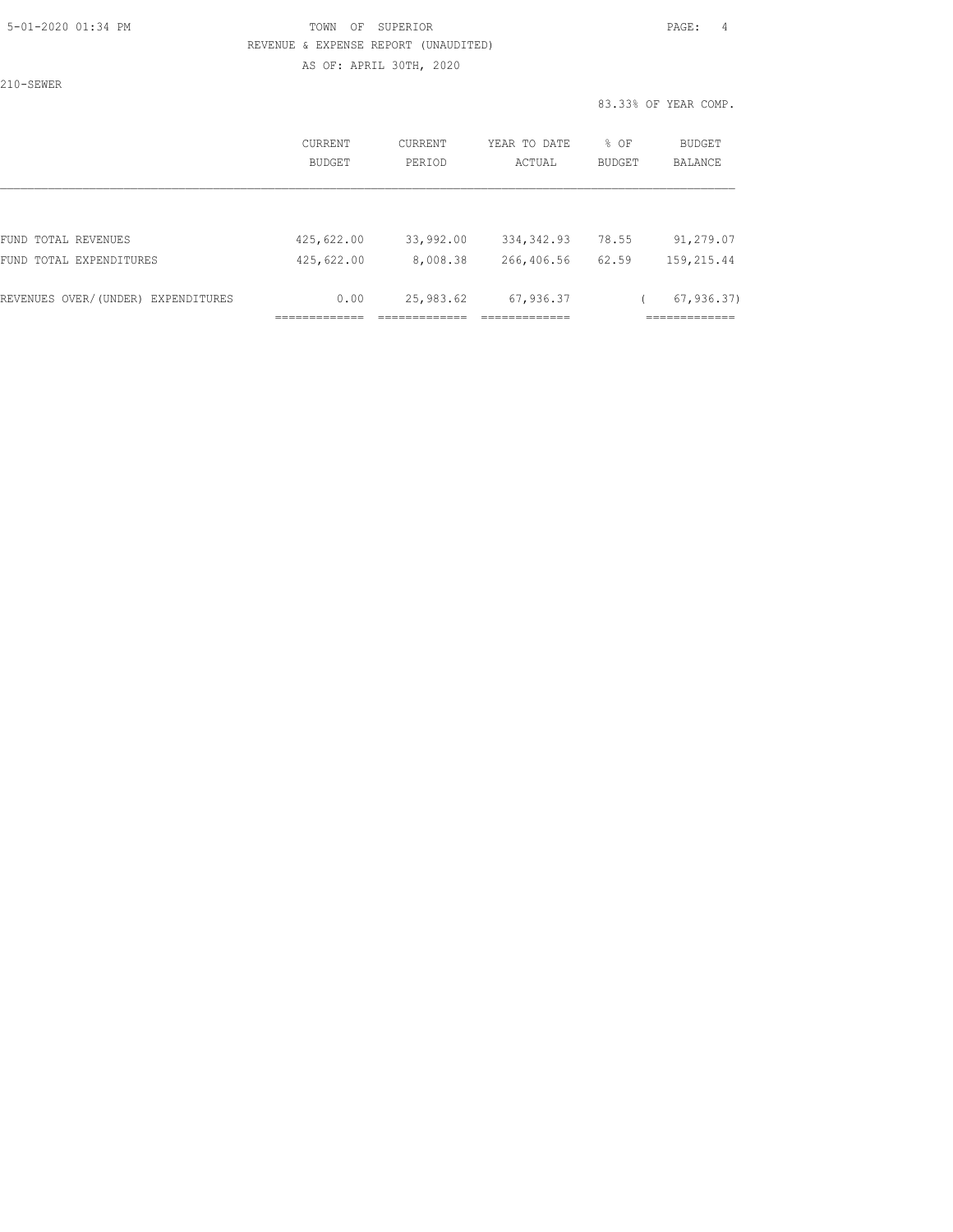### 5-01-2020 01:34 PM TOWN OF SUPERIOR PAGE: 4 REVENUE & EXPENSE REPORT (UNAUDITED) AS OF: APRIL 30TH, 2020

210-SEWER

|                                    | CURRENT<br><b>BUDGET</b> | CURRENT<br>PERIOD | YEAR TO DATE<br>ACTUAL | % OF<br><b>BUDGET</b> | BUDGET<br><b>BALANCE</b> |
|------------------------------------|--------------------------|-------------------|------------------------|-----------------------|--------------------------|
|                                    |                          |                   |                        |                       |                          |
| FUND TOTAL REVENUES                | 425,622.00               | 33,992.00         | 334, 342.93            | 78.55                 | 91,279.07                |
| FUND TOTAL EXPENDITURES            | 425,622.00               | 8,008.38          | 266,406.56             | 62.59                 | 159,215.44               |
| REVENUES OVER/(UNDER) EXPENDITURES | 0.00                     | 25,983.62         | 67,936.37              |                       | 67, 936.37               |
|                                    |                          |                   |                        |                       |                          |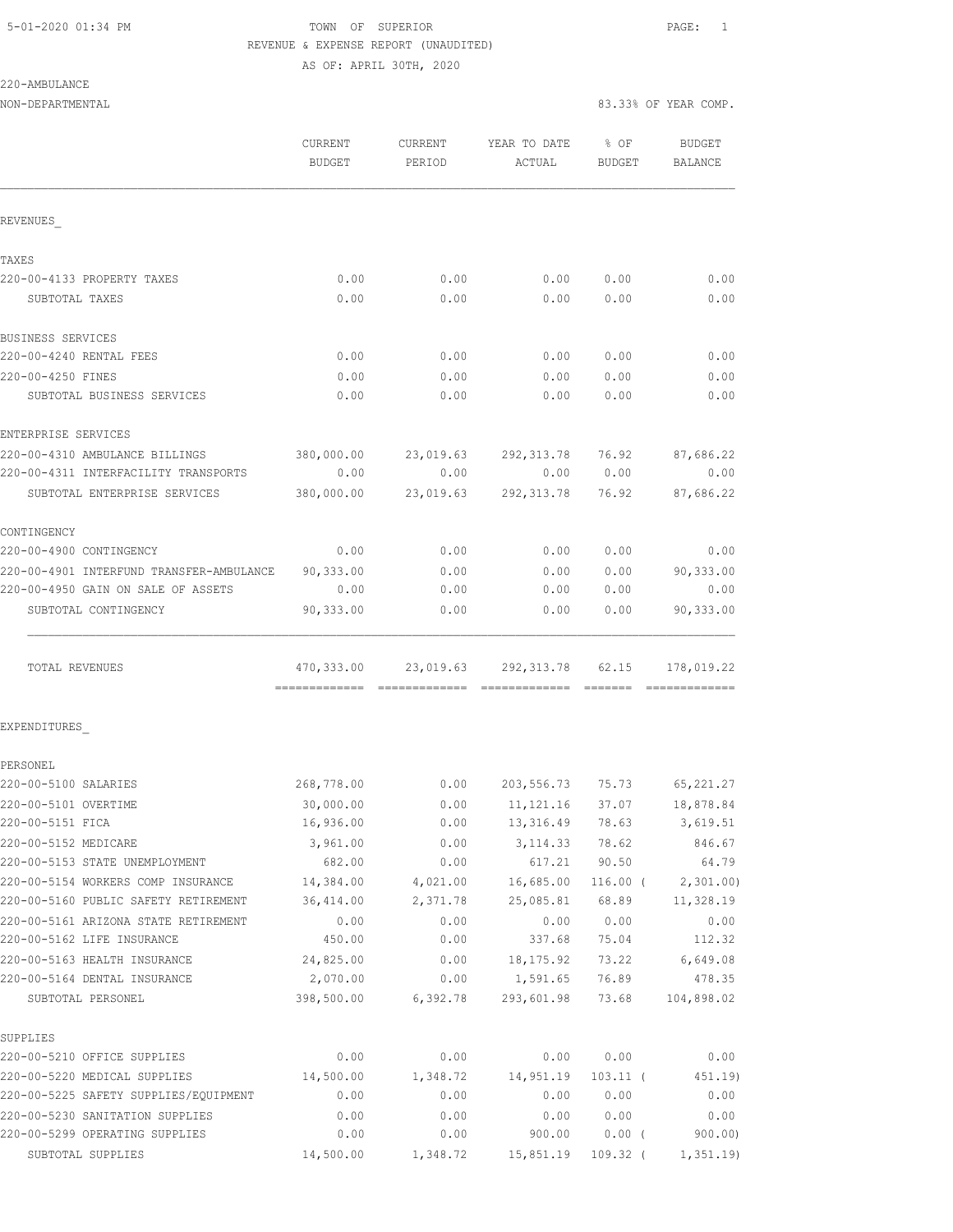# 5-01-2020 01:34 PM TOWN OF SUPERIOR PAGE: 1 REVENUE & EXPENSE REPORT (UNAUDITED)

AS OF: APRIL 30TH, 2020

| 220-AMBULANCE |  |
|---------------|--|
|---------------|--|

NON-DEPARTMENTAL 83.33% OF YEAR COMP.

|                                          | <b>CURRENT</b><br><b>BUDGET</b> | <b>CURRENT</b><br>PERIOD | YEAR TO DATE<br>ACTUAL  | % OF<br>BUDGET    | <b>BUDGET</b><br>BALANCE     |
|------------------------------------------|---------------------------------|--------------------------|-------------------------|-------------------|------------------------------|
| REVENUES                                 |                                 |                          |                         |                   |                              |
| TAXES                                    |                                 |                          |                         |                   |                              |
| 220-00-4133 PROPERTY TAXES               | 0.00                            | 0.00                     | 0.00                    | 0.00              | 0.00                         |
| SUBTOTAL TAXES                           | 0.00                            | 0.00                     | 0.00                    | 0.00              | 0.00                         |
| BUSINESS SERVICES                        |                                 |                          |                         |                   |                              |
| 220-00-4240 RENTAL FEES                  | 0.00                            | 0.00                     | 0.00                    | 0.00              | 0.00                         |
| 220-00-4250 FINES                        | 0.00                            | 0.00                     | 0.00                    | 0.00              | 0.00                         |
| SUBTOTAL BUSINESS SERVICES               | 0.00                            | 0.00                     | 0.00                    | 0.00              | 0.00                         |
| ENTERPRISE SERVICES                      |                                 |                          |                         |                   |                              |
| 220-00-4310 AMBULANCE BILLINGS           | 380,000.00                      | 23,019.63                | 292,313.78              | 76.92             | 87,686.22                    |
| 220-00-4311 INTERFACILITY TRANSPORTS     | 0.00                            | 0.00                     | 0.00                    | 0.00              | 0.00                         |
| SUBTOTAL ENTERPRISE SERVICES             | 380,000.00                      | 23,019.63                | 292, 313.78             | 76.92             | 87,686.22                    |
| CONTINGENCY                              |                                 |                          |                         |                   |                              |
| 220-00-4900 CONTINGENCY                  | 0.00                            | 0.00                     | 0.00                    | 0.00              | 0.00                         |
| 220-00-4901 INTERFUND TRANSFER-AMBULANCE | 90,333.00                       | 0.00                     | 0.00                    | 0.00              | 90,333.00                    |
| 220-00-4950 GAIN ON SALE OF ASSETS       | 0.00                            | 0.00                     | 0.00                    | 0.00              | 0.00                         |
| SUBTOTAL CONTINGENCY                     | 90,333.00                       | 0.00                     | 0.00                    | 0.00              | 90,333.00                    |
| TOTAL REVENUES                           | 470,333.00                      |                          | 23,019.63 292,313.78    | 62.15<br>-------- | 178,019.22<br>-------------- |
| EXPENDITURES                             |                                 |                          |                         |                   |                              |
| PERSONEL                                 |                                 |                          |                         |                   |                              |
| 220-00-5100 SALARIES                     | 268,778.00                      | 0.00                     | 203,556.73 75.73        |                   | 65, 221.27                   |
| 220-00-5101 OVERTIME                     | 30,000.00                       |                          | $0.00$ 11, 121.16 37.07 |                   | 18,878.84                    |
| 220-00-5151 FICA                         | 16,936.00                       | 0.00                     | 13,316.49               | 78.63             | 3,619.51                     |
| 220-00-5152 MEDICARE                     | 3,961.00                        | 0.00                     | 3, 114.33               | 78.62             | 846.67                       |
| 220-00-5153 STATE UNEMPLOYMENT           | 682.00                          | 0.00                     | 617.21                  | 90.50             | 64.79                        |
| 220-00-5154 WORKERS COMP INSURANCE       | 14,384.00                       | 4,021.00                 | 16,685.00               | $116.00$ (        | 2,301.00                     |
| 220-00-5160 PUBLIC SAFETY RETIREMENT     | 36,414.00                       | 2,371.78                 | 25,085.81               | 68.89             | 11,328.19                    |
| 220-00-5161 ARIZONA STATE RETIREMENT     | 0.00                            | 0.00                     | 0.00                    | 0.00              | 0.00                         |
| 220-00-5162 LIFE INSURANCE               | 450.00                          | 0.00                     | 337.68                  | 75.04             | 112.32                       |
| 220-00-5163 HEALTH INSURANCE             | 24,825.00                       | 0.00                     | 18, 175.92              | 73.22             | 6,649.08                     |
| 220-00-5164 DENTAL INSURANCE             | 2,070.00                        | 0.00                     | 1,591.65                | 76.89             | 478.35                       |
| SUBTOTAL PERSONEL                        | 398,500.00                      | 6,392.78                 | 293,601.98              | 73.68             | 104,898.02                   |
| SUPPLIES                                 |                                 |                          |                         |                   |                              |
| 220-00-5210 OFFICE SUPPLIES              | 0.00                            | 0.00                     | 0.00                    | 0.00              | 0.00                         |
| 220-00-5220 MEDICAL SUPPLIES             | 14,500.00                       | 1,348.72                 | 14,951.19               | $103.11$ (        | 451.19)                      |
| 220-00-5225 SAFETY SUPPLIES/EQUIPMENT    | 0.00                            | 0.00                     | 0.00                    | 0.00              | 0.00                         |
| 220-00-5230 SANITATION SUPPLIES          | 0.00                            | 0.00                     | 0.00                    | 0.00              | 0.00                         |
| 220-00-5299 OPERATING SUPPLIES           | 0.00                            | 0.00                     | 900.00                  | $0.00$ (          | 900.00                       |

SUBTOTAL SUPPLIES 14,500.00 1,348.72 15,851.19 109.32 ( 1,351.19)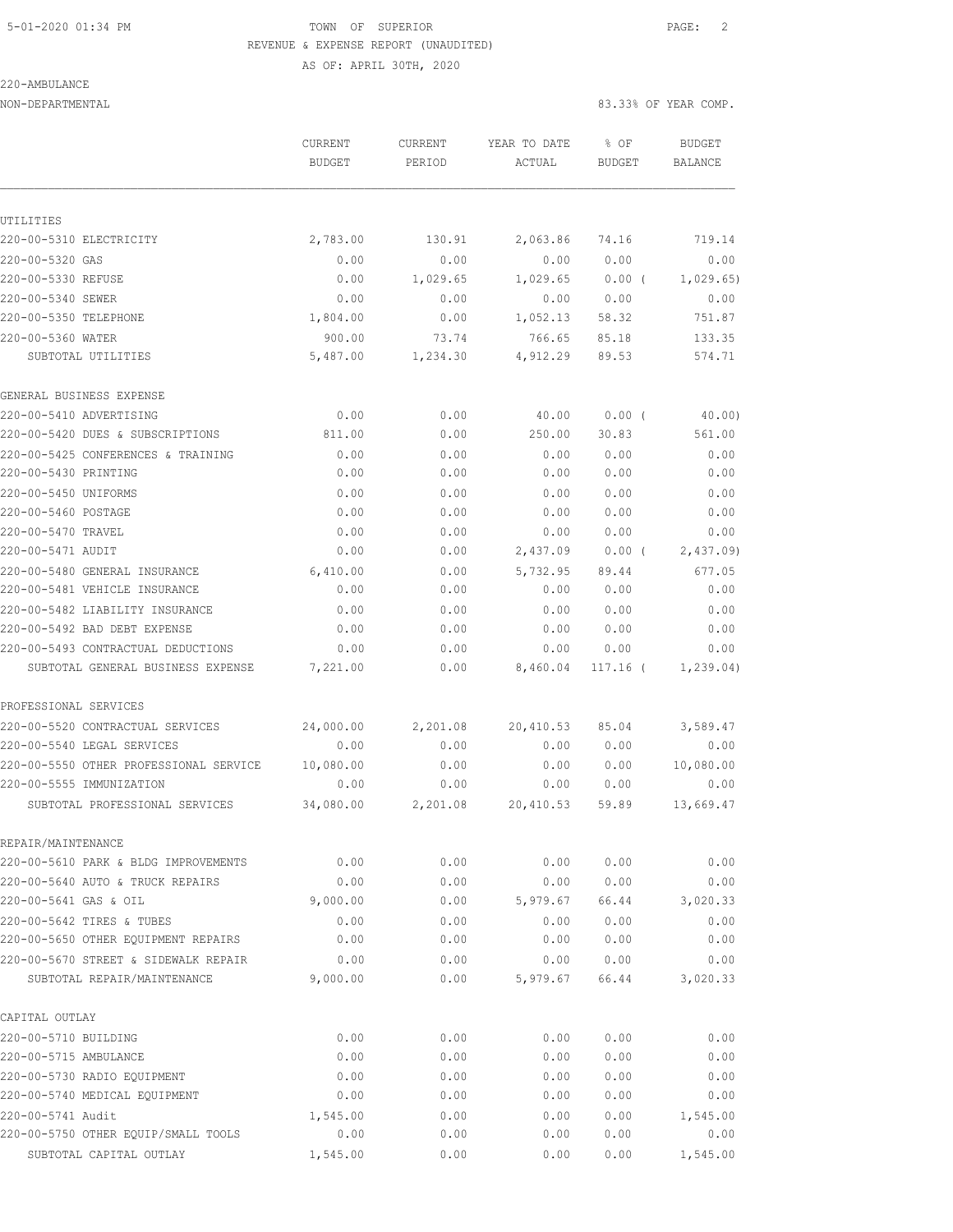# 5-01-2020 01:34 PM TOWN OF SUPERIOR PAGE: 2 REVENUE & EXPENSE REPORT (UNAUDITED) AS OF: APRIL 30TH, 2020

220-AMBULANCE

|                                        | CURRENT       | <b>CURRENT</b> | YEAR TO DATE | % OF          | <b>BUDGET</b>  |
|----------------------------------------|---------------|----------------|--------------|---------------|----------------|
|                                        | <b>BUDGET</b> | PERIOD         | ACTUAL       | <b>BUDGET</b> | <b>BALANCE</b> |
|                                        |               |                |              |               |                |
| UTILITIES                              |               |                |              |               |                |
| 220-00-5310 ELECTRICITY                | 2,783.00      | 130.91         | 2,063.86     | 74.16         | 719.14         |
| 220-00-5320 GAS                        | 0.00          | 0.00           | 0.00         | 0.00          | 0.00           |
| 220-00-5330 REFUSE                     | 0.00          | 1,029.65       | 1,029.65     | 0.00(         | 1,029.65       |
| 220-00-5340 SEWER                      | 0.00          | 0.00           | 0.00         | 0.00          | 0.00           |
| 220-00-5350 TELEPHONE                  | 1,804.00      | 0.00           | 1,052.13     | 58.32         | 751.87         |
| 220-00-5360 WATER                      | 900.00        | 73.74          | 766.65       | 85.18         | 133.35         |
| SUBTOTAL UTILITIES                     | 5,487.00      | 1,234.30       | 4,912.29     | 89.53         | 574.71         |
| GENERAL BUSINESS EXPENSE               |               |                |              |               |                |
| 220-00-5410 ADVERTISING                | 0.00          | 0.00           | 40.00        | 0.00(         | 40.00)         |
| 220-00-5420 DUES & SUBSCRIPTIONS       | 811.00        | 0.00           | 250.00       | 30.83         | 561.00         |
| 220-00-5425 CONFERENCES & TRAINING     | 0.00          | 0.00           | 0.00         | 0.00          | 0.00           |
| 220-00-5430 PRINTING                   | 0.00          | 0.00           | 0.00         | 0.00          | 0.00           |
| 220-00-5450 UNIFORMS                   | 0.00          | 0.00           | 0.00         | 0.00          | 0.00           |
| 220-00-5460 POSTAGE                    | 0.00          | 0.00           | 0.00         | 0.00          | 0.00           |
| 220-00-5470 TRAVEL                     | 0.00          | 0.00           | 0.00         | 0.00          | 0.00           |
| 220-00-5471 AUDIT                      | 0.00          | 0.00           | 2,437.09     | 0.00(         | 2,437.09       |
| 220-00-5480 GENERAL INSURANCE          | 6,410.00      | 0.00           | 5,732.95     | 89.44         | 677.05         |
| 220-00-5481 VEHICLE INSURANCE          | 0.00          | 0.00           | 0.00         | 0.00          | 0.00           |
| 220-00-5482 LIABILITY INSURANCE        | 0.00          | 0.00           | 0.00         | 0.00          | 0.00           |
| 220-00-5492 BAD DEBT EXPENSE           | 0.00          | 0.00           | 0.00         | 0.00          | 0.00           |
| 220-00-5493 CONTRACTUAL DEDUCTIONS     | 0.00          | 0.00           | 0.00         | 0.00          | 0.00           |
| SUBTOTAL GENERAL BUSINESS EXPENSE      | 7,221.00      | 0.00           | 8,460.04     | $117.16$ (    | 1, 239.04)     |
| PROFESSIONAL SERVICES                  |               |                |              |               |                |
| 220-00-5520 CONTRACTUAL SERVICES       | 24,000.00     | 2,201.08       | 20,410.53    | 85.04         | 3,589.47       |
| 220-00-5540 LEGAL SERVICES             | 0.00          | 0.00           | 0.00         | 0.00          | 0.00           |
| 220-00-5550 OTHER PROFESSIONAL SERVICE | 10,080.00     | 0.00           | 0.00         | 0.00          | 10,080.00      |
| 220-00-5555 IMMUNIZATION               | 0.00          | 0.00           | 0.00         | 0.00          | 0.00           |
| SUBTOTAL PROFESSIONAL SERVICES         | 34,080.00     | 2,201.08       | 20,410.53    | 59.89         | 13,669.47      |
| REPAIR/MAINTENANCE                     |               |                |              |               |                |
| 220-00-5610 PARK & BLDG IMPROVEMENTS   | 0.00          | 0.00           | 0.00         | 0.00          | 0.00           |
| 220-00-5640 AUTO & TRUCK REPAIRS       | 0.00          | 0.00           | 0.00         | 0.00          | 0.00           |
| 220-00-5641 GAS & OIL                  | 9,000.00      | 0.00           | 5,979.67     | 66.44         | 3,020.33       |
| 220-00-5642 TIRES & TUBES              | 0.00          | 0.00           | 0.00         | 0.00          | 0.00           |
| 220-00-5650 OTHER EQUIPMENT REPAIRS    | 0.00          | 0.00           | 0.00         | 0.00          | 0.00           |
| 220-00-5670 STREET & SIDEWALK REPAIR   | 0.00          | 0.00           | 0.00         | 0.00          | 0.00           |
| SUBTOTAL REPAIR/MAINTENANCE            | 9,000.00      | 0.00           | 5,979.67     | 66.44         | 3,020.33       |
| CAPITAL OUTLAY                         |               |                |              |               |                |
| 220-00-5710 BUILDING                   | 0.00          | 0.00           | 0.00         | 0.00          | 0.00           |
| 220-00-5715 AMBULANCE                  | 0.00          | 0.00           | 0.00         | 0.00          | 0.00           |
| 220-00-5730 RADIO EQUIPMENT            | 0.00          | 0.00           | 0.00         | 0.00          | 0.00           |
| 220-00-5740 MEDICAL EQUIPMENT          | 0.00          | 0.00           | 0.00         | 0.00          | 0.00           |
| 220-00-5741 Audit                      | 1,545.00      | 0.00           | 0.00         | 0.00          | 1,545.00       |
| 220-00-5750 OTHER EQUIP/SMALL TOOLS    | 0.00          | 0.00           | 0.00         | 0.00          | 0.00           |
| SUBTOTAL CAPITAL OUTLAY                | 1,545.00      | 0.00           | 0.00         | 0.00          | 1,545.00       |
|                                        |               |                |              |               |                |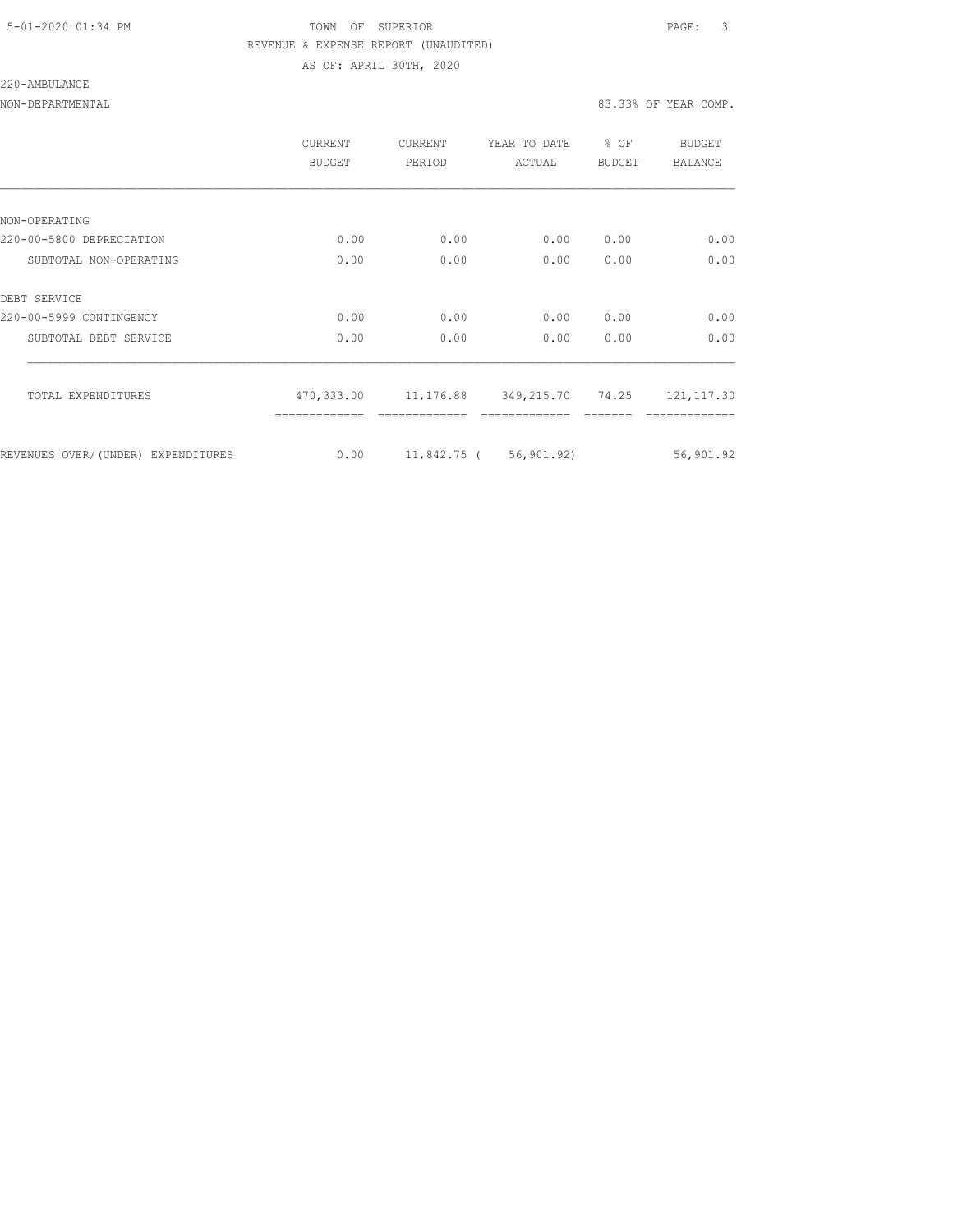### 5-01-2020 01:34 PM TOWN OF SUPERIOR PAGE: 3 REVENUE & EXPENSE REPORT (UNAUDITED) AS OF: APRIL 30TH, 2020

#### 220-AMBULANCE

|                                    | CURRENT<br><b>BUDGET</b> | <b>CURRENT</b><br>PERIOD | YEAR TO DATE<br>ACTUAL | % OF<br><b>BUDGET</b> | <b>BUDGET</b><br><b>BALANCE</b> |
|------------------------------------|--------------------------|--------------------------|------------------------|-----------------------|---------------------------------|
|                                    |                          |                          |                        |                       |                                 |
| NON-OPERATING                      |                          |                          |                        |                       |                                 |
| 220-00-5800 DEPRECIATION           | 0.00                     | 0.00                     | 0.00                   | 0.00                  | 0.00                            |
| SUBTOTAL NON-OPERATING             | 0.00                     | 0.00                     | 0.00                   | 0.00                  | 0.00                            |
| DEBT SERVICE                       |                          |                          |                        |                       |                                 |
| 220-00-5999 CONTINGENCY            | 0.00                     | 0.00                     | 0.00                   | 0.00                  | 0.00                            |
| SUBTOTAL DEBT SERVICE              | 0.00                     | 0.00                     | 0.00                   | 0.00                  | 0.00                            |
| TOTAL EXPENDITURES                 | 470,333.00               |                          | 11,176.88 349,215.70   | 74.25                 | 121, 117.30                     |
|                                    |                          |                          |                        |                       |                                 |
| REVENUES OVER/(UNDER) EXPENDITURES | 0.00                     |                          | 11,842.75 ( 56,901.92) |                       | 56,901.92                       |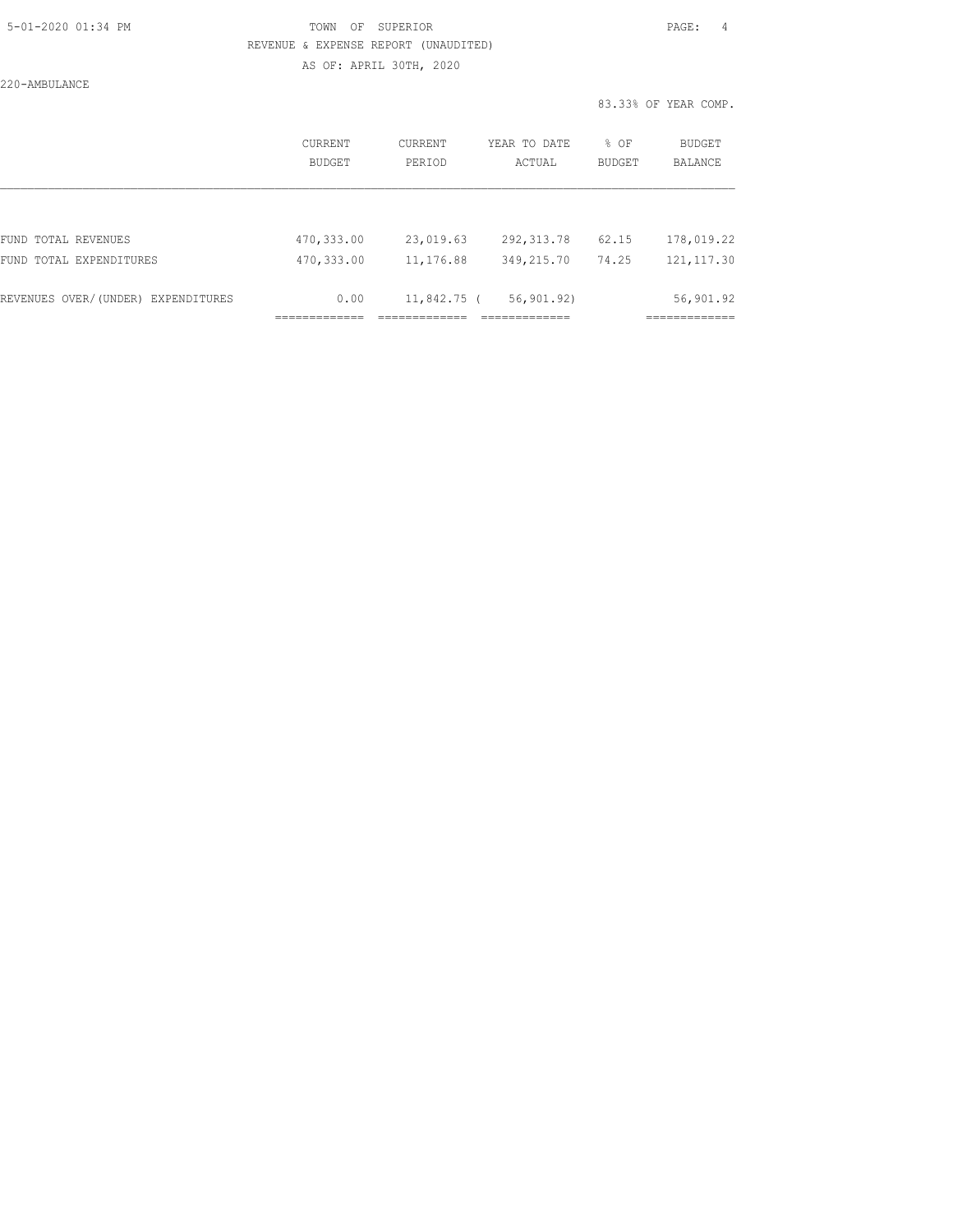### 5-01-2020 01:34 PM TOWN OF SUPERIOR PAGE: 4 REVENUE & EXPENSE REPORT (UNAUDITED) AS OF: APRIL 30TH, 2020

220-AMBULANCE

|                                    | CURRENT<br>BUDGET | CURRENT<br>PERIOD | YEAR TO DATE<br>ACTUAL | % OF<br><b>BUDGET</b> | <b>BUDGET</b><br><b>BALANCE</b> |
|------------------------------------|-------------------|-------------------|------------------------|-----------------------|---------------------------------|
|                                    |                   |                   |                        |                       |                                 |
| FUND TOTAL REVENUES                | 470,333.00        | 23,019.63         | 292, 313.78            | 62.15                 | 178,019.22                      |
| FUND TOTAL EXPENDITURES            | 470,333.00        | 11, 176.88        | 349,215.70             | 74.25                 | 121, 117.30                     |
| REVENUES OVER/(UNDER) EXPENDITURES | 0.00              | $11,842.75$ (     | 56,901.92)             |                       | 56,901.92                       |
|                                    |                   |                   |                        |                       |                                 |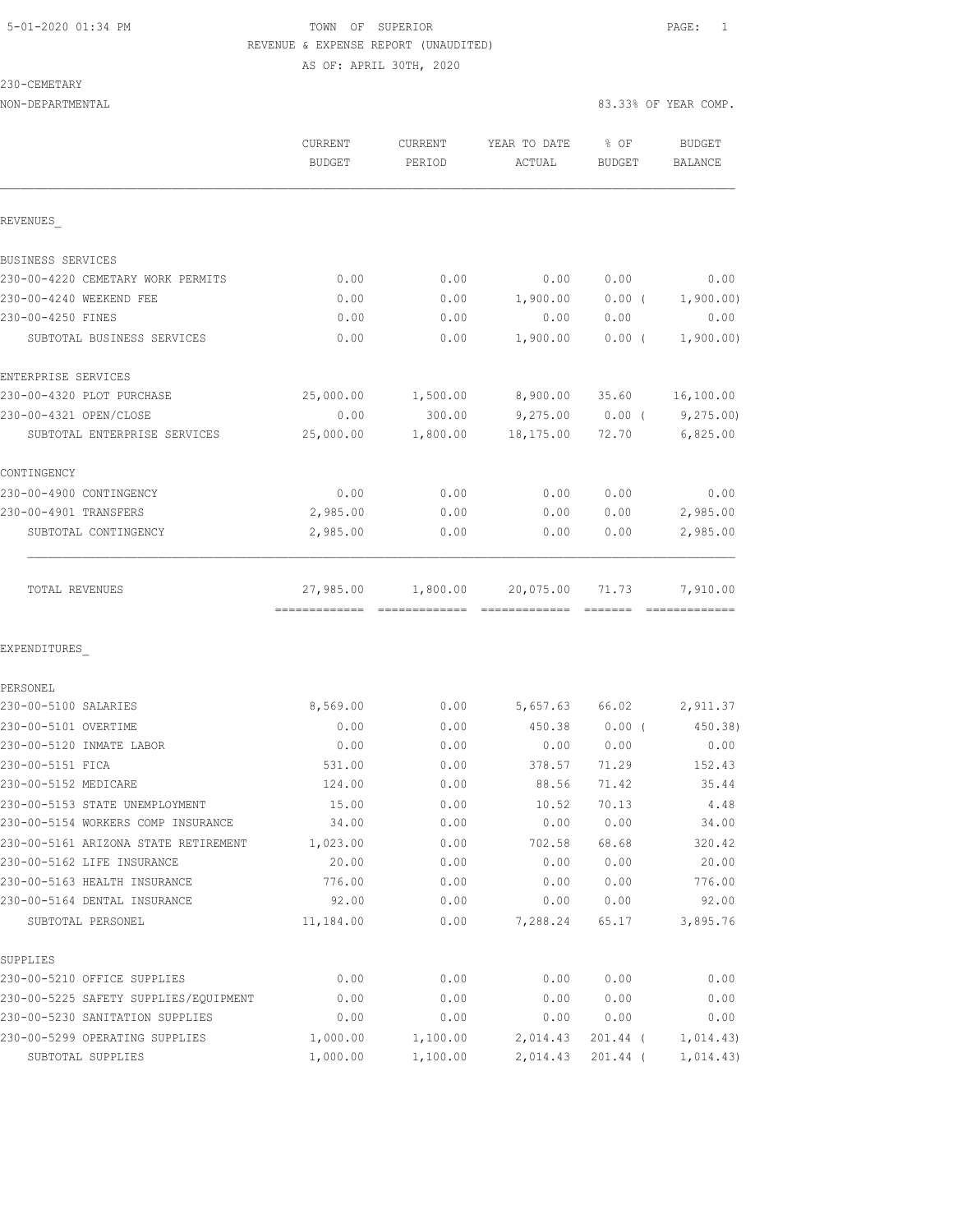#### 5-01-2020 01:34 PM TOWN OF SUPERIOR PAGE: 1 REVENUE & EXPENSE REPORT (UNAUDITED) AS OF: APRIL 30TH, 2020

### 230-CEMETARY

|                                       | <b>CURRENT</b><br><b>BUDGET</b> | <b>CURRENT</b><br>PERIOD | YEAR TO DATE<br>ACTUAL | % OF<br>BUDGET | BUDGET<br><b>BALANCE</b> |
|---------------------------------------|---------------------------------|--------------------------|------------------------|----------------|--------------------------|
| REVENUES                              |                                 |                          |                        |                |                          |
| BUSINESS SERVICES                     |                                 |                          |                        |                |                          |
| 230-00-4220 CEMETARY WORK PERMITS     | 0.00                            | 0.00                     | 0.00                   | 0.00           | 0.00                     |
| 230-00-4240 WEEKEND FEE               | 0.00                            | 0.00                     | 1,900.00               | $0.00$ (       | 1,900.00)                |
| 230-00-4250 FINES                     | 0.00                            | 0.00                     | 0.00                   | 0.00           | 0.00                     |
| SUBTOTAL BUSINESS SERVICES            | 0.00                            | 0.00                     | 1,900.00               | $0.00$ (       | 1,900.00)                |
| ENTERPRISE SERVICES                   |                                 |                          |                        |                |                          |
| 230-00-4320 PLOT PURCHASE             | 25,000.00                       | 1,500.00                 | 8,900.00               | 35.60          | 16,100.00                |
| 230-00-4321 OPEN/CLOSE                | 0.00                            | 300.00                   | 9,275.00               | $0.00$ (       | 9,275.00                 |
| SUBTOTAL ENTERPRISE SERVICES          | 25,000.00                       | 1,800.00                 | 18,175.00              | 72.70          | 6,825.00                 |
| CONTINGENCY                           |                                 |                          |                        |                |                          |
| 230-00-4900 CONTINGENCY               | 0.00                            | 0.00                     | 0.00                   | 0.00           | 0.00                     |
| 230-00-4901 TRANSFERS                 | 2,985.00                        | 0.00                     | 0.00                   | 0.00           | 2,985.00                 |
| SUBTOTAL CONTINGENCY                  | 2,985.00                        | 0.00                     | 0.00                   | 0.00           | 2,985.00                 |
| TOTAL REVENUES                        | 27,985.00                       | 1,800.00                 | 20,075.00              | 71.73          | 7,910.00                 |
| EXPENDITURES                          |                                 |                          |                        |                |                          |
| PERSONEL                              |                                 |                          |                        |                |                          |
| 230-00-5100 SALARIES                  | 8,569.00                        | 0.00                     | 5,657.63               | 66.02          | 2,911.37                 |
| 230-00-5101 OVERTIME                  | 0.00                            | 0.00                     | 450.38                 | $0.00$ (       | 450.38)                  |
| 230-00-5120 INMATE LABOR              | 0.00                            | 0.00                     | 0.00                   | 0.00           | 0.00                     |
| 230-00-5151 FICA                      | 531.00                          | 0.00                     | 378.57                 | 71.29          | 152.43                   |
| 230-00-5152 MEDICARE                  | 124.00                          | 0.00                     | 88.56                  | 71.42          | 35.44                    |
| 230-00-5153 STATE UNEMPLOYMENT        | 15.00                           | 0.00                     | 10.52                  | 70.13          | 4.48                     |
| 230-00-5154 WORKERS COMP INSURANCE    | 34.00                           | 0.00                     | 0.00                   | 0.00           | 34.00                    |
| 230-00-5161 ARIZONA STATE RETIREMENT  | 1,023.00                        | 0.00                     | 702.58                 | 68.68          | 320.42                   |
| 230-00-5162 LIFE INSURANCE            | 20.00                           | 0.00                     | 0.00                   | 0.00           | 20.00                    |
| 230-00-5163 HEALTH INSURANCE          | 776.00                          | 0.00                     | 0.00                   | 0.00           | 776.00                   |
| 230-00-5164 DENTAL INSURANCE          | 92.00                           | 0.00                     | 0.00                   | 0.00           | 92.00                    |
| SUBTOTAL PERSONEL                     | 11,184.00                       | 0.00                     | 7,288.24               | 65.17          | 3,895.76                 |
| SUPPLIES                              |                                 |                          |                        |                |                          |
| 230-00-5210 OFFICE SUPPLIES           | 0.00                            | 0.00                     | 0.00                   | 0.00           | 0.00                     |
| 230-00-5225 SAFETY SUPPLIES/EQUIPMENT | 0.00                            | 0.00                     | 0.00                   | 0.00           | 0.00                     |
| 230-00-5230 SANITATION SUPPLIES       | 0.00                            | 0.00                     | 0.00                   | 0.00           | 0.00                     |
| 230-00-5299 OPERATING SUPPLIES        | 1,000.00                        | 1,100.00                 | 2,014.43               | 201.44 (       | 1,014.43)                |
| SUBTOTAL SUPPLIES                     | 1,000.00                        | 1,100.00                 | 2,014.43               | $201.44$ (     | 1,014.43)                |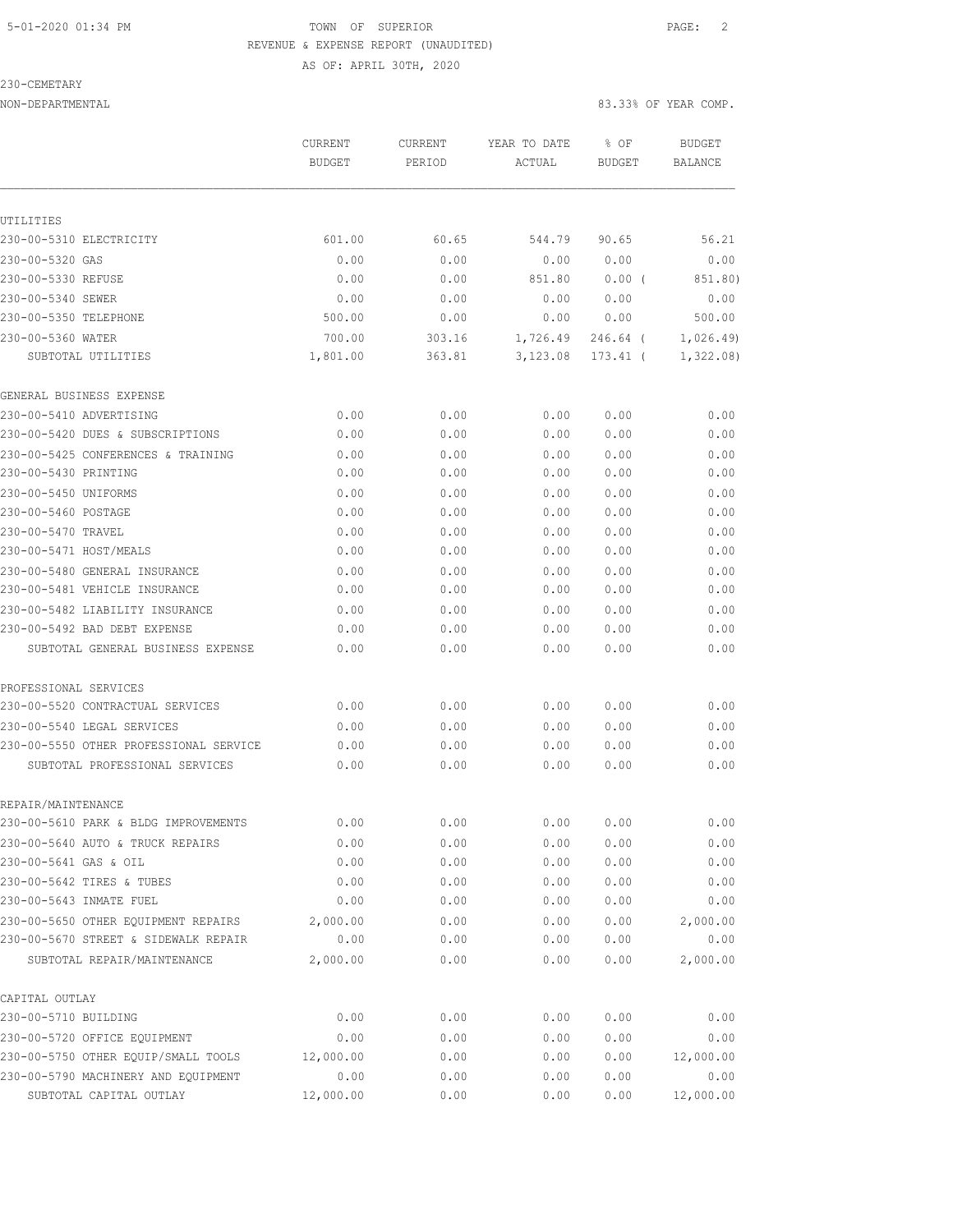### 5-01-2020 01:34 PM TOWN OF SUPERIOR PAGE: 2 REVENUE & EXPENSE REPORT (UNAUDITED) AS OF: APRIL 30TH, 2020

#### 230-CEMETARY

|                                        | CURRENT<br><b>BUDGET</b> | <b>CURRENT</b><br>PERIOD | YEAR TO DATE<br>ACTUAL | % OF<br><b>BUDGET</b> | <b>BUDGET</b><br><b>BALANCE</b> |
|----------------------------------------|--------------------------|--------------------------|------------------------|-----------------------|---------------------------------|
|                                        |                          |                          |                        |                       |                                 |
| UTILITIES                              |                          |                          |                        |                       |                                 |
| 230-00-5310 ELECTRICITY                | 601.00                   | 60.65                    | 544.79                 | 90.65                 | 56.21                           |
| 230-00-5320 GAS                        | 0.00                     | 0.00                     | 0.00                   | 0.00                  | 0.00                            |
| 230-00-5330 REFUSE                     | 0.00                     | 0.00                     | 851.80                 | 0.00(                 | 851.80)                         |
| 230-00-5340 SEWER                      | 0.00                     | 0.00                     | 0.00                   | 0.00                  | 0.00                            |
| 230-00-5350 TELEPHONE                  | 500.00                   | 0.00                     | 0.00                   | 0.00                  | 500.00                          |
| 230-00-5360 WATER                      | 700.00                   | 303.16                   | 1,726.49               | 246.64 (              | 1,026.49                        |
| SUBTOTAL UTILITIES                     | 1,801.00                 | 363.81                   | 3,123.08               | 173.41 (              | 1,322.08)                       |
| GENERAL BUSINESS EXPENSE               |                          |                          |                        |                       |                                 |
| 230-00-5410 ADVERTISING                | 0.00                     | 0.00                     | 0.00                   | 0.00                  | 0.00                            |
| 230-00-5420 DUES & SUBSCRIPTIONS       | 0.00                     | 0.00                     | 0.00                   | 0.00                  | 0.00                            |
| 230-00-5425 CONFERENCES & TRAINING     | 0.00                     | 0.00                     | 0.00                   | 0.00                  | 0.00                            |
| 230-00-5430 PRINTING                   | 0.00                     | 0.00                     | 0.00                   | 0.00                  | 0.00                            |
| 230-00-5450 UNIFORMS                   | 0.00                     | 0.00                     | 0.00                   | 0.00                  | 0.00                            |
| 230-00-5460 POSTAGE                    | 0.00                     | 0.00                     | 0.00                   | 0.00                  | 0.00                            |
| 230-00-5470 TRAVEL                     | 0.00                     | 0.00                     | 0.00                   | 0.00                  | 0.00                            |
| 230-00-5471 HOST/MEALS                 | 0.00                     | 0.00                     | 0.00                   | 0.00                  | 0.00                            |
| 230-00-5480 GENERAL INSURANCE          | 0.00                     | 0.00                     | 0.00                   | 0.00                  | 0.00                            |
| 230-00-5481 VEHICLE INSURANCE          | 0.00                     | 0.00                     | 0.00                   | 0.00                  | 0.00                            |
| 230-00-5482 LIABILITY INSURANCE        | 0.00                     | 0.00                     | 0.00                   | 0.00                  | 0.00                            |
| 230-00-5492 BAD DEBT EXPENSE           | 0.00                     | 0.00                     | 0.00                   | 0.00                  | 0.00                            |
| SUBTOTAL GENERAL BUSINESS EXPENSE      | 0.00                     | 0.00                     | 0.00                   | 0.00                  | 0.00                            |
| PROFESSIONAL SERVICES                  |                          |                          |                        |                       |                                 |
| 230-00-5520 CONTRACTUAL SERVICES       | 0.00                     | 0.00                     | 0.00                   | 0.00                  | 0.00                            |
| 230-00-5540 LEGAL SERVICES             | 0.00                     | 0.00                     | 0.00                   | 0.00                  | 0.00                            |
| 230-00-5550 OTHER PROFESSIONAL SERVICE | 0.00                     | 0.00                     | 0.00                   | 0.00                  | 0.00                            |
| SUBTOTAL PROFESSIONAL SERVICES         | 0.00                     | 0.00                     | 0.00                   | 0.00                  | 0.00                            |
| REPAIR/MAINTENANCE                     |                          |                          |                        |                       |                                 |
| 230-00-5610 PARK & BLDG IMPROVEMENTS   | 0.00                     | 0.00                     | 0.00                   | 0.00                  | 0.00                            |
| 230-00-5640 AUTO & TRUCK REPAIRS       | 0.00                     | 0.00                     | 0.00                   | 0.00                  | 0.00                            |
| 230-00-5641 GAS & OIL                  | 0.00                     | 0.00                     | 0.00                   | 0.00                  | 0.00                            |
| 230-00-5642 TIRES & TUBES              | 0.00                     | 0.00                     | 0.00                   | 0.00                  | 0.00                            |
| 230-00-5643 INMATE FUEL                | 0.00                     | 0.00                     | 0.00                   | 0.00                  | 0.00                            |
| 230-00-5650 OTHER EQUIPMENT REPAIRS    | 2,000.00                 | 0.00                     | 0.00                   | 0.00                  | 2,000.00                        |
| 230-00-5670 STREET & SIDEWALK REPAIR   | 0.00                     | 0.00                     | 0.00                   | 0.00                  | 0.00                            |
| SUBTOTAL REPAIR/MAINTENANCE            | 2,000.00                 | 0.00                     | 0.00                   | 0.00                  | 2,000.00                        |
| CAPITAL OUTLAY                         |                          |                          |                        |                       |                                 |
| 230-00-5710 BUILDING                   | 0.00                     | 0.00                     | 0.00                   | 0.00                  | 0.00                            |
| 230-00-5720 OFFICE EQUIPMENT           | 0.00                     | 0.00                     | 0.00                   | 0.00                  | 0.00                            |
| 230-00-5750 OTHER EQUIP/SMALL TOOLS    | 12,000.00                | 0.00                     | 0.00                   | 0.00                  | 12,000.00                       |
| 230-00-5790 MACHINERY AND EQUIPMENT    | 0.00                     | 0.00                     | 0.00                   | 0.00                  | 0.00                            |
| SUBTOTAL CAPITAL OUTLAY                | 12,000.00                | 0.00                     | 0.00                   | 0.00                  | 12,000.00                       |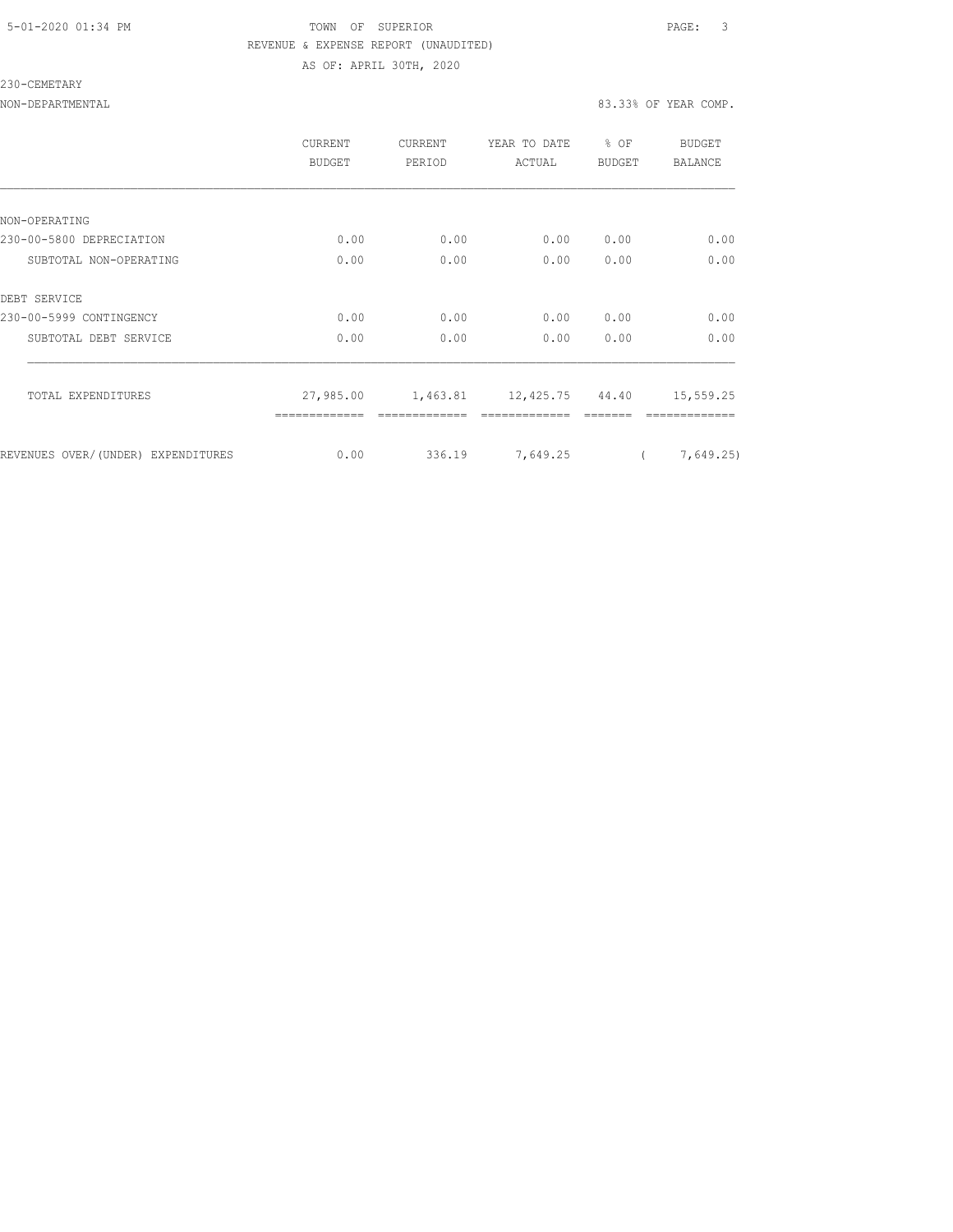### 5-01-2020 01:34 PM TOWN OF SUPERIOR PAGE: 3 REVENUE & EXPENSE REPORT (UNAUDITED) AS OF: APRIL 30TH, 2020

#### 230-CEMETARY

|                                    | <b>CURRENT</b><br>BUDGET | CURRENT<br>PERIOD | YEAR TO DATE<br>ACTUAL   | % OF<br>BUDGET | BUDGET<br>BALANCE |
|------------------------------------|--------------------------|-------------------|--------------------------|----------------|-------------------|
|                                    |                          |                   |                          |                |                   |
| NON-OPERATING                      |                          |                   |                          |                |                   |
| 230-00-5800 DEPRECIATION           | 0.00                     | 0.00              | 0.00                     | 0.00           | 0.00              |
| SUBTOTAL NON-OPERATING             | 0.00                     | 0.00              | 0.00                     | 0.00           | 0.00              |
| DEBT SERVICE                       |                          |                   |                          |                |                   |
| 230-00-5999 CONTINGENCY            | 0.00                     | 0.00              | 0.00                     | 0.00           | 0.00              |
| SUBTOTAL DEBT SERVICE              | 0.00                     | 0.00              | 0.00                     | 0.00           | 0.00              |
| TOTAL EXPENDITURES                 | 27,985.00                |                   | 1,463.81 12,425.75 44.40 |                | 15,559.25         |
| REVENUES OVER/(UNDER) EXPENDITURES | 0.00                     | 336.19            | 7,649.25                 |                | 7,649.25)         |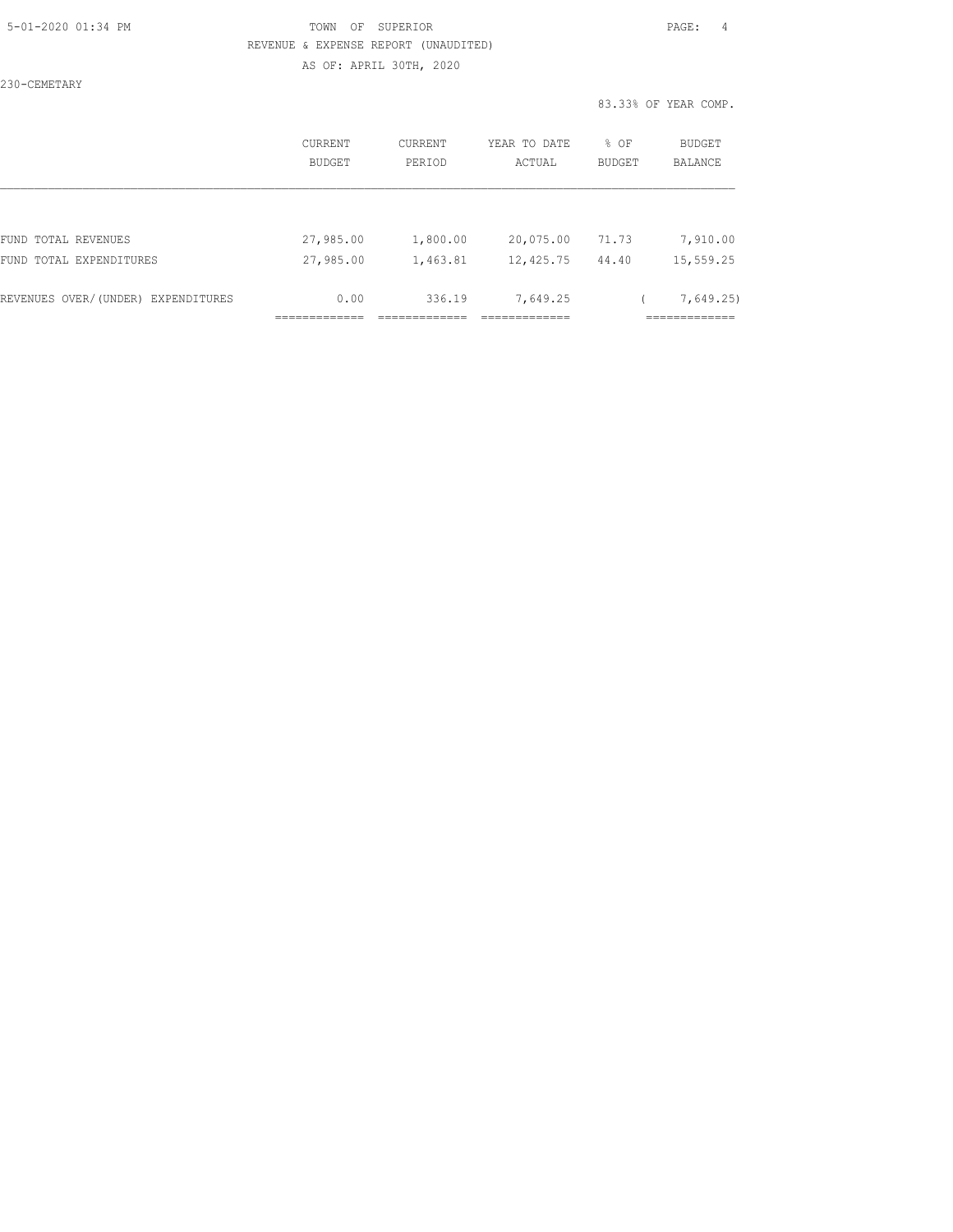### 5-01-2020 01:34 PM TOWN OF SUPERIOR PAGE: 4 REVENUE & EXPENSE REPORT (UNAUDITED) AS OF: APRIL 30TH, 2020

230-CEMETARY

|                                    | CURRENT<br>BUDGET | CURRENT<br>PERIOD | YEAR TO DATE<br>ACTUAL | % OF<br><b>BUDGET</b> | BUDGET<br><b>BALANCE</b> |
|------------------------------------|-------------------|-------------------|------------------------|-----------------------|--------------------------|
|                                    |                   |                   |                        |                       |                          |
| FUND TOTAL REVENUES                | 27,985.00         | 1,800.00          | 20,075.00              | 71.73                 | 7,910.00                 |
| FUND TOTAL EXPENDITURES            | 27,985.00         | 1,463.81          | 12,425.75              | 44.40                 | 15,559.25                |
| REVENUES OVER/(UNDER) EXPENDITURES | 0.00              | 336.19            | 7,649.25               |                       | 7,649.25                 |
|                                    |                   |                   |                        |                       |                          |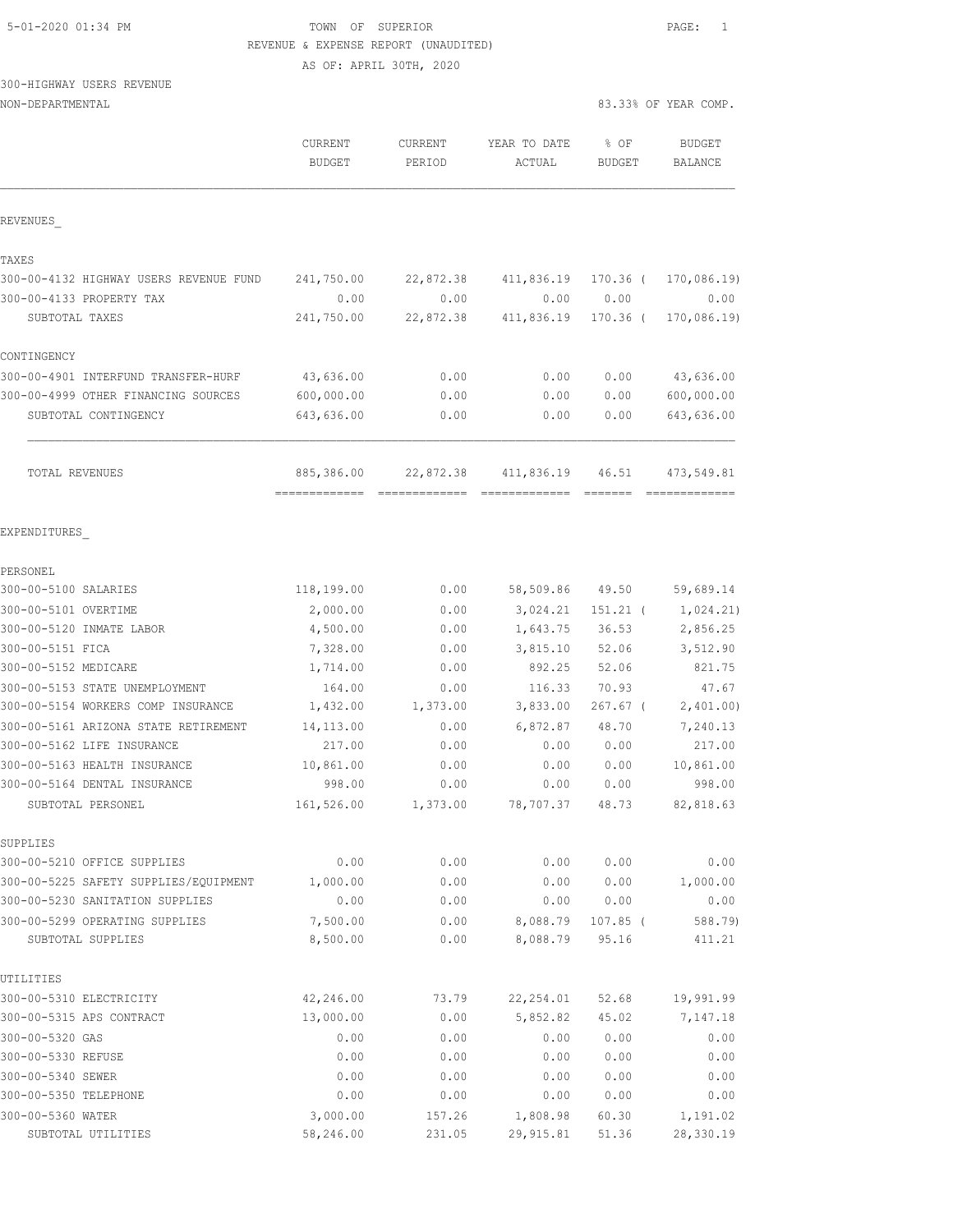# 5-01-2020 01:34 PM TOWN OF SUPERIOR PAGE: 1 REVENUE & EXPENSE REPORT (UNAUDITED)

AS OF: APRIL 30TH, 2020

# 300-HIGHWAY USERS REVENUE

|                                        | <b>CURRENT</b><br><b>BUDGET</b> | CURRENT<br>PERIOD | YEAR TO DATE<br>ACTUAL      | % OF<br><b>BUDGET</b> | <b>BUDGET</b><br>BALANCE     |
|----------------------------------------|---------------------------------|-------------------|-----------------------------|-----------------------|------------------------------|
| REVENUES                               |                                 |                   |                             |                       |                              |
| TAXES                                  |                                 |                   |                             |                       |                              |
| 300-00-4132 HIGHWAY USERS REVENUE FUND | 241,750.00                      | 22,872.38         | 411,836.19                  | 170.36 (              | 170,086.19                   |
| 300-00-4133 PROPERTY TAX               | 0.00                            | 0.00              | 0.00                        | 0.00                  | 0.00                         |
| SUBTOTAL TAXES                         | 241,750.00                      | 22,872.38         | 411,836.19                  | 170.36 (              | 170,086.19                   |
| CONTINGENCY                            |                                 |                   |                             |                       |                              |
| 300-00-4901 INTERFUND TRANSFER-HURF    | 43,636.00                       | 0.00              | 0.00                        | 0.00                  | 43,636.00                    |
| 300-00-4999 OTHER FINANCING SOURCES    | 600,000.00                      | 0.00              | 0.00                        | 0.00                  | 600,000.00                   |
| SUBTOTAL CONTINGENCY                   | 643,636.00                      | 0.00              | 0.00                        | 0.00                  | 643,636.00                   |
| TOTAL REVENUES                         | 885,386.00<br>-------------     | 22,872.38         | 411,836.19<br>============= | 46.51                 | 473,549.81<br>-------------- |
| EXPENDITURES                           |                                 |                   |                             |                       |                              |
| PERSONEL                               |                                 |                   |                             |                       |                              |
| 300-00-5100 SALARIES                   | 118,199.00                      | 0.00              | 58,509.86                   | 49.50                 | 59,689.14                    |
| 300-00-5101 OVERTIME                   | 2,000.00                        | 0.00              | 3,024.21                    | $151.21$ (            | 1,024.21)                    |
| 300-00-5120 INMATE LABOR               | 4,500.00                        | 0.00              | 1,643.75                    | 36.53                 | 2,856.25                     |
| 300-00-5151 FICA                       | 7,328.00                        | 0.00              | 3,815.10                    | 52.06                 | 3,512.90                     |
| 300-00-5152 MEDICARE                   | 1,714.00                        | 0.00              | 892.25                      | 52.06                 | 821.75                       |
| 300-00-5153 STATE UNEMPLOYMENT         | 164.00                          | 0.00              | 116.33                      | 70.93                 | 47.67                        |
| 300-00-5154 WORKERS COMP INSURANCE     | 1,432.00                        | 1,373.00          | 3,833.00                    | $267.67$ (            | 2,401.00                     |
| 300-00-5161 ARIZONA STATE RETIREMENT   | 14, 113.00                      | 0.00              | 6,872.87                    | 48.70                 | 7,240.13                     |
| 300-00-5162 LIFE INSURANCE             | 217.00                          | 0.00              | 0.00                        | 0.00                  | 217.00                       |
| 300-00-5163 HEALTH INSURANCE           | 10,861.00                       | 0.00              | 0.00                        | 0.00                  | 10,861.00                    |
| 300-00-5164 DENTAL INSURANCE           | 998.00                          | 0.00              | 0.00                        | 0.00                  | 998.00                       |
| SUBTOTAL PERSONEL                      | 161,526.00                      | 1,373.00          | 78,707.37                   | 48.73                 | 82,818.63                    |
| SUPPLIES                               |                                 |                   |                             |                       |                              |
| 300-00-5210 OFFICE SUPPLIES            | 0.00                            | 0.00              | 0.00                        | 0.00                  | 0.00                         |
| 300-00-5225 SAFETY SUPPLIES/EQUIPMENT  | 1,000.00                        | 0.00              | 0.00                        | 0.00                  | 1,000.00                     |
| 300-00-5230 SANITATION SUPPLIES        | 0.00                            | 0.00              | 0.00                        | 0.00                  | 0.00                         |
| 300-00-5299 OPERATING SUPPLIES         | 7,500.00                        | 0.00              | 8,088.79                    | $107.85$ (            | 588.79)                      |
| SUBTOTAL SUPPLIES                      | 8,500.00                        | 0.00              | 8,088.79                    | 95.16                 | 411.21                       |
| UTILITIES                              |                                 |                   |                             |                       |                              |
| 300-00-5310 ELECTRICITY                | 42,246.00                       | 73.79             | 22, 254.01                  | 52.68                 | 19,991.99                    |
| 300-00-5315 APS CONTRACT               | 13,000.00                       | 0.00              | 5,852.82                    | 45.02                 | 7,147.18                     |
| 300-00-5320 GAS                        | 0.00                            | 0.00              | 0.00                        | 0.00                  | 0.00                         |
| 300-00-5330 REFUSE                     | 0.00                            | 0.00              | 0.00                        | 0.00                  | 0.00                         |
| 300-00-5340 SEWER                      | 0.00                            | 0.00              | 0.00                        | 0.00                  | 0.00                         |
| 300-00-5350 TELEPHONE                  | 0.00                            | 0.00              | 0.00                        | 0.00                  | 0.00                         |
| 300-00-5360 WATER                      | 3,000.00                        | 157.26            | 1,808.98                    | 60.30                 | 1,191.02                     |
| SUBTOTAL UTILITIES                     | 58,246.00                       | 231.05            | 29,915.81                   | 51.36                 | 28,330.19                    |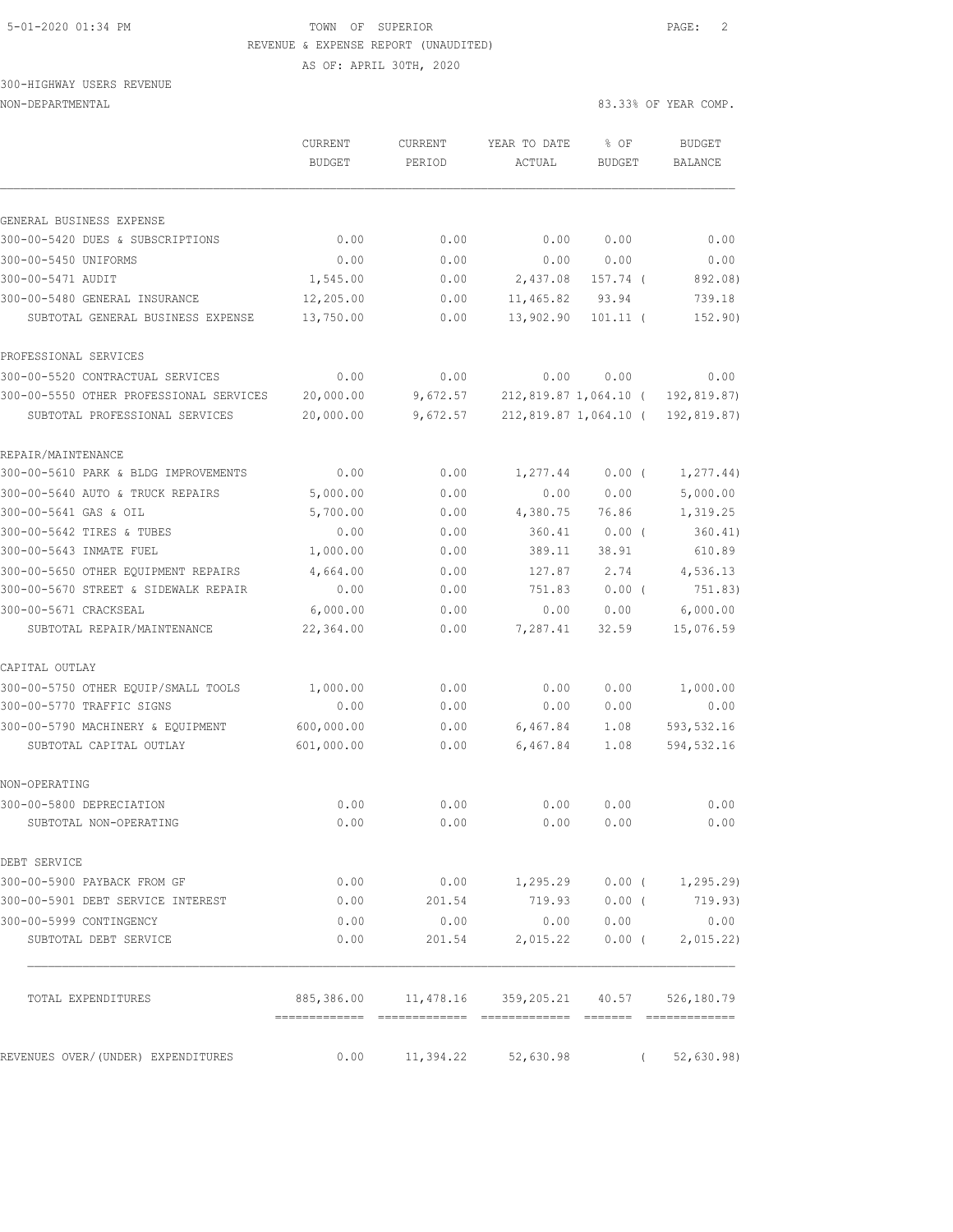# 5-01-2020 01:34 PM TOWN OF SUPERIOR PAGE: 2 REVENUE & EXPENSE REPORT (UNAUDITED)

AS OF: APRIL 30TH, 2020

300-HIGHWAY USERS REVENUE

|                                         | <b>CURRENT</b><br><b>BUDGET</b> | CURRENT<br>PERIOD                                        | YEAR TO DATE<br>ACTUAL | % OF<br><b>BUDGET</b> | BUDGET<br><b>BALANCE</b> |
|-----------------------------------------|---------------------------------|----------------------------------------------------------|------------------------|-----------------------|--------------------------|
| GENERAL BUSINESS EXPENSE                |                                 |                                                          |                        |                       |                          |
| 300-00-5420 DUES & SUBSCRIPTIONS        | 0.00                            | 0.00                                                     | 0.00                   | 0.00                  | 0.00                     |
| 300-00-5450 UNIFORMS                    | 0.00                            | 0.00                                                     | 0.00                   | 0.00                  | 0.00                     |
| 300-00-5471 AUDIT                       | 1,545.00                        | 0.00                                                     | 2,437.08               | 157.74 (              | 892.08)                  |
| 300-00-5480 GENERAL INSURANCE           | 12,205.00                       | 0.00                                                     | 11,465.82              | 93.94                 | 739.18                   |
| SUBTOTAL GENERAL BUSINESS EXPENSE       | 13,750.00                       | 0.00                                                     | 13,902.90              | $101.11$ (            | 152.90)                  |
| PROFESSIONAL SERVICES                   |                                 |                                                          |                        |                       |                          |
| 300-00-5520 CONTRACTUAL SERVICES        | 0.00                            | 0.00                                                     | 0.00                   | 0.00                  | 0.00                     |
| 300-00-5550 OTHER PROFESSIONAL SERVICES | 20,000.00                       | 9,672.57                                                 |                        | 212,819.87 1,064.10 ( | 192,819.87)              |
| SUBTOTAL PROFESSIONAL SERVICES          | 20,000.00                       | 9,672.57                                                 |                        | 212,819.87 1,064.10 ( | 192,819.87)              |
| REPAIR/MAINTENANCE                      |                                 |                                                          |                        |                       |                          |
| 300-00-5610 PARK & BLDG IMPROVEMENTS    | 0.00                            | 0.00                                                     | 1,277.44               | 0.00(                 | 1, 277.44)               |
| 300-00-5640 AUTO & TRUCK REPAIRS        | 5,000.00                        | 0.00                                                     | 0.00                   | 0.00                  | 5,000.00                 |
| 300-00-5641 GAS & OIL                   | 5,700.00                        | 0.00                                                     | 4,380.75               | 76.86                 | 1,319.25                 |
| 300-00-5642 TIRES & TUBES               | 0.00                            | 0.00                                                     | 360.41                 | $0.00$ (              | 360.41)                  |
| 300-00-5643 INMATE FUEL                 | 1,000.00                        | 0.00                                                     | 389.11                 | 38.91                 | 610.89                   |
| 300-00-5650 OTHER EQUIPMENT REPAIRS     | 4,664.00                        | 0.00                                                     | 127.87                 | 2.74                  | 4,536.13                 |
| 300-00-5670 STREET & SIDEWALK REPAIR    | 0.00                            | 0.00                                                     | 751.83                 | $0.00$ (              | 751.83)                  |
| 300-00-5671 CRACKSEAL                   | 6,000.00                        | 0.00                                                     | 0.00                   | 0.00                  | 6,000.00                 |
| SUBTOTAL REPAIR/MAINTENANCE             | 22,364.00                       | 0.00                                                     | 7,287.41               | 32.59                 | 15,076.59                |
| CAPITAL OUTLAY                          |                                 |                                                          |                        |                       |                          |
| 300-00-5750 OTHER EQUIP/SMALL TOOLS     | 1,000.00                        | 0.00                                                     | 0.00                   | 0.00                  | 1,000.00                 |
| 300-00-5770 TRAFFIC SIGNS               | 0.00                            | 0.00                                                     | 0.00                   | 0.00                  | 0.00                     |
| 300-00-5790 MACHINERY & EQUIPMENT       | 600,000.00                      | 0.00                                                     | 6,467.84               | 1.08                  | 593,532.16               |
| SUBTOTAL CAPITAL OUTLAY                 | 601,000.00                      | 0.00                                                     | 6,467.84               | 1.08                  | 594, 532.16              |
| NON-OPERATING                           |                                 |                                                          |                        |                       |                          |
| 300-00-5800 DEPRECIATION                | 0.00                            | 0.00                                                     | 0.00                   | 0.00                  | 0.00                     |
| SUBTOTAL NON-OPERATING                  | 0.00                            | 0.00                                                     | 0.00                   | 0.00                  | 0.00                     |
| DEBT SERVICE                            |                                 |                                                          |                        |                       |                          |
| 300-00-5900 PAYBACK FROM GF             | 0.00                            | 0.00                                                     | 1,295.29               | $0.00$ (              | 1, 295.29                |
| 300-00-5901 DEBT SERVICE INTEREST       | 0.00                            | 201.54                                                   | 719.93                 | 0.00(                 | 719.93)                  |
| 300-00-5999 CONTINGENCY                 | 0.00                            | 0.00                                                     | 0.00                   | 0.00                  | 0.00                     |
| SUBTOTAL DEBT SERVICE                   | 0.00                            | 201.54                                                   | 2,015.22               | $0.00$ (              | 2,015.22)                |
| TOTAL EXPENDITURES                      |                                 | 885,386.00   11,478.16   359,205.21   40.57   526,180.79 |                        |                       |                          |
| REVENUES OVER/(UNDER) EXPENDITURES      | 0.00                            | 11,394.22                                                | 52,630.98              |                       | 52,630.98)               |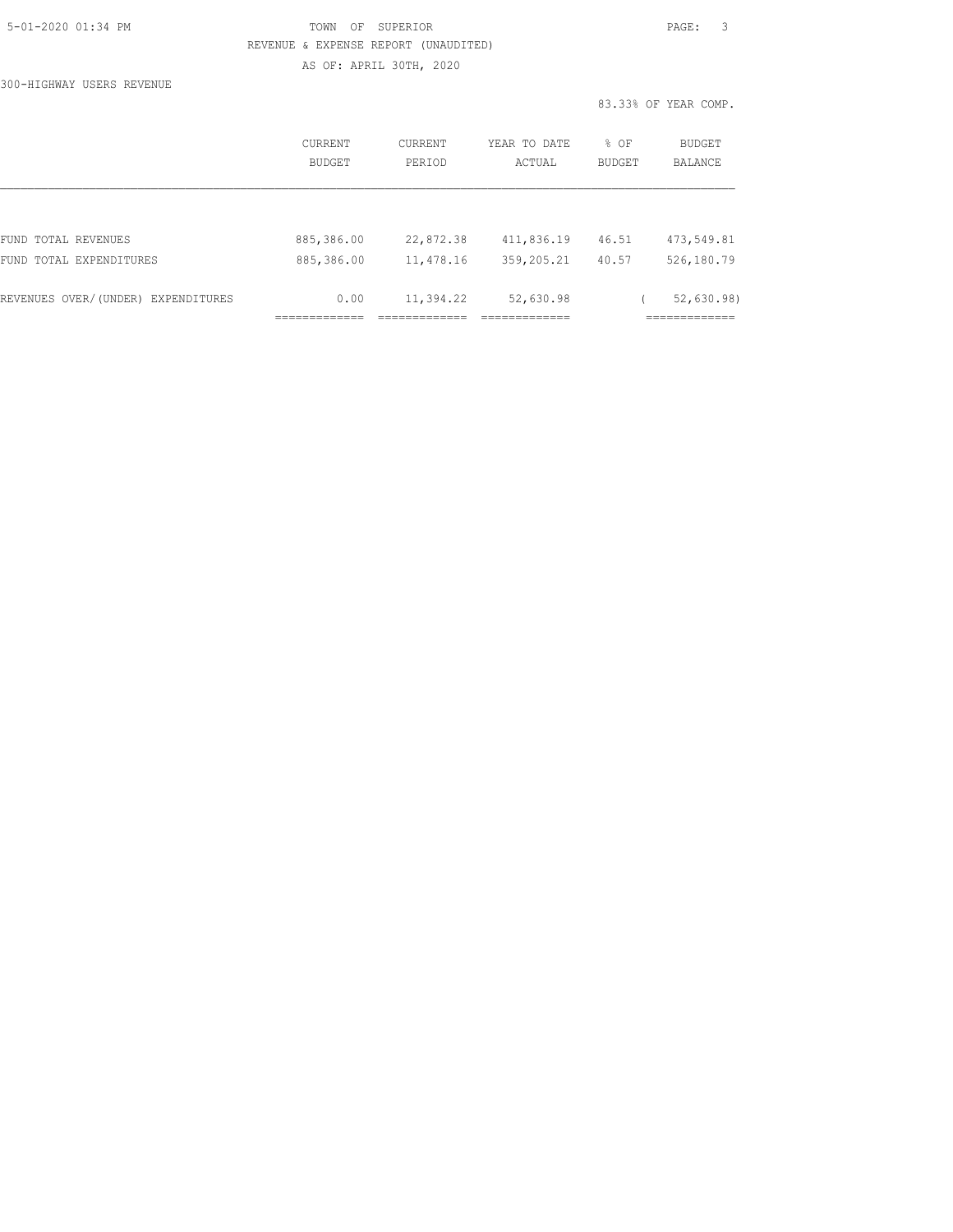|  | 5-01-2020 01:34 PM |  |
|--|--------------------|--|
|  |                    |  |

300-HIGHWAY USERS REVENUE

# TOWN OF SUPERIOR **Example 2010** PAGE: 3 REVENUE & EXPENSE REPORT (UNAUDITED) AS OF: APRIL 30TH, 2020

|                                    | CURRENT<br><b>BUDGET</b> | <b>CURRENT</b><br>PERIOD | YEAR TO DATE<br>ACTUAL | $8$ OF<br><b>BUDGET</b> | <b>BUDGET</b><br><b>BALANCE</b> |
|------------------------------------|--------------------------|--------------------------|------------------------|-------------------------|---------------------------------|
|                                    |                          |                          |                        |                         |                                 |
| TOTAL REVENUES<br>FUND             | 885,386.00               | 22,872.38                | 411,836.19             | 46.51                   | 473,549.81                      |
| TOTAL EXPENDITURES<br>FUND         | 885,386.00               | 11,478.16                | 359,205.21             | 40.57                   | 526,180.79                      |
| REVENUES OVER/(UNDER) EXPENDITURES | 0.00                     | 11,394.22                | 52,630.98              |                         | 52,630.98                       |
|                                    |                          |                          |                        |                         |                                 |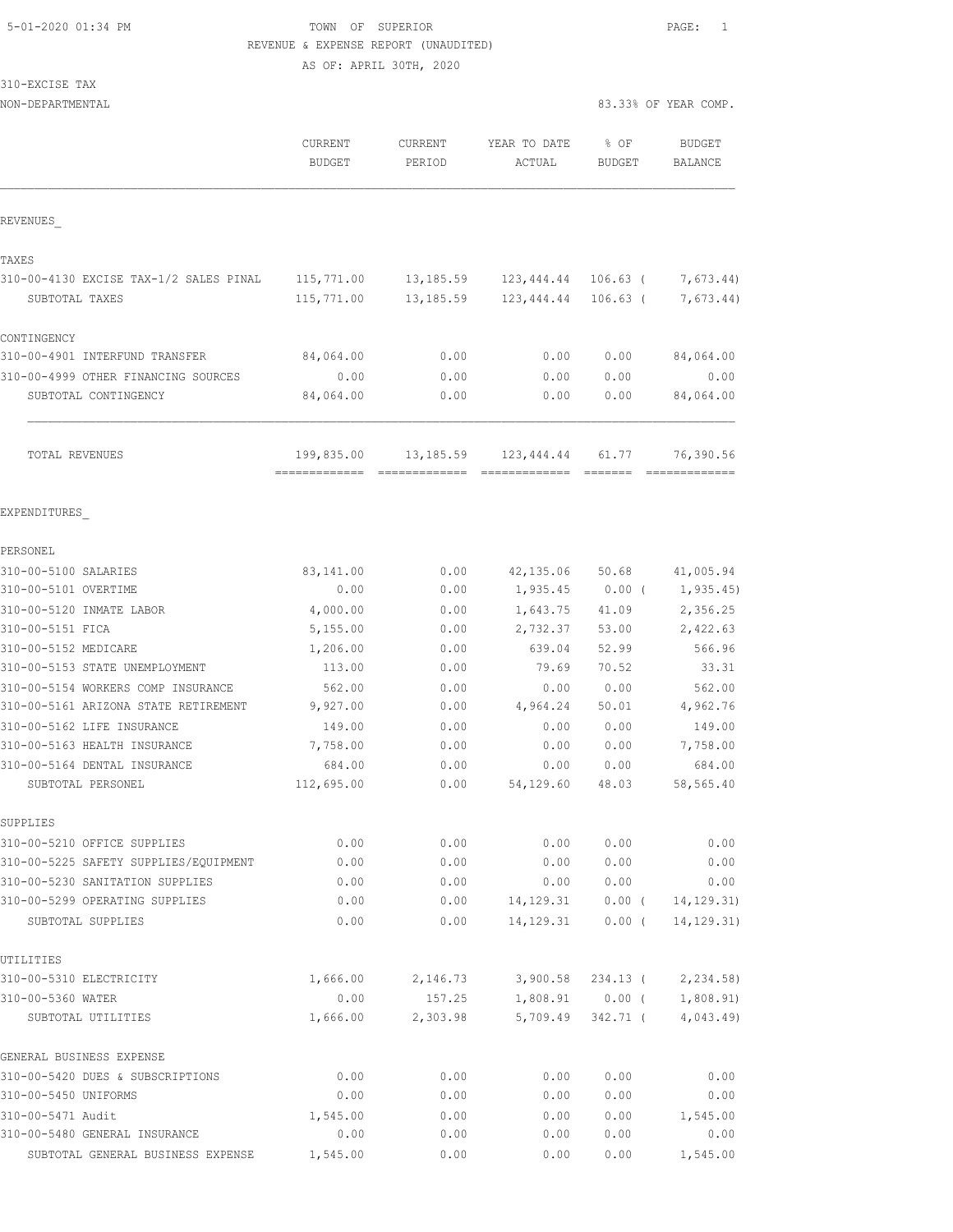# 5-01-2020 01:34 PM TOWN OF SUPERIOR PAGE: 1 REVENUE & EXPENSE REPORT (UNAUDITED)

AS OF: APRIL 30TH, 2020

| 310-EXCISE<br>▾ |  |
|-----------------|--|
|-----------------|--|

| NON-DEPARTMENTAL                                    |                                              |                   |                              | 83.33% OF YEAR COMP.           |                                 |
|-----------------------------------------------------|----------------------------------------------|-------------------|------------------------------|--------------------------------|---------------------------------|
|                                                     | <b>CURRENT</b><br><b>BUDGET</b>              | CURRENT<br>PERIOD | YEAR TO DATE<br>ACTUAL       | % OF<br><b>BUDGET</b>          | <b>BUDGET</b><br><b>BALANCE</b> |
| REVENUES                                            |                                              |                   |                              |                                |                                 |
| TAXES                                               |                                              |                   |                              |                                |                                 |
| 310-00-4130 EXCISE TAX-1/2 SALES PINAL              | 115,771.00                                   | 13,185.59         | 123,444.44 106.63 (          |                                | 7,673.44)                       |
| SUBTOTAL TAXES                                      | 115,771.00                                   | 13,185.59         | 123,444.44                   | $106.63$ (                     | 7,673.44)                       |
| CONTINGENCY                                         |                                              |                   |                              |                                |                                 |
| 310-00-4901 INTERFUND TRANSFER                      | 84,064.00                                    | 0.00              | 0.00                         | 0.00                           | 84,064.00                       |
| 310-00-4999 OTHER FINANCING SOURCES                 | 0.00                                         | 0.00              | 0.00                         | 0.00                           | 0.00                            |
| SUBTOTAL CONTINGENCY                                | 84,064.00                                    | 0.00              | 0.00                         | 0.00                           | 84,064.00                       |
| TOTAL REVENUES                                      | 199,835.00<br>============================== | 13,185.59         | 123,444.44<br>-------------- | 61.77                          | 76,390.56<br>=============      |
| EXPENDITURES                                        |                                              |                   |                              |                                |                                 |
| PERSONEL                                            |                                              |                   |                              |                                |                                 |
| 310-00-5100 SALARIES                                | 83,141.00                                    | 0.00              | 42, 135.06                   | 50.68                          | 41,005.94                       |
| 310-00-5101 OVERTIME                                | 0.00                                         | 0.00              | 1,935.45                     | $0.00$ (                       | 1, 935.45)                      |
| 310-00-5120 INMATE LABOR                            | 4,000.00                                     | 0.00              | 1,643.75                     | 41.09                          | 2,356.25                        |
| 310-00-5151 FICA                                    | 5,155.00                                     | 0.00              | 2,732.37                     | 53.00                          | 2,422.63                        |
| 310-00-5152 MEDICARE                                | 1,206.00                                     | 0.00              | 639.04                       | 52.99                          | 566.96                          |
| 310-00-5153 STATE UNEMPLOYMENT                      | 113.00                                       | 0.00              | 79.69                        | 70.52                          | 33.31                           |
| 310-00-5154 WORKERS COMP INSURANCE                  | 562.00                                       | 0.00              | 0.00                         | 0.00                           | 562.00                          |
| 310-00-5161 ARIZONA STATE RETIREMENT                | 9,927.00                                     | 0.00              | 4,964.24                     | 50.01                          | 4,962.76                        |
| 310-00-5162 LIFE INSURANCE                          | 149.00                                       | 0.00              | 0.00                         | 0.00                           | 149.00                          |
| 310-00-5163 HEALTH INSURANCE                        | 7,758.00                                     | 0.00              | 0.00                         | 0.00                           | 7,758.00                        |
| 310-00-5164 DENTAL INSURANCE                        | 684.00                                       | 0.00              | 0.00                         | 0.00                           | 684.00                          |
| SUBTOTAL PERSONEL                                   | 112,695.00                                   | 0.00              | 54,129.60                    | 48.03                          | 58,565.40                       |
| SUPPLIES                                            |                                              |                   |                              |                                |                                 |
| 310-00-5210 OFFICE SUPPLIES                         | 0.00                                         | 0.00              | 0.00                         | 0.00                           | 0.00                            |
| 310-00-5225 SAFETY SUPPLIES/EQUIPMENT               | 0.00                                         | 0.00              | 0.00                         | 0.00                           | 0.00                            |
| 310-00-5230 SANITATION SUPPLIES                     | 0.00                                         | 0.00              | 0.00                         | 0.00                           | 0.00                            |
| 310-00-5299 OPERATING SUPPLIES<br>SUBTOTAL SUPPLIES | 0.00<br>0.00                                 | 0.00<br>0.00      | 14,129.31                    | $0.00$ (<br>$14,129.31$ 0.00 ( | 14, 129. 31)<br>14, 129.31)     |
| UTILITIES                                           |                                              |                   |                              |                                |                                 |
| 310-00-5310 ELECTRICITY                             | 1,666.00                                     | 2,146.73          | 3,900.58                     | 234.13 (                       | 2,234.58)                       |
| 310-00-5360 WATER                                   | 0.00                                         | 157.25            |                              | 1,808.91 0.00 (                | 1,808.91)                       |
| SUBTOTAL UTILITIES                                  | 1,666.00                                     | 2,303.98          | 5,709.49                     | 342.71 (                       | 4,043.49)                       |
| GENERAL BUSINESS EXPENSE                            |                                              |                   |                              |                                |                                 |
| 310-00-5420 DUES & SUBSCRIPTIONS                    | 0.00                                         | 0.00              | 0.00                         | 0.00                           | 0.00                            |
| 310-00-5450 UNIFORMS                                | 0.00                                         | 0.00              | 0.00                         | 0.00                           | 0.00                            |
| 310-00-5471 Audit                                   | 1,545.00                                     | 0.00              | 0.00                         | 0.00                           | 1,545.00                        |
| 310-00-5480 GENERAL INSURANCE                       | 0.00                                         | 0.00              | 0.00                         | 0.00                           | 0.00                            |
| SUBTOTAL GENERAL BUSINESS EXPENSE                   | 1,545.00                                     | 0.00              | 0.00                         | 0.00                           | 1,545.00                        |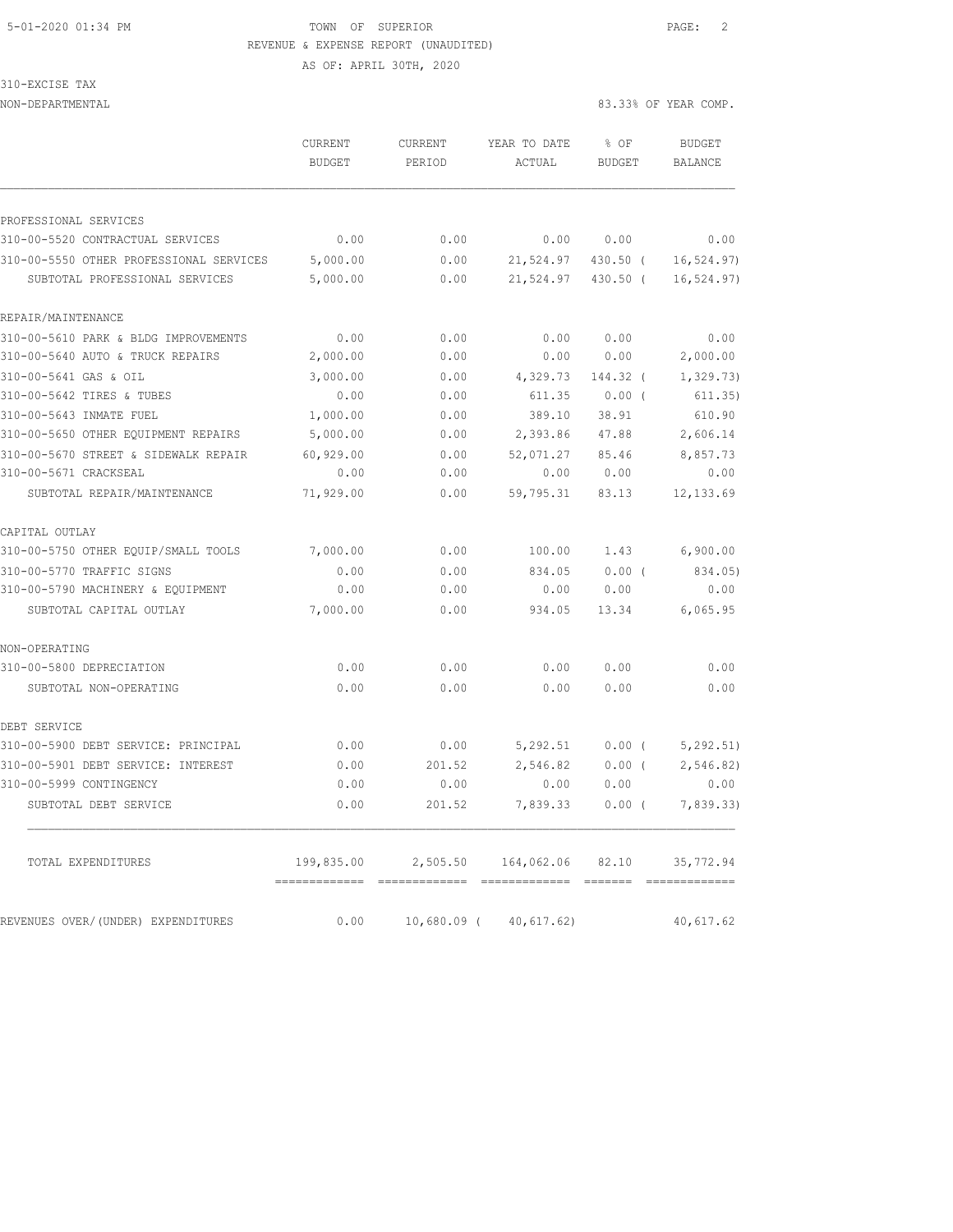# 5-01-2020 01:34 PM TOWN OF SUPERIOR PAGE: 2 REVENUE & EXPENSE REPORT (UNAUDITED)

310-EXCISE TAX

|                                                                           | <b>CURRENT</b><br><b>BUDGET</b> | CURRENT<br>PERIOD | YEAR TO DATE<br>ACTUAL | % OF<br><b>BUDGET</b> | <b>BUDGET</b><br><b>BALANCE</b> |
|---------------------------------------------------------------------------|---------------------------------|-------------------|------------------------|-----------------------|---------------------------------|
|                                                                           |                                 |                   |                        |                       |                                 |
| PROFESSIONAL SERVICES                                                     |                                 |                   |                        |                       |                                 |
| 310-00-5520 CONTRACTUAL SERVICES                                          | 0.00                            | 0.00              | 0.00                   | 0.00                  | 0.00                            |
| 310-00-5550 OTHER PROFESSIONAL SERVICES<br>SUBTOTAL PROFESSIONAL SERVICES | 5,000.00<br>5,000.00            | 0.00<br>0.00      | 21,524.97<br>21,524.97 | 430.50 (<br>430.50 (  | 16, 524.97)<br>16, 524.97)      |
| REPAIR/MAINTENANCE                                                        |                                 |                   |                        |                       |                                 |
| 310-00-5610 PARK & BLDG IMPROVEMENTS                                      | 0.00                            | 0.00              | 0.00                   | 0.00                  | 0.00                            |
| 310-00-5640 AUTO & TRUCK REPAIRS                                          | 2,000.00                        | 0.00              | 0.00                   | 0.00                  | 2,000.00                        |
| 310-00-5641 GAS & OIL                                                     | 3,000.00                        | 0.00              | 4,329.73               | 144.32 (              | 1, 329.73)                      |
| 310-00-5642 TIRES & TUBES                                                 | 0.00                            | 0.00              | 611.35                 | $0.00$ (              | 611.35)                         |
| 310-00-5643 INMATE FUEL                                                   | 1,000.00                        | 0.00              | 389.10                 | 38.91                 | 610.90                          |
| 310-00-5650 OTHER EQUIPMENT REPAIRS                                       | 5,000.00                        | 0.00              | 2,393.86               | 47.88                 | 2,606.14                        |
| 310-00-5670 STREET & SIDEWALK REPAIR                                      | 60,929.00                       | 0.00              | 52,071.27              | 85.46                 | 8,857.73                        |
| 310-00-5671 CRACKSEAL                                                     | 0.00                            | 0.00              | 0.00                   | 0.00                  | 0.00                            |
| SUBTOTAL REPAIR/MAINTENANCE                                               | 71,929.00                       | 0.00              | 59,795.31              | 83.13                 | 12, 133.69                      |
| CAPITAL OUTLAY                                                            |                                 |                   |                        |                       |                                 |
| 310-00-5750 OTHER EQUIP/SMALL TOOLS                                       | 7,000.00                        | 0.00              | 100.00                 | 1.43                  | 6,900.00                        |
| 310-00-5770 TRAFFIC SIGNS                                                 | 0.00                            | 0.00              | 834.05                 | $0.00$ (              | 834.05)                         |
| 310-00-5790 MACHINERY & EQUIPMENT                                         | 0.00                            | 0.00              | 0.00                   | 0.00                  | 0.00                            |
| SUBTOTAL CAPITAL OUTLAY                                                   | 7,000.00                        | 0.00              | 934.05                 | 13.34                 | 6,065.95                        |
| NON-OPERATING                                                             |                                 |                   |                        |                       |                                 |
| 310-00-5800 DEPRECIATION                                                  | 0.00                            | 0.00              | 0.00                   | 0.00                  | 0.00                            |
| SUBTOTAL NON-OPERATING                                                    | 0.00                            | 0.00              | 0.00                   | 0.00                  | 0.00                            |
| DEBT SERVICE                                                              |                                 |                   |                        |                       |                                 |
| 310-00-5900 DEBT SERVICE: PRINCIPAL                                       | 0.00                            | 0.00              | 5,292.51               | 0.00(                 | 5, 292.51)                      |
| 310-00-5901 DEBT SERVICE: INTEREST                                        | 0.00                            | 201.52            | 2,546.82               | 0.00(                 | 2,546.82)                       |
| 310-00-5999 CONTINGENCY                                                   | 0.00                            | 0.00              | 0.00                   | 0.00                  | 0.00                            |
| SUBTOTAL DEBT SERVICE                                                     | 0.00                            | 201.52            | 7,839.33               | 0.00(                 | 7,839.33)                       |
| TOTAL EXPENDITURES                                                        | 199,835.00                      | 2,505.50          | 164,062.06             | 82.10                 | 35,772.94                       |
| REVENUES OVER/(UNDER) EXPENDITURES                                        | 0.00                            | $10,680.09$ (     | 40,617.62)             |                       | 40,617.62                       |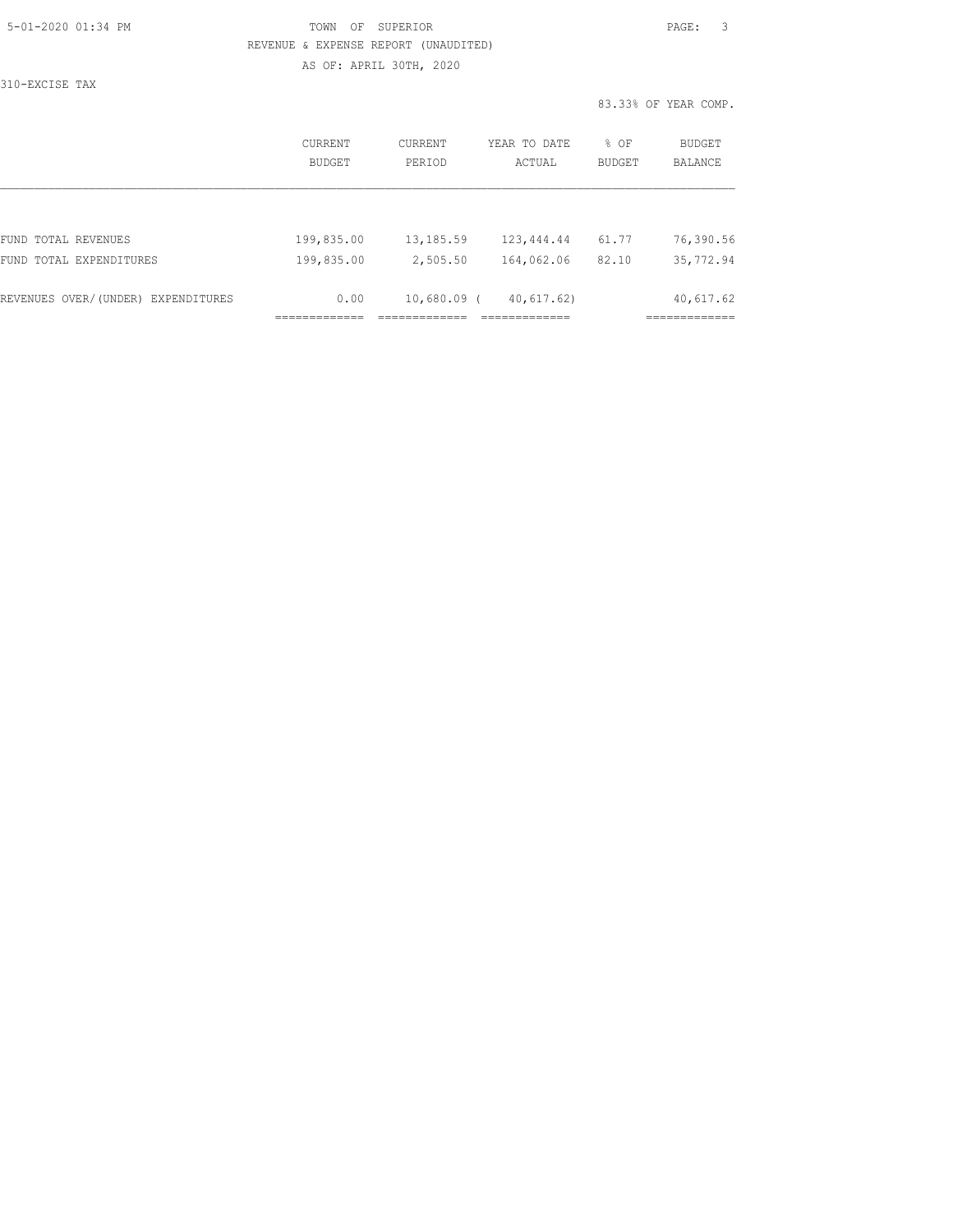| 5-01-2020 01:34 PM |  |
|--------------------|--|
|                    |  |

# TOWN OF SUPERIOR **Example 2010** PAGE: 3 REVENUE & EXPENSE REPORT (UNAUDITED) AS OF: APRIL 30TH, 2020

310-EXCISE TAX

|                                    | CURRENT<br><b>BUDGET</b> | CURRENT<br>PERIOD | YEAR TO DATE<br>ACTUAL | % OF<br><b>BUDGET</b> | BUDGET<br><b>BALANCE</b> |
|------------------------------------|--------------------------|-------------------|------------------------|-----------------------|--------------------------|
|                                    |                          |                   |                        |                       |                          |
| FUND TOTAL REVENUES                | 199,835.00               | 13,185.59         | 123,444.44             | 61.77                 | 76,390.56                |
| FUND TOTAL EXPENDITURES            | 199,835.00               | 2,505.50          | 164,062.06             | 82.10                 | 35,772.94                |
| REVENUES OVER/(UNDER) EXPENDITURES | 0.00                     | $10,680.09$ (     | 40,617.62)             |                       | 40,617.62                |
|                                    |                          |                   |                        |                       |                          |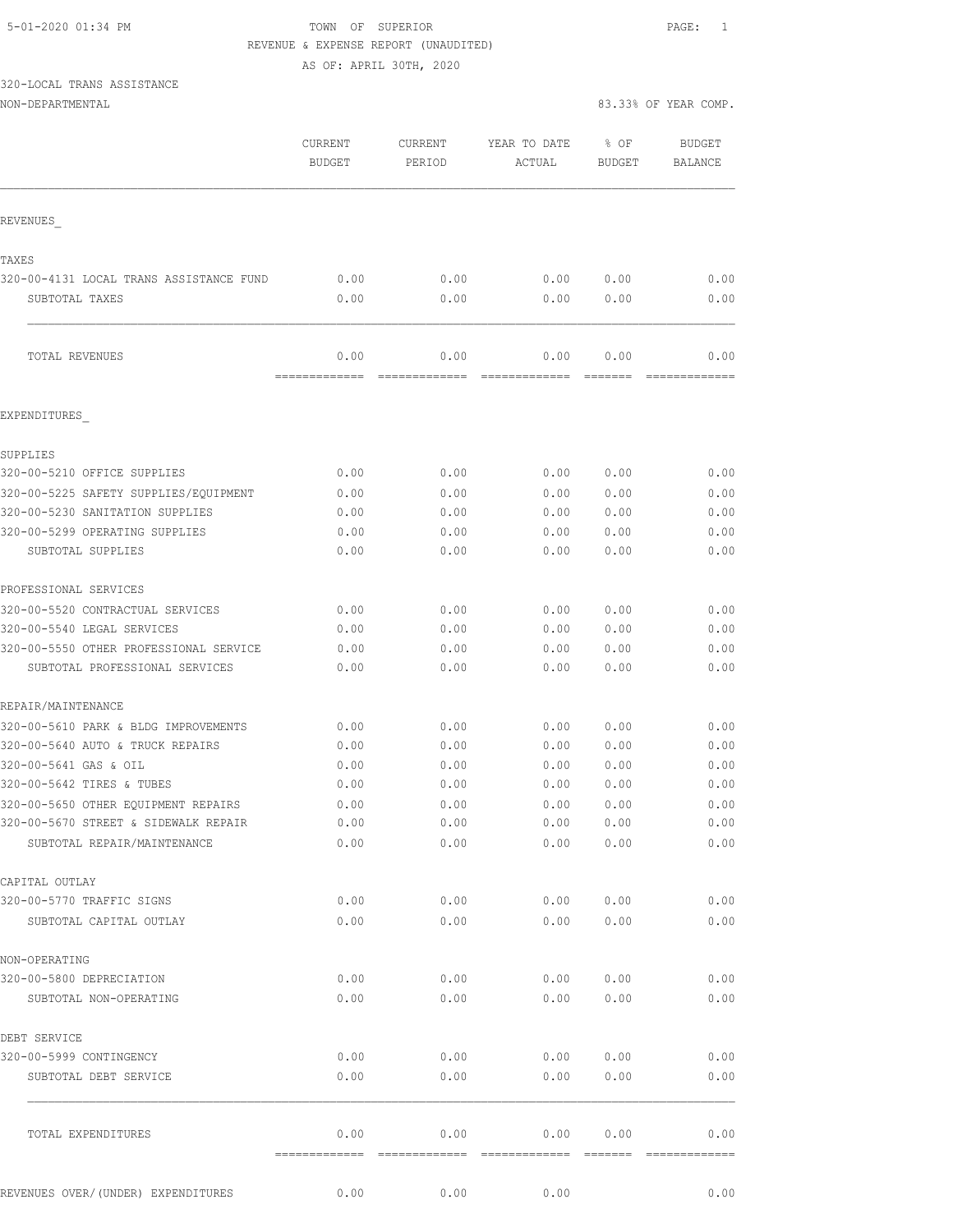# 5-01-2020 01:34 PM TOWN OF SUPERIOR PAGE: 1 REVENUE & EXPENSE REPORT (UNAUDITED)

|                                                |                                 | AS OF: APRIL 30TH, 2020 |                        |                         |                          |
|------------------------------------------------|---------------------------------|-------------------------|------------------------|-------------------------|--------------------------|
| 320-LOCAL TRANS ASSISTANCE<br>NON-DEPARTMENTAL |                                 |                         |                        |                         | 83.33% OF YEAR COMP.     |
|                                                |                                 |                         |                        |                         |                          |
|                                                | <b>CURRENT</b><br><b>BUDGET</b> | CURRENT<br>PERIOD       | YEAR TO DATE<br>ACTUAL | $8$ OF<br><b>BUDGET</b> | <b>BUDGET</b><br>BALANCE |
| REVENUES                                       |                                 |                         |                        |                         |                          |
| TAXES                                          |                                 |                         |                        |                         |                          |
| 320-00-4131 LOCAL TRANS ASSISTANCE FUND        | 0.00                            | 0.00                    | 0.00                   | 0.00                    | 0.00                     |
| SUBTOTAL TAXES                                 | 0.00                            | 0.00                    | 0.00                   | 0.00                    | 0.00                     |
| TOTAL REVENUES                                 | 0.00<br>-------------           | 0.00<br>-----------     | 0.00                   | 0.00                    | 0.00                     |
| EXPENDITURES                                   |                                 |                         |                        |                         |                          |
| SUPPLIES                                       |                                 |                         |                        |                         |                          |
| 320-00-5210 OFFICE SUPPLIES                    | 0.00                            | 0.00                    | 0.00                   | 0.00                    | 0.00                     |
| 320-00-5225 SAFETY SUPPLIES/EOUIPMENT          | 0.00                            | 0.00                    | 0.00                   | 0.00                    | 0.00                     |
| 320-00-5230 SANITATION SUPPLIES                | 0.00                            | 0.00                    | 0.00                   | 0.00                    | 0.00                     |
| 320-00-5299 OPERATING SUPPLIES                 | 0.00                            | 0.00                    | 0.00                   | 0.00                    | 0.00                     |
| SUBTOTAL SUPPLIES                              | 0.00                            | 0.00                    | 0.00                   | 0.00                    | 0.00                     |
| PROFESSIONAL SERVICES                          |                                 |                         |                        |                         |                          |
| 320-00-5520 CONTRACTUAL SERVICES               | 0.00                            | 0.00                    | 0.00                   | 0.00                    | 0.00                     |
| 320-00-5540 LEGAL SERVICES                     | 0.00                            | 0.00                    | 0.00                   | 0.00                    | 0.00                     |
| 320-00-5550 OTHER PROFESSIONAL SERVICE         | 0.00                            | 0.00                    | 0.00                   | 0.00                    | 0.00                     |
| SUBTOTAL PROFESSIONAL SERVICES                 | 0.00                            | 0.00                    | 0.00                   | 0.00                    | 0.00                     |
| REPAIR/MAINTENANCE                             |                                 |                         |                        |                         |                          |
| 320-00-5610 PARK & BLDG IMPROVEMENTS           | 0.00                            | 0.00                    | 0.00                   | 0.00                    | 0.00                     |
| 320-00-5640 AUTO & TRUCK REPAIRS               | 0.00                            | 0.00                    | 0.00                   | 0.00                    | 0.00                     |
| 320-00-5641 GAS & OIL                          | 0.00                            | 0.00                    | 0.00                   | 0.00                    | 0.00                     |
| 320-00-5642 TIRES & TUBES                      | 0.00                            | 0.00                    | 0.00                   | 0.00                    | 0.00                     |
| 320-00-5650 OTHER EQUIPMENT REPAIRS            | 0.00                            | 0.00                    | 0.00                   | 0.00                    | 0.00                     |
| 320-00-5670 STREET & SIDEWALK REPAIR           | 0.00                            | 0.00                    | 0.00                   | 0.00                    | 0.00                     |
| SUBTOTAL REPAIR/MAINTENANCE                    | 0.00                            | 0.00                    | 0.00                   | 0.00                    | 0.00                     |
| CAPITAL OUTLAY                                 |                                 |                         |                        |                         |                          |
| 320-00-5770 TRAFFIC SIGNS                      | 0.00                            | 0.00                    | 0.00                   | 0.00                    | 0.00                     |
| SUBTOTAL CAPITAL OUTLAY                        | 0.00                            | 0.00                    | 0.00                   | 0.00                    | 0.00                     |
| NON-OPERATING                                  |                                 |                         |                        |                         |                          |
| 320-00-5800 DEPRECIATION                       | 0.00                            | 0.00                    | 0.00                   | 0.00                    | 0.00                     |
| SUBTOTAL NON-OPERATING                         | 0.00                            | 0.00                    | 0.00                   | 0.00                    | 0.00                     |
| DEBT SERVICE                                   |                                 |                         |                        |                         |                          |

REVENUES OVER/(UNDER) EXPENDITURES 0.00 0.00 0.00 0.00 0.00 0.00

320-00-5999 CONTINGENCY 0.00 0.00 0.00 0.00 0.00 SUBTOTAL DEBT SERVICE  $0.00$   $0.00$   $0.00$   $0.00$   $0.00$   $0.00$   $0.00$   $0.00$  $\mathcal{L}_\text{max}$ 

TOTAL EXPENDITURES 0.00 0.00 0.00 0.00 0.00

============= ============= ============= ======= =============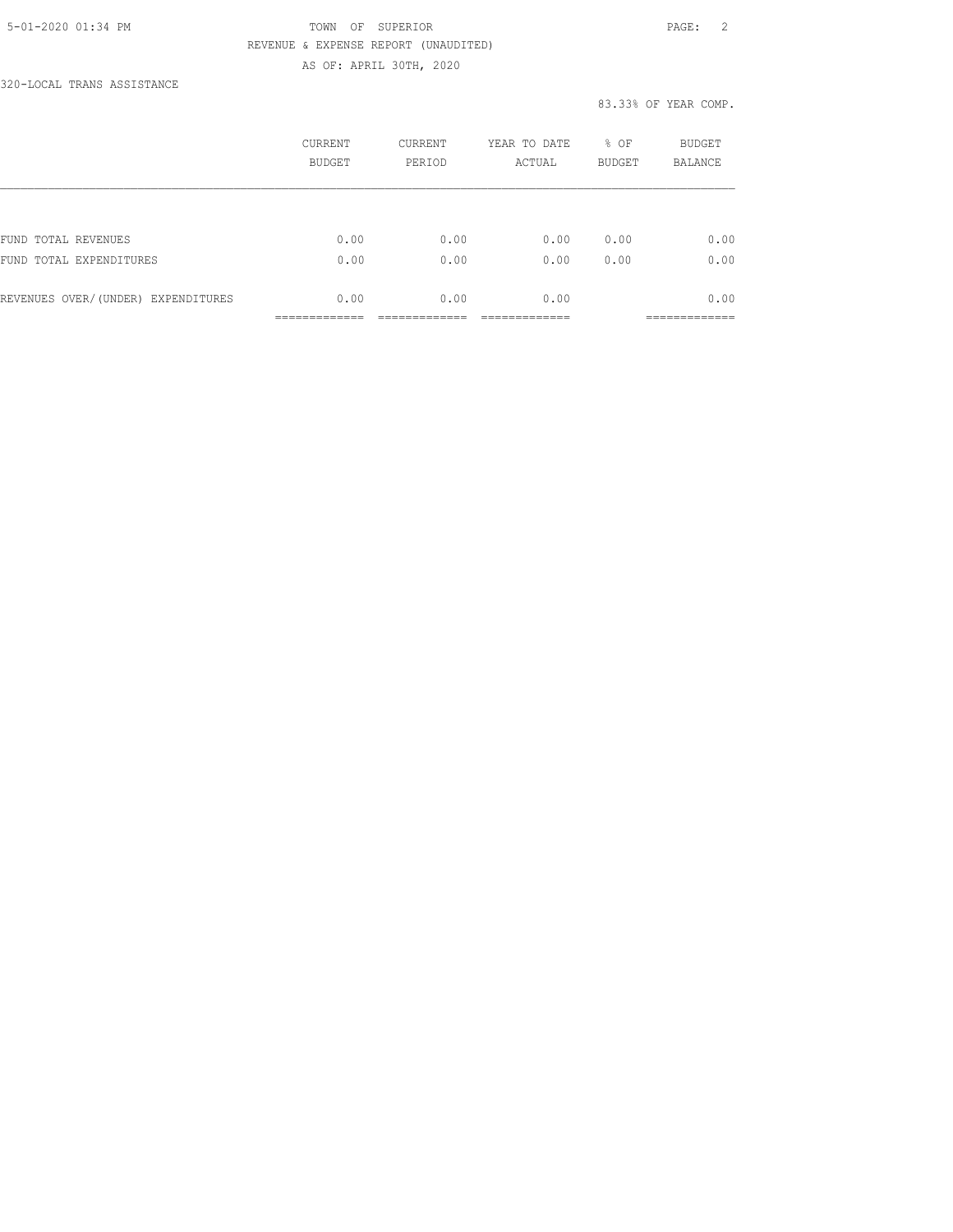### 5-01-2020 01:34 PM TOWN OF SUPERIOR PAGE: 2 REVENUE & EXPENSE REPORT (UNAUDITED) AS OF: APRIL 30TH, 2020

320-LOCAL TRANS ASSISTANCE

|                                    | CURRENT<br><b>BUDGET</b> | CURRENT<br>PERIOD | YEAR TO DATE<br>ACTUAL | % OF<br><b>BUDGET</b> | <b>BUDGET</b><br><b>BALANCE</b> |
|------------------------------------|--------------------------|-------------------|------------------------|-----------------------|---------------------------------|
|                                    |                          |                   |                        |                       |                                 |
| FUND TOTAL REVENUES                | 0.00                     | 0.00              | 0.00                   | 0.00                  | 0.00                            |
| FUND TOTAL EXPENDITURES            | 0.00                     | 0.00              | 0.00                   | 0.00                  | 0.00                            |
| REVENUES OVER/(UNDER) EXPENDITURES | 0.00                     | 0.00              | 0.00                   |                       | 0.00                            |
|                                    |                          |                   |                        |                       |                                 |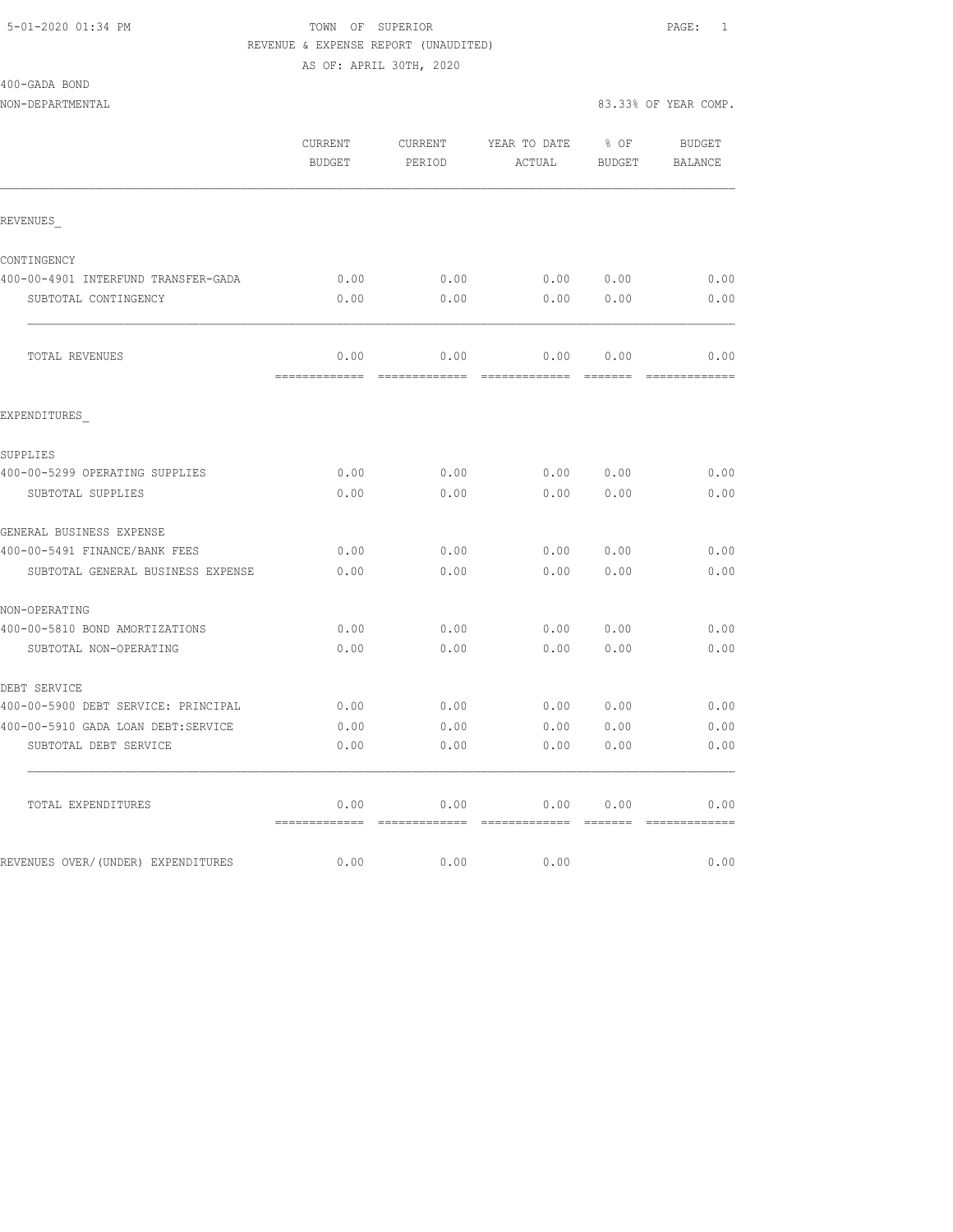# 5-01-2020 01:34 PM TOWN OF SUPERIOR PAGE: 1 REVENUE & EXPENSE REPORT (UNAUDITED)

AS OF: APRIL 30TH, 2020

| 400-GADA BOND                       |                       |                   |                        |                  |                          |
|-------------------------------------|-----------------------|-------------------|------------------------|------------------|--------------------------|
| NON-DEPARTMENTAL                    |                       |                   |                        |                  | 83.33% OF YEAR COMP.     |
|                                     | CURRENT<br>BUDGET     | CURRENT<br>PERIOD | YEAR TO DATE<br>ACTUAL | $8$ OF<br>BUDGET | <b>BUDGET</b><br>BALANCE |
| REVENUES                            |                       |                   |                        |                  |                          |
| CONTINGENCY                         |                       |                   |                        |                  |                          |
| 400-00-4901 INTERFUND TRANSFER-GADA | 0.00                  | 0.00              |                        | 0.00 0.00        | 0.00                     |
| SUBTOTAL CONTINGENCY                | 0.00                  | 0.00              | 0.00                   | 0.00             | 0.00                     |
| <b>TOTAL REVENUES</b>               | 0.00<br>============= | 0.00              | 0.00                   | 0.00             | 0.00                     |
| EXPENDITURES                        |                       |                   |                        |                  |                          |
| SUPPLIES                            |                       |                   |                        |                  |                          |
| 400-00-5299 OPERATING SUPPLIES      | 0.00                  | 0.00              | 0.0000000              |                  | 0.00                     |
| SUBTOTAL SUPPLIES                   | 0.00                  | 0.00              | 0.00                   | 0.00             | 0.00                     |
| GENERAL BUSINESS EXPENSE            |                       |                   |                        |                  |                          |
| 400-00-5491 FINANCE/BANK FEES       | 0.00                  | 0.00              | 0.00                   | 0.00             | 0.00                     |
| SUBTOTAL GENERAL BUSINESS EXPENSE   | 0.00                  | 0.00              | 0.00                   | 0.00             | 0.00                     |
| NON-OPERATING                       |                       |                   |                        |                  |                          |
| 400-00-5810 BOND AMORTIZATIONS      | 0.00                  | 0.00              | 0.00                   | 0.00             | 0.00                     |
| SUBTOTAL NON-OPERATING              | 0.00                  | 0.00              | 0.00                   | 0.00             | 0.00                     |
| DEBT SERVICE                        |                       |                   |                        |                  |                          |
| 400-00-5900 DEBT SERVICE: PRINCIPAL | 0.00                  | 0.00              | 0.00 0.00              |                  | 0.00                     |
| 400-00-5910 GADA LOAN DEBT:SERVICE  | 0.00                  | 0.00              | 0.00                   | 0.00             | 0.00                     |
| SUBTOTAL DEBT SERVICE               | 0.00                  | 0.00              | 0.00                   | 0.00             | 0.00                     |
| TOTAL EXPENDITURES                  | 0.00                  | 0.00              | 0.00                   | 0.00             | 0.00                     |
| REVENUES OVER/(UNDER) EXPENDITURES  | 0.00                  | 0.00              | 0.00                   |                  | 0.00                     |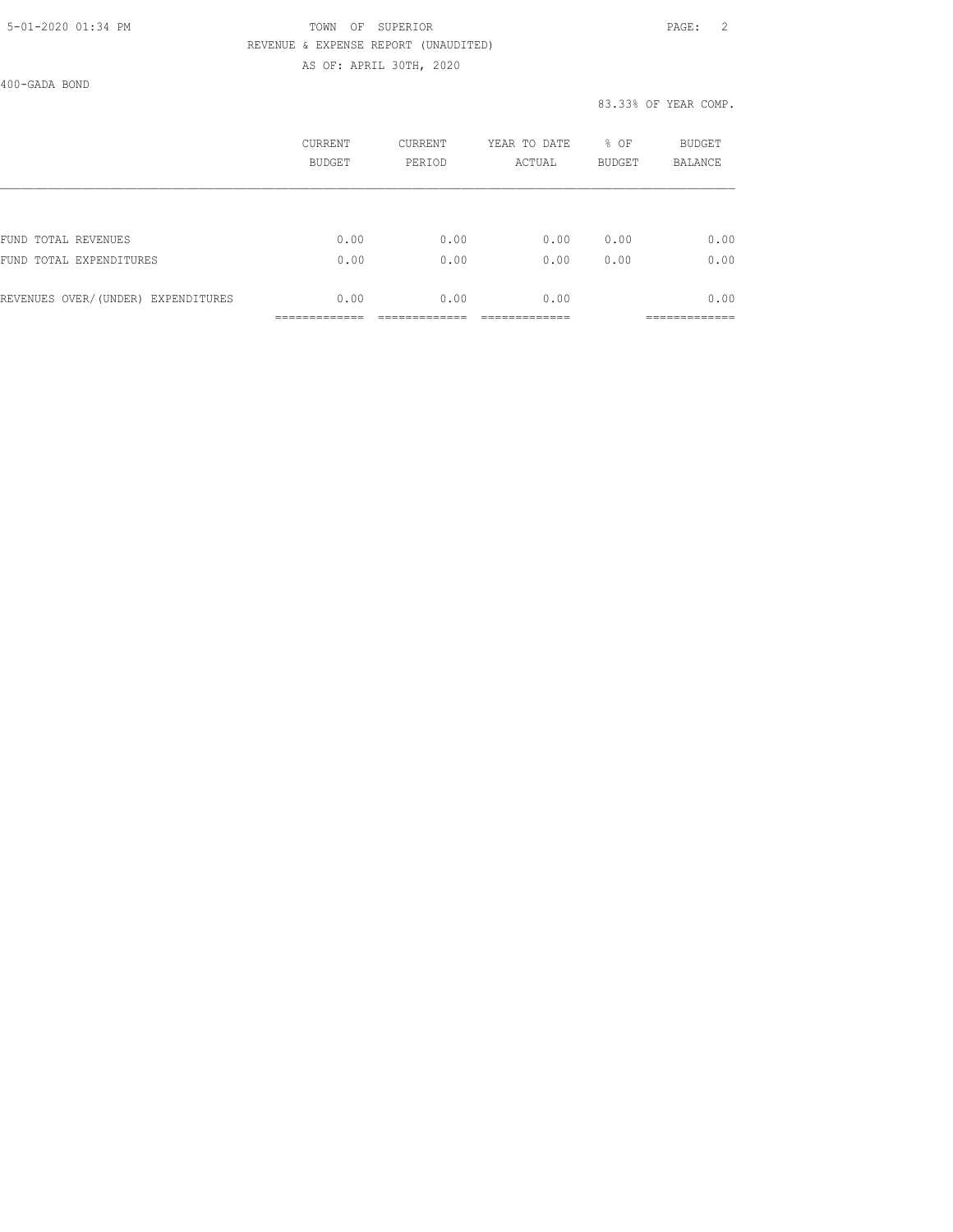### 5-01-2020 01:34 PM TOWN OF SUPERIOR PAGE: 2 REVENUE & EXPENSE REPORT (UNAUDITED) AS OF: APRIL 30TH, 2020

400-GADA BOND

|                                    | CURRENT<br>BUDGET | <b>CURRENT</b><br>PERIOD | YEAR TO DATE<br>ACTUAL | % OF<br><b>BUDGET</b> | BUDGET<br><b>BALANCE</b> |
|------------------------------------|-------------------|--------------------------|------------------------|-----------------------|--------------------------|
|                                    |                   |                          |                        |                       |                          |
| FUND TOTAL REVENUES                | 0.00              | 0.00                     | 0.00                   | 0.00                  | 0.00                     |
| FUND TOTAL EXPENDITURES            | 0.00              | 0.00                     | 0.00                   | 0.00                  | 0.00                     |
| REVENUES OVER/(UNDER) EXPENDITURES | 0.00              | 0.00                     | 0.00                   |                       | 0.00                     |
|                                    |                   |                          |                        |                       |                          |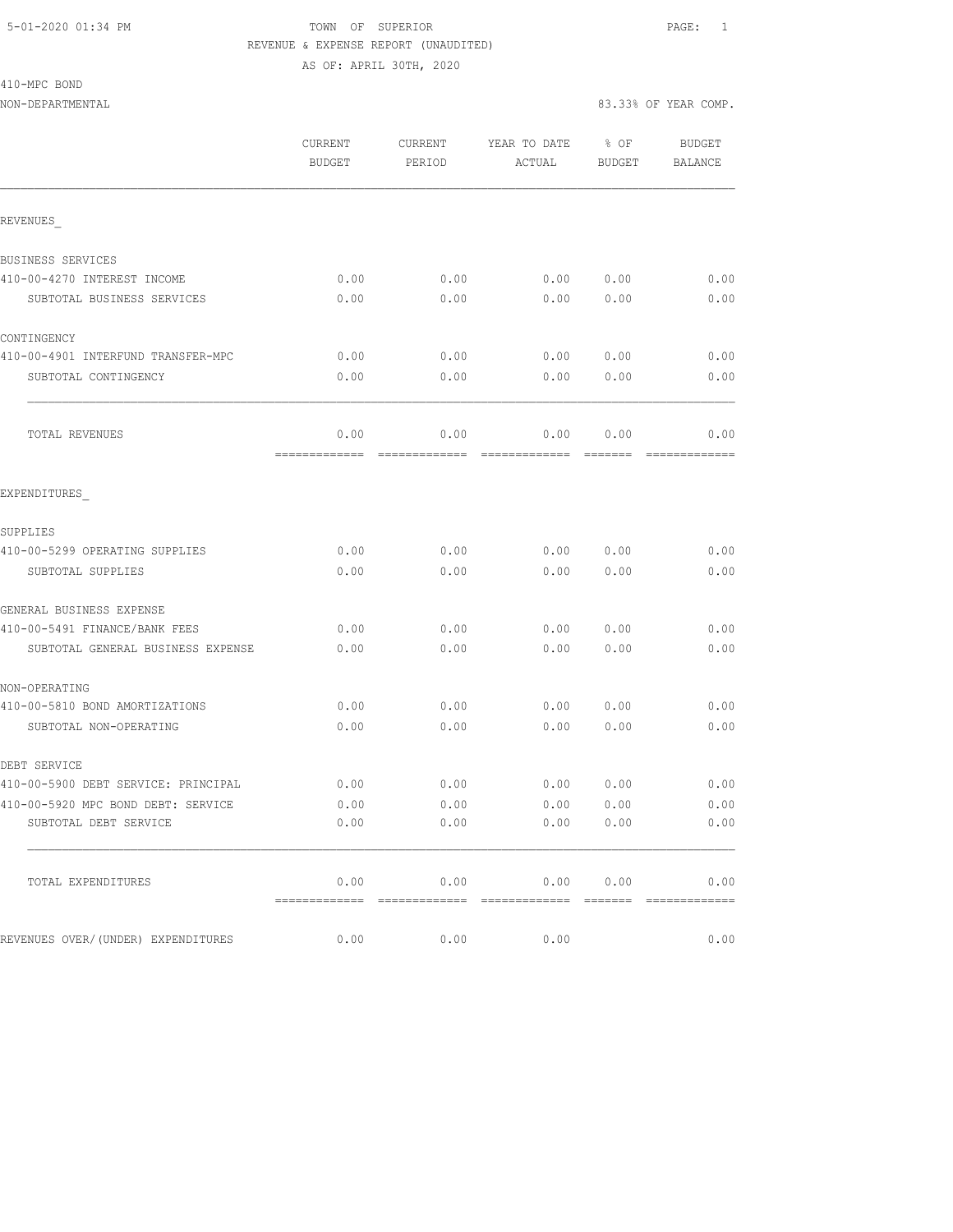#### 5-01-2020 01:34 PM TOWN OF SUPERIOR PAGE: 1 REVENUE & EXPENSE REPORT (UNAUDITED) AS OF: APRIL 30TH, 2020

410-MPC BOND

|                                     | CURRENT<br><b>BUDGET</b>             | CURRENT<br>PERIOD | YEAR TO DATE<br>ACTUAL                                                                                                                                                                                                                                                                                                                                                                   | % OF<br>BUDGET | <b>BUDGET</b><br>BALANCE |
|-------------------------------------|--------------------------------------|-------------------|------------------------------------------------------------------------------------------------------------------------------------------------------------------------------------------------------------------------------------------------------------------------------------------------------------------------------------------------------------------------------------------|----------------|--------------------------|
|                                     |                                      |                   |                                                                                                                                                                                                                                                                                                                                                                                          |                |                          |
| REVENUES                            |                                      |                   |                                                                                                                                                                                                                                                                                                                                                                                          |                |                          |
| BUSINESS SERVICES                   |                                      |                   |                                                                                                                                                                                                                                                                                                                                                                                          |                |                          |
| 410-00-4270 INTEREST INCOME         | 0.00                                 | 0.00              | 0.00 0.00                                                                                                                                                                                                                                                                                                                                                                                |                | 0.00                     |
| SUBTOTAL BUSINESS SERVICES          | 0.00                                 | 0.00              | 0.00                                                                                                                                                                                                                                                                                                                                                                                     | 0.00           | 0.00                     |
| CONTINGENCY                         |                                      |                   |                                                                                                                                                                                                                                                                                                                                                                                          |                |                          |
| 410-00-4901 INTERFUND TRANSFER-MPC  | 0.00                                 | 0.00              | 0.00                                                                                                                                                                                                                                                                                                                                                                                     | 0.00           | 0.00                     |
| SUBTOTAL CONTINGENCY                | 0.00                                 | 0.00              | 0.00                                                                                                                                                                                                                                                                                                                                                                                     | 0.00           | 0.00                     |
| TOTAL REVENUES                      | 0.00                                 | 0.00              | 0.00                                                                                                                                                                                                                                                                                                                                                                                     | 0.00           | 0.00<br>=============    |
| EXPENDITURES                        |                                      |                   |                                                                                                                                                                                                                                                                                                                                                                                          |                |                          |
| SUPPLIES                            |                                      |                   |                                                                                                                                                                                                                                                                                                                                                                                          |                |                          |
| 410-00-5299 OPERATING SUPPLIES      | 0.00                                 | 0.00              | 0.00                                                                                                                                                                                                                                                                                                                                                                                     | 0.00           | 0.00                     |
| SUBTOTAL SUPPLIES                   | 0.00                                 | 0.00              | 0.00                                                                                                                                                                                                                                                                                                                                                                                     | 0.00           | 0.00                     |
| GENERAL BUSINESS EXPENSE            |                                      |                   |                                                                                                                                                                                                                                                                                                                                                                                          |                |                          |
| 410-00-5491 FINANCE/BANK FEES       | 0.00                                 | 0.00              | 0.00                                                                                                                                                                                                                                                                                                                                                                                     | 0.00           | 0.00                     |
| SUBTOTAL GENERAL BUSINESS EXPENSE   | 0.00                                 | 0.00              | 0.00                                                                                                                                                                                                                                                                                                                                                                                     | 0.00           | 0.00                     |
| NON-OPERATING                       |                                      |                   |                                                                                                                                                                                                                                                                                                                                                                                          |                |                          |
| 410-00-5810 BOND AMORTIZATIONS      | 0.00                                 | 0.00              | 0.00                                                                                                                                                                                                                                                                                                                                                                                     | 0.00           | 0.00                     |
| SUBTOTAL NON-OPERATING              | 0.00                                 | 0.00              | 0.00                                                                                                                                                                                                                                                                                                                                                                                     | 0.00           | 0.00                     |
| DEBT SERVICE                        |                                      |                   |                                                                                                                                                                                                                                                                                                                                                                                          |                |                          |
| 410-00-5900 DEBT SERVICE: PRINCIPAL | 0.00                                 | 0.00              | 0.00                                                                                                                                                                                                                                                                                                                                                                                     | 0.00           | 0.00                     |
| 410-00-5920 MPC BOND DEBT: SERVICE  | 0.00                                 | 0.00              | 0.00                                                                                                                                                                                                                                                                                                                                                                                     | 0.00           | 0.00                     |
| SUBTOTAL DEBT SERVICE               | 0.00                                 | 0.00              | 0.00                                                                                                                                                                                                                                                                                                                                                                                     | 0.00           | 0.00                     |
| TOTAL EXPENDITURES                  | 0.00                                 | 0.00              | 0.00                                                                                                                                                                                                                                                                                                                                                                                     | 0.00           | 0.00                     |
| REVENUES OVER/(UNDER) EXPENDITURES  | -------------- -------------<br>0.00 | 0.00              | $\begin{array}{c} \rule{0pt}{2.5ex} \rule{0pt}{2.5ex} \rule{0pt}{2.5ex} \rule{0pt}{2.5ex} \rule{0pt}{2.5ex} \rule{0pt}{2.5ex} \rule{0pt}{2.5ex} \rule{0pt}{2.5ex} \rule{0pt}{2.5ex} \rule{0pt}{2.5ex} \rule{0pt}{2.5ex} \rule{0pt}{2.5ex} \rule{0pt}{2.5ex} \rule{0pt}{2.5ex} \rule{0pt}{2.5ex} \rule{0pt}{2.5ex} \rule{0pt}{2.5ex} \rule{0pt}{2.5ex} \rule{0pt}{2.5ex} \rule{0$<br>0.00 |                | 0.00                     |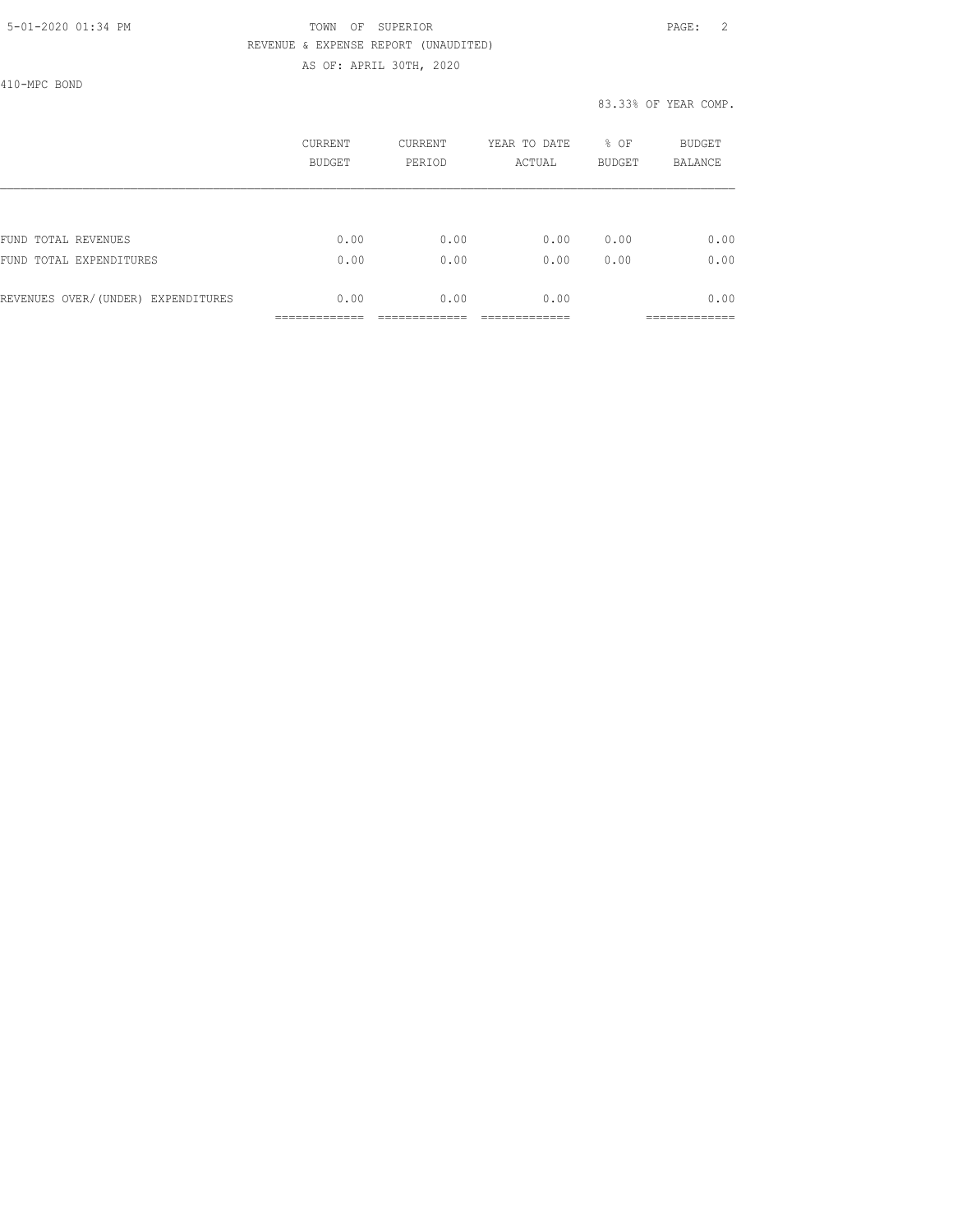### 5-01-2020 01:34 PM TOWN OF SUPERIOR PAGE: 2 REVENUE & EXPENSE REPORT (UNAUDITED) AS OF: APRIL 30TH, 2020

410-MPC BOND

|                                    | CURRENT<br><b>BUDGET</b> | <b>CURRENT</b><br>PERIOD | YEAR TO DATE<br>ACTUAL | % OF<br><b>BUDGET</b> | <b>BUDGET</b><br><b>BALANCE</b> |
|------------------------------------|--------------------------|--------------------------|------------------------|-----------------------|---------------------------------|
|                                    |                          |                          |                        |                       |                                 |
| FUND TOTAL REVENUES                | 0.00                     | 0.00                     | 0.00                   | 0.00                  | 0.00                            |
| FUND TOTAL EXPENDITURES            | 0.00                     | 0.00                     | 0.00                   | 0.00                  | 0.00                            |
| REVENUES OVER/(UNDER) EXPENDITURES | 0.00                     | 0.00                     | 0.00                   |                       | 0.00                            |
|                                    |                          |                          |                        |                       |                                 |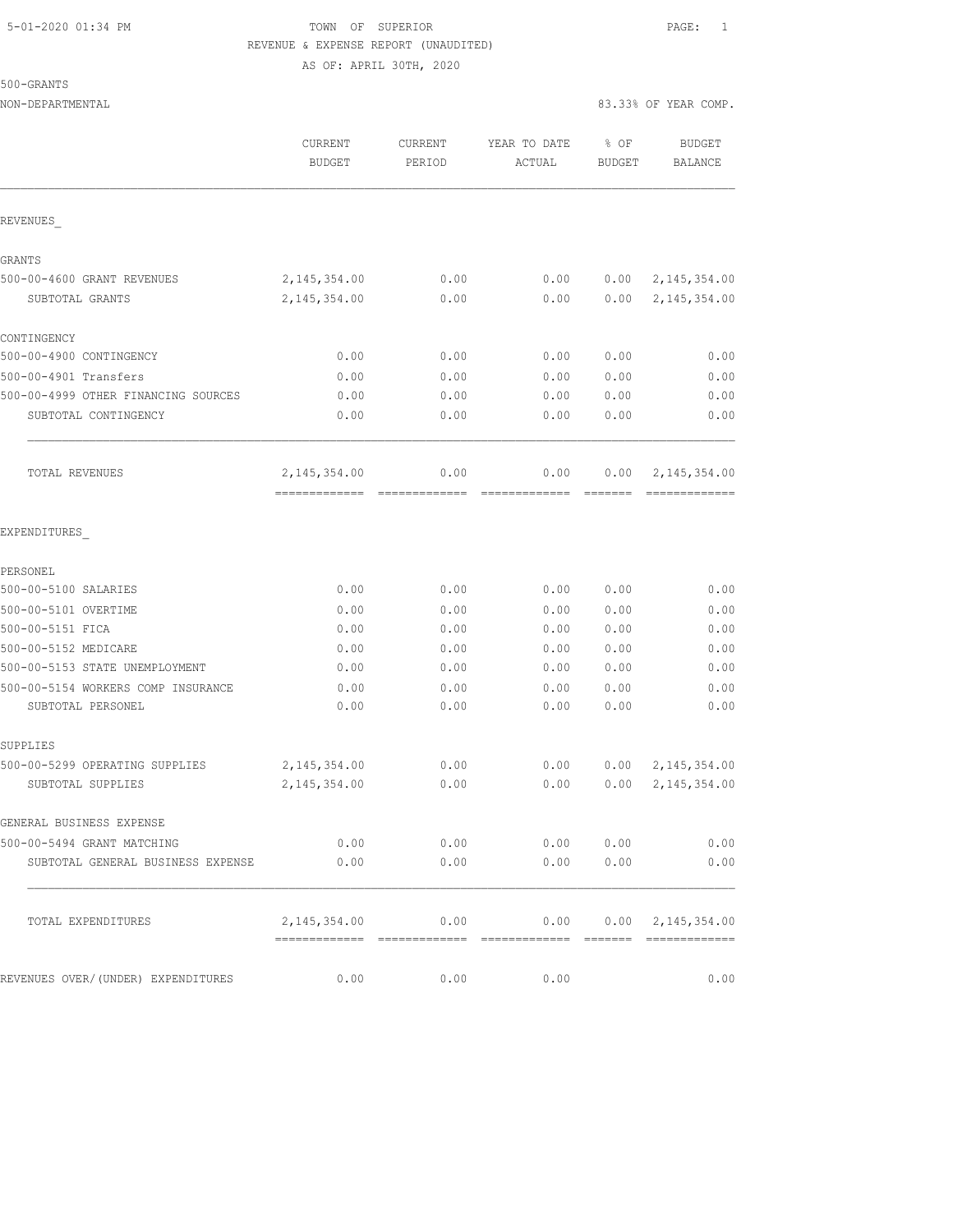# 5-01-2020 01:34 PM **TOWN** OF SUPERIOR **PAGE:** 1 REVENUE & EXPENSE REPORT (UNAUDITED) AS OF: APRIL 30TH, 2020

500-GRANTS

| NON-DEPARTMENTAL                    |                          |                   |                        |                       | 83.33% OF YEAR COMP.         |
|-------------------------------------|--------------------------|-------------------|------------------------|-----------------------|------------------------------|
|                                     | CURRENT<br><b>BUDGET</b> | CURRENT<br>PERIOD | YEAR TO DATE<br>ACTUAL | % OF<br><b>BUDGET</b> | BUDGET<br><b>BALANCE</b>     |
| REVENUES                            |                          |                   |                        |                       |                              |
| GRANTS                              |                          |                   |                        |                       |                              |
| 500-00-4600 GRANT REVENUES          | 2, 145, 354.00           | 0.00              | 0.00                   |                       | $0.00 \quad 2,145,354.00$    |
| SUBTOTAL GRANTS                     | 2, 145, 354.00           | 0.00              | 0.00                   | 0.00                  | 2, 145, 354.00               |
| CONTINGENCY                         |                          |                   |                        |                       |                              |
| 500-00-4900 CONTINGENCY             | 0.00                     | 0.00              | 0.00                   | 0.00                  | 0.00                         |
| 500-00-4901 Transfers               | 0.00                     | 0.00              | 0.00                   | 0.00                  | 0.00                         |
| 500-00-4999 OTHER FINANCING SOURCES | 0.00                     | 0.00              | 0.00                   | 0.00                  | 0.00                         |
| SUBTOTAL CONTINGENCY                | 0.00                     | 0.00              | 0.00                   | 0.00                  | 0.00                         |
| TOTAL REVENUES                      | 2, 145, 354.00           | 0.00              | 0.00                   | 0.00                  | 2, 145, 354.00               |
| EXPENDITURES                        |                          |                   |                        |                       |                              |
| PERSONEL                            |                          |                   |                        |                       |                              |
| 500-00-5100 SALARIES                | 0.00                     | 0.00              | 0.00                   | 0.00                  | 0.00                         |
| 500-00-5101 OVERTIME                | 0.00                     | 0.00              | 0.00                   | 0.00                  | 0.00                         |
| 500-00-5151 FICA                    | 0.00                     | 0.00              | 0.00                   | 0.00                  | 0.00                         |
| 500-00-5152 MEDICARE                | 0.00                     | 0.00              | 0.00                   | 0.00                  | 0.00                         |
| 500-00-5153 STATE UNEMPLOYMENT      | 0.00                     | 0.00              | 0.00                   | 0.00                  | 0.00                         |
| 500-00-5154 WORKERS COMP INSURANCE  | 0.00                     | 0.00              | 0.00                   | 0.00                  | 0.00                         |
| SUBTOTAL PERSONEL                   | 0.00                     | 0.00              | 0.00                   | 0.00                  | 0.00                         |
| SUPPLIES                            |                          |                   |                        |                       |                              |
| 500-00-5299 OPERATING SUPPLIES      | 2, 145, 354.00           | 0.00              | 0.00                   |                       | $0.00 \quad 2,145,354.00$    |
| SUBTOTAL SUPPLIES                   | 2, 145, 354.00           | 0.00              | 0.00                   | 0.00                  | 2, 145, 354.00               |
| GENERAL BUSINESS EXPENSE            |                          |                   |                        |                       |                              |
| 500-00-5494 GRANT MATCHING          | 0.00                     |                   | $0.00$ $0.00$ $0.00$   |                       | 0.00                         |
| SUBTOTAL GENERAL BUSINESS EXPENSE   | 0.00                     | 0.00              | 0.00 0.00              |                       | 0.00                         |
| TOTAL EXPENDITURES                  | 2, 145, 354.00 0.00      |                   |                        |                       | $0.00$ $0.00$ $2,145,354.00$ |
| REVENUES OVER/(UNDER) EXPENDITURES  | 0.00                     | 0.00              | 0.00                   |                       | 0.00                         |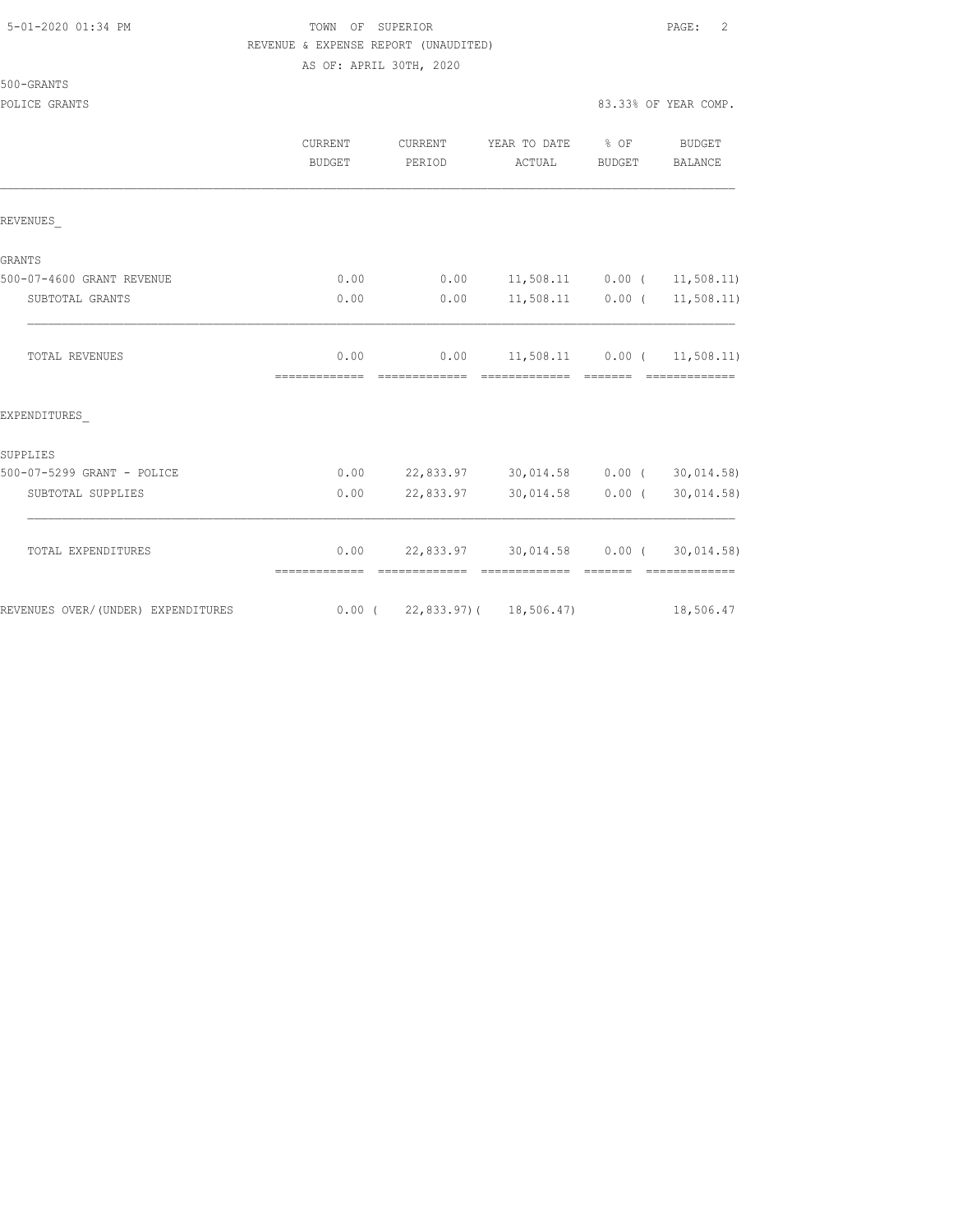| 5-01-2020 01:34 PM |  |  |  |  |  |  |
|--------------------|--|--|--|--|--|--|
|--------------------|--|--|--|--|--|--|

# TOWN OF SUPERIOR **Example 2** PAGE: 2 REVENUE & EXPENSE REPORT (UNAUDITED) AS OF: APRIL 30TH, 2020

500-GRANTS

|                                    | CURRENT<br>BUDGET     | <b>CURRENT</b><br>PERIOD | YEAR TO DATE<br>ACTUAL                                      | % OF<br>BUDGET | <b>BUDGET</b><br>BALANCE                                                                                                                                                                                                                                                                                                                                                                                                                                                                             |
|------------------------------------|-----------------------|--------------------------|-------------------------------------------------------------|----------------|------------------------------------------------------------------------------------------------------------------------------------------------------------------------------------------------------------------------------------------------------------------------------------------------------------------------------------------------------------------------------------------------------------------------------------------------------------------------------------------------------|
| REVENUES                           |                       |                          |                                                             |                |                                                                                                                                                                                                                                                                                                                                                                                                                                                                                                      |
| <b>GRANTS</b>                      |                       |                          |                                                             |                |                                                                                                                                                                                                                                                                                                                                                                                                                                                                                                      |
| 500-07-4600 GRANT REVENUE          | 0.00                  | 0.00                     | $11,508.11$ 0.00 ( 11,508.11)                               |                |                                                                                                                                                                                                                                                                                                                                                                                                                                                                                                      |
| SUBTOTAL GRANTS                    | 0.00                  | 0.00                     | $11,508.11$ 0.00 (                                          |                | 11, 508.11)                                                                                                                                                                                                                                                                                                                                                                                                                                                                                          |
| <b>TOTAL REVENUES</b>              | 0.00<br>============= | 0.00<br>=============    |                                                             |                | $11,508.11$ 0.00 ( 11,508.11)<br>=============                                                                                                                                                                                                                                                                                                                                                                                                                                                       |
| EXPENDITURES                       |                       |                          |                                                             |                |                                                                                                                                                                                                                                                                                                                                                                                                                                                                                                      |
| SUPPLIES                           |                       |                          |                                                             |                |                                                                                                                                                                                                                                                                                                                                                                                                                                                                                                      |
| 500-07-5299 GRANT - POLICE         | 0.00                  |                          | 22,833.97 30,014.58 0.00 (30,014.58)                        |                |                                                                                                                                                                                                                                                                                                                                                                                                                                                                                                      |
| SUBTOTAL SUPPLIES                  | 0.00                  | 22,833.97                | 30,014.58                                                   | $0.00$ (       | 30,014.58)                                                                                                                                                                                                                                                                                                                                                                                                                                                                                           |
| TOTAL EXPENDITURES                 | 0.00<br>============= |                          | 22,833.97 30,014.58 0.00 (<br>-------------- -------------- |                | 30,014.58)<br>$\begin{array}{cccccccccccccc} \multicolumn{2}{c}{} & \multicolumn{2}{c}{} & \multicolumn{2}{c}{} & \multicolumn{2}{c}{} & \multicolumn{2}{c}{} & \multicolumn{2}{c}{} & \multicolumn{2}{c}{} & \multicolumn{2}{c}{} & \multicolumn{2}{c}{} & \multicolumn{2}{c}{} & \multicolumn{2}{c}{} & \multicolumn{2}{c}{} & \multicolumn{2}{c}{} & \multicolumn{2}{c}{} & \multicolumn{2}{c}{} & \multicolumn{2}{c}{} & \multicolumn{2}{c}{} & \multicolumn{2}{c}{} & \multicolumn{2}{c}{} & \$ |
| REVENUES OVER/(UNDER) EXPENDITURES |                       |                          | $0.00$ ( 22,833.97) ( 18,506.47)                            |                | 18,506.47                                                                                                                                                                                                                                                                                                                                                                                                                                                                                            |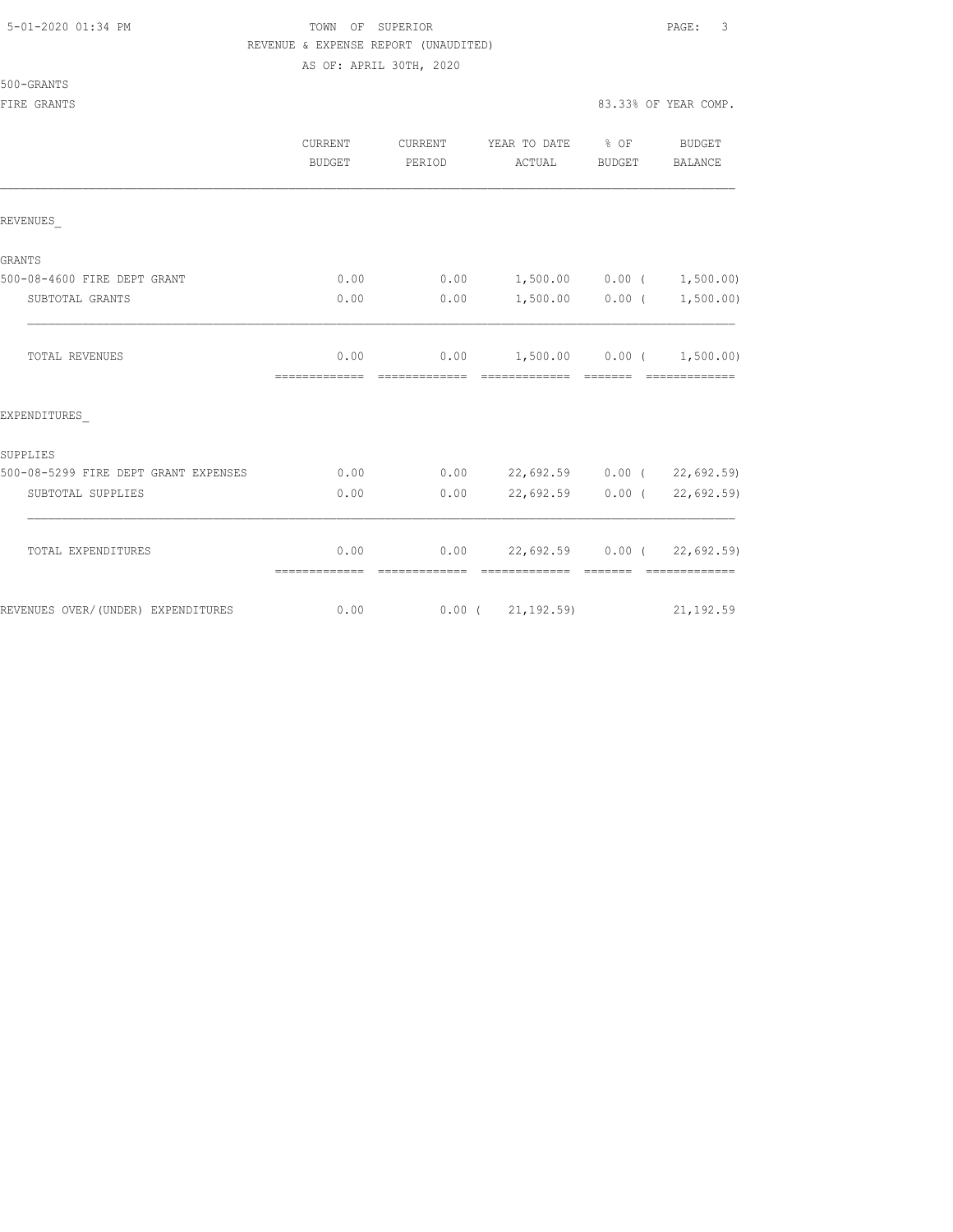# 5-01-2020 01:34 PM TOWN OF SUPERIOR PAGE: 3 REVENUE & EXPENSE REPORT (UNAUDITED)

AS OF: APRIL 30TH, 2020

|                                      | CURRENT<br>BUDGET     | CURRENT<br>PERIOD      | YEAR TO DATE % OF<br>ACTUAL                             | BUDGET            | BUDGET<br><b>BALANCE</b>                                                                                                                                                                                                                                                                                                                                                                                                                                                               |
|--------------------------------------|-----------------------|------------------------|---------------------------------------------------------|-------------------|----------------------------------------------------------------------------------------------------------------------------------------------------------------------------------------------------------------------------------------------------------------------------------------------------------------------------------------------------------------------------------------------------------------------------------------------------------------------------------------|
| REVENUES                             |                       |                        |                                                         |                   |                                                                                                                                                                                                                                                                                                                                                                                                                                                                                        |
| GRANTS                               |                       |                        |                                                         |                   |                                                                                                                                                                                                                                                                                                                                                                                                                                                                                        |
| 500-08-4600 FIRE DEPT GRANT          | 0.00                  | 0.00                   | $1,500.00$ 0.00 ( 1,500.00)                             |                   |                                                                                                                                                                                                                                                                                                                                                                                                                                                                                        |
| SUBTOTAL GRANTS                      | 0.00                  | 0.00                   |                                                         | $1,500.00$ 0.00 ( | 1,500.00)                                                                                                                                                                                                                                                                                                                                                                                                                                                                              |
| <b>TOTAL REVENUES</b>                | 0.00<br>============= | --------------         | $0.00$ 1,500.00 0.00 ( 1,500.00)<br>eccessessess eccess |                   | $\begin{array}{cccccccccc} \multicolumn{2}{c}{} & \multicolumn{2}{c}{} & \multicolumn{2}{c}{} & \multicolumn{2}{c}{} & \multicolumn{2}{c}{} & \multicolumn{2}{c}{} & \multicolumn{2}{c}{} & \multicolumn{2}{c}{} & \multicolumn{2}{c}{} & \multicolumn{2}{c}{} & \multicolumn{2}{c}{} & \multicolumn{2}{c}{} & \multicolumn{2}{c}{} & \multicolumn{2}{c}{} & \multicolumn{2}{c}{} & \multicolumn{2}{c}{} & \multicolumn{2}{c}{} & \multicolumn{2}{c}{} & \multicolumn{2}{c}{} & \mult$ |
| EXPENDITURES                         |                       |                        |                                                         |                   |                                                                                                                                                                                                                                                                                                                                                                                                                                                                                        |
| SUPPLIES                             |                       |                        |                                                         |                   |                                                                                                                                                                                                                                                                                                                                                                                                                                                                                        |
| 500-08-5299 FIRE DEPT GRANT EXPENSES | 0.00                  | 0.00                   | 22,692.59 0.00 (22,692.59)                              |                   |                                                                                                                                                                                                                                                                                                                                                                                                                                                                                        |
| SUBTOTAL SUPPLIES                    | 0.00                  | 0.00                   | $22,692.59$ 0.00 (                                      |                   | 22,692.59)                                                                                                                                                                                                                                                                                                                                                                                                                                                                             |
| TOTAL EXPENDITURES                   | 0.00<br>============= | 0.00<br>-------------- | 22,692.59 0.00 (22,692.59)<br>-------------             | --------          | =============                                                                                                                                                                                                                                                                                                                                                                                                                                                                          |
| REVENUES OVER/(UNDER) EXPENDITURES   | 0.00                  |                        | $0.00$ ( $21,192.59$ )                                  |                   | 21, 192.59                                                                                                                                                                                                                                                                                                                                                                                                                                                                             |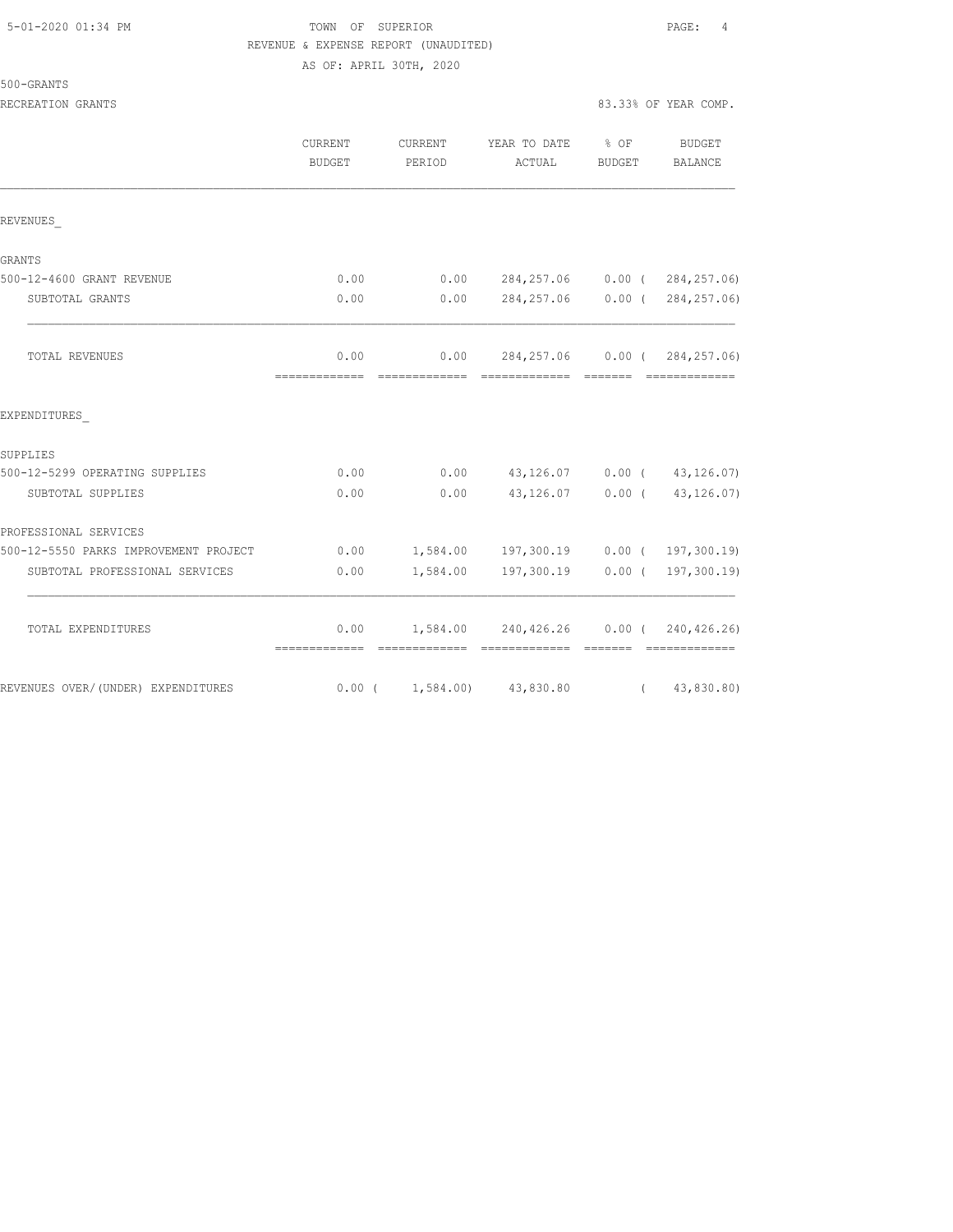| 5-01-2020 01:34 PM |
|--------------------|
|--------------------|

# TOWN OF SUPERIOR **Example 2010** PAGE: 4 REVENUE & EXPENSE REPORT (UNAUDITED) AS OF: APRIL 30TH, 2020

| 500-GRANTS |  |
|------------|--|
|            |  |

RECREATION GRANTS 83.33% OF YEAR COMP.

|                                       | <b>CURRENT</b><br><b>BUDGET</b> | CURRENT<br>PERIOD               | YEAR TO DATE<br>ACTUAL                | % OF<br><b>BUDGET</b>     | BUDGET<br>BALANCE             |
|---------------------------------------|---------------------------------|---------------------------------|---------------------------------------|---------------------------|-------------------------------|
| REVENUES                              |                                 |                                 |                                       |                           |                               |
| GRANTS                                |                                 |                                 |                                       |                           |                               |
| 500-12-4600 GRANT REVENUE             | 0.00                            | 0.00                            | 284, 257.06                           |                           | $0.00$ ( $284, 257.06$ )      |
| SUBTOTAL GRANTS                       | 0.00                            | 0.00                            | 284, 257.06                           |                           | $0.00$ ( $284, 257.06$ )      |
| TOTAL REVENUES                        | 0.00<br>=============           | 0.00<br>=============           | 284,257.06<br>=============           | $0.00$ (<br><b>BEECEE</b> | 284, 257.06)<br>============= |
| EXPENDITURES                          |                                 |                                 |                                       |                           |                               |
| SUPPLIES                              |                                 |                                 |                                       |                           |                               |
| 500-12-5299 OPERATING SUPPLIES        | 0.00                            | 0.00                            | 43,126.07                             |                           | $0.00$ ( $43,126.07$ )        |
| SUBTOTAL SUPPLIES                     | 0.00                            | 0.00                            | 43,126.07                             | $0.00$ (                  | 43, 126.07)                   |
| PROFESSIONAL SERVICES                 |                                 |                                 |                                       |                           |                               |
| 500-12-5550 PARKS IMPROVEMENT PROJECT | 0.00                            | 1,584.00                        | 197,300.19                            |                           | $0.00$ ( 197, 300.19)         |
| SUBTOTAL PROFESSIONAL SERVICES        | 0.00                            | 1,584.00                        | 197,300.19                            |                           | $0.00$ ( 197, 300.19)         |
| TOTAL EXPENDITURES                    | 0.00                            |                                 | 1,584.00 240,426.26 0.00 (240,426.26) |                           | - =============               |
| REVENUES OVER/(UNDER) EXPENDITURES    |                                 | $0.00$ ( $1,584.00$ ) 43,830.80 |                                       | $\sqrt{2}$                | 43,830.80)                    |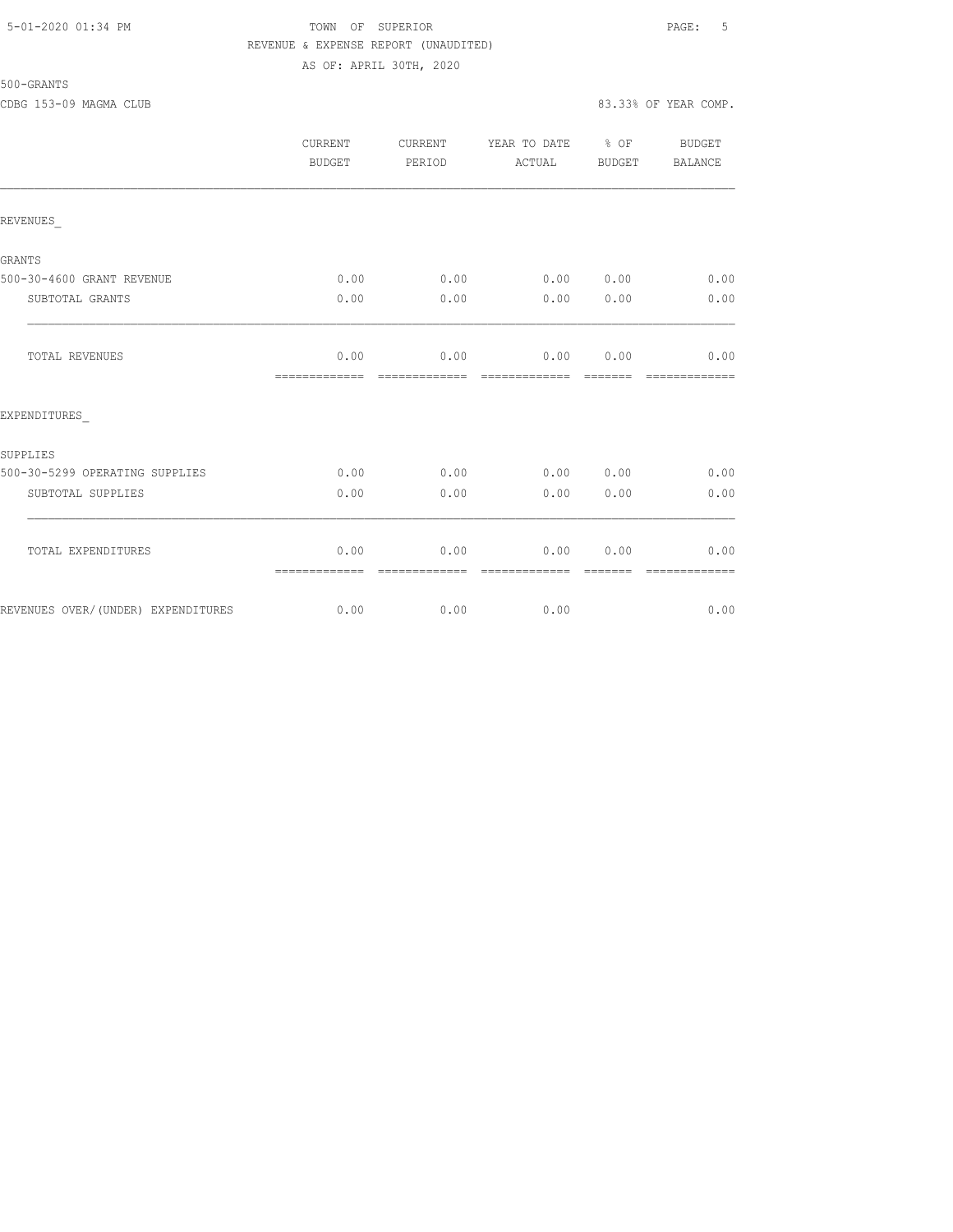### 5-01-2020 01:34 PM TOWN OF SUPERIOR PAGE: 5 REVENUE & EXPENSE REPORT (UNAUDITED) AS OF: APRIL 30TH, 2020

500-GRANTS

|                                    | <b>CURRENT</b><br>BUDGET | CURRENT<br>PERIOD     | YEAR TO DATE % OF<br>ACTUAL | BUDGET          | BUDGET<br>BALANCE     |
|------------------------------------|--------------------------|-----------------------|-----------------------------|-----------------|-----------------------|
| REVENUES                           |                          |                       |                             |                 |                       |
| <b>GRANTS</b>                      |                          |                       |                             |                 |                       |
| 500-30-4600 GRANT REVENUE          | 0.00                     | 0.00                  | 0.00 0.00                   |                 | 0.00                  |
| SUBTOTAL GRANTS                    | 0.00                     | 0.00                  | 0.00                        | 0.00            | 0.00                  |
| TOTAL REVENUES                     | 0.00                     | 0.00                  | 0.00                        | 0.00            | 0.00<br>============= |
| EXPENDITURES                       |                          |                       |                             |                 |                       |
| SUPPLIES                           |                          |                       |                             |                 |                       |
| 500-30-5299 OPERATING SUPPLIES     | 0.00                     | 0.00                  | 0.00 0.00                   |                 | 0.00                  |
| SUBTOTAL SUPPLIES                  | 0.00                     | 0.00                  | 0.00                        | 0.00            | 0.00                  |
| TOTAL EXPENDITURES                 | 0.00<br>-------------    | 0.00<br>------------- | 0.00<br>=============       | 0.00<br>======= | 0.00<br>============= |
| REVENUES OVER/(UNDER) EXPENDITURES | 0.00                     | 0.00                  | 0.00                        |                 | 0.00                  |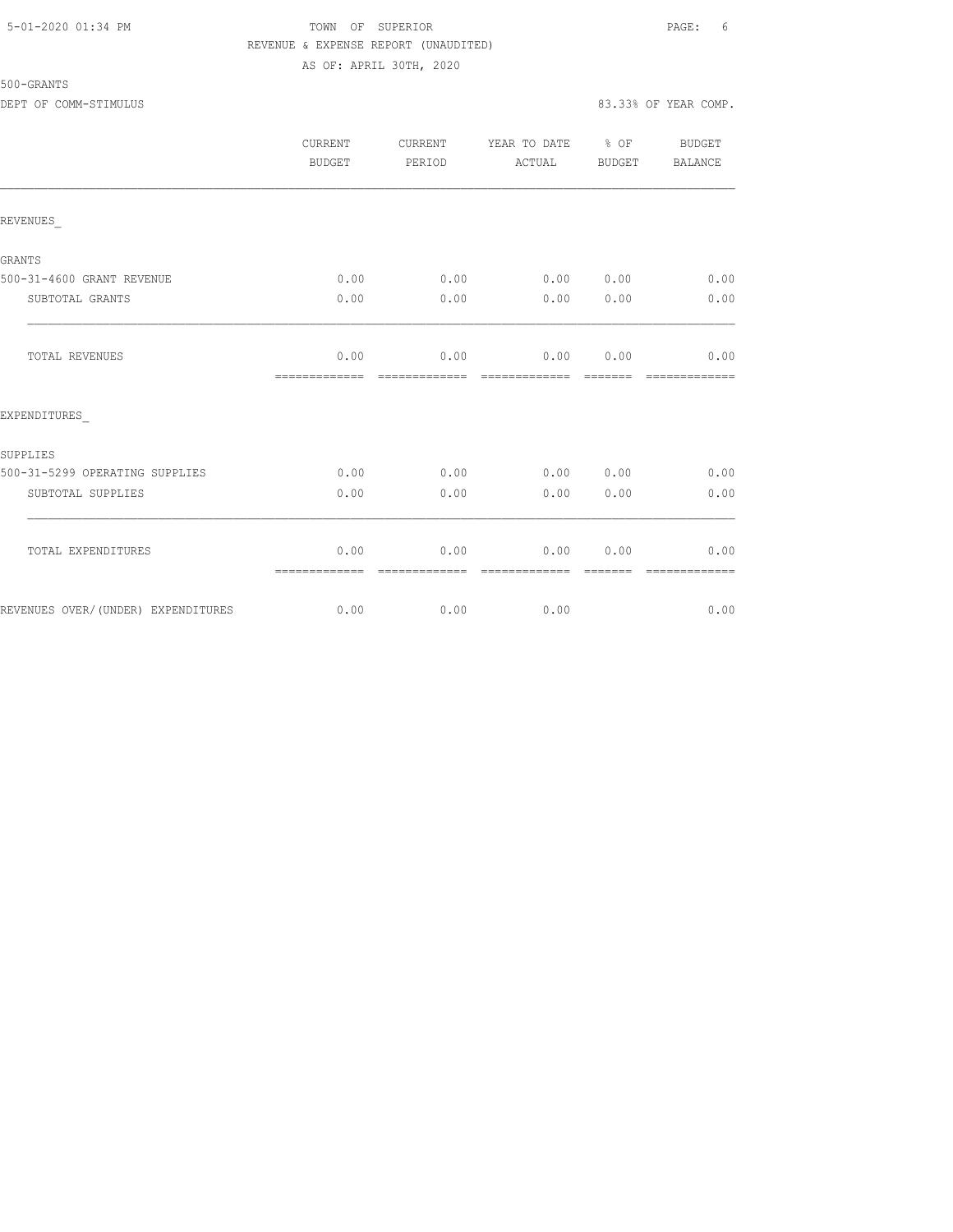## 5-01-2020 01:34 PM TOWN OF SUPERIOR PAGE: 6 REVENUE & EXPENSE REPORT (UNAUDITED) AS OF: APRIL 30TH, 2020

|                                    | CURRENT<br><b>BUDGET</b> | CURRENT<br>PERIOD     | YEAR TO DATE % OF<br>ACTUAL | BUDGET   | <b>BUDGET</b><br><b>BALANCE</b> |
|------------------------------------|--------------------------|-----------------------|-----------------------------|----------|---------------------------------|
| REVENUES                           |                          |                       |                             |          |                                 |
| <b>GRANTS</b>                      |                          |                       |                             |          |                                 |
| 500-31-4600 GRANT REVENUE          | 0.00                     |                       | $0.00$ 0.00 0.00            |          | 0.00                            |
| SUBTOTAL GRANTS                    | 0.00                     | 0.00                  | 0.00                        | 0.00     | 0.00                            |
| TOTAL REVENUES                     | 0.00<br>-------------    | 0.00<br>------------- | 0.00 0.00<br>-------------  | -------- | 0.00<br>-------------           |
| EXPENDITURES                       |                          |                       |                             |          |                                 |
| SUPPLIES                           |                          |                       |                             |          |                                 |
| 500-31-5299 OPERATING SUPPLIES     | 0.00                     | 0.00                  | 0.00 0.00                   |          | 0.00                            |
| SUBTOTAL SUPPLIES                  | 0.00                     | 0.00                  | 0.00                        | 0.00     | 0.00                            |
| TOTAL EXPENDITURES                 | 0.00<br>=============    | 0.00                  | 0.00                        | 0.00     | 0.00                            |
| REVENUES OVER/(UNDER) EXPENDITURES | 0.00                     | 0.00                  | 0.00                        |          | 0.00                            |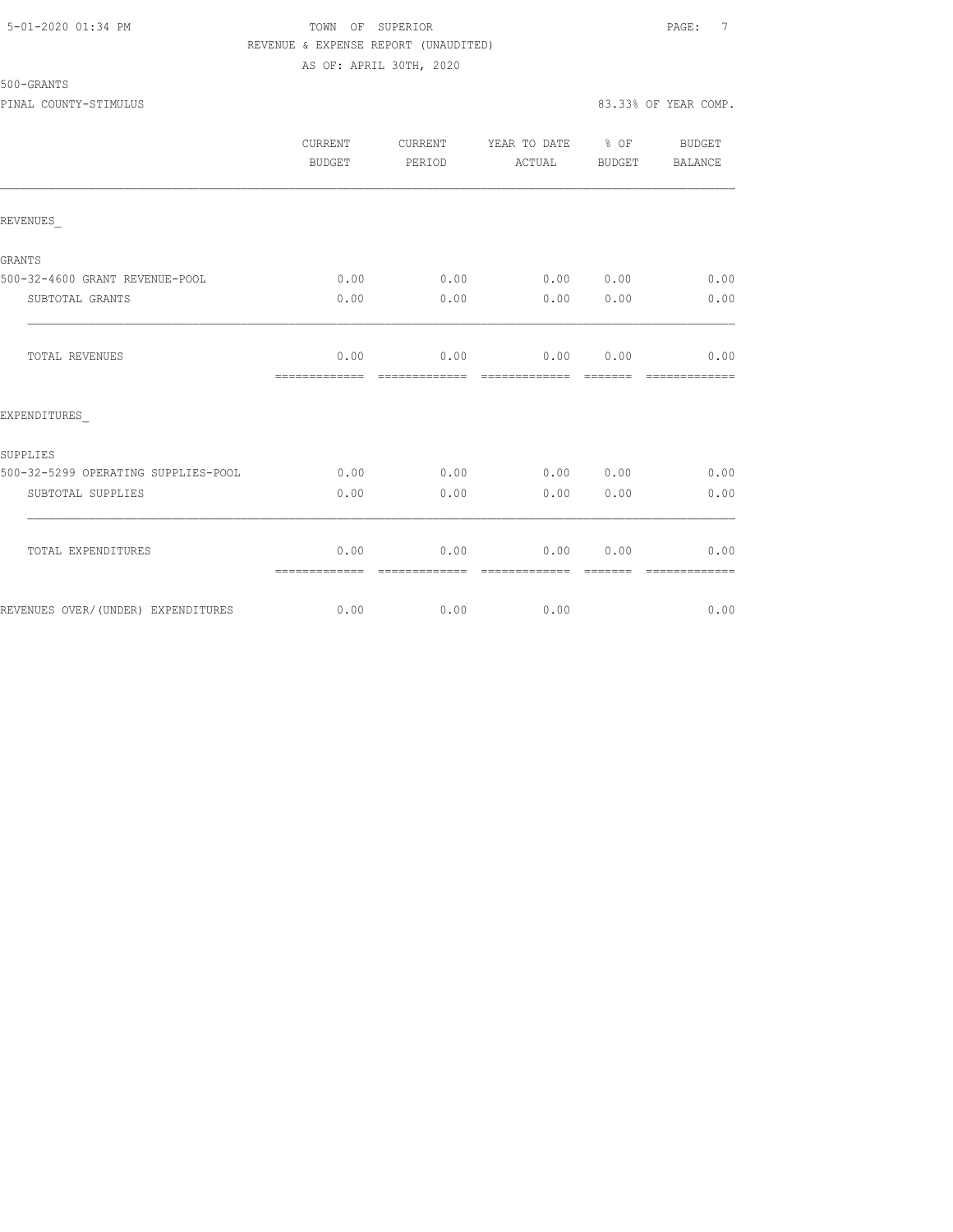## 5-01-2020 01:34 PM TOWN OF SUPERIOR PAGE: 7 REVENUE & EXPENSE REPORT (UNAUDITED) AS OF: APRIL 30TH, 2020

|                                     | <b>CURRENT</b><br><b>BUDGET</b> | CURRENT<br>PERIOD     | YEAR TO DATE % OF<br>ACTUAL | BUDGET | BUDGET<br>BALANCE |
|-------------------------------------|---------------------------------|-----------------------|-----------------------------|--------|-------------------|
| REVENUES                            |                                 |                       |                             |        |                   |
| GRANTS                              |                                 |                       |                             |        |                   |
| 500-32-4600 GRANT REVENUE-POOL      | 0.00                            | 0.00                  | 0.00 0.00                   |        | 0.00              |
| SUBTOTAL GRANTS                     | 0.00                            | 0.00                  | 0.00                        | 0.00   | 0.00              |
| TOTAL REVENUES                      | 0.00<br>=============           | 0.00                  | 0.00<br>-------------       | 0.00   | 0.00              |
| EXPENDITURES                        |                                 |                       |                             |        |                   |
| SUPPLIES                            |                                 |                       |                             |        |                   |
| 500-32-5299 OPERATING SUPPLIES-POOL | 0.00                            | 0.00                  | 0.00 0.00                   |        | 0.00              |
| SUBTOTAL SUPPLIES                   | 0.00                            | 0.00                  | 0.00                        | 0.00   | 0.00              |
| TOTAL EXPENDITURES                  | 0.00<br>=============           | 0.00<br>------------- | 0.00<br>--------------      | 0.00   | 0.00              |
| REVENUES OVER/(UNDER) EXPENDITURES  | 0.00                            | 0.00                  | 0.00                        |        | 0.00              |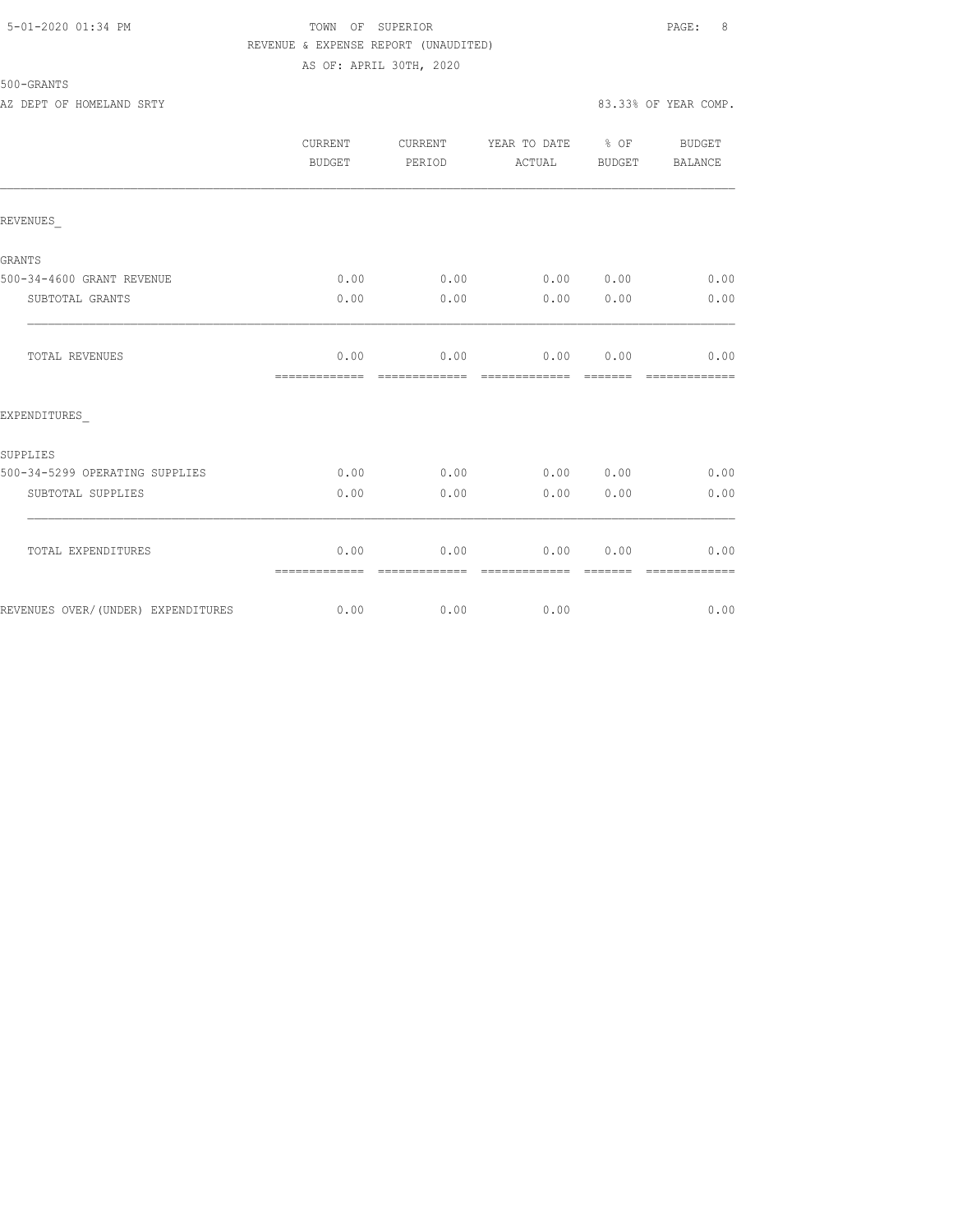## 5-01-2020 01:34 PM TOWN OF SUPERIOR PAGE: 8 REVENUE & EXPENSE REPORT (UNAUDITED) AS OF: APRIL 30TH, 2020

|                                    | CURRENT<br><b>BUDGET</b> | CURRENT<br>PERIOD     | YEAR TO DATE % OF<br>ACTUAL | BUDGET | BUDGET<br><b>BALANCE</b> |
|------------------------------------|--------------------------|-----------------------|-----------------------------|--------|--------------------------|
| REVENUES                           |                          |                       |                             |        |                          |
| <b>GRANTS</b>                      |                          |                       |                             |        |                          |
| 500-34-4600 GRANT REVENUE          | 0.00                     | 0.00                  | 0.00 0.00                   |        | 0.00                     |
| SUBTOTAL GRANTS                    | 0.00                     | 0.00                  | 0.00                        | 0.00   | 0.00                     |
| TOTAL REVENUES                     | 0.00<br>=============    | 0.00<br>------------- | 0.00<br>-------------       | 0.00   | 0.00                     |
| EXPENDITURES                       |                          |                       |                             |        |                          |
| SUPPLIES                           |                          |                       |                             |        |                          |
| 500-34-5299 OPERATING SUPPLIES     | 0.00                     | 0.00                  | 0.00 0.00                   |        | 0.00                     |
| SUBTOTAL SUPPLIES                  | 0.00                     | 0.00                  | 0.00                        | 0.00   | 0.00                     |
| TOTAL EXPENDITURES                 | 0.00<br>=============    | 0.00<br>------------- | 0.00<br>-------------       | 0.00   | 0.00                     |
| REVENUES OVER/(UNDER) EXPENDITURES | 0.00                     | 0.00                  | 0.00                        |        | 0.00                     |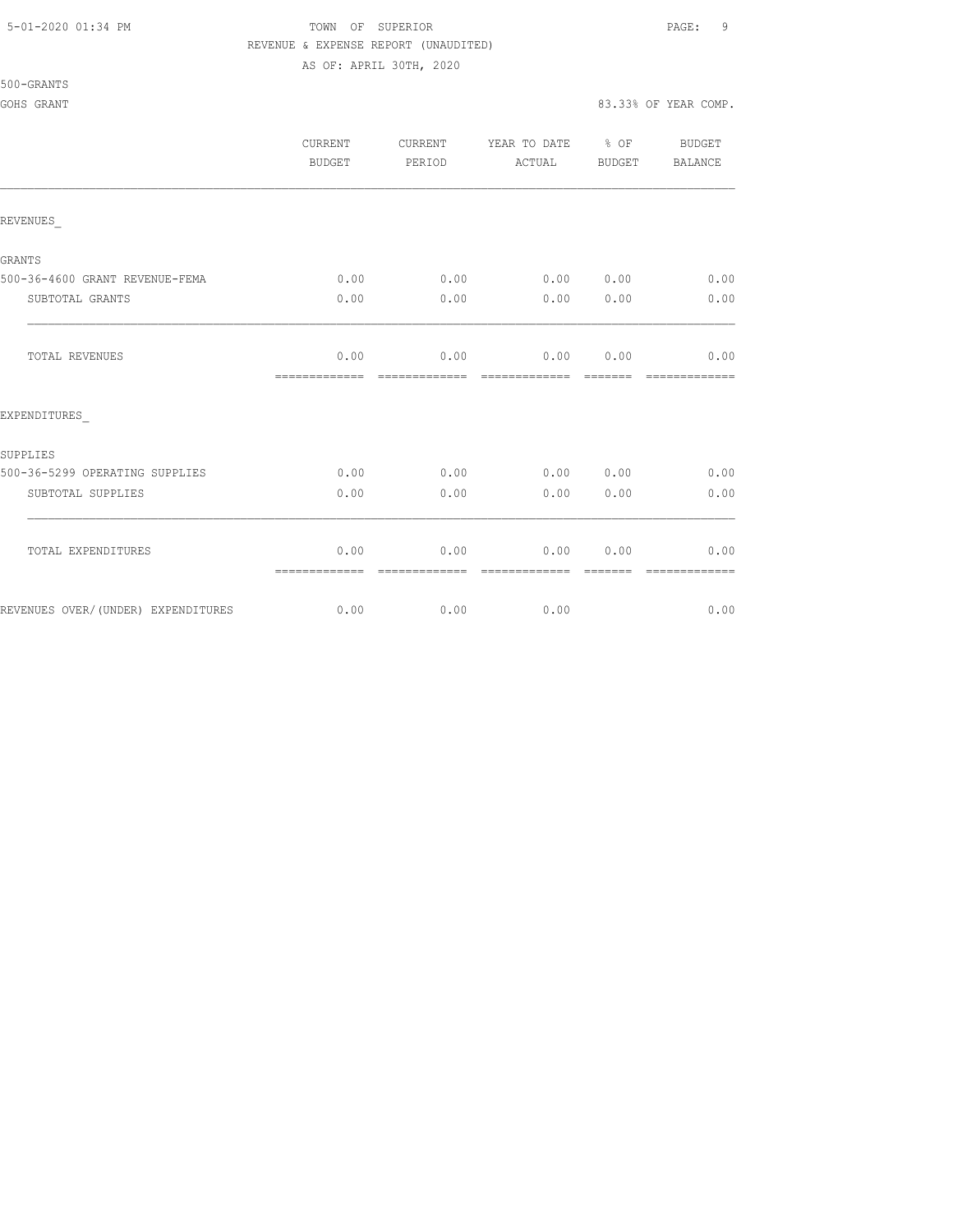## 5-01-2020 01:34 PM TOWN OF SUPERIOR PAGE: 9 REVENUE & EXPENSE REPORT (UNAUDITED)

AS OF: APRIL 30TH, 2020

## GOHS GRANT 83.33% OF YEAR COMP.

|                                    | <b>CURRENT</b><br>BUDGET | CURRENT<br>PERIOD     | YEAR TO DATE % OF<br>ACTUAL                                                                                                                                                                                                                                                                                                                                                                                                                                                                       | BUDGET          | BUDGET<br>BALANCE                                                                                                                                                                                                                                                                                                                                                                                                                                                                              |
|------------------------------------|--------------------------|-----------------------|---------------------------------------------------------------------------------------------------------------------------------------------------------------------------------------------------------------------------------------------------------------------------------------------------------------------------------------------------------------------------------------------------------------------------------------------------------------------------------------------------|-----------------|------------------------------------------------------------------------------------------------------------------------------------------------------------------------------------------------------------------------------------------------------------------------------------------------------------------------------------------------------------------------------------------------------------------------------------------------------------------------------------------------|
| REVENUES                           |                          |                       |                                                                                                                                                                                                                                                                                                                                                                                                                                                                                                   |                 |                                                                                                                                                                                                                                                                                                                                                                                                                                                                                                |
| GRANTS                             |                          |                       |                                                                                                                                                                                                                                                                                                                                                                                                                                                                                                   |                 |                                                                                                                                                                                                                                                                                                                                                                                                                                                                                                |
| 500-36-4600 GRANT REVENUE-FEMA     | 0.00                     | 0.00                  | $0.00$ $0.00$                                                                                                                                                                                                                                                                                                                                                                                                                                                                                     |                 | 0.00                                                                                                                                                                                                                                                                                                                                                                                                                                                                                           |
| SUBTOTAL GRANTS                    | 0.00                     | 0.00                  |                                                                                                                                                                                                                                                                                                                                                                                                                                                                                                   | 0.00 0.00       | 0.00                                                                                                                                                                                                                                                                                                                                                                                                                                                                                           |
| TOTAL REVENUES                     | 0.00<br>-------------    | essessessesse         | $0.00$ 0.00 0.00<br>$\begin{array}{cccccc} \multicolumn{2}{c}{{\color{red}c}} & \multicolumn{2}{c}{{\color{red}c}} & \multicolumn{2}{c}{{\color{red}c}} & \multicolumn{2}{c}{{\color{red}c}} & \multicolumn{2}{c}{{\color{red}c}} & \multicolumn{2}{c}{{\color{red}c}} & \multicolumn{2}{c}{{\color{red}c}} & \multicolumn{2}{c}{{\color{red}c}} & \multicolumn{2}{c}{{\color{red}c}} & \multicolumn{2}{c}{{\color{red}c}} & \multicolumn{2}{c}{{\color{red}c}} & \multicolumn{2}{c}{{\color{red$ |                 | 0.00<br>$\begin{array}{cccccccccc} \multicolumn{2}{c}{} & \multicolumn{2}{c}{} & \multicolumn{2}{c}{} & \multicolumn{2}{c}{} & \multicolumn{2}{c}{} & \multicolumn{2}{c}{} & \multicolumn{2}{c}{} & \multicolumn{2}{c}{} & \multicolumn{2}{c}{} & \multicolumn{2}{c}{} & \multicolumn{2}{c}{} & \multicolumn{2}{c}{} & \multicolumn{2}{c}{} & \multicolumn{2}{c}{} & \multicolumn{2}{c}{} & \multicolumn{2}{c}{} & \multicolumn{2}{c}{} & \multicolumn{2}{c}{} & \multicolumn{2}{c}{} & \mult$ |
| EXPENDITURES                       |                          |                       |                                                                                                                                                                                                                                                                                                                                                                                                                                                                                                   |                 |                                                                                                                                                                                                                                                                                                                                                                                                                                                                                                |
| SUPPLIES                           |                          |                       |                                                                                                                                                                                                                                                                                                                                                                                                                                                                                                   |                 |                                                                                                                                                                                                                                                                                                                                                                                                                                                                                                |
| 500-36-5299 OPERATING SUPPLIES     | 0.00                     | 0.00                  | 0.00 0.00                                                                                                                                                                                                                                                                                                                                                                                                                                                                                         |                 | 0.00                                                                                                                                                                                                                                                                                                                                                                                                                                                                                           |
| SUBTOTAL SUPPLIES                  | 0.00                     | 0.00                  | 0.00                                                                                                                                                                                                                                                                                                                                                                                                                                                                                              | 0.00            | 0.00                                                                                                                                                                                                                                                                                                                                                                                                                                                                                           |
| TOTAL EXPENDITURES                 | 0.00<br>=============    | 0.00<br>------------- | 0.00<br>=============                                                                                                                                                                                                                                                                                                                                                                                                                                                                             | 0.00<br>======= | 0.00<br>=============                                                                                                                                                                                                                                                                                                                                                                                                                                                                          |
| REVENUES OVER/(UNDER) EXPENDITURES | 0.00                     | 0.00                  | 0.00                                                                                                                                                                                                                                                                                                                                                                                                                                                                                              |                 | 0.00                                                                                                                                                                                                                                                                                                                                                                                                                                                                                           |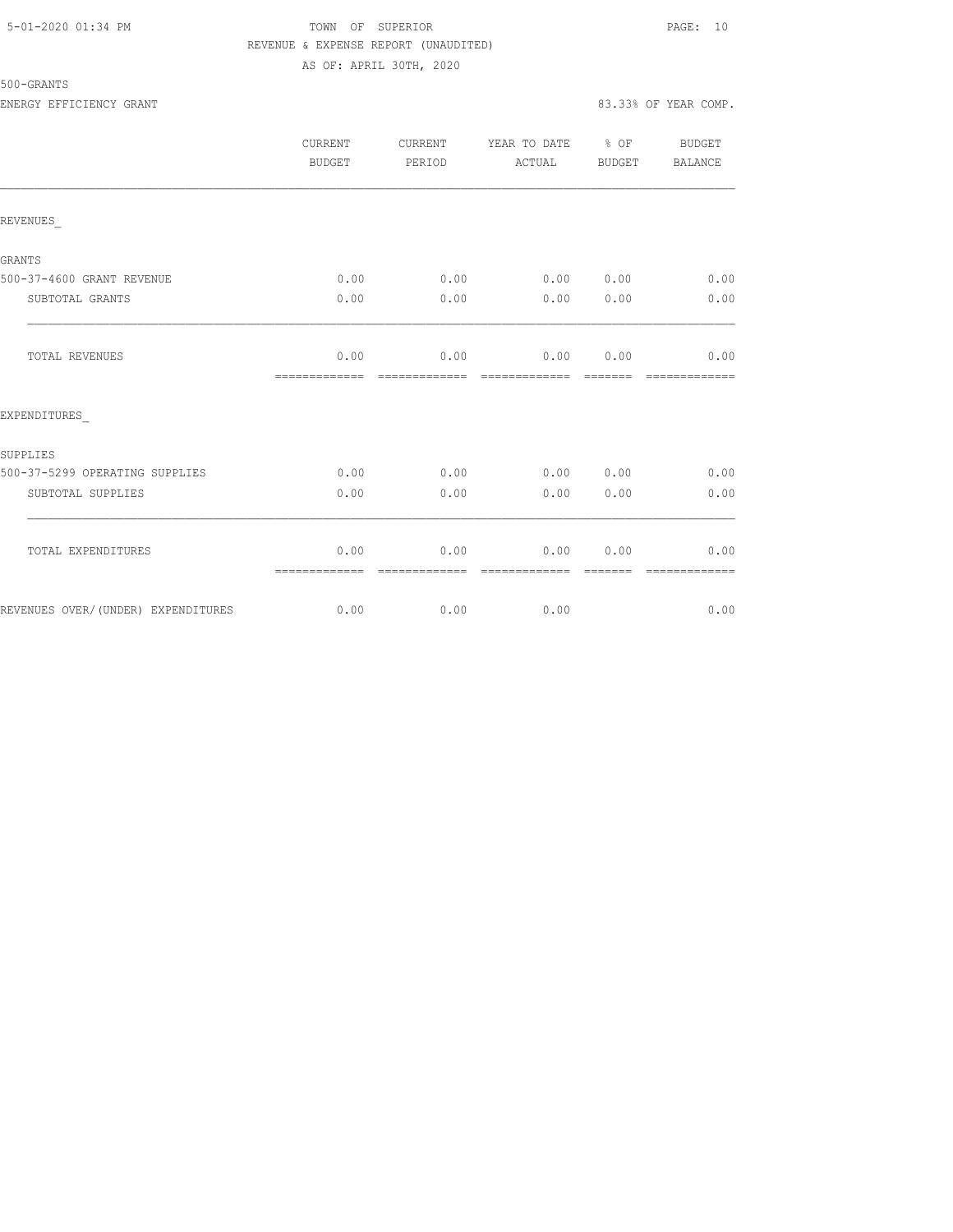## 5-01-2020 01:34 PM TOWN OF SUPERIOR PAGE: 10 REVENUE & EXPENSE REPORT (UNAUDITED) AS OF: APRIL 30TH, 2020

|                                    | CURRENT<br><b>BUDGET</b> | CURRENT<br>PERIOD     | YEAR TO DATE % OF<br>ACTUAL                                                                                                                                                                                                                                                                                                                                                                                                                                                                    | BUDGET           | BUDGET<br>BALANCE     |
|------------------------------------|--------------------------|-----------------------|------------------------------------------------------------------------------------------------------------------------------------------------------------------------------------------------------------------------------------------------------------------------------------------------------------------------------------------------------------------------------------------------------------------------------------------------------------------------------------------------|------------------|-----------------------|
| REVENUES                           |                          |                       |                                                                                                                                                                                                                                                                                                                                                                                                                                                                                                |                  |                       |
| <b>GRANTS</b>                      |                          |                       |                                                                                                                                                                                                                                                                                                                                                                                                                                                                                                |                  |                       |
| 500-37-4600 GRANT REVENUE          | 0.00                     | 0.00                  | 0.00                                                                                                                                                                                                                                                                                                                                                                                                                                                                                           | 0.00             | 0.00                  |
| SUBTOTAL GRANTS                    | 0.00                     | 0.00                  | 0.00                                                                                                                                                                                                                                                                                                                                                                                                                                                                                           | 0.00             | 0.00                  |
| TOTAL REVENUES                     | 0.00<br>-------------    | 0.00<br>============= | 0.00<br>$\begin{array}{cccccccccccccc} \multicolumn{2}{c}{} & \multicolumn{2}{c}{} & \multicolumn{2}{c}{} & \multicolumn{2}{c}{} & \multicolumn{2}{c}{} & \multicolumn{2}{c}{} & \multicolumn{2}{c}{} & \multicolumn{2}{c}{} & \multicolumn{2}{c}{} & \multicolumn{2}{c}{} & \multicolumn{2}{c}{} & \multicolumn{2}{c}{} & \multicolumn{2}{c}{} & \multicolumn{2}{c}{} & \multicolumn{2}{c}{} & \multicolumn{2}{c}{} & \multicolumn{2}{c}{} & \multicolumn{2}{c}{} & \multicolumn{2}{c}{} & \$ | 0.00<br>-------- | 0.00<br>============= |
| EXPENDITURES                       |                          |                       |                                                                                                                                                                                                                                                                                                                                                                                                                                                                                                |                  |                       |
| SUPPLIES                           |                          |                       |                                                                                                                                                                                                                                                                                                                                                                                                                                                                                                |                  |                       |
| 500-37-5299 OPERATING SUPPLIES     | 0.00                     | 0.00                  | 0.00                                                                                                                                                                                                                                                                                                                                                                                                                                                                                           | 0.00             | 0.00                  |
| SUBTOTAL SUPPLIES                  | 0.00                     | 0.00                  | 0.00                                                                                                                                                                                                                                                                                                                                                                                                                                                                                           | 0.00             | 0.00                  |
| TOTAL EXPENDITURES                 | 0.00<br>=============    | 0.00<br>------------- | 0.00<br>--------------                                                                                                                                                                                                                                                                                                                                                                                                                                                                         | 0.00<br>-------- | 0.00                  |
| REVENUES OVER/(UNDER) EXPENDITURES | 0.00                     | 0.00                  | 0.00                                                                                                                                                                                                                                                                                                                                                                                                                                                                                           |                  | 0.00                  |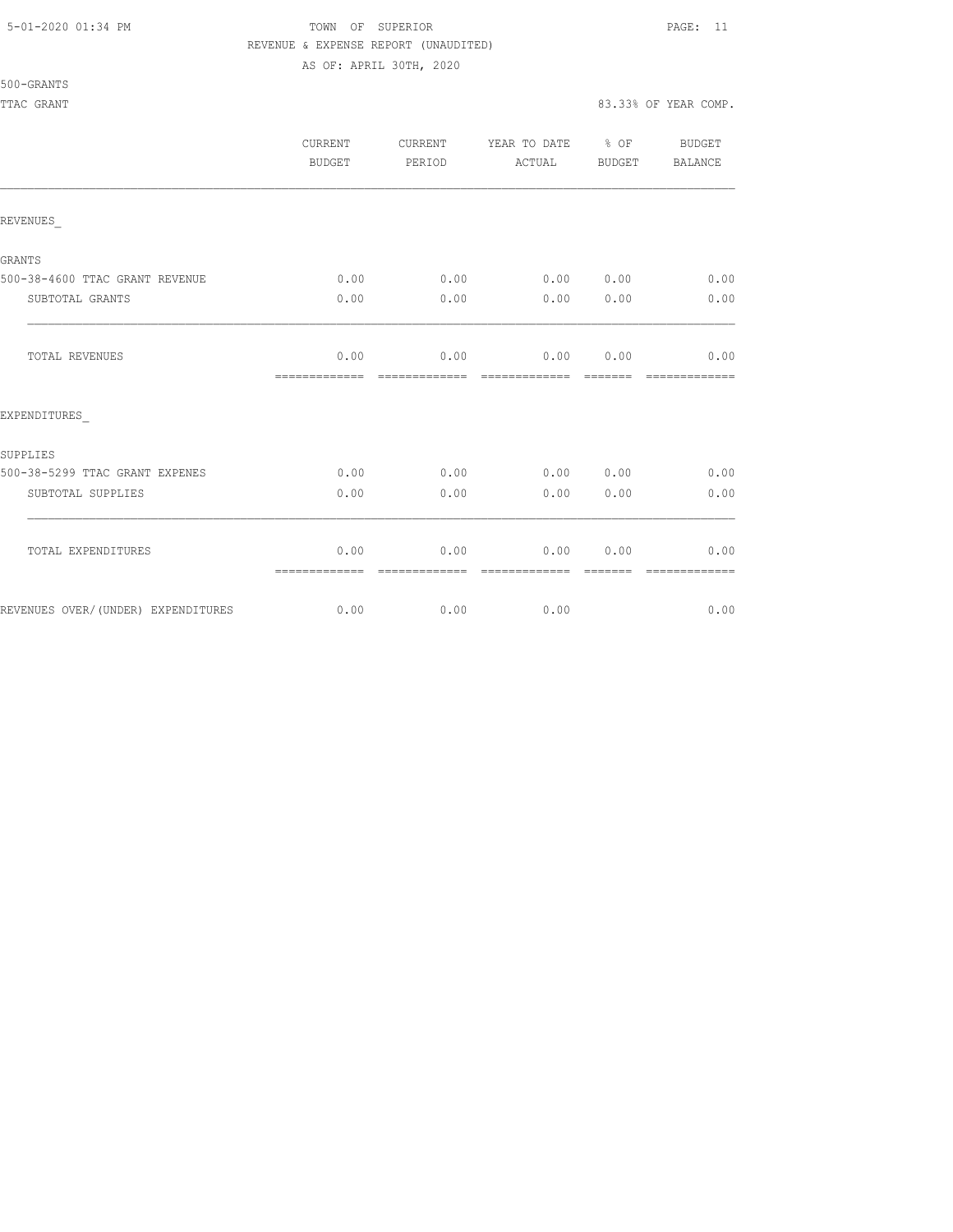## 5-01-2020 01:34 PM TOWN OF SUPERIOR PAGE: 11 REVENUE & EXPENSE REPORT (UNAUDITED)

AS OF: APRIL 30TH, 2020

|                                    | <b>CURRENT</b><br>BUDGET | CURRENT<br>PERIOD     | YEAR TO DATE % OF<br>ACTUAL | BUDGET           | <b>BUDGET</b><br>BALANCE |
|------------------------------------|--------------------------|-----------------------|-----------------------------|------------------|--------------------------|
| REVENUES                           |                          |                       |                             |                  |                          |
| GRANTS                             |                          |                       |                             |                  |                          |
| 500-38-4600 TTAC GRANT REVENUE     | 0.00                     | 0.00                  | 0.00 0.00                   |                  | 0.00                     |
| SUBTOTAL GRANTS                    | 0.00                     | 0.00                  | 0.00                        | 0.00             | 0.00                     |
| TOTAL REVENUES                     | 0.00<br>=============    | 0.00<br>------------- | 0.00 0.00<br>-------------- | --------         | 0.00                     |
| EXPENDITURES                       |                          |                       |                             |                  |                          |
| SUPPLIES                           |                          |                       |                             |                  |                          |
| 500-38-5299 TTAC GRANT EXPENES     | 0.00                     | 0.00                  | 0.00                        | 0.00             | 0.00                     |
| SUBTOTAL SUPPLIES                  | 0.00                     | 0.00                  | 0.00                        | 0.00             | 0.00                     |
| TOTAL EXPENDITURES                 | 0.00<br>=============    | 0.00<br>------------- | 0.00<br>--------------      | 0.00<br>-------- | 0.00<br>-------------    |
| REVENUES OVER/(UNDER) EXPENDITURES | 0.00                     | 0.00                  | 0.00                        |                  | 0.00                     |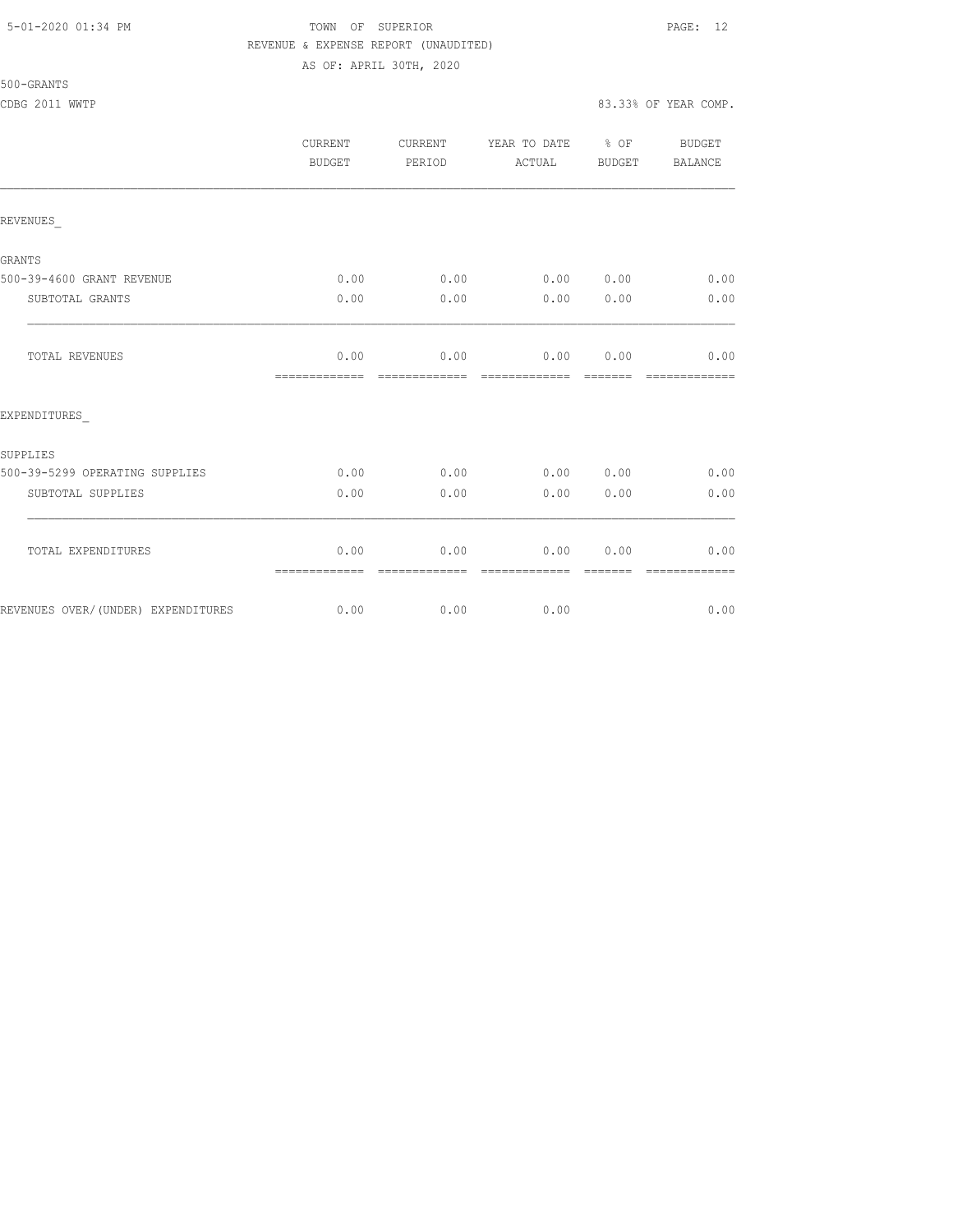## 5-01-2020 01:34 PM TOWN OF SUPERIOR PAGE: 12 REVENUE & EXPENSE REPORT (UNAUDITED) AS OF: APRIL 30TH, 2020

500-GRANTS

CDBG 2011 WWTP 83.33% OF YEAR COMP.

|                                    | CURRENT<br>BUDGET     | CURRENT<br>PERIOD | YEAR TO DATE % OF<br>ACTUAL | BUDGET | BUDGET<br>BALANCE |
|------------------------------------|-----------------------|-------------------|-----------------------------|--------|-------------------|
| REVENUES                           |                       |                   |                             |        |                   |
| GRANTS                             |                       |                   |                             |        |                   |
| 500-39-4600 GRANT REVENUE          | 0.00                  | 0.00              | 0.00 0.00                   |        | 0.00              |
| SUBTOTAL GRANTS                    | 0.00                  | 0.00              | 0.00                        | 0.00   | 0.00              |
| TOTAL REVENUES                     | 0.00<br>============= | 0.00              | 0.00<br>=============       | 0.00   | 0.00              |
| EXPENDITURES                       |                       |                   |                             |        |                   |
| SUPPLIES                           |                       |                   |                             |        |                   |
| 500-39-5299 OPERATING SUPPLIES     | 0.00                  | 0.00              | 0.00 0.00                   |        | 0.00              |
| SUBTOTAL SUPPLIES                  | 0.00                  | 0.00              | 0.00                        | 0.00   | 0.00              |
| TOTAL EXPENDITURES                 | 0.00<br>============= | 0.00              | 0.00                        | 0.00   | 0.00              |
| REVENUES OVER/(UNDER) EXPENDITURES | 0.00                  | 0.00              | 0.00                        |        | 0.00              |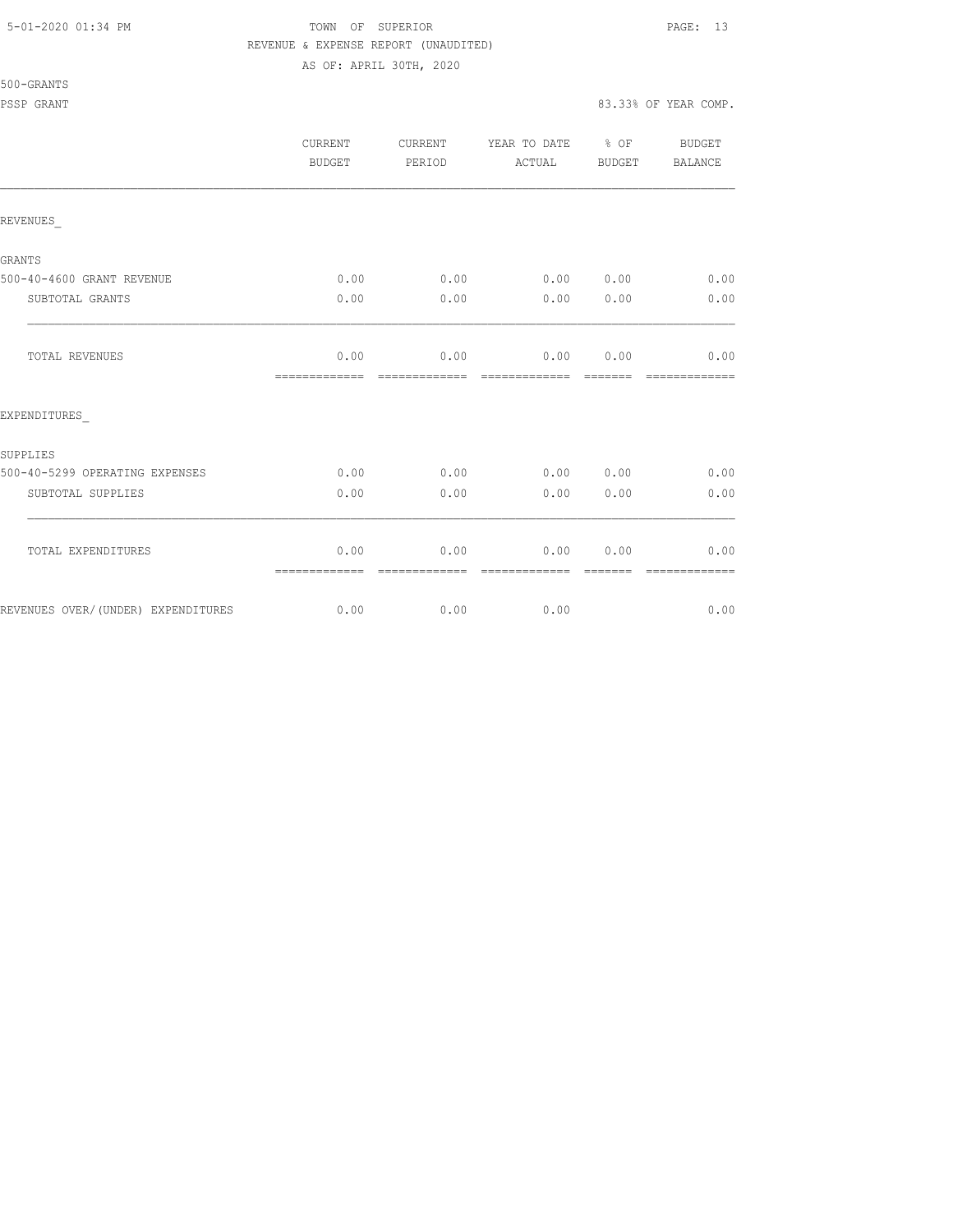## 5-01-2020 01:34 PM TOWN OF SUPERIOR PAGE: 13 REVENUE & EXPENSE REPORT (UNAUDITED)

AS OF: APRIL 30TH, 2020

|                                    | <b>CURRENT</b><br>BUDGET | CURRENT<br>PERIOD | YEAR TO DATE % OF<br>ACTUAL | BUDGET  | <b>BUDGET</b><br>BALANCE |
|------------------------------------|--------------------------|-------------------|-----------------------------|---------|--------------------------|
| REVENUES                           |                          |                   |                             |         |                          |
| GRANTS                             |                          |                   |                             |         |                          |
| 500-40-4600 GRANT REVENUE          | 0.00                     | 0.00              | 0.00 0.00                   |         | 0.00                     |
| SUBTOTAL GRANTS                    | 0.00                     | 0.00              | 0.00                        | 0.00    | 0.00                     |
| TOTAL REVENUES                     | 0.00<br>=============    | 0.00              | 0.00 0.00<br>-------------  | ------- | 0.00                     |
| EXPENDITURES                       |                          |                   |                             |         |                          |
| SUPPLIES                           |                          |                   |                             |         |                          |
| 500-40-5299 OPERATING EXPENSES     | 0.00                     | 0.00              | 0.00 0.00                   |         | 0.00                     |
| SUBTOTAL SUPPLIES                  | 0.00                     | 0.00              | 0.00                        | 0.00    | 0.00                     |
| TOTAL EXPENDITURES                 | 0.00<br>=============    | 0.00              | 0.00                        | 0.00    | 0.00                     |
| REVENUES OVER/(UNDER) EXPENDITURES | 0.00                     | 0.00              | 0.00                        |         | 0.00                     |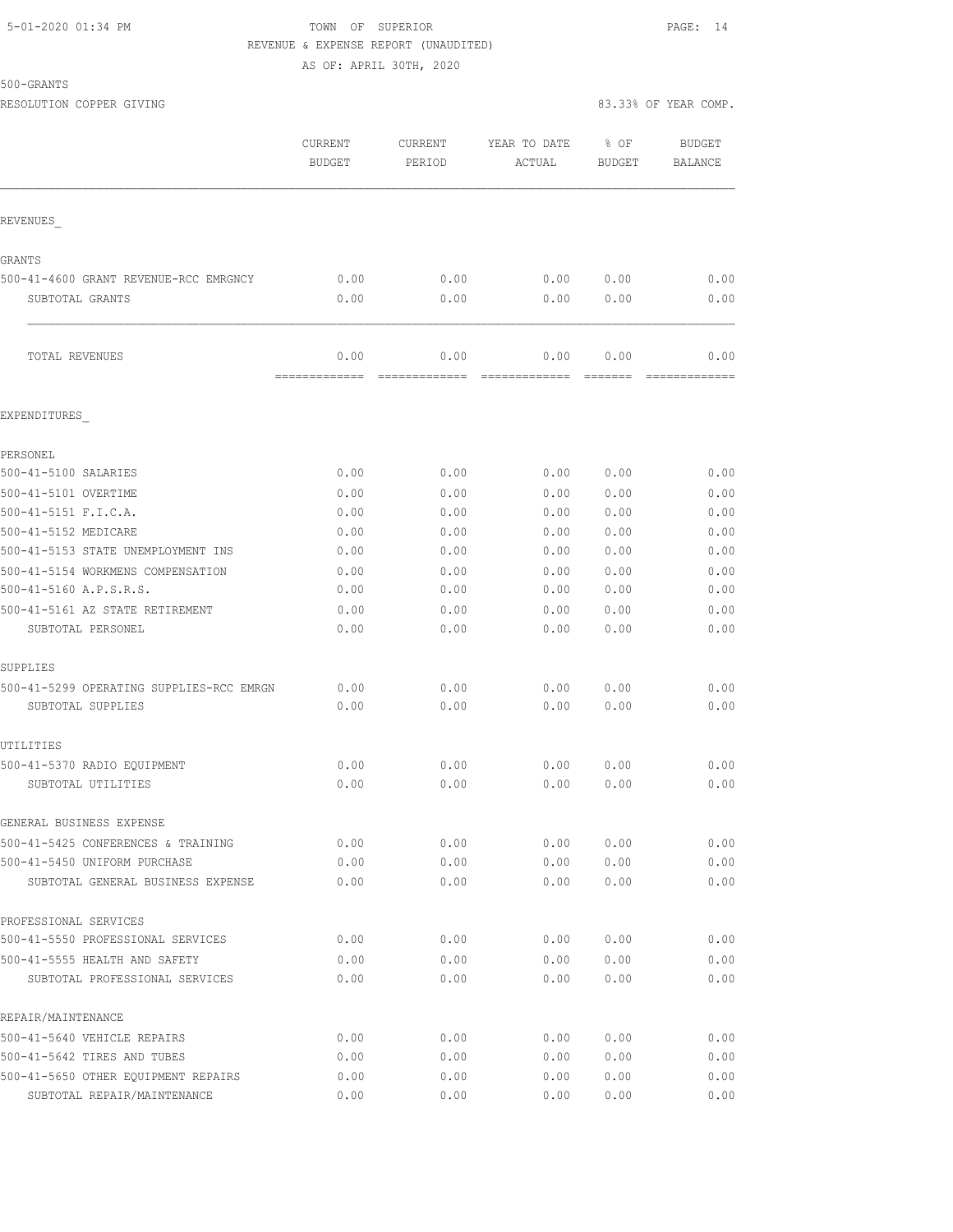## 5-01-2020 01:34 PM TOWN OF SUPERIOR PAGE: 14 REVENUE & EXPENSE REPORT (UNAUDITED) AS OF: APRIL 30TH, 2020

500-GRANTS

|                                          | CURRENT<br><b>BUDGET</b> | <b>CURRENT</b><br>PERIOD | YEAR TO DATE<br>ACTUAL    | % OF<br><b>BUDGET</b>                                                                                                                                                                                                                                                                                                                                                                                                                                          | <b>BUDGET</b><br>BALANCE |
|------------------------------------------|--------------------------|--------------------------|---------------------------|----------------------------------------------------------------------------------------------------------------------------------------------------------------------------------------------------------------------------------------------------------------------------------------------------------------------------------------------------------------------------------------------------------------------------------------------------------------|--------------------------|
| REVENUES                                 |                          |                          |                           |                                                                                                                                                                                                                                                                                                                                                                                                                                                                |                          |
| GRANTS                                   |                          |                          |                           |                                                                                                                                                                                                                                                                                                                                                                                                                                                                |                          |
| 500-41-4600 GRANT REVENUE-RCC EMRGNCY    | 0.00                     | 0.00                     | 0.00                      | 0.00                                                                                                                                                                                                                                                                                                                                                                                                                                                           | 0.00                     |
| SUBTOTAL GRANTS                          | 0.00                     | 0.00                     | 0.00                      | 0.00                                                                                                                                                                                                                                                                                                                                                                                                                                                           | 0.00                     |
| TOTAL REVENUES                           | 0.00<br>=============    | 0.00                     | 0.00<br>$=$ ============= | 0.00<br>$\begin{tabular}{ll} \multicolumn{2}{c}{\textbf{2.5}} & \multicolumn{2}{c}{\textbf{2.5}} & \multicolumn{2}{c}{\textbf{2.5}} \\ \multicolumn{2}{c}{\textbf{2.5}} & \multicolumn{2}{c}{\textbf{2.5}} & \multicolumn{2}{c}{\textbf{2.5}} \\ \multicolumn{2}{c}{\textbf{3.5}} & \multicolumn{2}{c}{\textbf{4.5}} & \multicolumn{2}{c}{\textbf{5.5}} \\ \multicolumn{2}{c}{\textbf{5.5}} & \multicolumn{2}{c}{\textbf{6.5}} & \multicolumn{2}{c}{\textbf{7$ | 0.00<br>=============    |
| EXPENDITURES                             |                          |                          |                           |                                                                                                                                                                                                                                                                                                                                                                                                                                                                |                          |
| PERSONEL                                 |                          |                          |                           |                                                                                                                                                                                                                                                                                                                                                                                                                                                                |                          |
| 500-41-5100 SALARIES                     | 0.00                     | 0.00                     | 0.00                      | 0.00                                                                                                                                                                                                                                                                                                                                                                                                                                                           | 0.00                     |
| 500-41-5101 OVERTIME                     | 0.00                     | 0.00                     | 0.00                      | 0.00                                                                                                                                                                                                                                                                                                                                                                                                                                                           | 0.00                     |
| 500-41-5151 F.I.C.A.                     | 0.00                     | 0.00                     | 0.00                      | 0.00                                                                                                                                                                                                                                                                                                                                                                                                                                                           | 0.00                     |
| 500-41-5152 MEDICARE                     | 0.00                     | 0.00                     | 0.00                      | 0.00                                                                                                                                                                                                                                                                                                                                                                                                                                                           | 0.00                     |
| 500-41-5153 STATE UNEMPLOYMENT INS       | 0.00                     | 0.00                     | 0.00                      | 0.00                                                                                                                                                                                                                                                                                                                                                                                                                                                           | 0.00                     |
| 500-41-5154 WORKMENS COMPENSATION        | 0.00                     | 0.00                     | 0.00                      | 0.00                                                                                                                                                                                                                                                                                                                                                                                                                                                           | 0.00                     |
| 500-41-5160 A.P.S.R.S.                   | 0.00                     | 0.00                     | 0.00                      | 0.00                                                                                                                                                                                                                                                                                                                                                                                                                                                           | 0.00                     |
| 500-41-5161 AZ STATE RETIREMENT          | 0.00                     | 0.00                     | 0.00                      | 0.00                                                                                                                                                                                                                                                                                                                                                                                                                                                           | 0.00                     |
| SUBTOTAL PERSONEL                        | 0.00                     | 0.00                     | 0.00                      | 0.00                                                                                                                                                                                                                                                                                                                                                                                                                                                           | 0.00                     |
| SUPPLIES                                 |                          |                          |                           |                                                                                                                                                                                                                                                                                                                                                                                                                                                                |                          |
| 500-41-5299 OPERATING SUPPLIES-RCC EMRGN | 0.00                     | 0.00                     | 0.00                      | 0.00                                                                                                                                                                                                                                                                                                                                                                                                                                                           | 0.00                     |
| SUBTOTAL SUPPLIES                        | 0.00                     | 0.00                     | 0.00                      | 0.00                                                                                                                                                                                                                                                                                                                                                                                                                                                           | 0.00                     |
| UTILITIES                                |                          |                          |                           |                                                                                                                                                                                                                                                                                                                                                                                                                                                                |                          |
| 500-41-5370 RADIO EQUIPMENT              | 0.00                     | 0.00                     | 0.00                      | 0.00                                                                                                                                                                                                                                                                                                                                                                                                                                                           | 0.00                     |
| SUBTOTAL UTILITIES                       | 0.00                     | 0.00                     | 0.00                      | 0.00                                                                                                                                                                                                                                                                                                                                                                                                                                                           | 0.00                     |
| GENERAL BUSINESS EXPENSE                 |                          |                          |                           |                                                                                                                                                                                                                                                                                                                                                                                                                                                                |                          |
| 500-41-5425 CONFERENCES & TRAINING       | 0.00                     | 0.00                     | 0.00                      | 0.00                                                                                                                                                                                                                                                                                                                                                                                                                                                           | 0.00                     |
| 500-41-5450 UNIFORM PURCHASE             | 0.00                     | 0.00                     | 0.00                      | 0.00                                                                                                                                                                                                                                                                                                                                                                                                                                                           | 0.00                     |
| SUBTOTAL GENERAL BUSINESS EXPENSE        | 0.00                     | 0.00                     | 0.00                      | 0.00                                                                                                                                                                                                                                                                                                                                                                                                                                                           | 0.00                     |
| PROFESSIONAL SERVICES                    |                          |                          |                           |                                                                                                                                                                                                                                                                                                                                                                                                                                                                |                          |
| 500-41-5550 PROFESSIONAL SERVICES        | 0.00                     | 0.00                     | 0.00                      | 0.00                                                                                                                                                                                                                                                                                                                                                                                                                                                           | 0.00                     |
| 500-41-5555 HEALTH AND SAFETY            | 0.00                     | 0.00                     | 0.00                      | 0.00                                                                                                                                                                                                                                                                                                                                                                                                                                                           | 0.00                     |
| SUBTOTAL PROFESSIONAL SERVICES           | 0.00                     | 0.00                     | 0.00                      | 0.00                                                                                                                                                                                                                                                                                                                                                                                                                                                           | 0.00                     |
| REPAIR/MAINTENANCE                       |                          |                          |                           |                                                                                                                                                                                                                                                                                                                                                                                                                                                                |                          |
| 500-41-5640 VEHICLE REPAIRS              | 0.00                     | 0.00                     | 0.00                      | 0.00                                                                                                                                                                                                                                                                                                                                                                                                                                                           | 0.00                     |
| 500-41-5642 TIRES AND TUBES              | 0.00                     | 0.00                     | 0.00                      | 0.00                                                                                                                                                                                                                                                                                                                                                                                                                                                           | 0.00                     |
| 500-41-5650 OTHER EQUIPMENT REPAIRS      | 0.00                     | 0.00                     | 0.00                      | 0.00                                                                                                                                                                                                                                                                                                                                                                                                                                                           | 0.00                     |

SUBTOTAL REPAIR/MAINTENANCE 0.00 0.00 0.00 0.00 0.00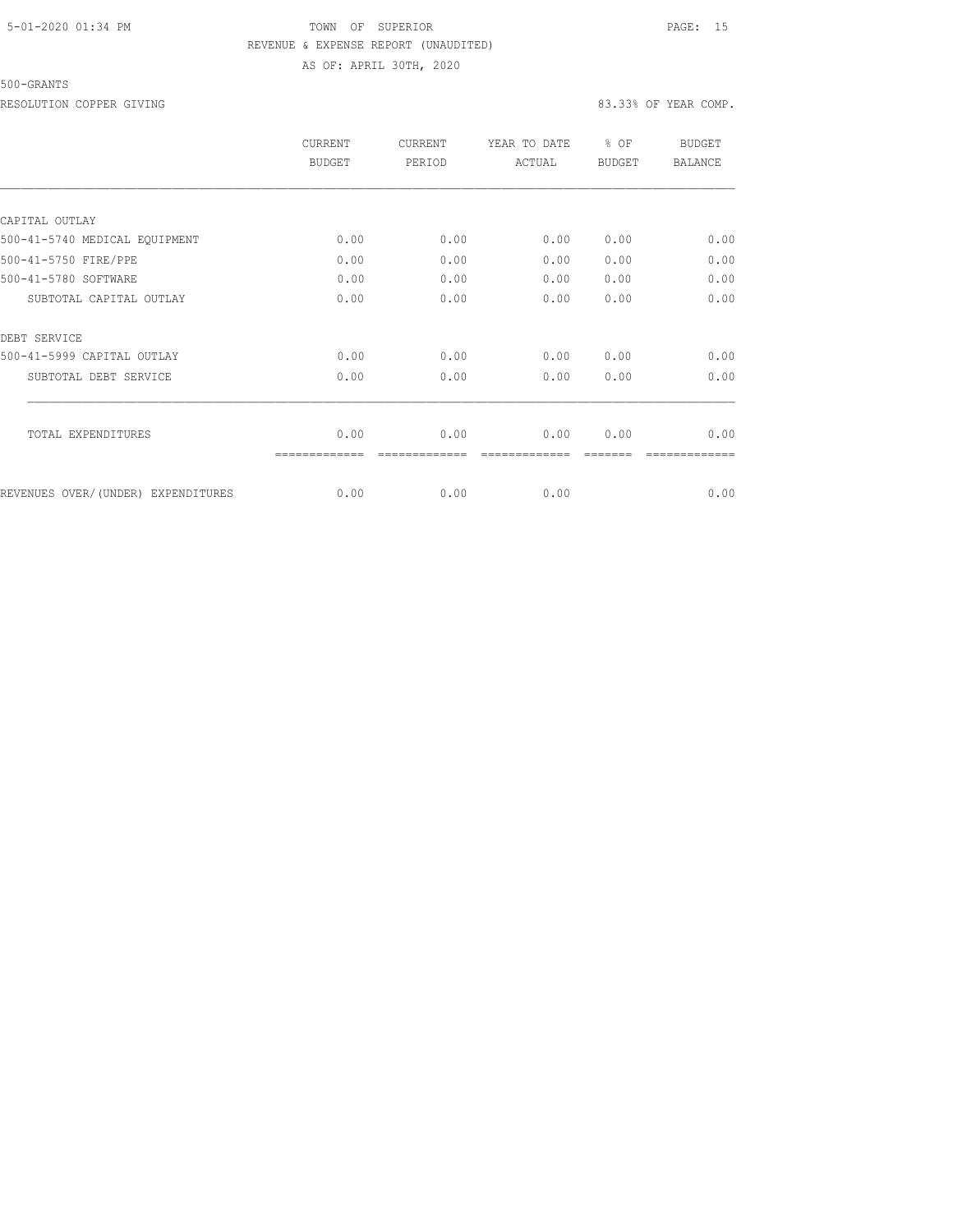## 5-01-2020 01:34 PM TOWN OF SUPERIOR PAGE: 15 REVENUE & EXPENSE REPORT (UNAUDITED) AS OF: APRIL 30TH, 2020

## 500-GRANTS

RESOLUTION COPPER GIVING **EXECUTE A** SOLUTION COPPER GIVING **A** service of the service of the service of the service of the service of the service of the service of the service of the service of the service of the service

|                                    | CURRENT<br><b>BUDGET</b> | <b>CURRENT</b><br>PERIOD | YEAR TO DATE<br>ACTUAL | $8$ OF<br><b>BUDGET</b> | <b>BUDGET</b><br><b>BALANCE</b> |
|------------------------------------|--------------------------|--------------------------|------------------------|-------------------------|---------------------------------|
|                                    |                          |                          |                        |                         |                                 |
| CAPITAL OUTLAY                     |                          |                          |                        |                         |                                 |
| 500-41-5740 MEDICAL EQUIPMENT      | 0.00                     | 0.00                     | 0.00                   | 0.00                    | 0.00                            |
| 500-41-5750 FIRE/PPE               | 0.00                     | 0.00                     | 0.00                   | 0.00                    | 0.00                            |
| 500-41-5780 SOFTWARE               | 0.00                     | 0.00                     | 0.00                   | 0.00                    | 0.00                            |
| SUBTOTAL CAPITAL OUTLAY            | 0.00                     | 0.00                     | 0.00                   | 0.00                    | 0.00                            |
| DEBT SERVICE                       |                          |                          |                        |                         |                                 |
| 500-41-5999 CAPITAL OUTLAY         | 0.00                     | 0.00                     | 0.00                   | 0.00                    | 0.00                            |
| SUBTOTAL DEBT SERVICE              | 0.00                     | 0.00                     | 0.00                   | 0.00                    | 0.00                            |
| TOTAL EXPENDITURES                 | 0.00                     | 0.00                     | 0.00                   | 0.00                    | 0.00                            |
|                                    |                          |                          |                        |                         |                                 |
| REVENUES OVER/(UNDER) EXPENDITURES | 0.00                     | 0.00                     | 0.00                   |                         | 0.00                            |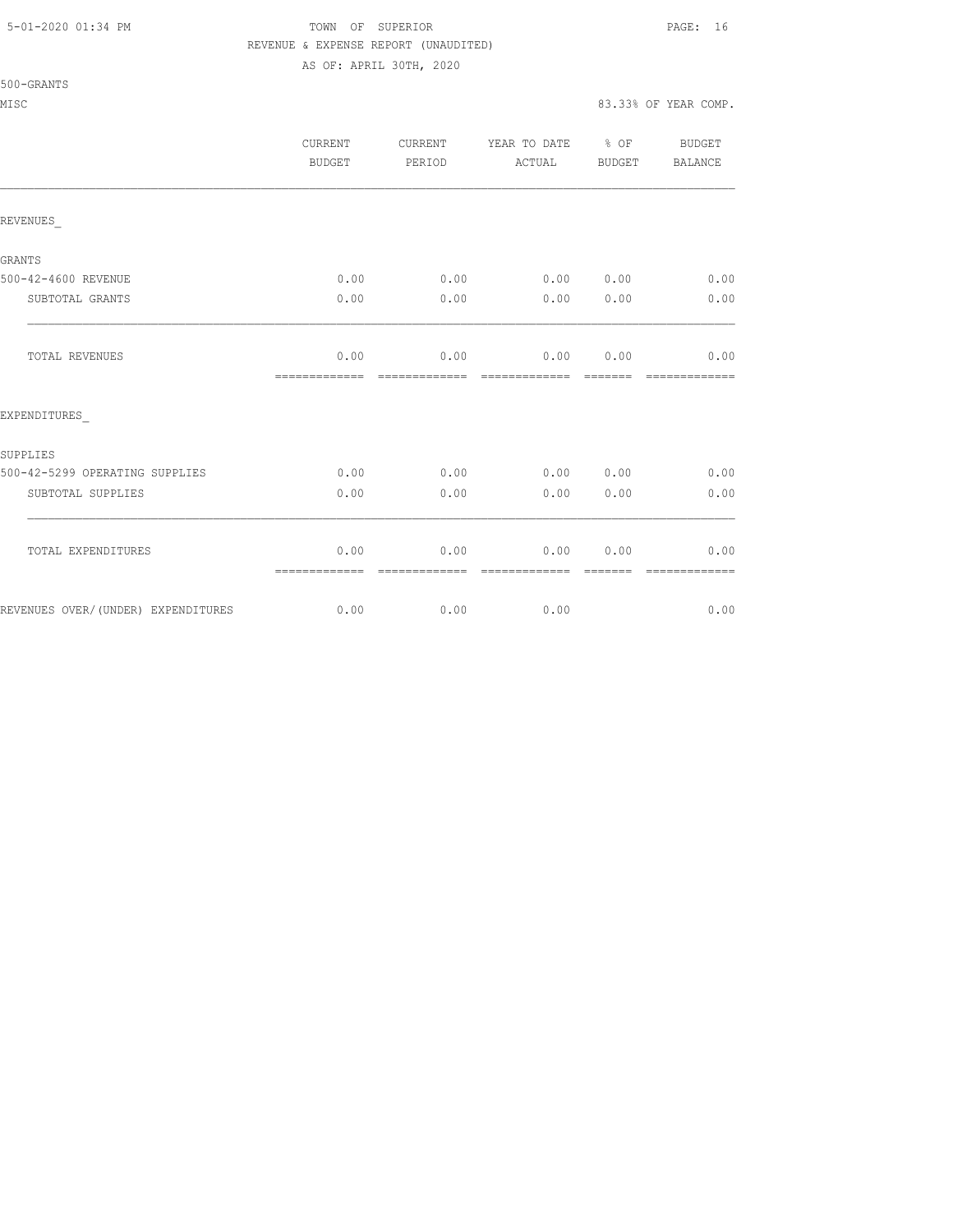500-GRANTS

## 5-01-2020 01:34 PM TOWN OF SUPERIOR PAGE: 16 REVENUE & EXPENSE REPORT (UNAUDITED)

AS OF: APRIL 30TH, 2020

MISC 83.33% OF YEAR COMP.

|                                    | CURRENT<br><b>BUDGET</b> | CURRENT<br>PERIOD      | YEAR TO DATE<br>ACTUAL | $8$ OF<br>BUDGET | BUDGET<br>BALANCE     |
|------------------------------------|--------------------------|------------------------|------------------------|------------------|-----------------------|
| REVENUES                           |                          |                        |                        |                  |                       |
| GRANTS                             |                          |                        |                        |                  |                       |
| 500-42-4600 REVENUE                | 0.00                     | 0.00                   | $0.00$ $0.00$          |                  | 0.00                  |
| SUBTOTAL GRANTS                    | 0.00                     | 0.00                   | 0.00                   | 0.00             | 0.00                  |
| TOTAL REVENUES                     | 0.00<br>=============    | 0.00<br>=============  | 0.00<br>=============  | 0.00<br>=======  | 0.00<br>============= |
| EXPENDITURES                       |                          |                        |                        |                  |                       |
| SUPPLIES                           |                          |                        |                        |                  |                       |
| 500-42-5299 OPERATING SUPPLIES     | 0.00                     | 0.00                   | 0.00                   | 0.00             | 0.00                  |
| SUBTOTAL SUPPLIES                  | 0.00                     | 0.00                   | 0.00                   | 0.00             | 0.00                  |
| TOTAL EXPENDITURES                 | 0.00<br>=============    | 0.00<br>-------------- | 0.00<br>-------------- | 0.00<br>-------- | 0.00<br>============= |
| REVENUES OVER/(UNDER) EXPENDITURES | 0.00                     | 0.00                   | 0.00                   |                  | 0.00                  |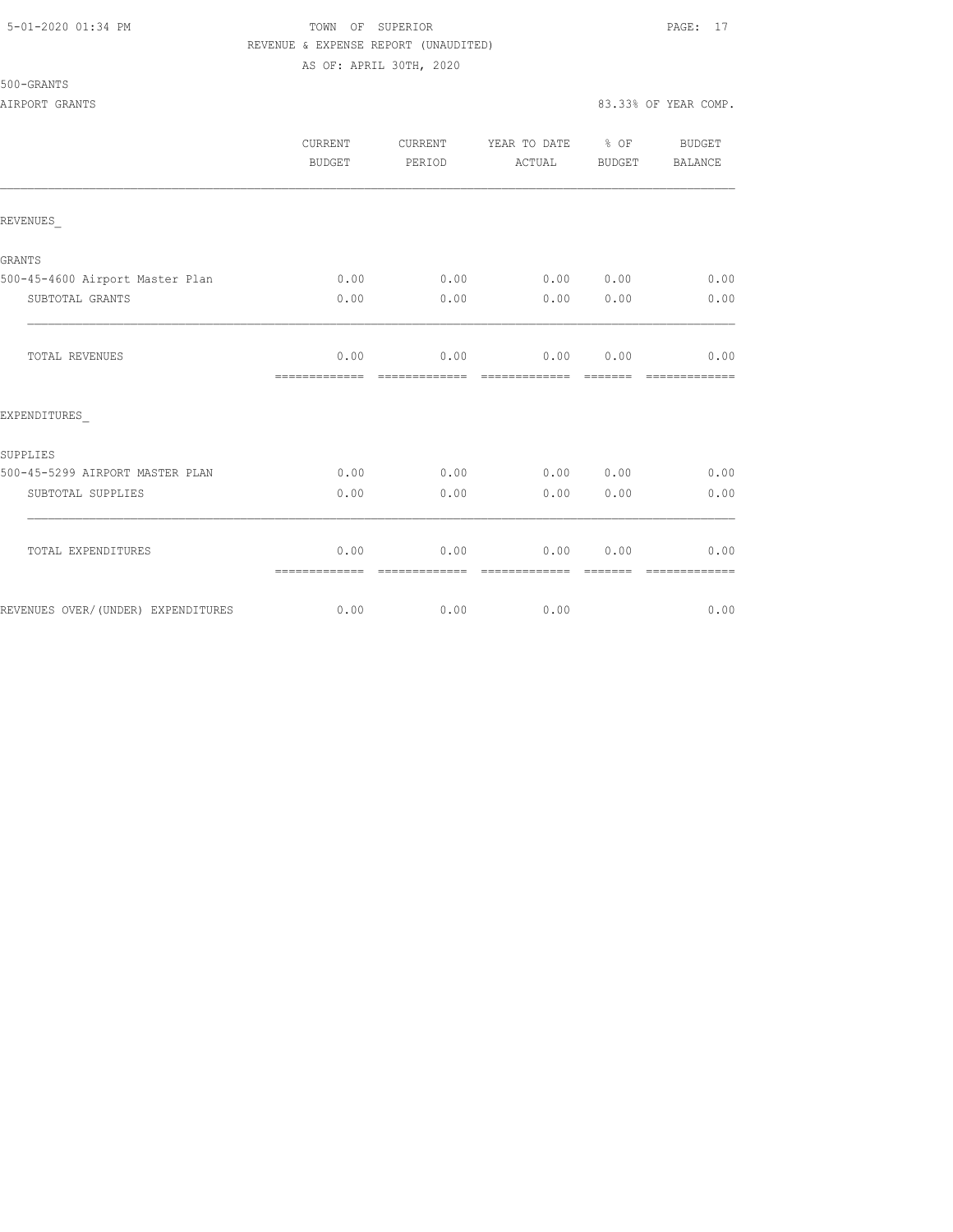## 5-01-2020 01:34 PM TOWN OF SUPERIOR PAGE: 17 REVENUE & EXPENSE REPORT (UNAUDITED) AS OF: APRIL 30TH, 2020

|                                     | <b>CURRENT</b><br><b>BUDGET</b> | CURRENT<br>PERIOD     | YEAR TO DATE<br>ACTUAL | % OF<br>BUDGET                                                                                                                                                                                                                                                                                                                                                                                                                                                                                 | <b>BUDGET</b><br><b>BALANCE</b> |
|-------------------------------------|---------------------------------|-----------------------|------------------------|------------------------------------------------------------------------------------------------------------------------------------------------------------------------------------------------------------------------------------------------------------------------------------------------------------------------------------------------------------------------------------------------------------------------------------------------------------------------------------------------|---------------------------------|
| REVENUES                            |                                 |                       |                        |                                                                                                                                                                                                                                                                                                                                                                                                                                                                                                |                                 |
| GRANTS                              |                                 |                       |                        |                                                                                                                                                                                                                                                                                                                                                                                                                                                                                                |                                 |
| 500-45-4600 Airport Master Plan     | 0.00                            | 0.00                  | 0.00                   | 0.00                                                                                                                                                                                                                                                                                                                                                                                                                                                                                           | 0.00                            |
| SUBTOTAL GRANTS                     | 0.00                            | 0.00                  | 0.00                   | 0.00                                                                                                                                                                                                                                                                                                                                                                                                                                                                                           | 0.00                            |
| TOTAL REVENUES                      | 0.00<br>=============           | 0.00                  | 0.00                   | 0.00<br>$\begin{array}{cccccccccc} \multicolumn{2}{c}{} & \multicolumn{2}{c}{} & \multicolumn{2}{c}{} & \multicolumn{2}{c}{} & \multicolumn{2}{c}{} & \multicolumn{2}{c}{} & \multicolumn{2}{c}{} & \multicolumn{2}{c}{} & \multicolumn{2}{c}{} & \multicolumn{2}{c}{} & \multicolumn{2}{c}{} & \multicolumn{2}{c}{} & \multicolumn{2}{c}{} & \multicolumn{2}{c}{} & \multicolumn{2}{c}{} & \multicolumn{2}{c}{} & \multicolumn{2}{c}{} & \multicolumn{2}{c}{} & \multicolumn{2}{c}{} & \mult$ | 0.00<br>=========               |
| EXPENDITURES                        |                                 |                       |                        |                                                                                                                                                                                                                                                                                                                                                                                                                                                                                                |                                 |
| SUPPLIES                            |                                 |                       |                        |                                                                                                                                                                                                                                                                                                                                                                                                                                                                                                |                                 |
| 500-45-5299 AIRPORT MASTER PLAN     | 0.00                            | 0.00                  | 0.00                   | 0.00                                                                                                                                                                                                                                                                                                                                                                                                                                                                                           | 0.00                            |
| SUBTOTAL SUPPLIES                   | 0.00                            | 0.00                  | 0.00                   | 0.00                                                                                                                                                                                                                                                                                                                                                                                                                                                                                           | 0.00                            |
| TOTAL EXPENDITURES                  | 0.00<br>=============           | 0.00<br>------------- | 0.00                   | 0.00                                                                                                                                                                                                                                                                                                                                                                                                                                                                                           | 0.00                            |
| REVENUES OVER/ (UNDER) EXPENDITURES | 0.00                            | 0.00                  | 0.00                   |                                                                                                                                                                                                                                                                                                                                                                                                                                                                                                | 0.00                            |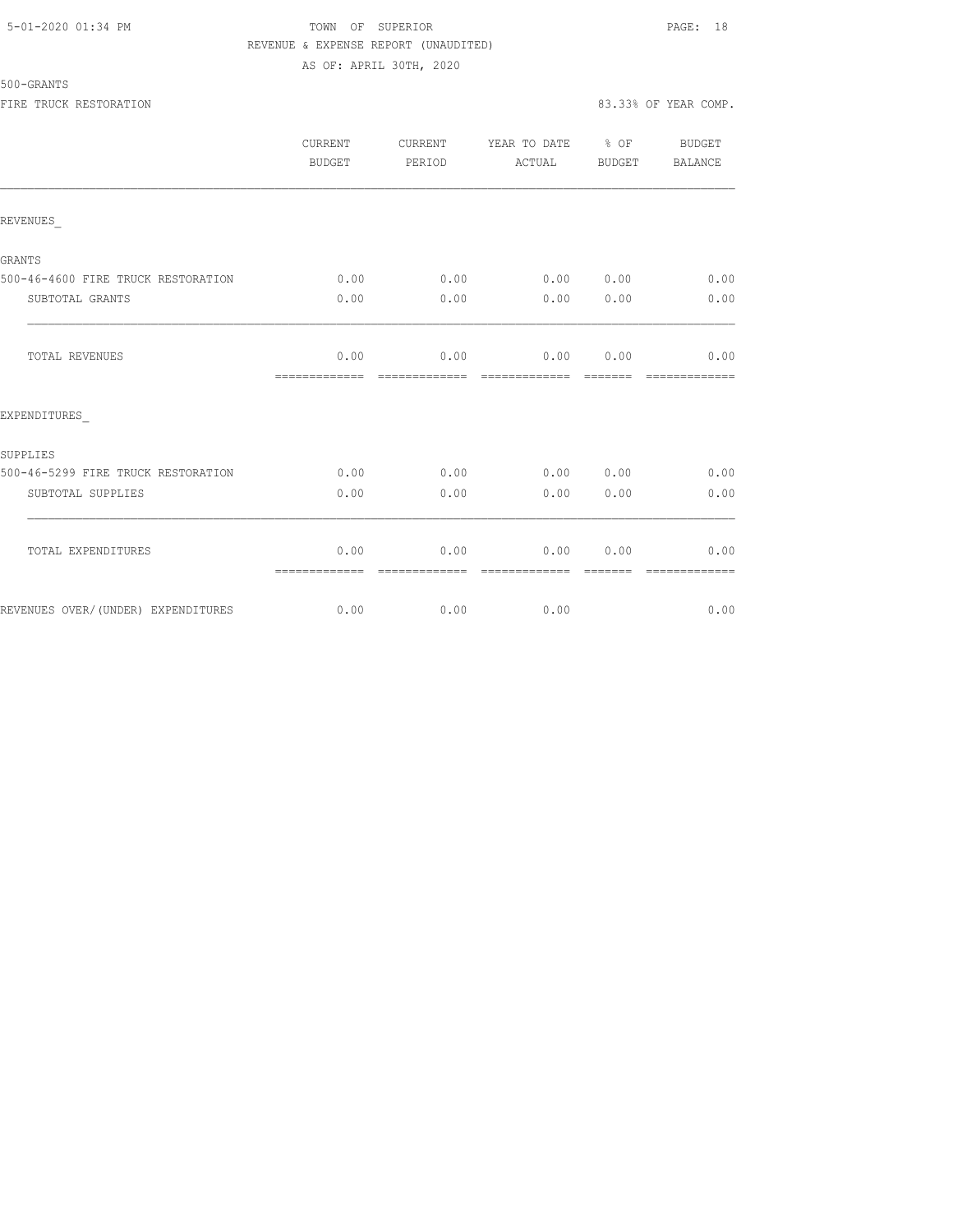## 5-01-2020 01:34 PM TOWN OF SUPERIOR PAGE: 18 REVENUE & EXPENSE REPORT (UNAUDITED) AS OF: APRIL 30TH, 2020

| 500-GRANTS |  |
|------------|--|
|------------|--|

|                                    | CURRENT<br>BUDGET     | CURRENT<br>PERIOD      | YEAR TO DATE % OF<br>ACTUAL    | BUDGET        | BUDGET<br>BALANCE      |
|------------------------------------|-----------------------|------------------------|--------------------------------|---------------|------------------------|
| REVENUES                           |                       |                        |                                |               |                        |
| GRANTS                             |                       |                        |                                |               |                        |
| 500-46-4600 FIRE TRUCK RESTORATION | 0.00                  | 0.00                   | 0.00 0.00                      |               | 0.00                   |
| SUBTOTAL GRANTS                    | 0.00                  | 0.00                   | 0.00                           | 0.00          | 0.00                   |
| <b>TOTAL REVENUES</b>              | 0.00<br>============= | 0.00<br>=============  | $0.00$ $0.00$<br>============= | <b>BEBEER</b> | 0.00<br>=============  |
| EXPENDITURES                       |                       |                        |                                |               |                        |
| SUPPLIES                           |                       |                        |                                |               |                        |
| 500-46-5299 FIRE TRUCK RESTORATION | 0.00                  | 0.00                   | 0.00 0.00                      |               | 0.00                   |
| SUBTOTAL SUPPLIES                  | 0.00                  | 0.00                   | 0.00                           | 0.00          | 0.00                   |
| TOTAL EXPENDITURES                 | 0.00                  | 0.00                   | 0.00                           | 0.00          | 0.00                   |
| REVENUES OVER/(UNDER) EXPENDITURES | =============<br>0.00 | --------------<br>0.00 | --------------<br>0.00         |               | --------------<br>0.00 |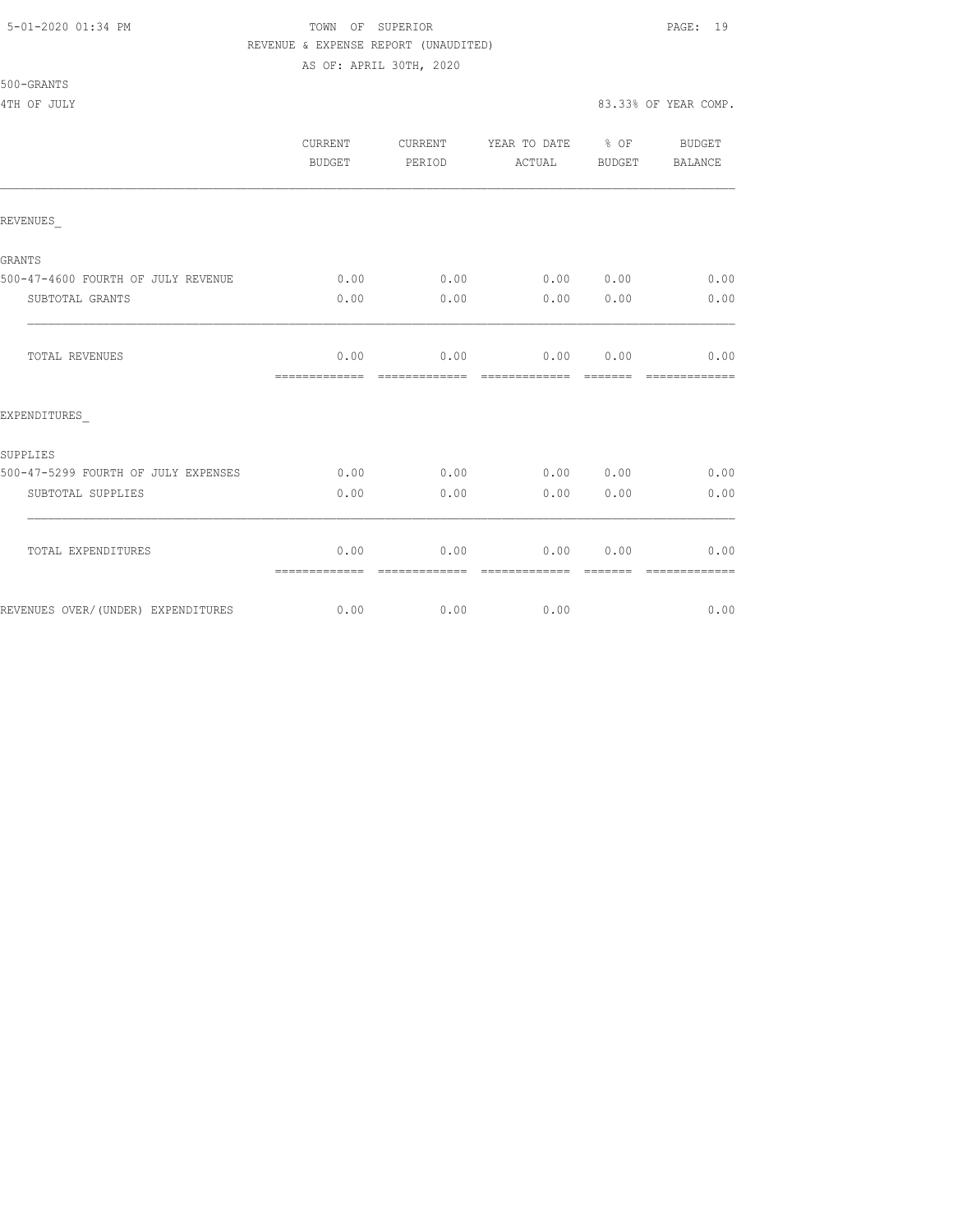## 5-01-2020 01:34 PM TOWN OF SUPERIOR PAGE: 19 REVENUE & EXPENSE REPORT (UNAUDITED) AS OF: APRIL 30TH, 2020

|                                     | <b>CURRENT</b><br><b>BUDGET</b> | CURRENT<br>PERIOD     | YEAR TO DATE % OF<br>ACTUAL    | BUDGET           | BUDGET<br>BALANCE     |
|-------------------------------------|---------------------------------|-----------------------|--------------------------------|------------------|-----------------------|
| REVENUES                            |                                 |                       |                                |                  |                       |
| GRANTS                              |                                 |                       |                                |                  |                       |
| 500-47-4600 FOURTH OF JULY REVENUE  | 0.00                            | 0.00                  | 0.00 0.00                      |                  | 0.00                  |
| SUBTOTAL GRANTS                     | 0.00                            | 0.00                  | 0.00                           | 0.00             | 0.00                  |
| TOTAL REVENUES                      | 0.00<br>=============           | 0.00<br>============= | $0.00$ $0.00$<br>============= | --------         | 0.00                  |
| EXPENDITURES                        |                                 |                       |                                |                  |                       |
| SUPPLIES                            |                                 |                       |                                |                  |                       |
| 500-47-5299 FOURTH OF JULY EXPENSES | 0.00                            | 0.00                  | 0.0000000                      |                  | 0.00                  |
| SUBTOTAL SUPPLIES                   | 0.00                            | 0.00                  | 0.00                           | 0.00             | 0.00                  |
| TOTAL EXPENDITURES                  | 0.00<br>=============           | 0.00<br>------------- | 0.00<br>--------------         | 0.00<br>-------- | 0.00<br>------------- |
| REVENUES OVER/(UNDER) EXPENDITURES  | 0.00                            | 0.00                  | 0.00                           |                  | 0.00                  |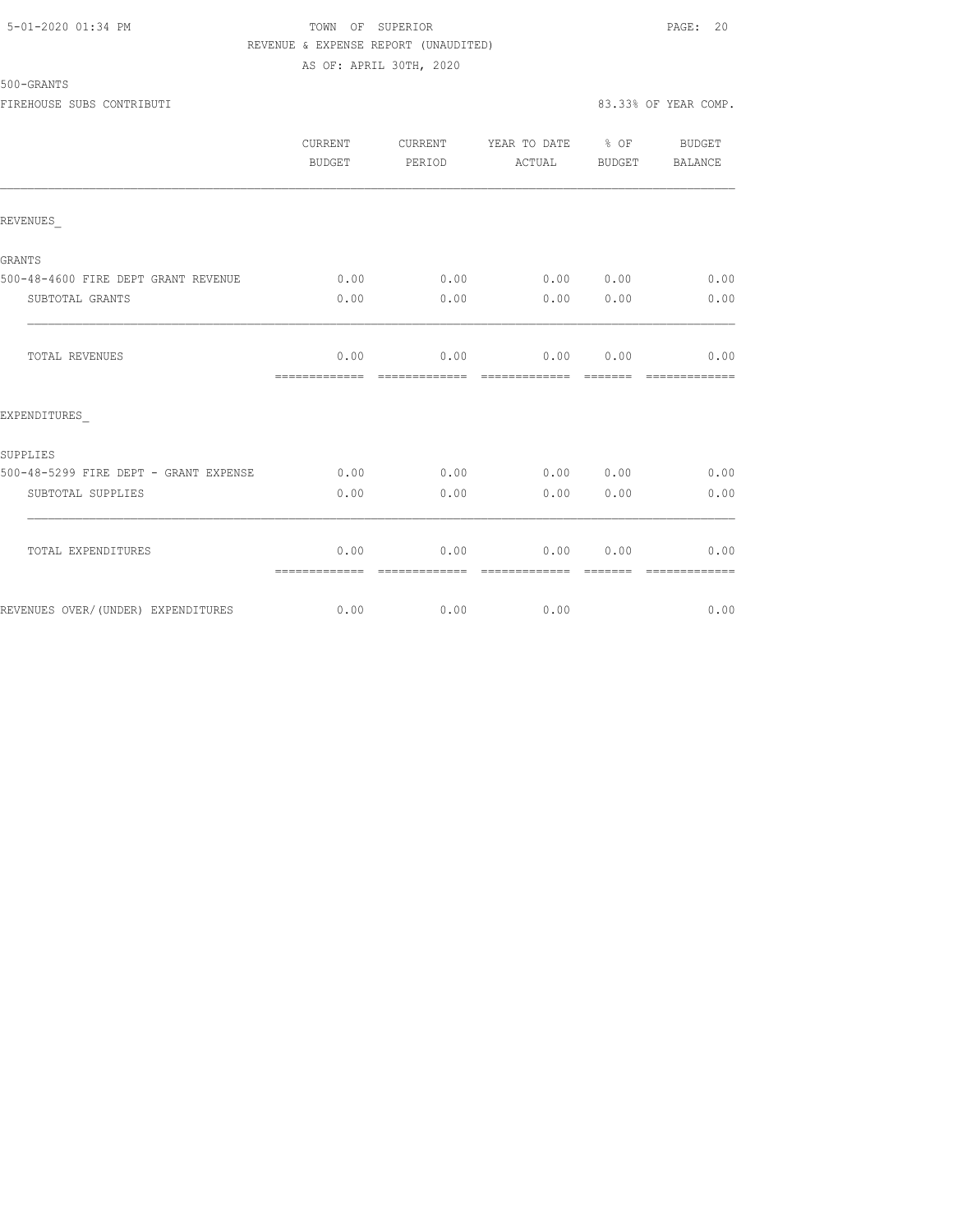## 5-01-2020 01:34 PM TOWN OF SUPERIOR PAGE: 20 REVENUE & EXPENSE REPORT (UNAUDITED) AS OF: APRIL 30TH, 2020

## 500-GRANTS

FIREHOUSE SUBS CONTRIBUTI 83.33% OF YEAR COMP.

|                                       | <b>CURRENT</b><br>BUDGET | CURRENT<br>PERIOD     | YEAR TO DATE % OF<br>ACTUAL        | BUDGET           | BUDGET<br>BALANCE     |
|---------------------------------------|--------------------------|-----------------------|------------------------------------|------------------|-----------------------|
| REVENUES                              |                          |                       |                                    |                  |                       |
| GRANTS                                |                          |                       |                                    |                  |                       |
| 500-48-4600 FIRE DEPT GRANT REVENUE   | 0.00                     |                       | $0.00$ $0.00$ $0.00$ $0.00$ $0.00$ |                  |                       |
| SUBTOTAL GRANTS                       | 0.00                     | 0.00                  | 0.00                               | 0.00             | 0.00                  |
| TOTAL REVENUES                        | 0.00<br>=============    | 0.00<br>------------- | 0.00<br>=============              | 0.00<br>-------- | 0.00<br>------------- |
| EXPENDITURES                          |                          |                       |                                    |                  |                       |
| SUPPLIES                              |                          |                       |                                    |                  |                       |
| 500-48-5299 FIRE DEPT - GRANT EXPENSE | 0.00                     | 0.00                  | 0.00 0.00                          |                  | 0.00                  |
| SUBTOTAL SUPPLIES                     | 0.00                     | 0.00                  | 0.00                               | 0.00             | 0.00                  |
| TOTAL EXPENDITURES                    | 0.00<br>=============    | 0.00                  | 0.00                               | 0.00             | 0.00                  |
| REVENUES OVER/(UNDER) EXPENDITURES    | 0.00                     | 0.00                  | 0.00                               |                  | 0.00                  |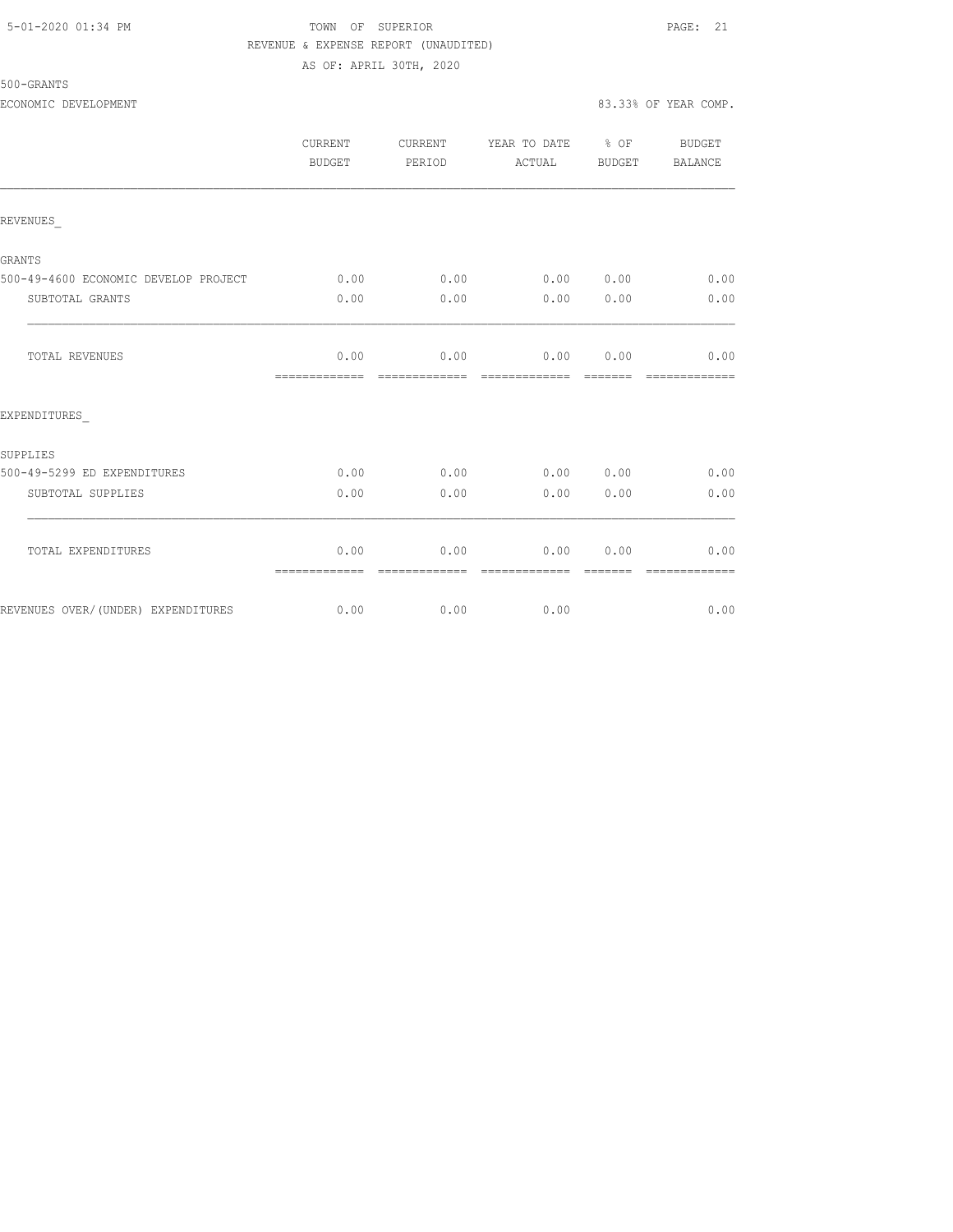## 5-01-2020 01:34 PM TOWN OF SUPERIOR PAGE: 21 REVENUE & EXPENSE REPORT (UNAUDITED) AS OF: APRIL 30TH, 2020

|                                      | CURRENT<br>BUDGET | CURRENT<br>PERIOD             | YEAR TO DATE % OF<br>ACTUAL BUDGET                      |           | BUDGET<br><b>BALANCE</b>                                                                                                                                                                                                                                                                                                                                                                                                                                                                       |
|--------------------------------------|-------------------|-------------------------------|---------------------------------------------------------|-----------|------------------------------------------------------------------------------------------------------------------------------------------------------------------------------------------------------------------------------------------------------------------------------------------------------------------------------------------------------------------------------------------------------------------------------------------------------------------------------------------------|
| REVENUES                             |                   |                               |                                                         |           |                                                                                                                                                                                                                                                                                                                                                                                                                                                                                                |
| <b>GRANTS</b>                        |                   |                               |                                                         |           |                                                                                                                                                                                                                                                                                                                                                                                                                                                                                                |
| 500-49-4600 ECONOMIC DEVELOP PROJECT | 0.00              | 0.00                          | 0.00 0.00                                               |           | 0.00                                                                                                                                                                                                                                                                                                                                                                                                                                                                                           |
| SUBTOTAL GRANTS                      | 0.00              | 0.00                          | 0.00 0.00                                               |           | 0.00                                                                                                                                                                                                                                                                                                                                                                                                                                                                                           |
| TOTAL REVENUES                       | 0.00              |                               | $0.00$ $0.00$ $0.00$ $0.00$                             |           | 0.00                                                                                                                                                                                                                                                                                                                                                                                                                                                                                           |
| EXPENDITURES                         |                   |                               |                                                         |           |                                                                                                                                                                                                                                                                                                                                                                                                                                                                                                |
| SUPPLIES                             |                   |                               |                                                         |           |                                                                                                                                                                                                                                                                                                                                                                                                                                                                                                |
| 500-49-5299 ED EXPENDITURES          | 0.00              | 0.00                          | 0.00 0.00                                               |           | 0.00                                                                                                                                                                                                                                                                                                                                                                                                                                                                                           |
| SUBTOTAL SUPPLIES                    | 0.00              | 0.00                          |                                                         | 0.00 0.00 | 0.00                                                                                                                                                                                                                                                                                                                                                                                                                                                                                           |
| TOTAL EXPENDITURES                   | 0.00              | -------------- -------------- | $0.00$ $0.00$ $0.00$ $0.00$<br>- cooperate de cooperate |           | 0.00<br>$\begin{array}{cccccccccc} \multicolumn{2}{c}{} & \multicolumn{2}{c}{} & \multicolumn{2}{c}{} & \multicolumn{2}{c}{} & \multicolumn{2}{c}{} & \multicolumn{2}{c}{} & \multicolumn{2}{c}{} & \multicolumn{2}{c}{} & \multicolumn{2}{c}{} & \multicolumn{2}{c}{} & \multicolumn{2}{c}{} & \multicolumn{2}{c}{} & \multicolumn{2}{c}{} & \multicolumn{2}{c}{} & \multicolumn{2}{c}{} & \multicolumn{2}{c}{} & \multicolumn{2}{c}{} & \multicolumn{2}{c}{} & \multicolumn{2}{c}{} & \mult$ |
| REVENUES OVER/(UNDER) EXPENDITURES   |                   | $0.00$ 0.00                   | 0.00                                                    |           | 0.00                                                                                                                                                                                                                                                                                                                                                                                                                                                                                           |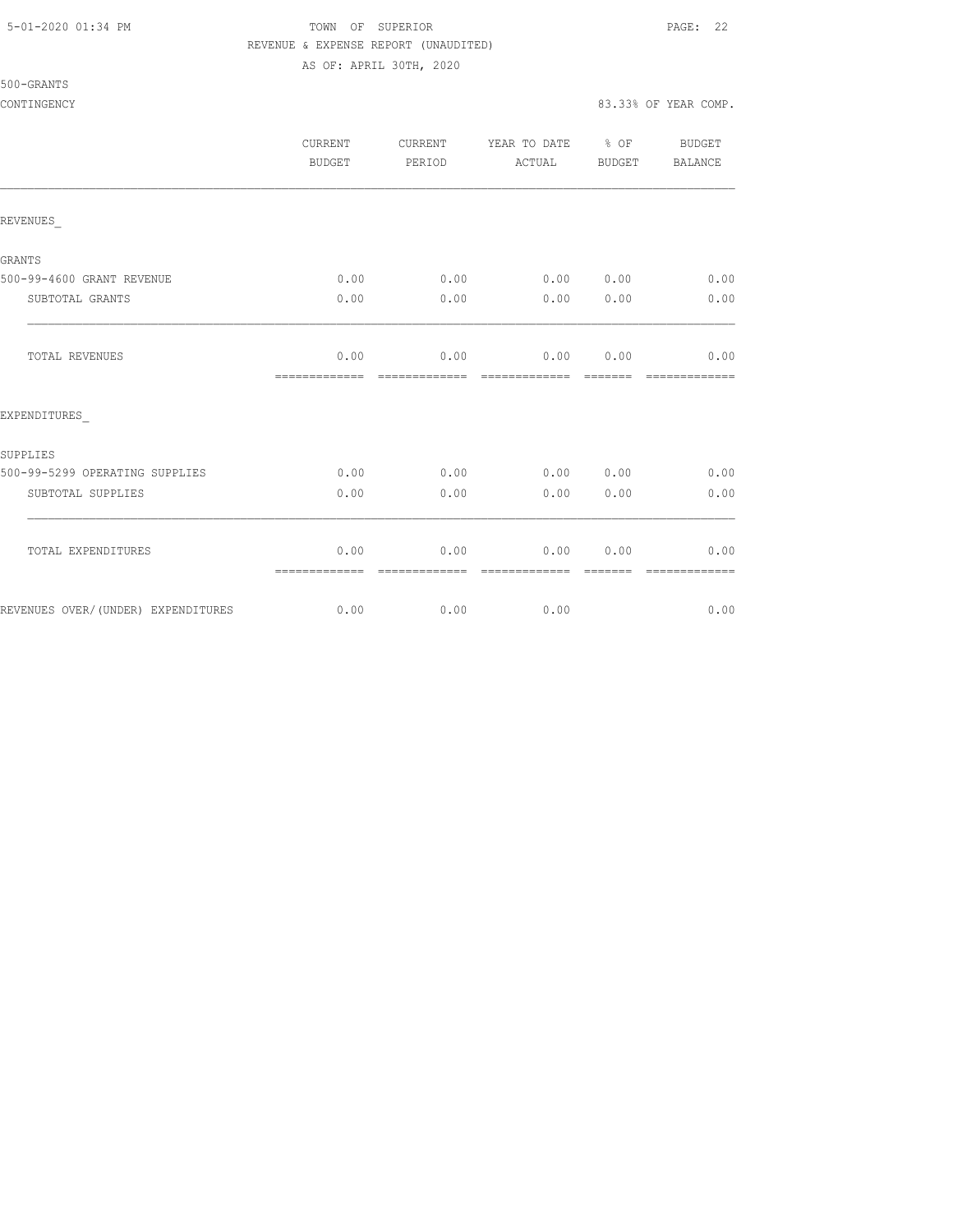500-GRANTS

## 5-01-2020 01:34 PM TOWN OF SUPERIOR PAGE: 22 REVENUE & EXPENSE REPORT (UNAUDITED)

AS OF: APRIL 30TH, 2020

CONTINGENCY 83.33% OF YEAR COMP.

|                                    | CURRENT<br><b>BUDGET</b> | CURRENT<br>PERIOD     | YEAR TO DATE % OF<br>ACTUAL | <b>BUDGET</b> | BUDGET<br>BALANCE     |
|------------------------------------|--------------------------|-----------------------|-----------------------------|---------------|-----------------------|
| REVENUES                           |                          |                       |                             |               |                       |
| GRANTS                             |                          |                       |                             |               |                       |
| 500-99-4600 GRANT REVENUE          | 0.00                     | 0.00                  | 0.00 0.00                   |               | 0.00                  |
| SUBTOTAL GRANTS                    | 0.00                     | 0.00                  | 0.00                        | 0.00          | 0.00                  |
| TOTAL REVENUES                     | 0.00<br>--------------   | 0.00<br>------------- | 0.00 0.00<br>-------------- | --------      | 0.00<br>------------- |
| EXPENDITURES                       |                          |                       |                             |               |                       |
| SUPPLIES                           |                          |                       |                             |               |                       |
| 500-99-5299 OPERATING SUPPLIES     | 0.00                     | 0.00                  | 0.00 0.00                   |               | 0.00                  |
| SUBTOTAL SUPPLIES                  | 0.00                     | 0.00                  | 0.00                        | 0.00          | 0.00                  |
| TOTAL EXPENDITURES                 | 0.00<br>=============    | 0.00<br>============= | 0.00<br>=============       | 0.00          | 0.00<br>============= |
| REVENUES OVER/(UNDER) EXPENDITURES | 0.00                     | 0.00                  | 0.00                        |               | 0.00                  |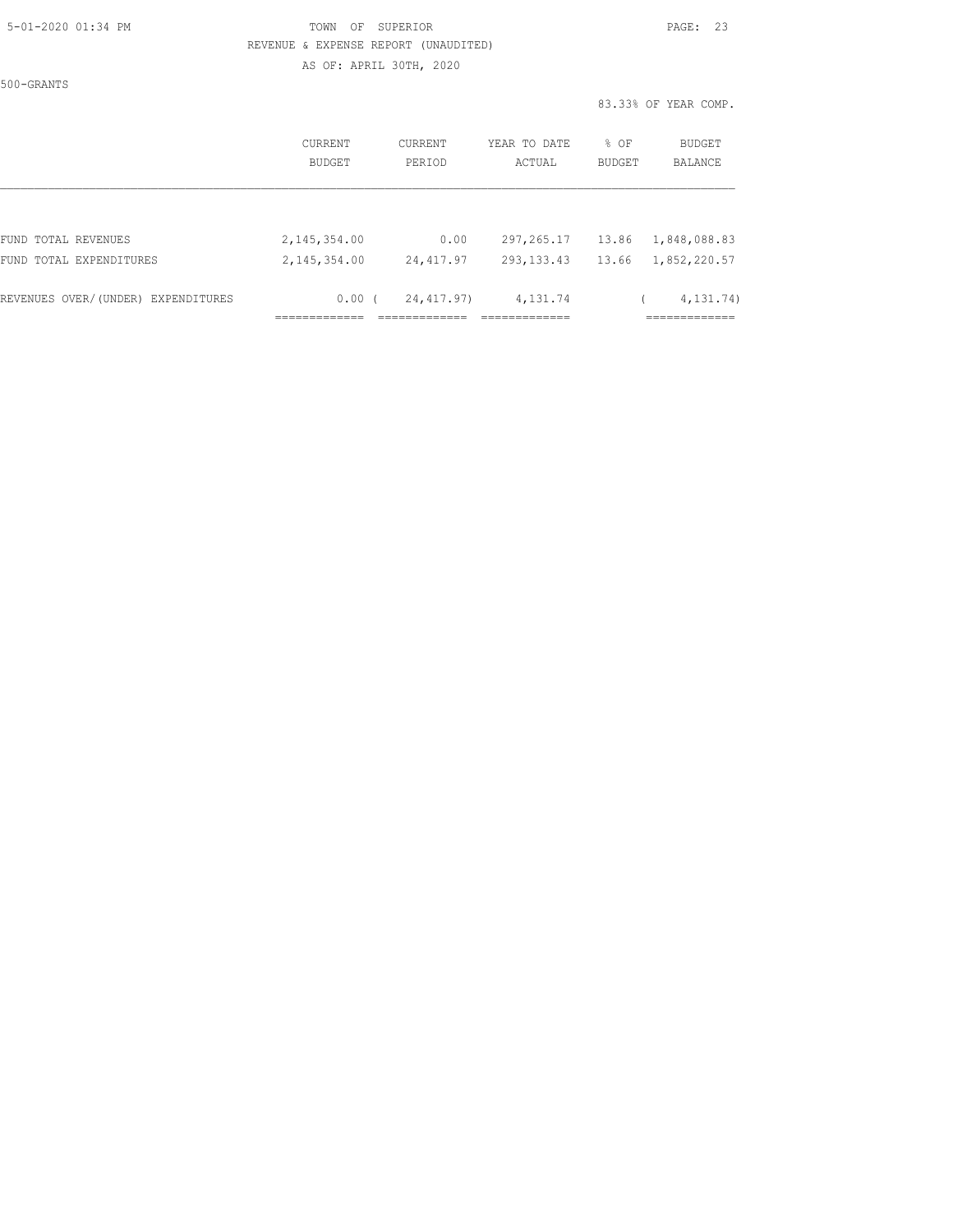|  | 5-01-2020 01:34 PM |  |
|--|--------------------|--|
|  |                    |  |

## TOWN OF SUPERIOR **Example 23** REVENUE & EXPENSE REPORT (UNAUDITED)

AS OF: APRIL 30TH, 2020

500-GRANTS

83.33% OF YEAR COMP.

|                                    | <b>CURRENT</b><br>BUDGET | CURRENT<br>PERIOD | YEAR TO DATE<br>ACTUAL | % OF<br>BUDGET | <b>BUDGET</b><br>BALANCE |
|------------------------------------|--------------------------|-------------------|------------------------|----------------|--------------------------|
|                                    |                          |                   |                        |                |                          |
| FUND TOTAL REVENUES                | 2,145,354.00             | 0.00              | 297, 265.17            | 13.86          | 1,848,088.83             |
| FUND TOTAL EXPENDITURES            | 2,145,354.00             | 24,417.97         | 293, 133, 43           | 13.66          | 1,852,220.57             |
| REVENUES OVER/(UNDER) EXPENDITURES | $0.00$ (                 | 24,417.97)        | 4,131.74               |                | 4, 131, 74)              |
|                                    |                          |                   |                        |                |                          |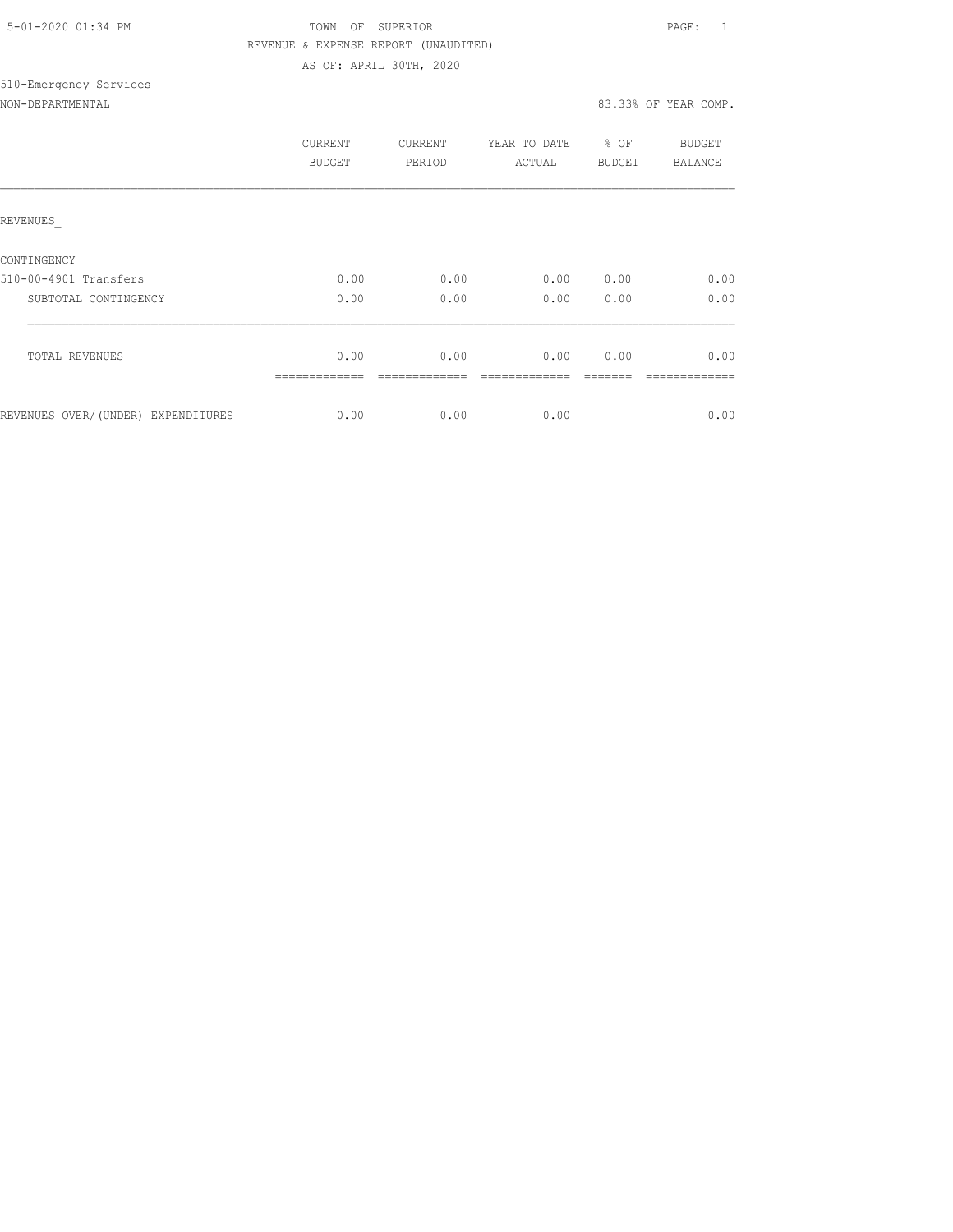| 5-01-2020 01:34 PM |  |  |
|--------------------|--|--|

## TOWN OF SUPERIOR **Example 2010** PAGE: 1 REVENUE & EXPENSE REPORT (UNAUDITED) AS OF: APRIL 30TH, 2020

## 510-Emergency Services NON-DEPARTMENTAL 83.33% OF YEAR COMP.

|                                    | CURRENT<br>BUDGET | <b>CURRENT</b><br>PERIOD | YEAR TO DATE<br>ACTUAL | % OF<br><b>BUDGET</b> | BUDGET<br>BALANCE |
|------------------------------------|-------------------|--------------------------|------------------------|-----------------------|-------------------|
| REVENUES                           |                   |                          |                        |                       |                   |
| CONTINGENCY                        |                   |                          |                        |                       |                   |
| 510-00-4901 Transfers              | 0.00              | 0.00                     | 0.00                   | 0.00                  | 0.00              |
| SUBTOTAL CONTINGENCY               | 0.00              | 0.00                     | 0.00                   | 0.00                  | 0.00              |
| <b>TOTAL REVENUES</b>              | 0.00              | 0.00                     | 0.00                   | 0.00                  | 0.00              |
| REVENUES OVER/(UNDER) EXPENDITURES | 0.00              | 0.00                     | 0.00                   |                       | 0.00              |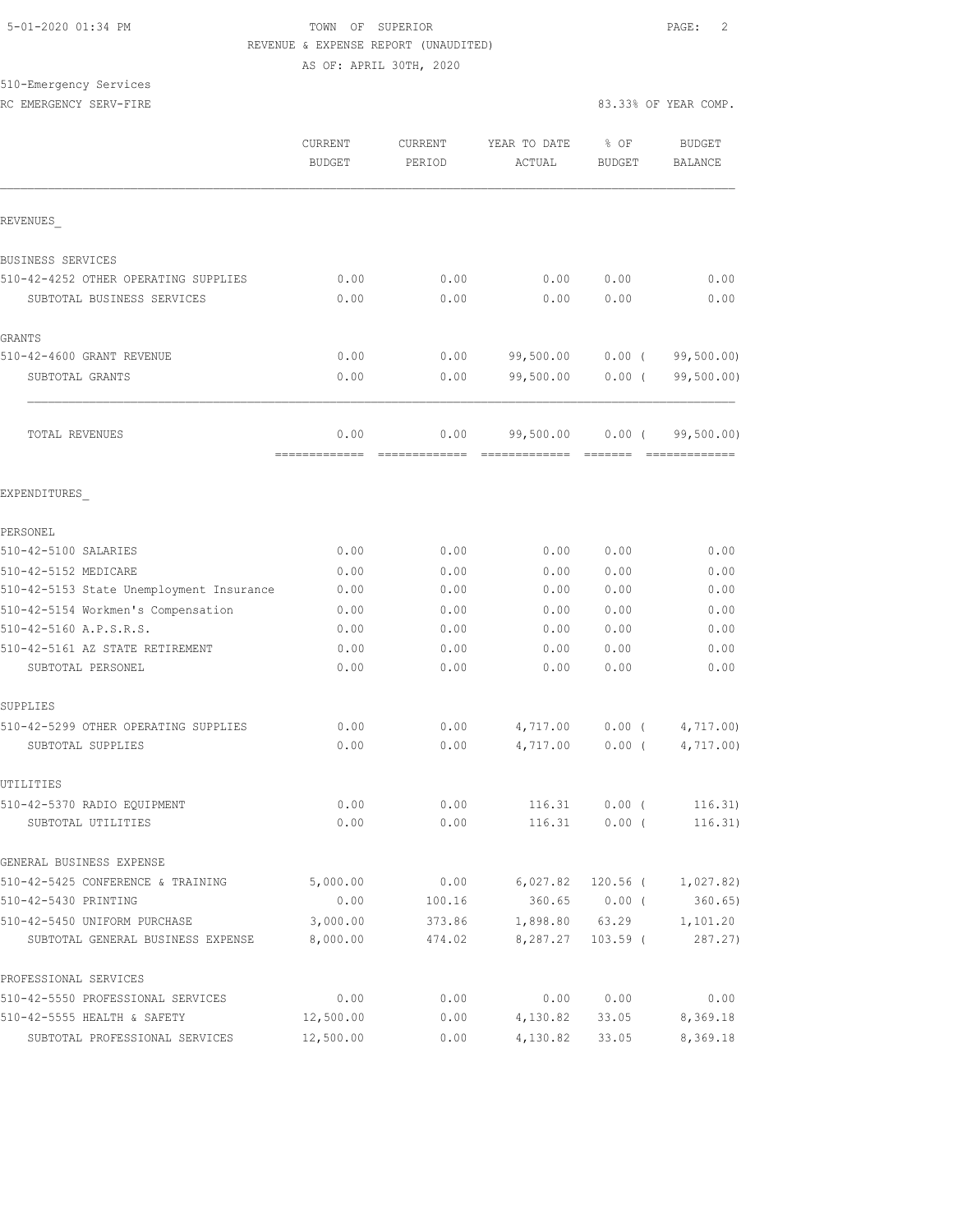## 5-01-2020 01:34 PM TOWN OF SUPERIOR PAGE: 2 REVENUE & EXPENSE REPORT (UNAUDITED) AS OF: APRIL 30TH, 2020

510-Emergency Services RC EMERGENCY SERV-FIRE **All and SERV-FIRE 83.33% OF YEAR COMP.** 

|                                                      | CURRENT<br><b>BUDGET</b> | <b>CURRENT</b><br>PERIOD | YEAR TO DATE<br>ACTUAL | % OF<br><b>BUDGET</b> | <b>BUDGET</b><br><b>BALANCE</b> |
|------------------------------------------------------|--------------------------|--------------------------|------------------------|-----------------------|---------------------------------|
| REVENUES                                             |                          |                          |                        |                       |                                 |
| BUSINESS SERVICES                                    |                          |                          |                        |                       |                                 |
| 510-42-4252 OTHER OPERATING SUPPLIES                 | 0.00                     | 0.00                     | 0.00                   | 0.00                  | 0.00                            |
| SUBTOTAL BUSINESS SERVICES                           | 0.00                     | 0.00                     | 0.00                   | 0.00                  | 0.00                            |
| GRANTS                                               |                          |                          |                        |                       |                                 |
| 510-42-4600 GRANT REVENUE                            | 0.00                     | 0.00                     | 99,500.00              | $0.00$ (              | 99,500.00)                      |
| SUBTOTAL GRANTS                                      | 0.00                     | 0.00                     | 99,500.00              | $0.00$ (              | 99, 500.00)                     |
| TOTAL REVENUES                                       | 0.00<br>=============    | 0.00                     | 99,500.00              | $0.00$ (              | 99,500.00)                      |
| EXPENDITURES                                         |                          |                          |                        |                       |                                 |
| PERSONEL                                             |                          |                          |                        |                       |                                 |
| 510-42-5100 SALARIES                                 | 0.00                     | 0.00                     | 0.00                   | 0.00                  | 0.00                            |
| 510-42-5152 MEDICARE                                 | 0.00                     | 0.00                     | 0.00                   | 0.00                  | 0.00                            |
| 510-42-5153 State Unemployment Insurance             | 0.00                     | 0.00                     | 0.00                   | 0.00                  | 0.00                            |
| 510-42-5154 Workmen's Compensation                   | 0.00                     | 0.00                     | 0.00                   | 0.00                  | 0.00                            |
| 510-42-5160 A.P.S.R.S.                               | 0.00                     | 0.00                     | 0.00                   | 0.00                  | 0.00                            |
| 510-42-5161 AZ STATE RETIREMENT<br>SUBTOTAL PERSONEL | 0.00<br>0.00             | 0.00<br>0.00             | 0.00<br>0.00           | 0.00<br>0.00          | 0.00<br>0.00                    |
| SUPPLIES                                             |                          |                          |                        |                       |                                 |
| 510-42-5299 OTHER OPERATING SUPPLIES                 | 0.00                     | 0.00                     | 4,717.00               | $0.00$ (              | 4,717.00                        |
| SUBTOTAL SUPPLIES                                    | 0.00                     | 0.00                     | 4,717.00               | $0.00$ (              | 4,717.00                        |
| UTILITIES                                            |                          |                          |                        |                       |                                 |
| 510-42-5370 RADIO EQUIPMENT                          | 0.00                     | 0.00                     | 116.31                 | 0.00(                 | 116.31)                         |
| SUBTOTAL UTILITIES                                   | 0.00                     | 0.00                     | 116.31                 | 0.00(                 | 116.31)                         |
| GENERAL BUSINESS EXPENSE                             |                          |                          |                        |                       |                                 |
| 510-42-5425 CONFERENCE & TRAINING                    | 5,000.00                 | 0.00                     | 6,027.82               | $120.56$ (            | 1,027.82)                       |
| 510-42-5430 PRINTING                                 | 0.00                     | 100.16                   | 360.65                 | $0.00$ (              | 360.65)                         |
| 510-42-5450 UNIFORM PURCHASE                         | 3,000.00                 | 373.86                   | 1,898.80               | 63.29                 | 1,101.20                        |
| SUBTOTAL GENERAL BUSINESS EXPENSE                    | 8,000.00                 | 474.02                   | 8,287.27               | $103.59$ (            | 287.27)                         |
| PROFESSIONAL SERVICES                                |                          |                          |                        |                       |                                 |
| 510-42-5550 PROFESSIONAL SERVICES                    | 0.00                     | 0.00                     | 0.00                   | 0.00                  | 0.00                            |
| 510-42-5555 HEALTH & SAFETY                          | 12,500.00                | 0.00                     | 4,130.82               | 33.05                 | 8,369.18                        |
| SUBTOTAL PROFESSIONAL SERVICES                       | 12,500.00                | 0.00                     | 4,130.82               | 33.05                 | 8,369.18                        |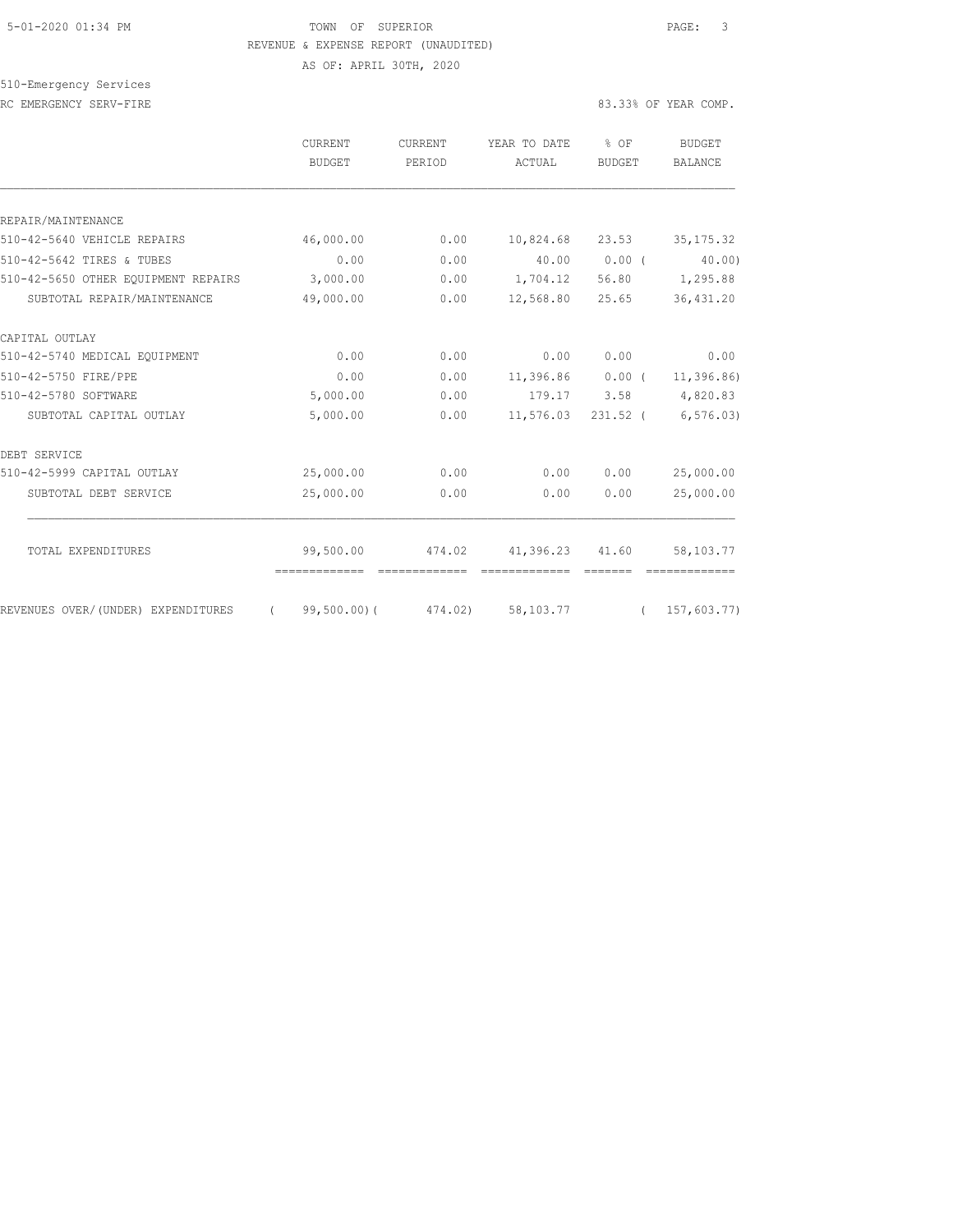## 5-01-2020 01:34 PM TOWN OF SUPERIOR PAGE: 3 REVENUE & EXPENSE REPORT (UNAUDITED)

AS OF: APRIL 30TH, 2020

## 510-Emergency Services RC EMERGENCY SERV-FIRE **All and SERV-FIRE 83.33% OF YEAR COMP.**

|                                     | CURRENT<br><b>BUDGET</b> | <b>CURRENT</b><br>PERIOD | YEAR TO DATE<br>ACTUAL | % OF<br><b>BUDGET</b> | BUDGET<br><b>BALANCE</b> |
|-------------------------------------|--------------------------|--------------------------|------------------------|-----------------------|--------------------------|
| REPAIR/MAINTENANCE                  |                          |                          |                        |                       |                          |
| 510-42-5640 VEHICLE REPAIRS         | 46,000.00                | 0.00                     | 10,824.68 23.53        |                       | 35, 175.32               |
| 510-42-5642 TIRES & TUBES           | 0.00                     | 0.00                     | 40.00                  | 0.00(                 | 40.00)                   |
| 510-42-5650 OTHER EQUIPMENT REPAIRS | 3,000.00                 | 0.00                     | 1,704.12               | 56.80                 | 1,295.88                 |
| SUBTOTAL REPAIR/MAINTENANCE         | 49,000.00                | 0.00                     | 12,568.80              | 25.65                 | 36, 431.20               |
| CAPITAL OUTLAY                      |                          |                          |                        |                       |                          |
| 510-42-5740 MEDICAL EQUIPMENT       | 0.00                     | 0.00                     | 0.00                   | 0.00                  | 0.00                     |
| 510-42-5750 FIRE/PPE                | 0.00                     | 0.00                     | $11,396.86$ 0.00 (     |                       | 11,396.86)               |
| 510-42-5780 SOFTWARE                | 5,000.00                 | 0.00                     | 179.17                 | 3.58                  | 4,820.83                 |
| SUBTOTAL CAPITAL OUTLAY             | 5,000.00                 | 0.00                     | 11,576.03              | $231.52$ (            | 6, 576.03                |
| DEBT SERVICE                        |                          |                          |                        |                       |                          |
| 510-42-5999 CAPITAL OUTLAY          | 25,000.00                | 0.00                     | 0.00                   | 0.00                  | 25,000.00                |
| SUBTOTAL DEBT SERVICE               | 25,000.00                | 0.00                     | 0.00                   | 0.00                  | 25,000.00                |
| TOTAL EXPENDITURES                  | 99,500.00                | 474.02                   | 41,396.23 41.60        |                       | 58,103.77                |
|                                     |                          |                          |                        |                       |                          |
| REVENUES OVER/(UNDER) EXPENDITURES  | $\sqrt{2}$               | 99,500.00)( 474.02)      | 58,103.77              |                       | (157, 603, 77)           |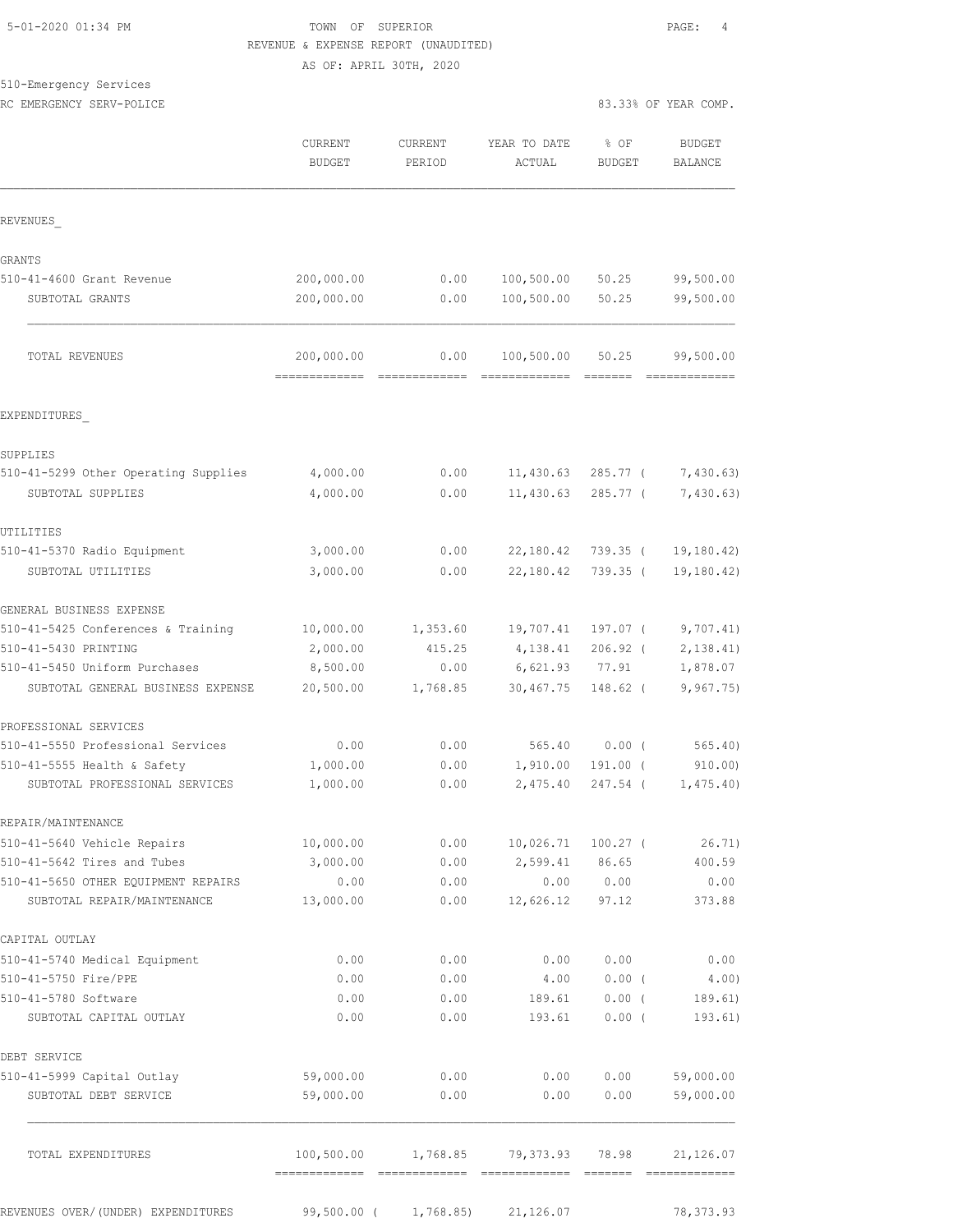## TOWN OF SUPERIOR **Example 2010** PAGE: 4 REVENUE & EXPENSE REPORT (UNAUDITED) AS OF: APRIL 30TH, 2020

510-Emergency Services

| <b>BUDGET</b> | <b>CURRENT</b><br>PERIOD                                                             | YEAR TO DATE<br>ACTUAL                                         | % OF<br>BUDGET                                                        | <b>BUDGET</b><br>BALANCE                                                                                                                                                                               |
|---------------|--------------------------------------------------------------------------------------|----------------------------------------------------------------|-----------------------------------------------------------------------|--------------------------------------------------------------------------------------------------------------------------------------------------------------------------------------------------------|
|               |                                                                                      |                                                                |                                                                       |                                                                                                                                                                                                        |
|               |                                                                                      |                                                                |                                                                       |                                                                                                                                                                                                        |
|               | 0.00                                                                                 | 100,500.00                                                     | 50.25                                                                 | 99,500.00                                                                                                                                                                                              |
| 200,000.00    | 0.00                                                                                 | 100,500.00                                                     | 50.25                                                                 | 99,500.00                                                                                                                                                                                              |
| 200,000.00    | 0.00                                                                                 | 100,500.00                                                     | 50.25                                                                 | 99,500.00                                                                                                                                                                                              |
|               |                                                                                      |                                                                |                                                                       |                                                                                                                                                                                                        |
|               |                                                                                      |                                                                |                                                                       |                                                                                                                                                                                                        |
| 4,000.00      | 0.00                                                                                 |                                                                | 285.77 (                                                              | 7,430.63                                                                                                                                                                                               |
| 4,000.00      | 0.00                                                                                 | 11,430.63                                                      | $285.77$ (                                                            | 7,430.63)                                                                                                                                                                                              |
|               |                                                                                      |                                                                |                                                                       |                                                                                                                                                                                                        |
| 3,000.00      | 0.00                                                                                 | 22,180.42                                                      | $739.35$ (                                                            | 19, 180.42<br>19, 180.42)                                                                                                                                                                              |
|               |                                                                                      |                                                                |                                                                       |                                                                                                                                                                                                        |
| 10,000.00     | 1,353.60                                                                             |                                                                | 197.07 (                                                              | 9,707.41)                                                                                                                                                                                              |
| 2,000.00      | 415.25                                                                               | 4,138.41                                                       | $206.92$ (                                                            | 2, 138.41                                                                                                                                                                                              |
| 8,500.00      | 0.00                                                                                 | 6,621.93                                                       | 77.91                                                                 | 1,878.07                                                                                                                                                                                               |
|               |                                                                                      |                                                                |                                                                       | 9,967.75                                                                                                                                                                                               |
|               |                                                                                      |                                                                |                                                                       |                                                                                                                                                                                                        |
|               |                                                                                      |                                                                |                                                                       | 565.40                                                                                                                                                                                                 |
| 1,000.00      | 0.00                                                                                 | 2,475.40                                                       | 247.54 (                                                              | 910.00<br>1,475.40                                                                                                                                                                                     |
|               |                                                                                      |                                                                |                                                                       |                                                                                                                                                                                                        |
| 10,000.00     |                                                                                      |                                                                | 100.27 (                                                              | 26.71)                                                                                                                                                                                                 |
| 3,000.00      | 0.00                                                                                 |                                                                |                                                                       | 400.59                                                                                                                                                                                                 |
| 0.00          | 0.00                                                                                 |                                                                |                                                                       | 0.00                                                                                                                                                                                                   |
|               |                                                                                      |                                                                |                                                                       | 373.88                                                                                                                                                                                                 |
|               |                                                                                      |                                                                |                                                                       |                                                                                                                                                                                                        |
| 0.00          | 0.00                                                                                 | 0.00                                                           | 0.00                                                                  | 0.00                                                                                                                                                                                                   |
|               |                                                                                      |                                                                |                                                                       | 4.00)                                                                                                                                                                                                  |
| 0.00          | 0.00                                                                                 | 193.61                                                         | 0.00(                                                                 | 189.61)<br>193.61)                                                                                                                                                                                     |
|               |                                                                                      |                                                                |                                                                       |                                                                                                                                                                                                        |
| 59,000.00     | 0.00                                                                                 |                                                                | 0.00                                                                  | 59,000.00                                                                                                                                                                                              |
| 59,000.00     | 0.00                                                                                 | 0.00                                                           | 0.00                                                                  | 59,000.00                                                                                                                                                                                              |
|               |                                                                                      |                                                                | 78.98                                                                 | 21,126.07<br>=============                                                                                                                                                                             |
|               | 200,000.00<br>3,000.00<br>20,500.00<br>0.00<br>1,000.00<br>13,000.00<br>0.00<br>0.00 | 0.00<br>1,768.85<br>0.00<br>0.00<br>0.00<br>0.00<br>100,500.00 | 30,467.75<br>565.40<br>1,910.00<br>0.00<br>4.00<br>189.61<br>1,768.85 | 11,430.63<br>22,180.42<br>739.35 (<br>19,707.41<br>148.62 (<br>$0.00$ (<br>191.00 (<br>$0.00$ 10,026.71<br>2,599.41 86.65<br>0.00 0.00<br>12,626.12 97.12<br>$0.00$ (<br>$0.00$ (<br>0.00<br>79,373.93 |

REVENUES OVER/(UNDER) EXPENDITURES 99,500.00 ( 1,768.85) 21,126.07 78,373.93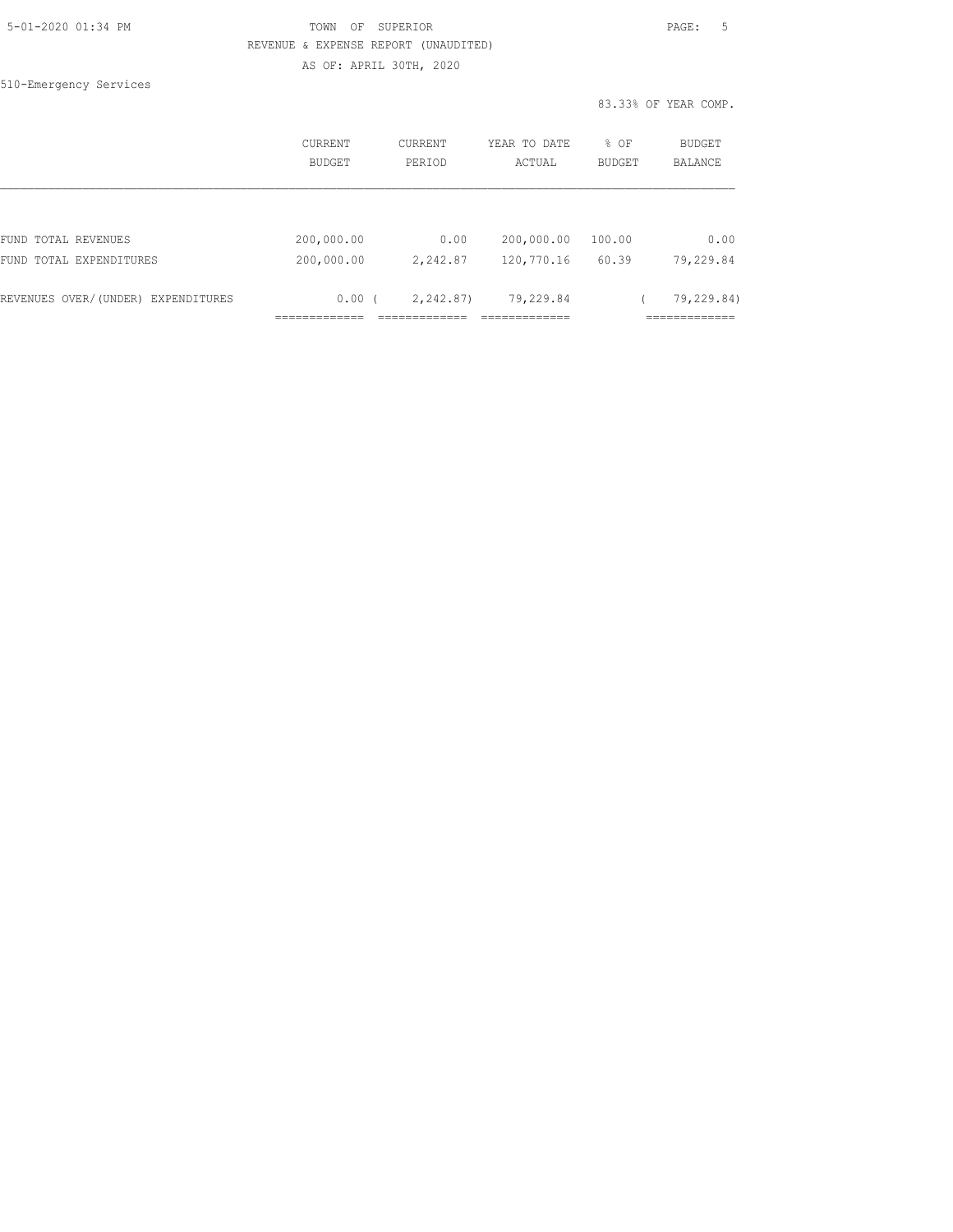| 5-01-2020 01:34 PM |  |
|--------------------|--|
|                    |  |

510-Emergency Services

## TOWN OF SUPERIOR **Example 2010** PAGE: 5 REVENUE & EXPENSE REPORT (UNAUDITED) AS OF: APRIL 30TH, 2020

83.33% OF YEAR COMP.

|                                    | CURRENT<br>BUDGET | CURRENT<br>PERIOD | YEAR TO DATE<br>ACTUAL | % OF<br><b>BUDGET</b> | BUDGET<br>BALANCE |
|------------------------------------|-------------------|-------------------|------------------------|-----------------------|-------------------|
|                                    |                   |                   |                        |                       |                   |
| FUND TOTAL REVENUES                | 200,000.00        | 0.00              | 200,000.00             | 100.00                | 0.00              |
| FUND TOTAL EXPENDITURES            | 200,000.00        | 2,242.87          | 120,770.16             | 60.39                 | 79,229.84         |
| REVENUES OVER/(UNDER) EXPENDITURES | 0.00(             | 2,242.87)         | 79,229.84              |                       | 79,229.84)        |
|                                    |                   |                   |                        |                       |                   |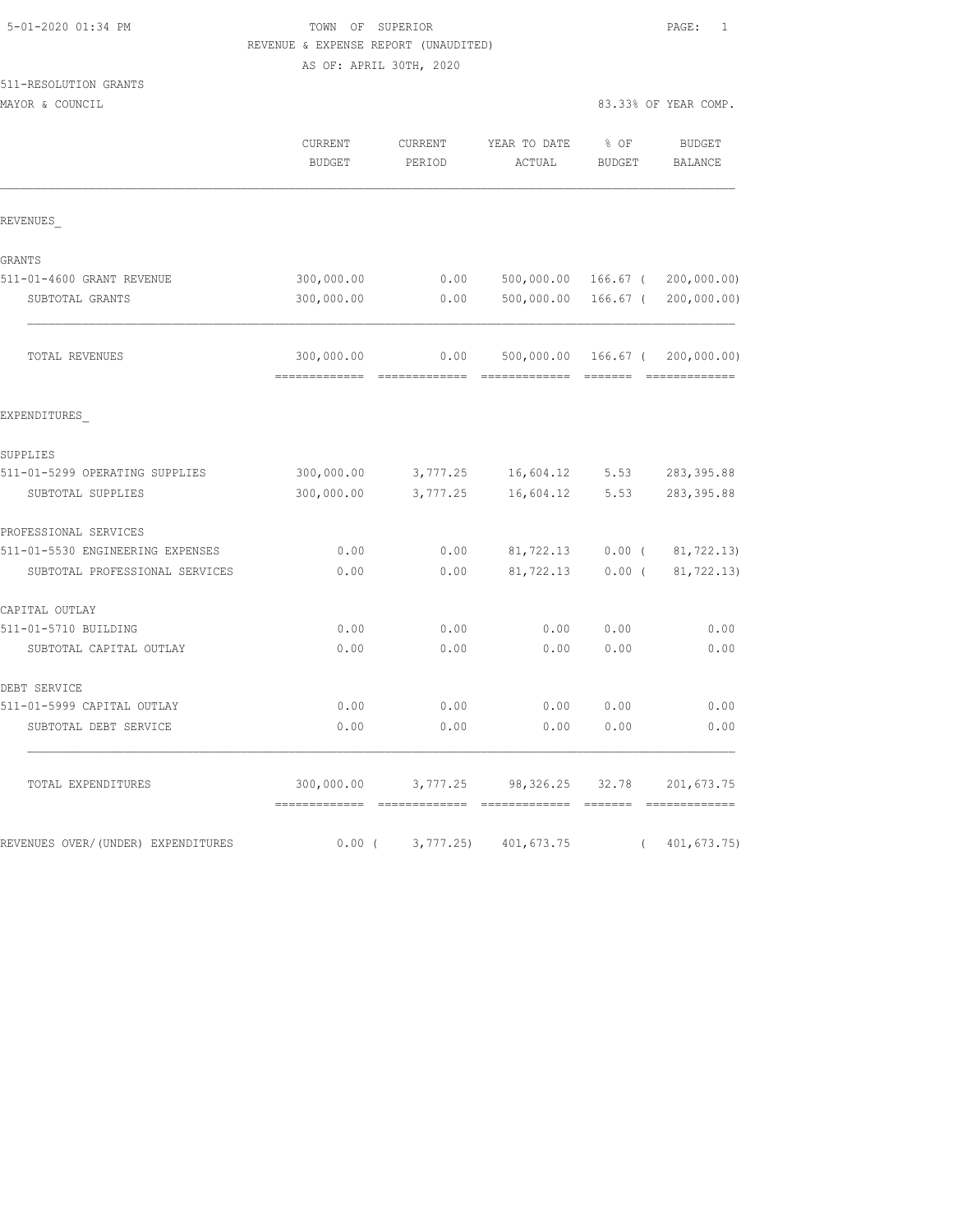## TOWN OF SUPERIOR **PAGE:** 1 REVENUE & EXPENSE REPORT (UNAUDITED) AS OF: APRIL 30TH, 2020

| 511-RESOLUTION GRANTS            |                |                       |                                    |                                                                                                                                                                                                                                                                                                                                                                                                                                                                                        |                                 |
|----------------------------------|----------------|-----------------------|------------------------------------|----------------------------------------------------------------------------------------------------------------------------------------------------------------------------------------------------------------------------------------------------------------------------------------------------------------------------------------------------------------------------------------------------------------------------------------------------------------------------------------|---------------------------------|
| MAYOR & COUNCIL                  |                |                       |                                    | 83.33% OF YEAR COMP.                                                                                                                                                                                                                                                                                                                                                                                                                                                                   |                                 |
|                                  | <b>CURRENT</b> | CURRENT               | YEAR TO DATE                       | $8$ OF                                                                                                                                                                                                                                                                                                                                                                                                                                                                                 | <b>BUDGET</b>                   |
|                                  | BUDGET         | PERIOD                | ACTUAL                             | <b>BUDGET</b>                                                                                                                                                                                                                                                                                                                                                                                                                                                                          | BALANCE                         |
| REVENUES                         |                |                       |                                    |                                                                                                                                                                                                                                                                                                                                                                                                                                                                                        |                                 |
| GRANTS                           |                |                       |                                    |                                                                                                                                                                                                                                                                                                                                                                                                                                                                                        |                                 |
| 511-01-4600 GRANT REVENUE        | 300,000.00     | 0.00                  |                                    |                                                                                                                                                                                                                                                                                                                                                                                                                                                                                        | 500,000.00 166.67 ( 200,000.00) |
| SUBTOTAL GRANTS                  | 300,000.00     | 0.00                  |                                    |                                                                                                                                                                                                                                                                                                                                                                                                                                                                                        | 500,000.00 166.67 ( 200,000.00) |
| TOTAL REVENUES                   | 300,000.00     | 0.00<br>============= | =============                      | $\begin{array}{cccccccccc} \multicolumn{2}{c}{} & \multicolumn{2}{c}{} & \multicolumn{2}{c}{} & \multicolumn{2}{c}{} & \multicolumn{2}{c}{} & \multicolumn{2}{c}{} & \multicolumn{2}{c}{} & \multicolumn{2}{c}{} & \multicolumn{2}{c}{} & \multicolumn{2}{c}{} & \multicolumn{2}{c}{} & \multicolumn{2}{c}{} & \multicolumn{2}{c}{} & \multicolumn{2}{c}{} & \multicolumn{2}{c}{} & \multicolumn{2}{c}{} & \multicolumn{2}{c}{} & \multicolumn{2}{c}{} & \multicolumn{2}{c}{} & \mult$ | 500,000.00 166.67 ( 200,000.00) |
| EXPENDITURES                     |                |                       |                                    |                                                                                                                                                                                                                                                                                                                                                                                                                                                                                        |                                 |
| SUPPLIES                         |                |                       |                                    |                                                                                                                                                                                                                                                                                                                                                                                                                                                                                        |                                 |
| 511-01-5299 OPERATING SUPPLIES   |                |                       | 300,000.00 3,777.25 16,604.12 5.53 |                                                                                                                                                                                                                                                                                                                                                                                                                                                                                        | 283, 395.88                     |
| SUBTOTAL SUPPLIES                | 300,000.00     | 3,777.25              | 16,604.12                          | 5.53                                                                                                                                                                                                                                                                                                                                                                                                                                                                                   | 283, 395.88                     |
| PROFESSIONAL SERVICES            |                |                       |                                    |                                                                                                                                                                                                                                                                                                                                                                                                                                                                                        |                                 |
| 511-01-5530 PMCIMPPDIMC PYDPMOPO |                |                       |                                    |                                                                                                                                                                                                                                                                                                                                                                                                                                                                                        |                                 |

| PROFESSIONAL SERVICES              |            |          |            |            |             |
|------------------------------------|------------|----------|------------|------------|-------------|
| 511-01-5530 ENGINEERING EXPENSES   | 0.00       | 0.00     | 81,722.13  | $0.00$ (   | 81,722.13)  |
| SUBTOTAL PROFESSIONAL SERVICES     | 0.00       | 0.00     | 81,722.13  | 0.00(      | 81,722.13)  |
| CAPITAL OUTLAY                     |            |          |            |            |             |
| 511-01-5710 BUILDING               | 0.00       | 0.00     | 0.00       | 0.00       | 0.00        |
| SUBTOTAL CAPITAL OUTLAY            | 0.00       | 0.00     | 0.00       | 0.00       | 0.00        |
| DEBT SERVICE                       |            |          |            |            |             |
| 511-01-5999 CAPITAL OUTLAY         | 0.00       | 0.00     | 0.00       | 0.00       | 0.00        |
| SUBTOTAL DEBT SERVICE              | 0.00       | 0.00     | 0.00       | 0.00       | 0.00        |
| TOTAL EXPENDITURES                 | 300,000.00 | 3,777.25 | 98,326.25  | 32.78      | 201, 673.75 |
|                                    |            |          |            |            |             |
| REVENUES OVER/(UNDER) EXPENDITURES | $0.00$ (   | 3,777.25 | 401,673.75 | $\sqrt{2}$ | 401,673.75) |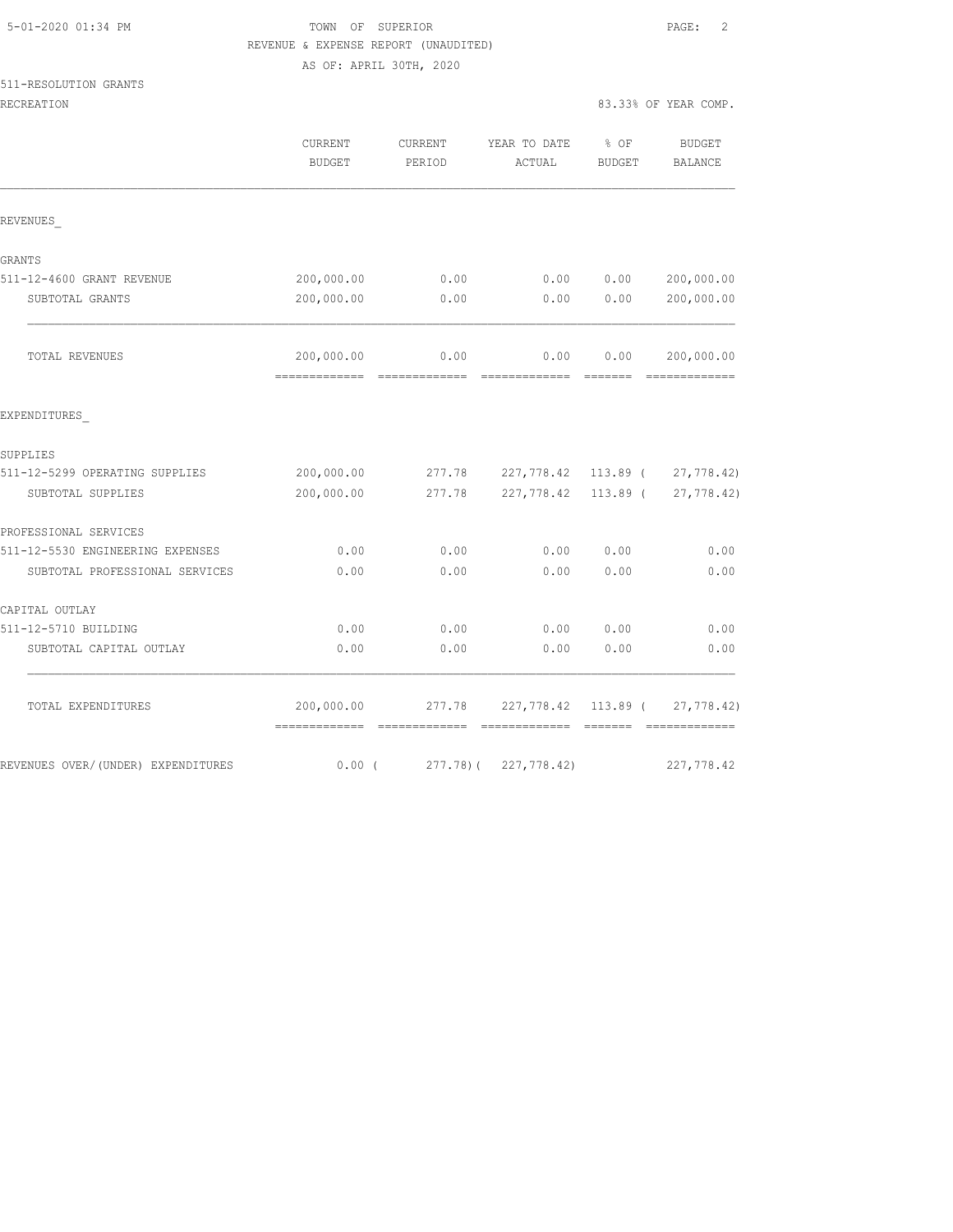| 5-01-2020 01:34 PM |  |
|--------------------|--|
|                    |  |

## TOWN OF SUPERIOR **EXECUTER** PAGE: 2 REVENUE & EXPENSE REPORT (UNAUDITED) AS OF: APRIL 30TH, 2020

## 511-RESOLUTION GRANTS

| RECREATION                         |                                             |                   |                                       | 83.33% OF YEAR COMP. |                                |
|------------------------------------|---------------------------------------------|-------------------|---------------------------------------|----------------------|--------------------------------|
|                                    | <b>CURRENT</b><br>BUDGET                    | CURRENT<br>PERIOD | YEAR TO DATE<br>ACTUAL                | $8$ OF<br>BUDGET     | <b>BUDGET</b><br>BALANCE       |
| REVENUES                           |                                             |                   |                                       |                      |                                |
| GRANTS                             |                                             |                   |                                       |                      |                                |
| 511-12-4600 GRANT REVENUE          | 200,000.00                                  | 0.00              | 0.00                                  | 0.00                 | 200,000.00                     |
| SUBTOTAL GRANTS                    | 200,000.00                                  | 0.00              | 0.00                                  | 0.00                 | 200,000.00                     |
| TOTAL REVENUES                     | 200,000.00                                  | 0.00              | 0.00                                  | 0.00                 | 200,000.00                     |
| EXPENDITURES                       |                                             |                   |                                       |                      |                                |
| SUPPLIES                           |                                             |                   |                                       |                      |                                |
| 511-12-5299 OPERATING SUPPLIES     | 200,000.00                                  |                   | 277.78 227,778.42 113.89 ( 27,778.42) |                      |                                |
| SUBTOTAL SUPPLIES                  | 200,000.00                                  | 277.78            | 227,778.42                            | 113.89 (             | 27,778.42)                     |
| PROFESSIONAL SERVICES              |                                             |                   |                                       |                      |                                |
| 511-12-5530 ENGINEERING EXPENSES   | 0.00                                        | 0.00              | 0.00                                  | 0.00                 | 0.00                           |
| SUBTOTAL PROFESSIONAL SERVICES     | 0.00                                        | 0.00              | 0.00                                  | 0.00                 | 0.00                           |
| CAPITAL OUTLAY                     |                                             |                   |                                       |                      |                                |
| 511-12-5710 BUILDING               | 0.00                                        | 0.00              | 0.00                                  | 0.00                 | 0.00                           |
| SUBTOTAL CAPITAL OUTLAY            | 0.00                                        | 0.00              | 0.00                                  | 0.00                 | 0.00                           |
| TOTAL EXPENDITURES                 | 200,000.00<br>-------------- -------------- | 277.78            |                                       |                      | 227,778.42 113.89 ( 27,778.42) |
| REVENUES OVER/(UNDER) EXPENDITURES | $0.00$ (                                    |                   | 277.78) ( 227,778.42)                 |                      | 227,778.42                     |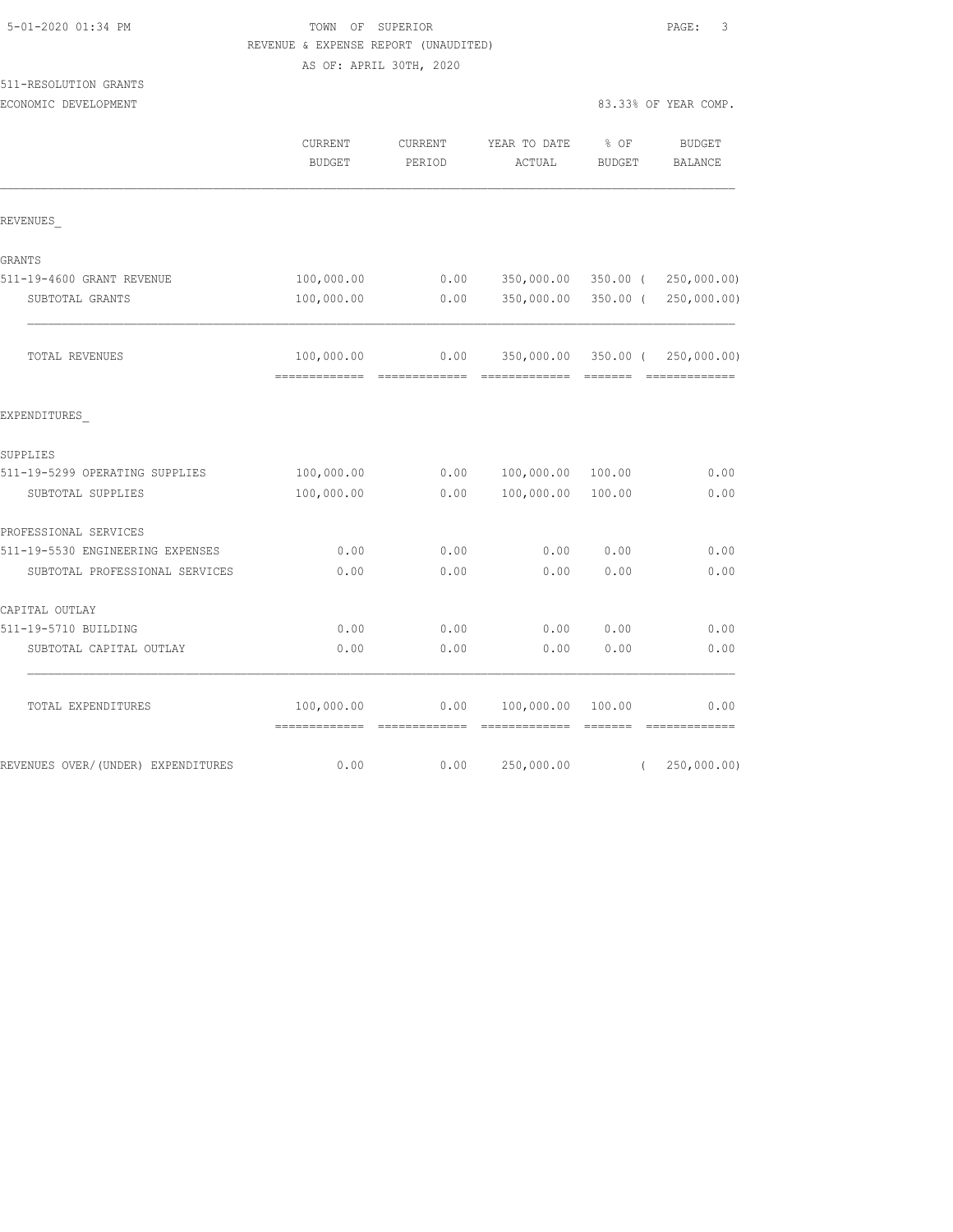|                                  | REVENUE & EXPENSE REPORT (UNAUDITED) |                         |                          |                                                                                                                                                                                                                                                                                                                                                                                                                                                                                        |                                 |
|----------------------------------|--------------------------------------|-------------------------|--------------------------|----------------------------------------------------------------------------------------------------------------------------------------------------------------------------------------------------------------------------------------------------------------------------------------------------------------------------------------------------------------------------------------------------------------------------------------------------------------------------------------|---------------------------------|
|                                  |                                      | AS OF: APRIL 30TH, 2020 |                          |                                                                                                                                                                                                                                                                                                                                                                                                                                                                                        |                                 |
| 511-RESOLUTION GRANTS            |                                      |                         |                          |                                                                                                                                                                                                                                                                                                                                                                                                                                                                                        |                                 |
| ECONOMIC DEVELOPMENT             |                                      |                         |                          |                                                                                                                                                                                                                                                                                                                                                                                                                                                                                        | 83.33% OF YEAR COMP.            |
|                                  | CURRENT                              | CURRENT                 | YEAR TO DATE             | % OF                                                                                                                                                                                                                                                                                                                                                                                                                                                                                   | <b>BUDGET</b>                   |
|                                  | <b>BUDGET</b>                        | PERIOD                  | ACTUAL                   | <b>BUDGET</b>                                                                                                                                                                                                                                                                                                                                                                                                                                                                          | <b>BALANCE</b>                  |
| REVENUES                         |                                      |                         |                          |                                                                                                                                                                                                                                                                                                                                                                                                                                                                                        |                                 |
| GRANTS                           |                                      |                         |                          |                                                                                                                                                                                                                                                                                                                                                                                                                                                                                        |                                 |
| 511-19-4600 GRANT REVENUE        | 100,000.00                           | 0.00                    | 350,000.00               |                                                                                                                                                                                                                                                                                                                                                                                                                                                                                        | 350.00 ( 250,000.00)            |
| SUBTOTAL GRANTS                  | 100,000.00                           | 0.00                    | 350,000.00               |                                                                                                                                                                                                                                                                                                                                                                                                                                                                                        | 350.00 ( 250,000.00)            |
| TOTAL REVENUES                   | 100,000.00<br>-----------            | 0.00<br>_______________ | ======================== |                                                                                                                                                                                                                                                                                                                                                                                                                                                                                        | 350,000.00 350.00 ( 250,000.00) |
| EXPENDITURES                     |                                      |                         |                          |                                                                                                                                                                                                                                                                                                                                                                                                                                                                                        |                                 |
| SUPPLIES                         |                                      |                         |                          |                                                                                                                                                                                                                                                                                                                                                                                                                                                                                        |                                 |
| 511-19-5299 OPERATING SUPPLIES   | 100,000.00                           | 0.00                    | 100,000.00               | 100.00                                                                                                                                                                                                                                                                                                                                                                                                                                                                                 | 0.00                            |
| SUBTOTAL SUPPLIES                | 100,000.00                           | 0.00                    | 100,000.00               | 100.00                                                                                                                                                                                                                                                                                                                                                                                                                                                                                 | 0.00                            |
| PROFESSIONAL SERVICES            |                                      |                         |                          |                                                                                                                                                                                                                                                                                                                                                                                                                                                                                        |                                 |
| 511-19-5530 ENGINEERING EXPENSES | 0.00                                 | 0.00                    | 0.00                     | 0.00                                                                                                                                                                                                                                                                                                                                                                                                                                                                                   | 0.00                            |
| SUBTOTAL PROFESSIONAL SERVICES   | 0.00                                 | 0.00                    | 0.00                     | 0.00                                                                                                                                                                                                                                                                                                                                                                                                                                                                                   | 0.00                            |
| CAPITAL OUTLAY                   |                                      |                         |                          |                                                                                                                                                                                                                                                                                                                                                                                                                                                                                        |                                 |
| 511-19-5710 BUILDING             | 0.00                                 | 0.00                    | 0.00                     | 0.00                                                                                                                                                                                                                                                                                                                                                                                                                                                                                   | 0.00                            |
| SUBTOTAL CAPITAL OUTLAY          | 0.00                                 | 0.00                    | 0.00                     | 0.00                                                                                                                                                                                                                                                                                                                                                                                                                                                                                   | 0.00                            |
| TOTAL EXPENDITURES               | 100,000.00                           | 0.00                    | 100,000.00               | 100.00                                                                                                                                                                                                                                                                                                                                                                                                                                                                                 | 0.00                            |
|                                  | =============                        | =============           | =============            | $\begin{array}{cccccccccc} \multicolumn{2}{c}{} & \multicolumn{2}{c}{} & \multicolumn{2}{c}{} & \multicolumn{2}{c}{} & \multicolumn{2}{c}{} & \multicolumn{2}{c}{} & \multicolumn{2}{c}{} & \multicolumn{2}{c}{} & \multicolumn{2}{c}{} & \multicolumn{2}{c}{} & \multicolumn{2}{c}{} & \multicolumn{2}{c}{} & \multicolumn{2}{c}{} & \multicolumn{2}{c}{} & \multicolumn{2}{c}{} & \multicolumn{2}{c}{} & \multicolumn{2}{c}{} & \multicolumn{2}{c}{} & \multicolumn{2}{c}{} & \mult$ | =============                   |

REVENUES OVER/(UNDER) EXPENDITURES 6.00 0.00 0.00 0.00 250,000.00 (250,000.00)

5-01-2020 01:34 PM TOWN OF SUPERIOR PAGE: 3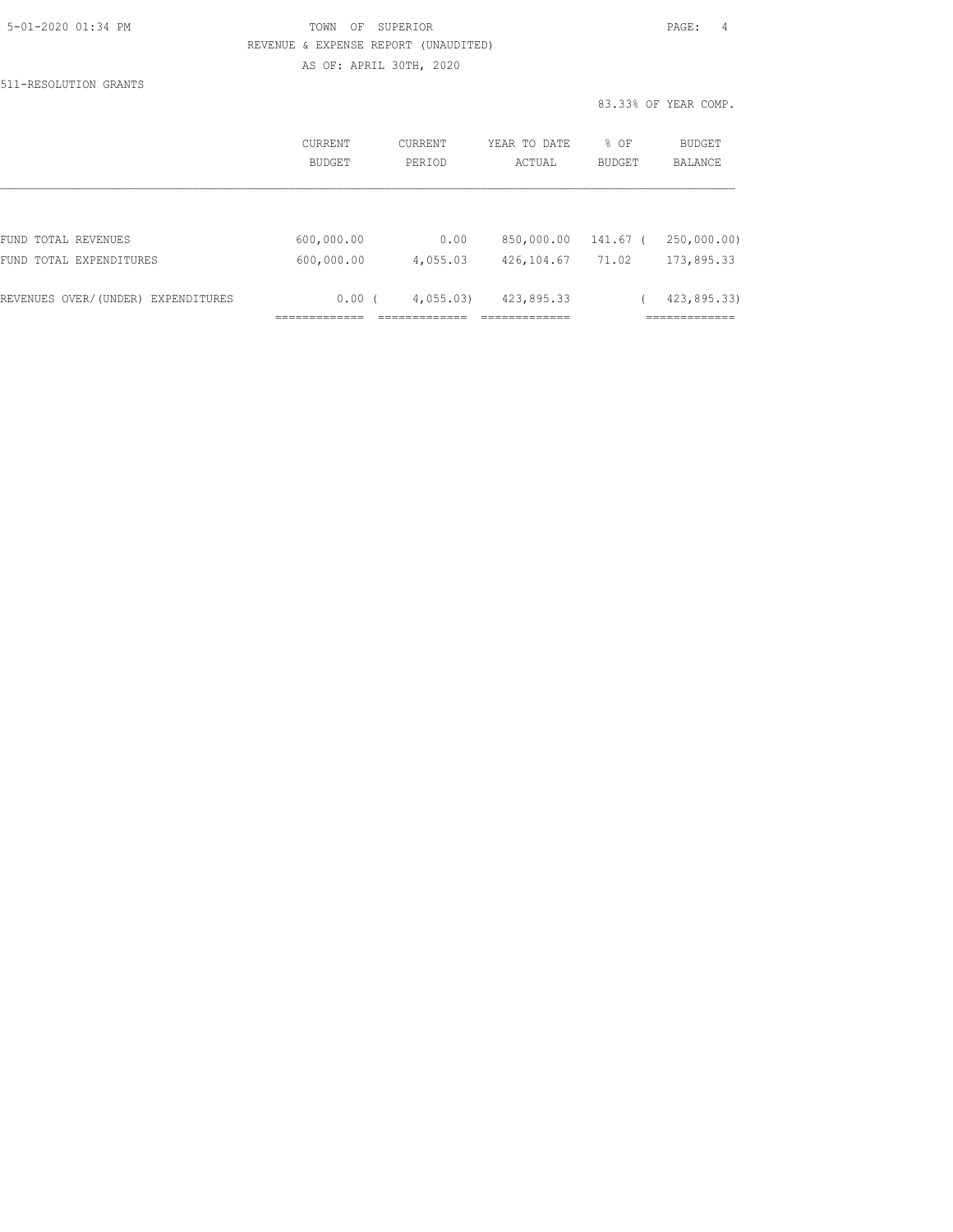| 5-01-2020 01:34 PM |  |
|--------------------|--|
|                    |  |

## TOWN OF SUPERIOR **Example 2010** PAGE: 4 REVENUE & EXPENSE REPORT (UNAUDITED) AS OF: APRIL 30TH, 2020

511-RESOLUTION GRANTS

83.33% OF YEAR COMP.

|                                    | <b>CURRENT</b><br>BUDGET | CURRENT<br>PERTOD | YEAR TO DATE<br>ACTUAL | % OF<br><b>BUDGET</b> | BUDGET<br><b>BALANCE</b> |
|------------------------------------|--------------------------|-------------------|------------------------|-----------------------|--------------------------|
|                                    |                          |                   |                        |                       |                          |
| FUND TOTAL REVENUES                | 600,000.00               | 0.00              | 850,000.00             | 141.67 <sub>0</sub>   | 250,000.00)              |
| FUND TOTAL EXPENDITURES            | 600,000.00               | 4,055.03          | 426,104.67             | 71.02                 | 173,895.33               |
| REVENUES OVER/(UNDER) EXPENDITURES | $0.00$ (                 | 4,055.03          | 423,895.33             |                       | 423,895.33)              |
|                                    |                          |                   |                        |                       |                          |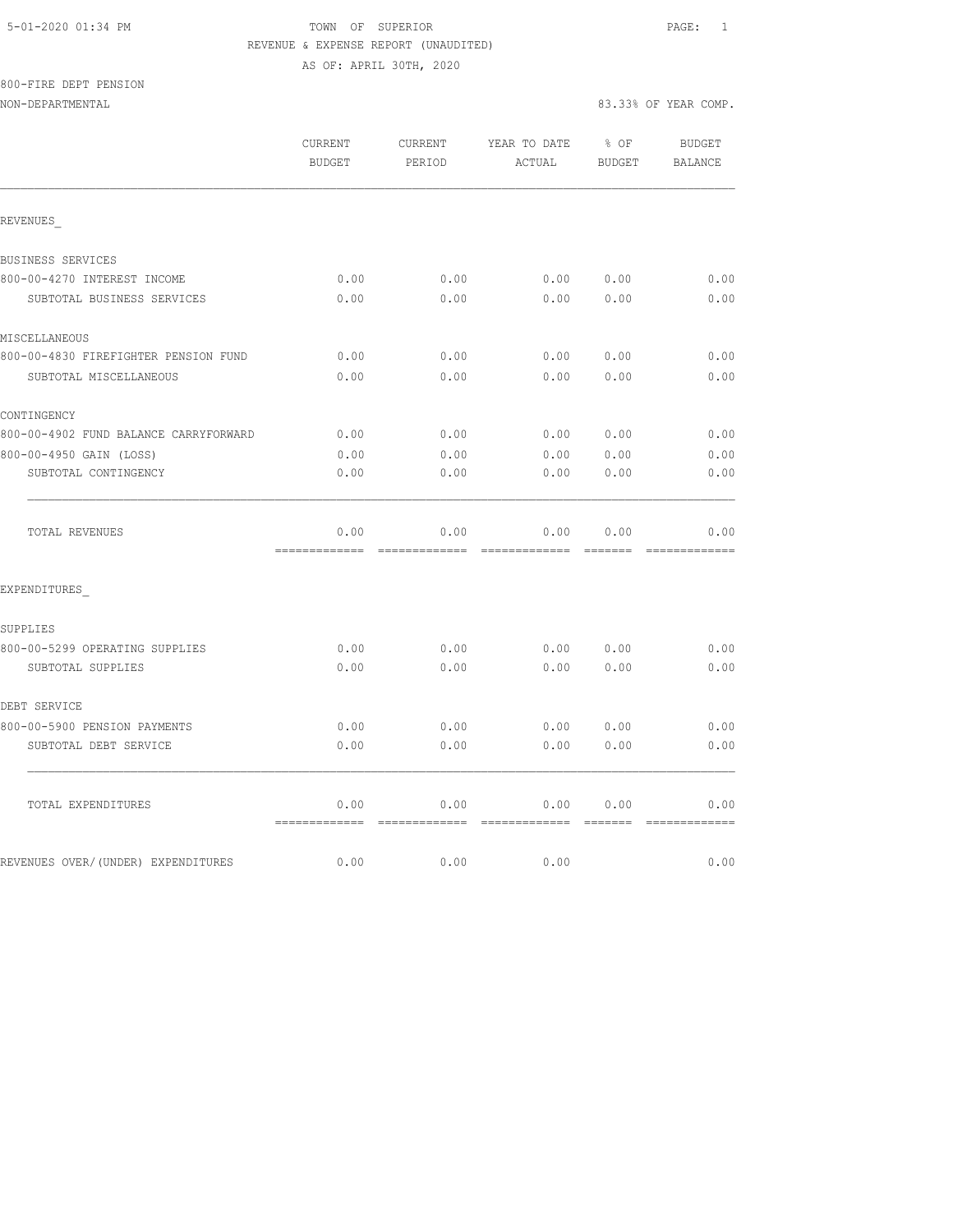## 5-01-2020 01:34 PM TOWN OF SUPERIOR PAGE: 1 REVENUE & EXPENSE REPORT (UNAUDITED) AS OF: APRIL 30TH, 2020

800-FIRE DEPT PENSION

|                                       | CURRENT<br><b>BUDGET</b>                | CURRENT<br>PERIOD     | YEAR TO DATE<br>ACTUAL | $8$ OF<br><b>BUDGET</b> | <b>BUDGET</b><br>BALANCE                                                                                                                                                                                                                                                                                                                                                                                                                                                                       |
|---------------------------------------|-----------------------------------------|-----------------------|------------------------|-------------------------|------------------------------------------------------------------------------------------------------------------------------------------------------------------------------------------------------------------------------------------------------------------------------------------------------------------------------------------------------------------------------------------------------------------------------------------------------------------------------------------------|
| REVENUES                              |                                         |                       |                        |                         |                                                                                                                                                                                                                                                                                                                                                                                                                                                                                                |
| BUSINESS SERVICES                     |                                         |                       |                        |                         |                                                                                                                                                                                                                                                                                                                                                                                                                                                                                                |
| 800-00-4270 INTEREST INCOME           | 0.00                                    | 0.00                  | 0.00                   | 0.00                    | 0.00                                                                                                                                                                                                                                                                                                                                                                                                                                                                                           |
| SUBTOTAL BUSINESS SERVICES            | 0.00                                    | 0.00                  | 0.00                   | 0.00                    | 0.00                                                                                                                                                                                                                                                                                                                                                                                                                                                                                           |
| MISCELLANEOUS                         |                                         |                       |                        |                         |                                                                                                                                                                                                                                                                                                                                                                                                                                                                                                |
| 800-00-4830 FIREFIGHTER PENSION FUND  | 0.00                                    | 0.00                  | 0.00                   | 0.00                    | 0.00                                                                                                                                                                                                                                                                                                                                                                                                                                                                                           |
| SUBTOTAL MISCELLANEOUS                | 0.00                                    | 0.00                  | 0.00                   | 0.00                    | 0.00                                                                                                                                                                                                                                                                                                                                                                                                                                                                                           |
| CONTINGENCY                           |                                         |                       |                        |                         |                                                                                                                                                                                                                                                                                                                                                                                                                                                                                                |
| 800-00-4902 FUND BALANCE CARRYFORWARD | 0.00                                    | 0.00                  | 0.00                   | 0.00                    | 0.00                                                                                                                                                                                                                                                                                                                                                                                                                                                                                           |
| 800-00-4950 GAIN (LOSS)               | 0.00                                    | 0.00                  | 0.00                   | 0.00                    | 0.00                                                                                                                                                                                                                                                                                                                                                                                                                                                                                           |
| SUBTOTAL CONTINGENCY                  | 0.00                                    | 0.00                  | 0.00                   | 0.00                    | 0.00                                                                                                                                                                                                                                                                                                                                                                                                                                                                                           |
| TOTAL REVENUES                        | 0.00<br>=============================== | 0.00                  | 0.00                   | 0.00                    | 0.00<br>$\begin{array}{cccccccccccccc} \multicolumn{2}{c}{} & \multicolumn{2}{c}{} & \multicolumn{2}{c}{} & \multicolumn{2}{c}{} & \multicolumn{2}{c}{} & \multicolumn{2}{c}{} & \multicolumn{2}{c}{} & \multicolumn{2}{c}{} & \multicolumn{2}{c}{} & \multicolumn{2}{c}{} & \multicolumn{2}{c}{} & \multicolumn{2}{c}{} & \multicolumn{2}{c}{} & \multicolumn{2}{c}{} & \multicolumn{2}{c}{} & \multicolumn{2}{c}{} & \multicolumn{2}{c}{} & \multicolumn{2}{c}{} & \multicolumn{2}{c}{} & \$ |
| EXPENDITURES                          |                                         |                       |                        |                         |                                                                                                                                                                                                                                                                                                                                                                                                                                                                                                |
| SUPPLIES                              |                                         |                       |                        |                         |                                                                                                                                                                                                                                                                                                                                                                                                                                                                                                |
| 800-00-5299 OPERATING SUPPLIES        | 0.00                                    | 0.00                  | 0.00                   | 0.00                    | 0.00                                                                                                                                                                                                                                                                                                                                                                                                                                                                                           |
| SUBTOTAL SUPPLIES                     | 0.00                                    | 0.00                  | 0.00                   | 0.00                    | 0.00                                                                                                                                                                                                                                                                                                                                                                                                                                                                                           |
| DEBT SERVICE                          |                                         |                       |                        |                         |                                                                                                                                                                                                                                                                                                                                                                                                                                                                                                |
| 800-00-5900 PENSION PAYMENTS          | 0.00                                    | 0.00                  | 0.00                   | 0.00                    | 0.00                                                                                                                                                                                                                                                                                                                                                                                                                                                                                           |
| SUBTOTAL DEBT SERVICE                 | 0.00                                    | 0.00                  | 0.00                   | 0.00                    | 0.00                                                                                                                                                                                                                                                                                                                                                                                                                                                                                           |
| TOTAL EXPENDITURES                    | 0.00<br>=============                   | 0.00<br>============= | 0.00<br>=============  | 0.00<br>=======         | 0.00                                                                                                                                                                                                                                                                                                                                                                                                                                                                                           |
| REVENUES OVER/(UNDER) EXPENDITURES    | 0.00                                    | 0.00                  | 0.00                   |                         | =============<br>0.00                                                                                                                                                                                                                                                                                                                                                                                                                                                                          |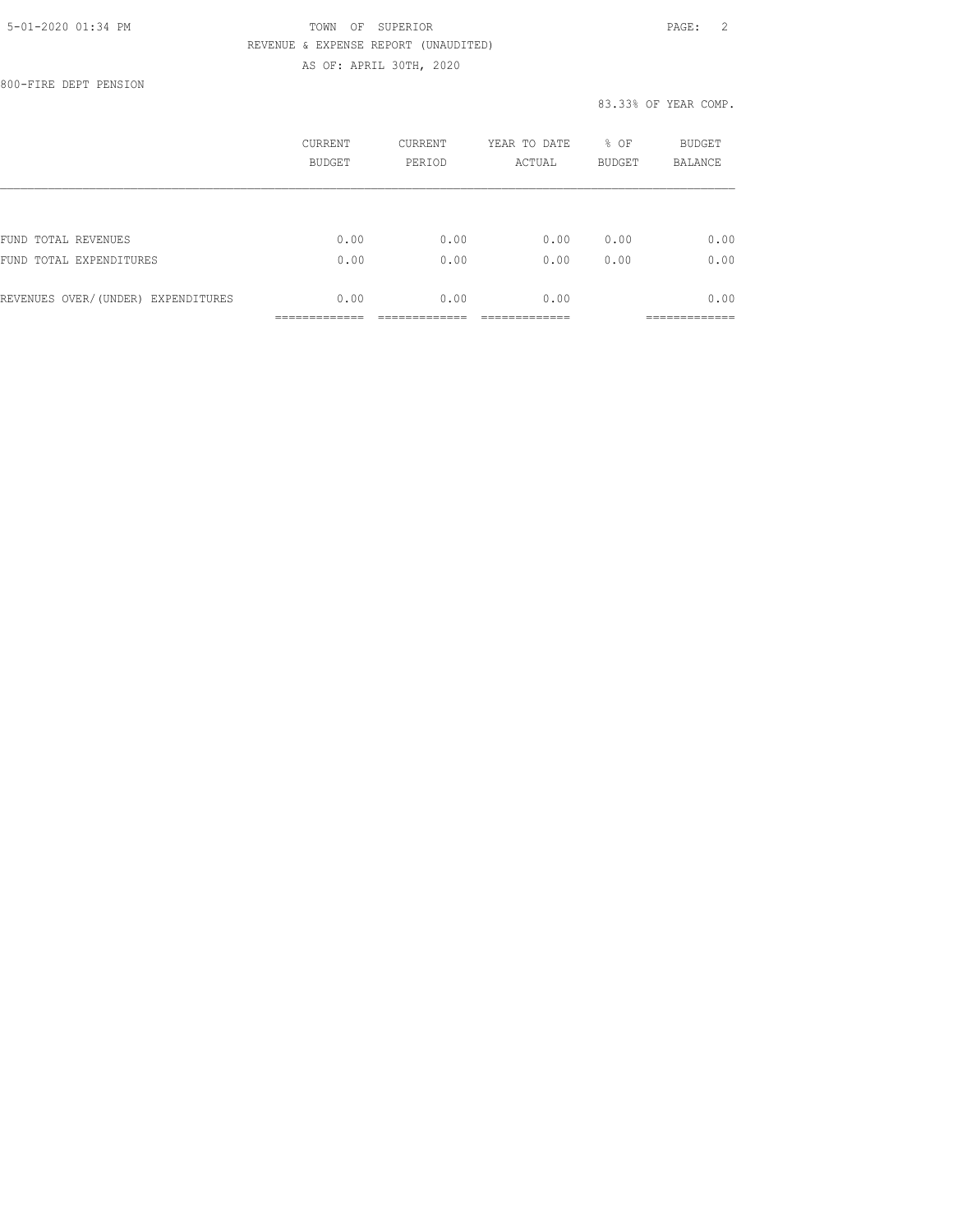## 5-01-2020 01:34 PM TOWN OF SUPERIOR PAGE: 2 REVENUE & EXPENSE REPORT (UNAUDITED) AS OF: APRIL 30TH, 2020

800-FIRE DEPT PENSION

## 83.33% OF YEAR COMP.

|                                    | <b>CURRENT</b><br><b>BUDGET</b> | CURRENT<br>PERIOD | YEAR TO DATE<br>ACTUAL | % OF<br><b>BUDGET</b> | BUDGET<br><b>BALANCE</b> |
|------------------------------------|---------------------------------|-------------------|------------------------|-----------------------|--------------------------|
|                                    |                                 |                   |                        |                       |                          |
| FUND TOTAL REVENUES                | 0.00                            | 0.00              | 0.00                   | 0.00                  | 0.00                     |
| FUND TOTAL EXPENDITURES            | 0.00                            | 0.00              | 0.00                   | 0.00                  | 0.00                     |
| REVENUES OVER/(UNDER) EXPENDITURES | 0.00                            | 0.00              | 0.00                   |                       | 0.00                     |
|                                    |                                 |                   |                        |                       | ___________              |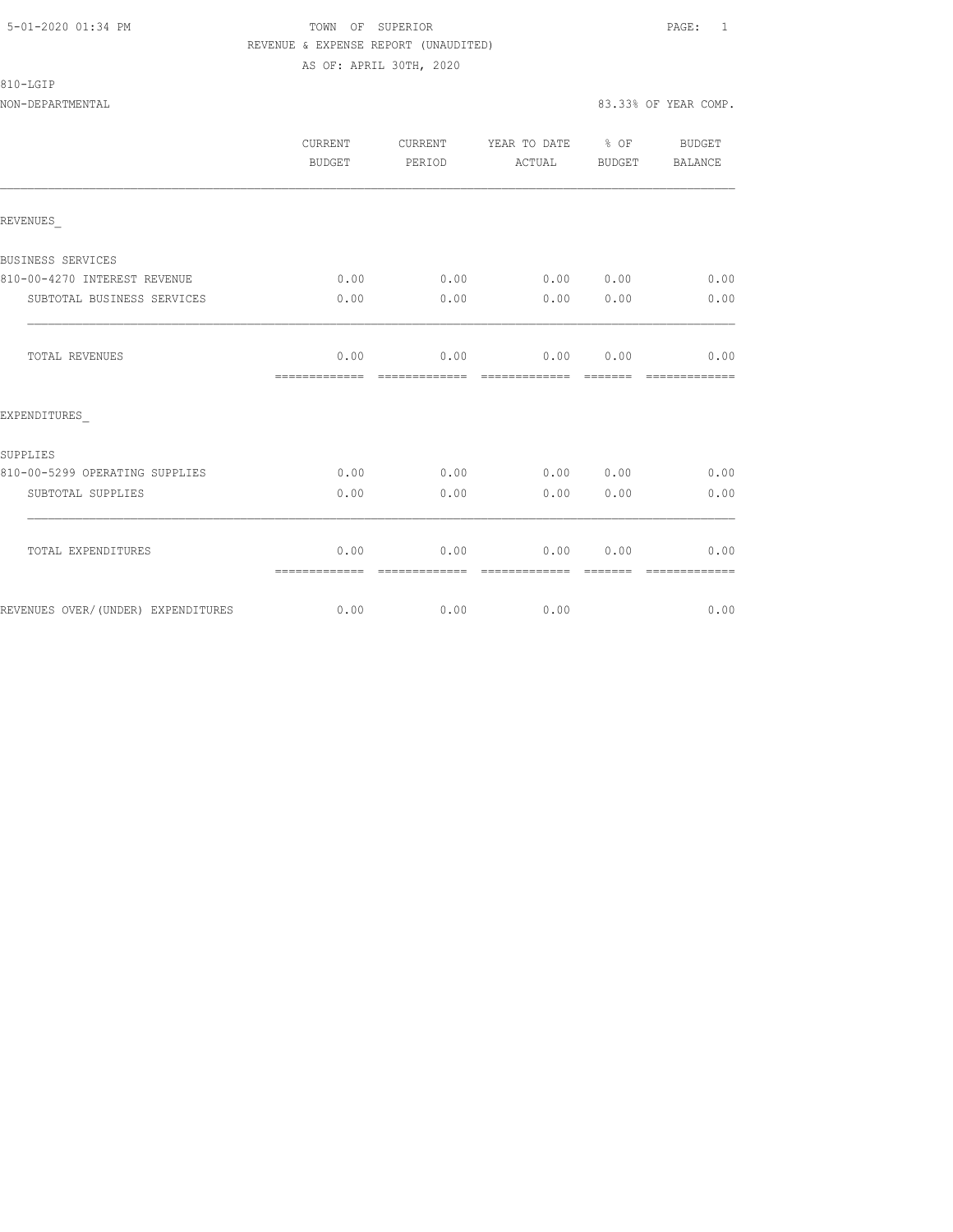## 5-01-2020 01:34 PM TOWN OF SUPERIOR PAGE: 1 REVENUE & EXPENSE REPORT (UNAUDITED) AS OF: APRIL 30TH, 2020

## 810-LGIP

## NON-DEPARTMENTAL 83.33% OF YEAR COMP.

|                                    | CURRENT<br>BUDGET     | <b>CURRENT</b><br>PERIOD | YEAR TO DATE % OF<br>ACTUAL | BUDGET | <b>BUDGET</b><br>BALANCE |
|------------------------------------|-----------------------|--------------------------|-----------------------------|--------|--------------------------|
| REVENUES                           |                       |                          |                             |        |                          |
| BUSINESS SERVICES                  |                       |                          |                             |        |                          |
| 810-00-4270 INTEREST REVENUE       | 0.00                  | 0.00                     | 0.00 0.00                   |        | 0.00                     |
| SUBTOTAL BUSINESS SERVICES         | 0.00                  | 0.00                     | 0.00                        | 0.00   | 0.00                     |
| TOTAL REVENUES                     | 0.00<br>============= | 0.00                     | $0.00$ $0.00$               |        | 0.00<br>-------------    |
| EXPENDITURES                       |                       |                          |                             |        |                          |
| SUPPLIES                           |                       |                          |                             |        |                          |
| 810-00-5299 OPERATING SUPPLIES     | 0.00                  | 0.00                     | 0.00 0.00                   |        | 0.00                     |
| SUBTOTAL SUPPLIES                  | 0.00                  | 0.00                     | 0.00                        | 0.00   | 0.00                     |
| TOTAL EXPENDITURES                 | 0.00<br>============= | 0.00                     | 0.00                        | 0.00   | 0.00                     |
| REVENUES OVER/(UNDER) EXPENDITURES |                       | $0.00$ $0.00$            | 0.00                        |        | 0.00                     |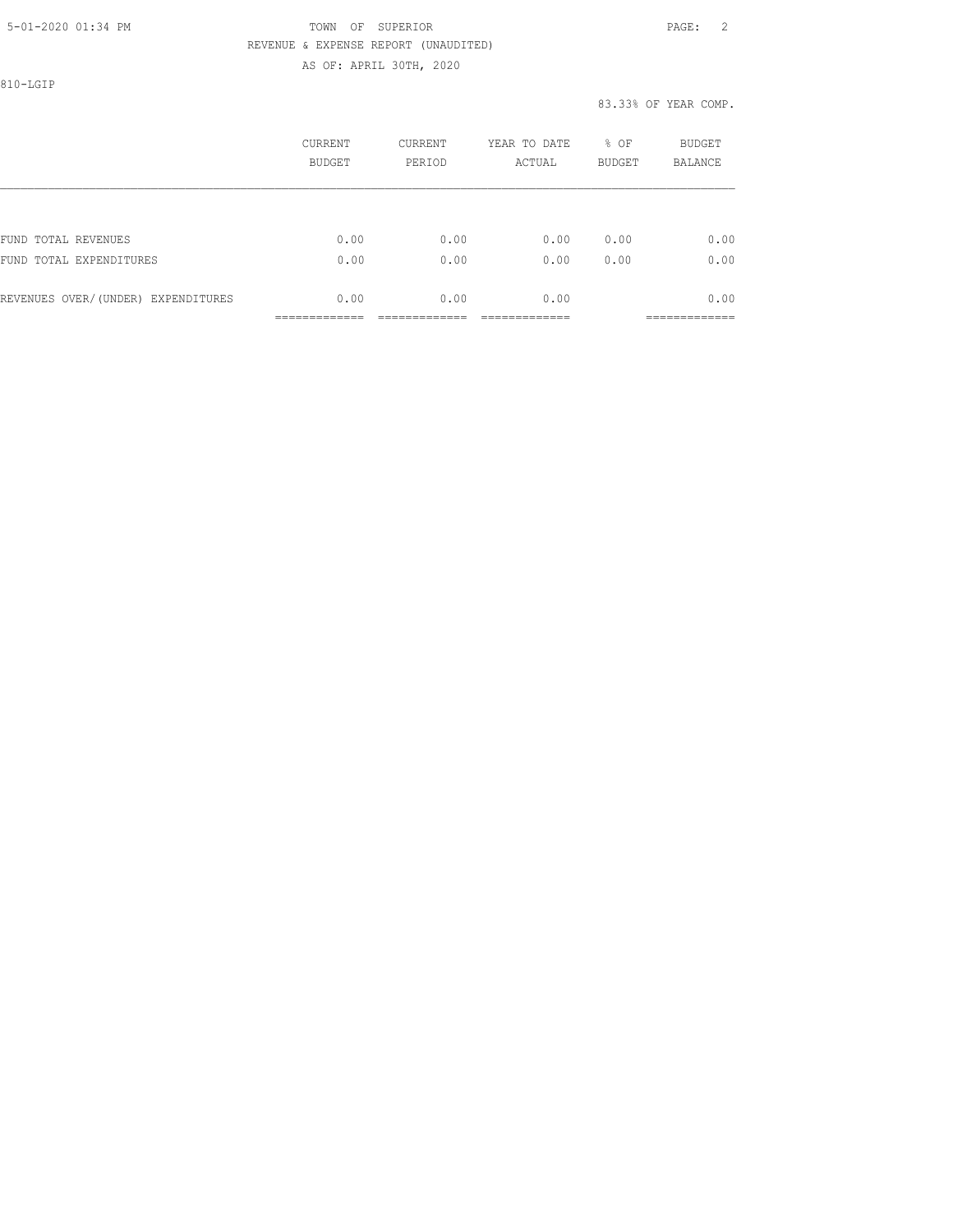## 5-01-2020 01:34 PM TOWN OF SUPERIOR PAGE: 2 REVENUE & EXPENSE REPORT (UNAUDITED) AS OF: APRIL 30TH, 2020

810-LGIP

## 83.33% OF YEAR COMP.

|                                    | CURRENT<br>BUDGET | CURRENT<br>PERIOD | YEAR TO DATE<br>ACTUAL | % OF<br><b>BUDGET</b> | BUDGET<br><b>BALANCE</b> |
|------------------------------------|-------------------|-------------------|------------------------|-----------------------|--------------------------|
|                                    |                   |                   |                        |                       |                          |
| FUND TOTAL REVENUES                | 0.00              | 0.00              | 0.00                   | 0.00                  | 0.00                     |
| FUND TOTAL EXPENDITURES            | 0.00              | 0.00              | 0.00                   | 0.00                  | 0.00                     |
| REVENUES OVER/(UNDER) EXPENDITURES | 0.00              | 0.00              | 0.00                   |                       | 0.00                     |
|                                    |                   |                   |                        |                       | _________                |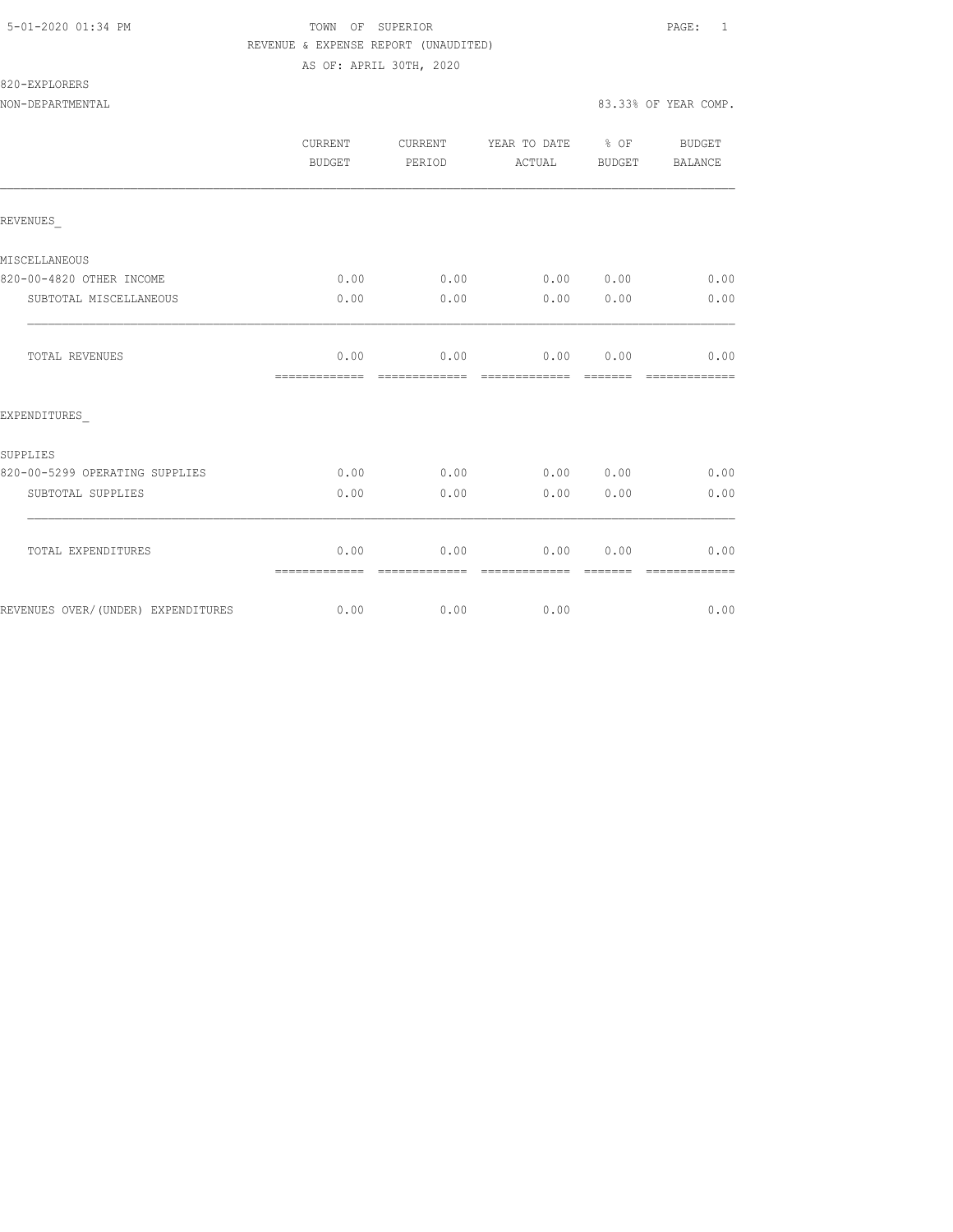## 5-01-2020 01:34 PM TOWN OF SUPERIOR PAGE: 1 REVENUE & EXPENSE REPORT (UNAUDITED) AS OF: APRIL 30TH, 2020

820-EXPLORERS

|                                    | CURRENT<br>BUDGET     | CURRENT<br>PERIOD     | YEAR TO DATE % OF<br>ACTUAL | BUDGET           | BUDGET<br>BALANCE     |
|------------------------------------|-----------------------|-----------------------|-----------------------------|------------------|-----------------------|
| REVENUES                           |                       |                       |                             |                  |                       |
| MISCELLANEOUS                      |                       |                       |                             |                  |                       |
| 820-00-4820 OTHER INCOME           | 0.00                  | 0.00                  | 0.00 0.00                   |                  | 0.00                  |
| SUBTOTAL MISCELLANEOUS             | 0.00                  | 0.00                  | 0.00                        | 0.00             | 0.00                  |
| <b>TOTAL REVENUES</b>              | 0.00<br>============= | 0.00<br>------------- | 0.00<br>--------------      | 0.00<br>-------- | 0.00<br>============= |
| EXPENDITURES                       |                       |                       |                             |                  |                       |
| SUPPLIES                           |                       |                       |                             |                  |                       |
| 820-00-5299 OPERATING SUPPLIES     | 0.00                  | 0.00                  | 0.00 0.00                   |                  | 0.00                  |
| SUBTOTAL SUPPLIES                  | 0.00                  | 0.00                  | 0.00                        | 0.00             | 0.00                  |
| TOTAL EXPENDITURES                 | 0.00<br>============= | 0.00<br>------------- | 0.00<br>--------------      | 0.00             | 0.00                  |
| REVENUES OVER/(UNDER) EXPENDITURES | 0.00                  | 0.00                  | 0.00                        |                  | 0.00                  |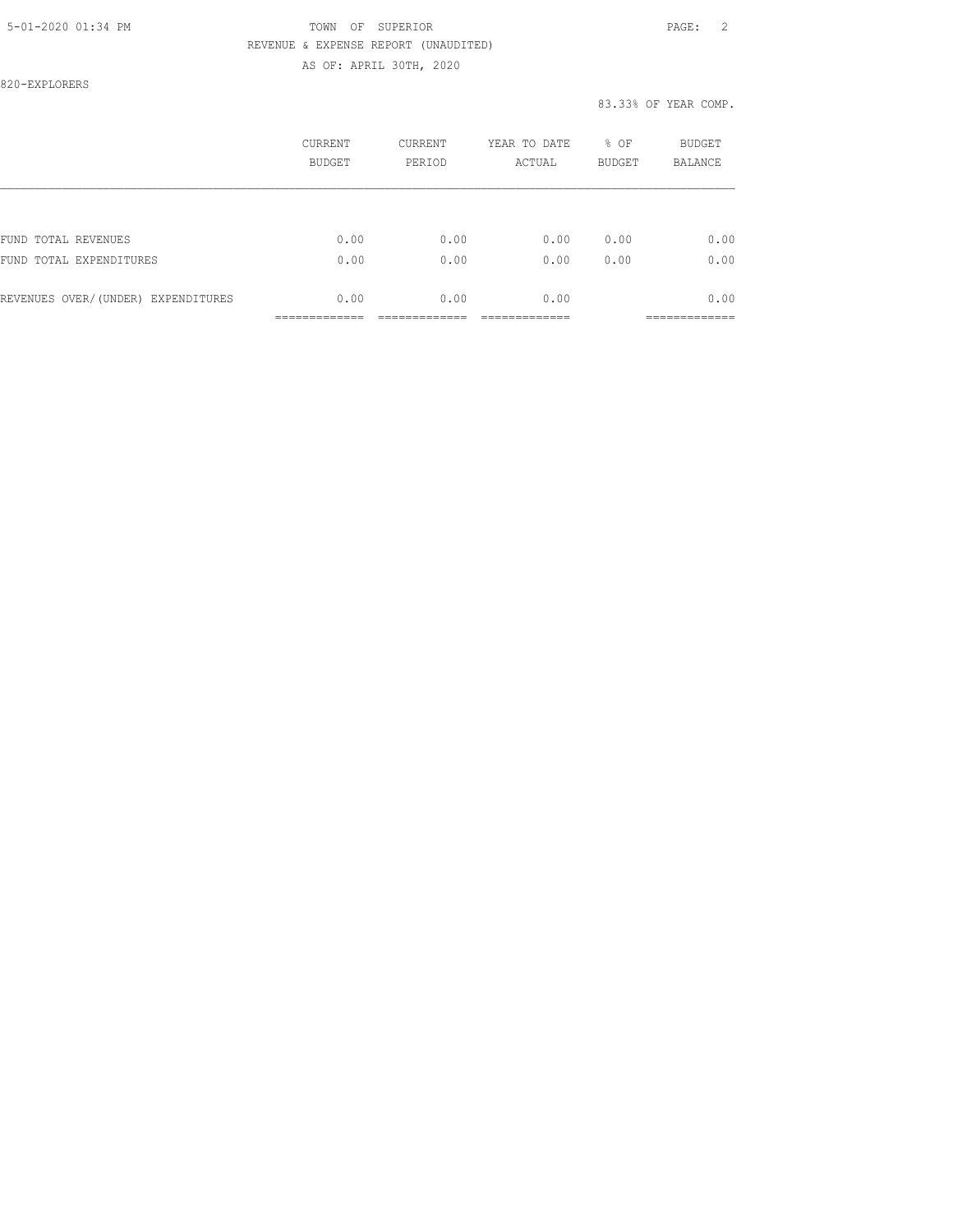## 5-01-2020 01:34 PM TOWN OF SUPERIOR PAGE: 2 REVENUE & EXPENSE REPORT (UNAUDITED) AS OF: APRIL 30TH, 2020

820-EXPLORERS

## 83.33% OF YEAR COMP.

|                                    | CURRENT<br><b>BUDGET</b> | CURRENT<br>PERIOD | YEAR TO DATE<br>ACTUAL | % OF<br><b>BUDGET</b> | <b>BUDGET</b><br><b>BALANCE</b> |
|------------------------------------|--------------------------|-------------------|------------------------|-----------------------|---------------------------------|
|                                    |                          |                   |                        |                       |                                 |
| FUND TOTAL REVENUES                | 0.00                     | 0.00              | 0.00                   | 0.00                  | 0.00                            |
| FUND TOTAL EXPENDITURES            | 0.00                     | 0.00              | 0.00                   | 0.00                  | 0.00                            |
| REVENUES OVER/(UNDER) EXPENDITURES | 0.00                     | 0.00              | 0.00                   |                       | 0.00                            |
|                                    |                          |                   |                        |                       |                                 |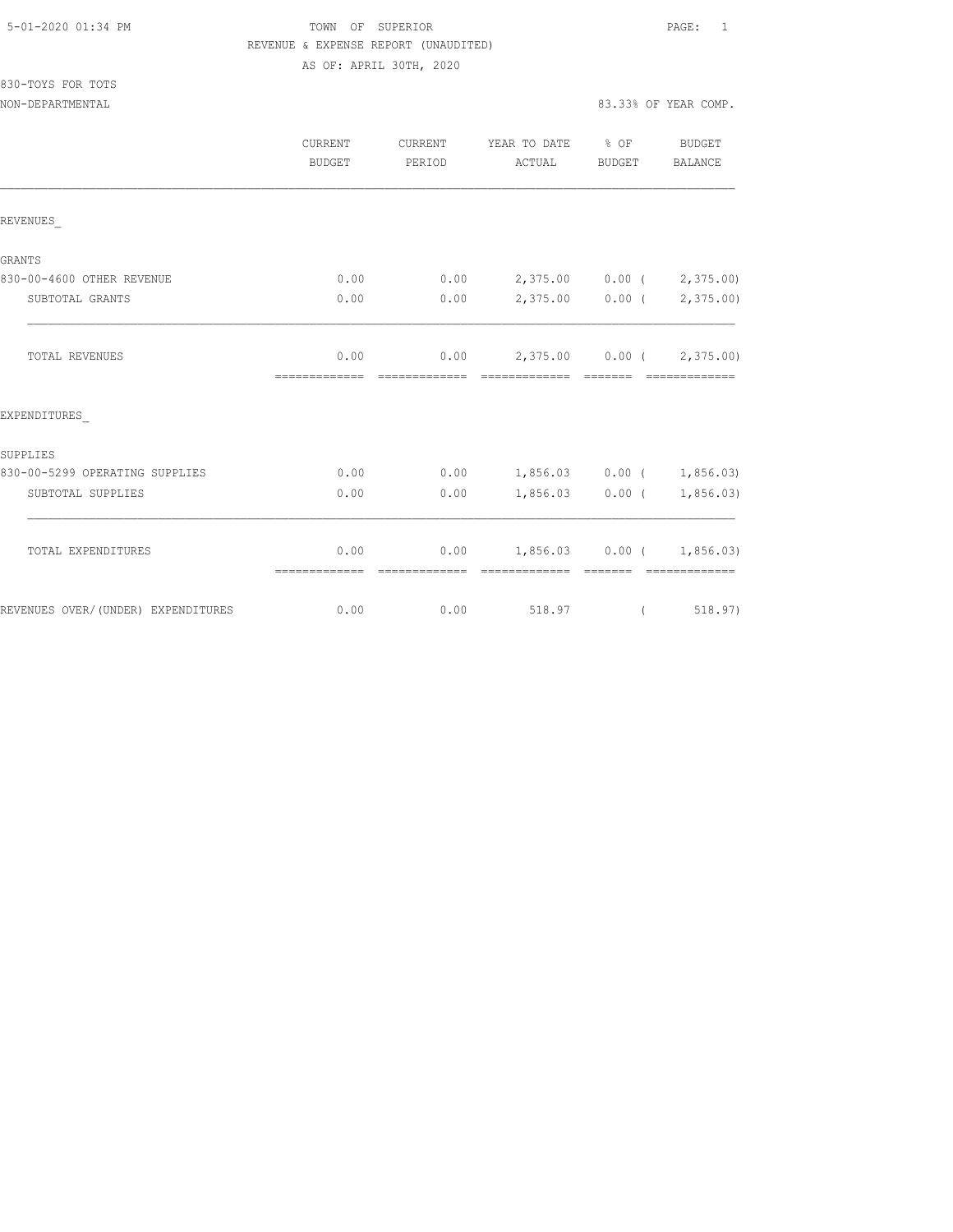## TOWN OF SUPERIOR **Example 2010** PAGE: 1 REVENUE & EXPENSE REPORT (UNAUDITED) AS OF: APRIL 30TH, 2020

|                                    | <b>CURRENT</b><br><b>BUDGET</b> | <b>CURRENT</b><br>PERIOD | YEAR TO DATE % OF<br>ACTUAL                                                                                                                                                                                                                                                                                                                                                                                                                                                                                       | BUDGET                                                                                                                                                                                                                                                                                                                                                                                                                                                                               | BUDGET<br>BALANCE                                                                                                                                                                                                                                                                                                                                                                                                                                                                      |
|------------------------------------|---------------------------------|--------------------------|-------------------------------------------------------------------------------------------------------------------------------------------------------------------------------------------------------------------------------------------------------------------------------------------------------------------------------------------------------------------------------------------------------------------------------------------------------------------------------------------------------------------|--------------------------------------------------------------------------------------------------------------------------------------------------------------------------------------------------------------------------------------------------------------------------------------------------------------------------------------------------------------------------------------------------------------------------------------------------------------------------------------|----------------------------------------------------------------------------------------------------------------------------------------------------------------------------------------------------------------------------------------------------------------------------------------------------------------------------------------------------------------------------------------------------------------------------------------------------------------------------------------|
| REVENUES                           |                                 |                          |                                                                                                                                                                                                                                                                                                                                                                                                                                                                                                                   |                                                                                                                                                                                                                                                                                                                                                                                                                                                                                      |                                                                                                                                                                                                                                                                                                                                                                                                                                                                                        |
| GRANTS                             |                                 |                          |                                                                                                                                                                                                                                                                                                                                                                                                                                                                                                                   |                                                                                                                                                                                                                                                                                                                                                                                                                                                                                      |                                                                                                                                                                                                                                                                                                                                                                                                                                                                                        |
| 830-00-4600 OTHER REVENUE          | 0.00                            | 0.00                     | 2,375.00 0.00 (2,375.00)                                                                                                                                                                                                                                                                                                                                                                                                                                                                                          |                                                                                                                                                                                                                                                                                                                                                                                                                                                                                      |                                                                                                                                                                                                                                                                                                                                                                                                                                                                                        |
| SUBTOTAL GRANTS                    | 0.00                            | 0.00                     |                                                                                                                                                                                                                                                                                                                                                                                                                                                                                                                   | $2,375.00$ 0.00 (                                                                                                                                                                                                                                                                                                                                                                                                                                                                    | 2,375.00)                                                                                                                                                                                                                                                                                                                                                                                                                                                                              |
| TOTAL REVENUES                     | 0.00<br>=============           | =============            | $0.00$ 2,375.00 0.00 ( 2,375.00)<br>$\begin{array}{cccccc} \multicolumn{2}{c}{{\color{red}c}} & \multicolumn{2}{c}{{\color{red}c}} & \multicolumn{2}{c}{{\color{red}c}} & \multicolumn{2}{c}{{\color{red}c}} & \multicolumn{2}{c}{{\color{red}c}} & \multicolumn{2}{c}{{\color{red}c}} & \multicolumn{2}{c}{{\color{red}c}} & \multicolumn{2}{c}{{\color{red}c}} & \multicolumn{2}{c}{{\color{red}c}} & \multicolumn{2}{c}{{\color{red}c}} & \multicolumn{2}{c}{{\color{red}c}} & \multicolumn{2}{c}{{\color{red$ |                                                                                                                                                                                                                                                                                                                                                                                                                                                                                      | - ==============                                                                                                                                                                                                                                                                                                                                                                                                                                                                       |
| EXPENDITURES                       |                                 |                          |                                                                                                                                                                                                                                                                                                                                                                                                                                                                                                                   |                                                                                                                                                                                                                                                                                                                                                                                                                                                                                      |                                                                                                                                                                                                                                                                                                                                                                                                                                                                                        |
| SUPPLIES                           |                                 |                          |                                                                                                                                                                                                                                                                                                                                                                                                                                                                                                                   |                                                                                                                                                                                                                                                                                                                                                                                                                                                                                      |                                                                                                                                                                                                                                                                                                                                                                                                                                                                                        |
| 830-00-5299 OPERATING SUPPLIES     | 0.00                            | 0.00                     | $1,856.03$ 0.00 ( 1,856.03)                                                                                                                                                                                                                                                                                                                                                                                                                                                                                       |                                                                                                                                                                                                                                                                                                                                                                                                                                                                                      |                                                                                                                                                                                                                                                                                                                                                                                                                                                                                        |
| SUBTOTAL SUPPLIES                  | 0.00                            | 0.00                     |                                                                                                                                                                                                                                                                                                                                                                                                                                                                                                                   | $1,856.03$ 0.00 (                                                                                                                                                                                                                                                                                                                                                                                                                                                                    | 1,856.03)                                                                                                                                                                                                                                                                                                                                                                                                                                                                              |
| TOTAL EXPENDITURES                 | 0.00<br>=============           | --------------           | $0.00$ 1,856.03 0.00 ( 1,856.03)<br>=============                                                                                                                                                                                                                                                                                                                                                                                                                                                                 | $\begin{array}{cccccc} \multicolumn{2}{c}{} & \multicolumn{2}{c}{} & \multicolumn{2}{c}{} & \multicolumn{2}{c}{} & \multicolumn{2}{c}{} & \multicolumn{2}{c}{} & \multicolumn{2}{c}{} & \multicolumn{2}{c}{} & \multicolumn{2}{c}{} & \multicolumn{2}{c}{} & \multicolumn{2}{c}{} & \multicolumn{2}{c}{} & \multicolumn{2}{c}{} & \multicolumn{2}{c}{} & \multicolumn{2}{c}{} & \multicolumn{2}{c}{} & \multicolumn{2}{c}{} & \multicolumn{2}{c}{} & \multicolumn{2}{c}{} & \multic$ | $\begin{array}{cccccccccccccc} \multicolumn{2}{c}{} & \multicolumn{2}{c}{} & \multicolumn{2}{c}{} & \multicolumn{2}{c}{} & \multicolumn{2}{c}{} & \multicolumn{2}{c}{} & \multicolumn{2}{c}{} & \multicolumn{2}{c}{} & \multicolumn{2}{c}{} & \multicolumn{2}{c}{} & \multicolumn{2}{c}{} & \multicolumn{2}{c}{} & \multicolumn{2}{c}{} & \multicolumn{2}{c}{} & \multicolumn{2}{c}{} & \multicolumn{2}{c}{} & \multicolumn{2}{c}{} & \multicolumn{2}{c}{} & \multicolumn{2}{c}{} & \$ |
| REVENUES OVER/(UNDER) EXPENDITURES | 0.00                            | 0.00                     | 518.97                                                                                                                                                                                                                                                                                                                                                                                                                                                                                                            | $\left($                                                                                                                                                                                                                                                                                                                                                                                                                                                                             | 518.97)                                                                                                                                                                                                                                                                                                                                                                                                                                                                                |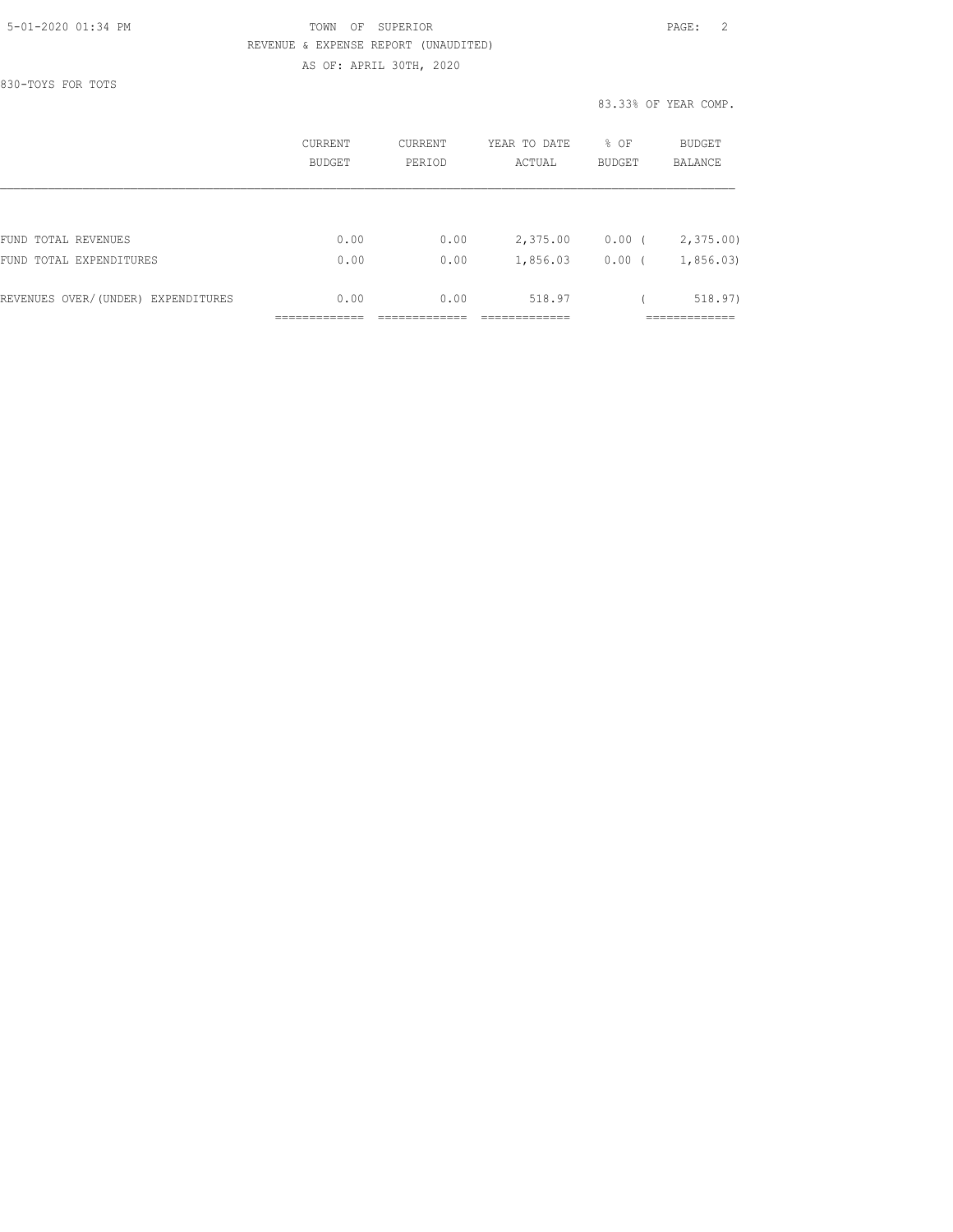## 5-01-2020 01:34 PM TOWN OF SUPERIOR PAGE: 2 REVENUE & EXPENSE REPORT (UNAUDITED) AS OF: APRIL 30TH, 2020

830-TOYS FOR TOTS

83.33% OF YEAR COMP.

|                                    | CURRENT<br><b>BUDGET</b> | CURRENT<br>PERIOD | YEAR TO DATE<br>ACTUAL | % OF<br><b>BUDGET</b> | BUDGET<br><b>BALANCE</b> |
|------------------------------------|--------------------------|-------------------|------------------------|-----------------------|--------------------------|
|                                    |                          |                   |                        |                       |                          |
| FUND TOTAL REVENUES                | 0.00                     | 0.00              | 2,375.00               | $0.00$ (              | 2,375.00                 |
| FUND TOTAL EXPENDITURES            | 0.00                     | 0.00              | 1,856.03               | 0.00                  | 1,856.03                 |
| REVENUES OVER/(UNDER) EXPENDITURES | 0.00                     | 0.00              | 518.97                 |                       | 518.97)                  |
|                                    |                          |                   |                        |                       |                          |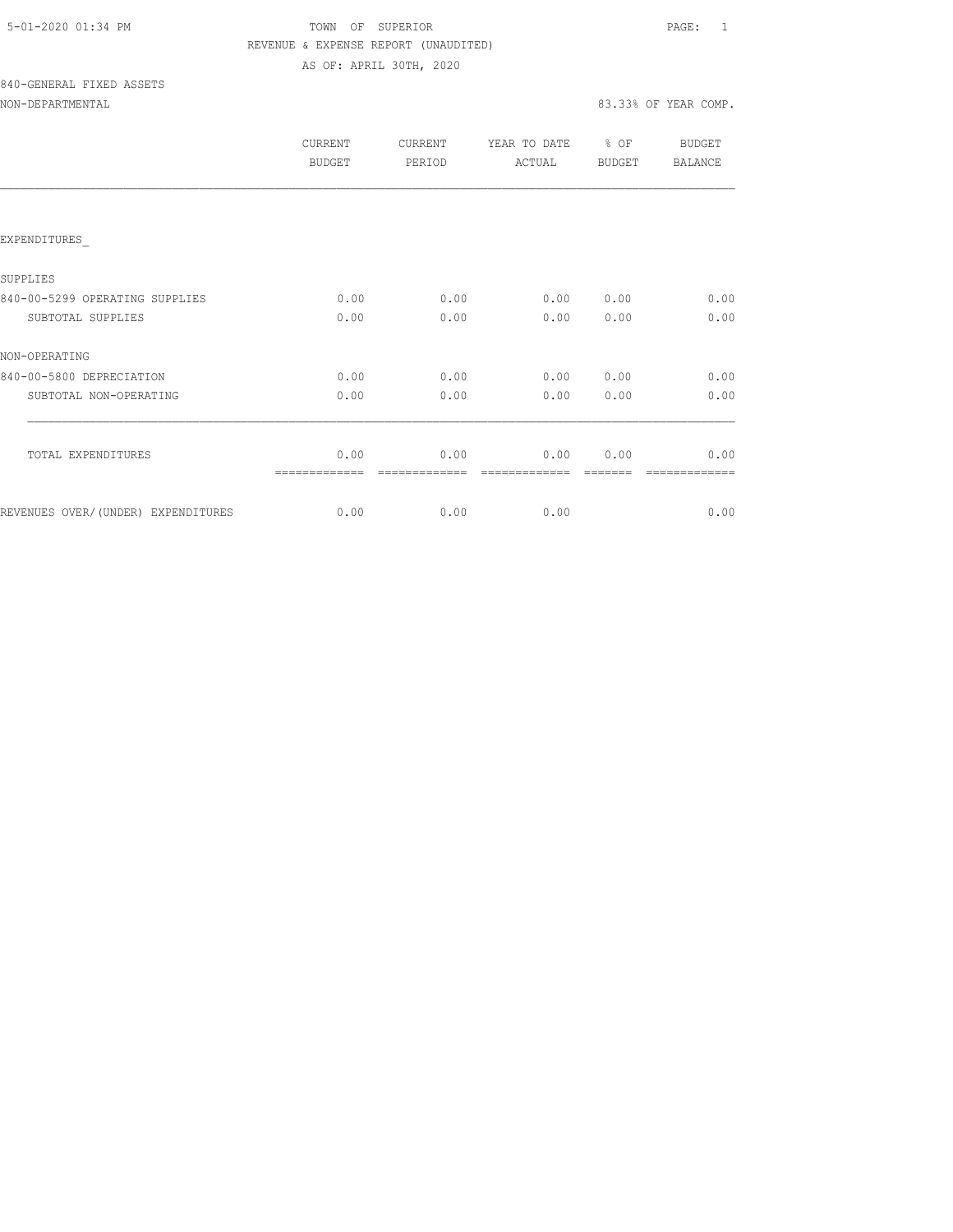| 5-01-2020 01:34 PM |  |
|--------------------|--|
|                    |  |

## TOWN OF SUPERIOR **Example 2010** PAGE: 1 REVENUE & EXPENSE REPORT (UNAUDITED) AS OF: APRIL 30TH, 2020

# 840-GENERAL FIXED ASSETS

## NON-DEPARTMENTAL 83.33% OF YEAR COMP.

|                                     | CURRENT<br>BUDGET | <b>CURRENT</b><br>PERIOD | YEAR TO DATE<br>ACTUAL | % OF<br>BUDGET | BUDGET<br><b>BALANCE</b> |
|-------------------------------------|-------------------|--------------------------|------------------------|----------------|--------------------------|
|                                     |                   |                          |                        |                |                          |
| EXPENDITURES                        |                   |                          |                        |                |                          |
| SUPPLIES                            |                   |                          |                        |                |                          |
| 840-00-5299 OPERATING SUPPLIES      | 0.00              | 0.00                     | 0.00                   | 0.00           | 0.00                     |
| SUBTOTAL SUPPLIES                   | 0.00              | 0.00                     | 0.00                   | 0.00           | 0.00                     |
| NON-OPERATING                       |                   |                          |                        |                |                          |
| 840-00-5800 DEPRECIATION            | 0.00              | 0.00                     | 0.00                   | 0.00           | 0.00                     |
| SUBTOTAL NON-OPERATING              | 0.00              | 0.00                     | 0.00                   | 0.00           | 0.00                     |
| TOTAL EXPENDITURES                  | 0.00              | 0.00                     | 0.00                   | 0.00           | 0.00                     |
|                                     |                   |                          |                        |                |                          |
| REVENUES OVER/ (UNDER) EXPENDITURES | 0.00              | 0.00                     | 0.00                   |                | 0.00                     |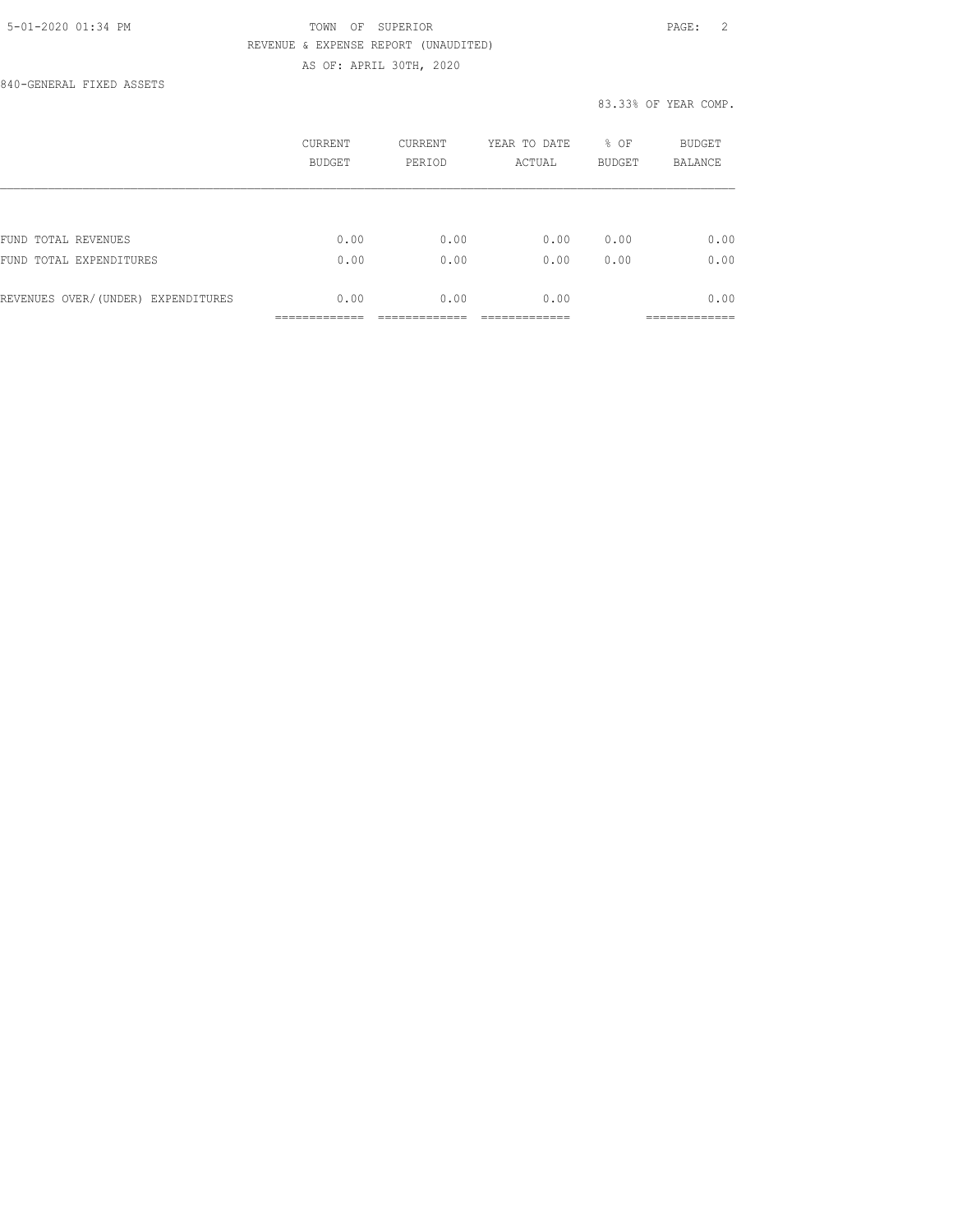## 5-01-2020 01:34 PM TOWN OF SUPERIOR PAGE: 2 REVENUE & EXPENSE REPORT (UNAUDITED) AS OF: APRIL 30TH, 2020

840-GENERAL FIXED ASSETS

### 83.33% OF YEAR COMP.

|                                    | CURRENT<br><b>BUDGET</b> | <b>CURRENT</b><br>PERIOD | YEAR TO DATE<br>ACTUAL | % OF<br><b>BUDGET</b> | <b>BUDGET</b><br>BALANCE      |
|------------------------------------|--------------------------|--------------------------|------------------------|-----------------------|-------------------------------|
|                                    |                          |                          |                        |                       |                               |
| FUND TOTAL REVENUES                | 0.00                     | 0.00                     | 0.00                   | 0.00                  | 0.00                          |
| FUND TOTAL EXPENDITURES            | 0.00                     | 0.00                     | 0.00                   | 0.00                  | 0.00                          |
| REVENUES OVER/(UNDER) EXPENDITURES | 0.00                     | 0.00                     | 0.00                   |                       | 0.00                          |
|                                    | _____________            |                          |                        |                       | -------------<br>____________ |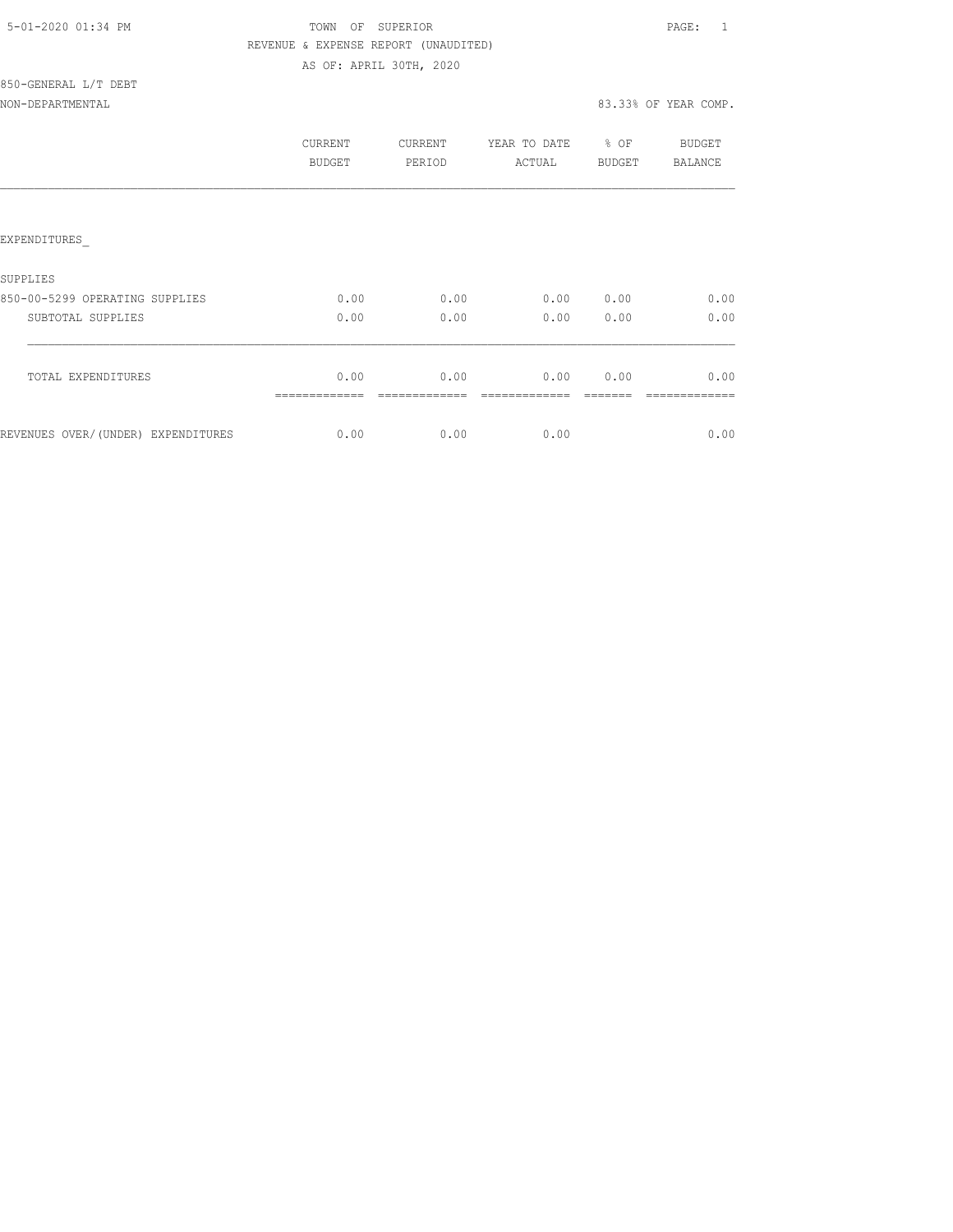| 5-01-2020 01:34 PM |  |
|--------------------|--|
|                    |  |

## TOWN OF SUPERIOR **Example 2010** PAGE: 1 REVENUE & EXPENSE REPORT (UNAUDITED) AS OF: APRIL 30TH, 2020

# 850-GENERAL L/T DEBT

NON-DEPARTMENTAL 83.33% OF YEAR COMP.

|                                    | CURRENT<br><b>BUDGET</b> | CURRENT<br>PERIOD | YEAR TO DATE<br>ACTUAL | % OF<br>BUDGET | BUDGET<br>BALANCE |
|------------------------------------|--------------------------|-------------------|------------------------|----------------|-------------------|
| <b>EXPENDITURES</b>                |                          |                   |                        |                |                   |
| <b>SUPPLIES</b>                    |                          |                   |                        |                |                   |
| 850-00-5299 OPERATING SUPPLIES     | 0.00                     | 0.00              | 0.00                   | 0.00           | 0.00              |
| SUBTOTAL SUPPLIES                  | 0.00                     | 0.00              | 0.00                   | 0.00           | 0.00              |
| TOTAL EXPENDITURES                 | 0.00                     | 0.00              | 0.00                   | 0.00           | 0.00              |
| REVENUES OVER/(UNDER) EXPENDITURES | 0.00                     | 0.00              | 0.00                   |                | 0.00              |